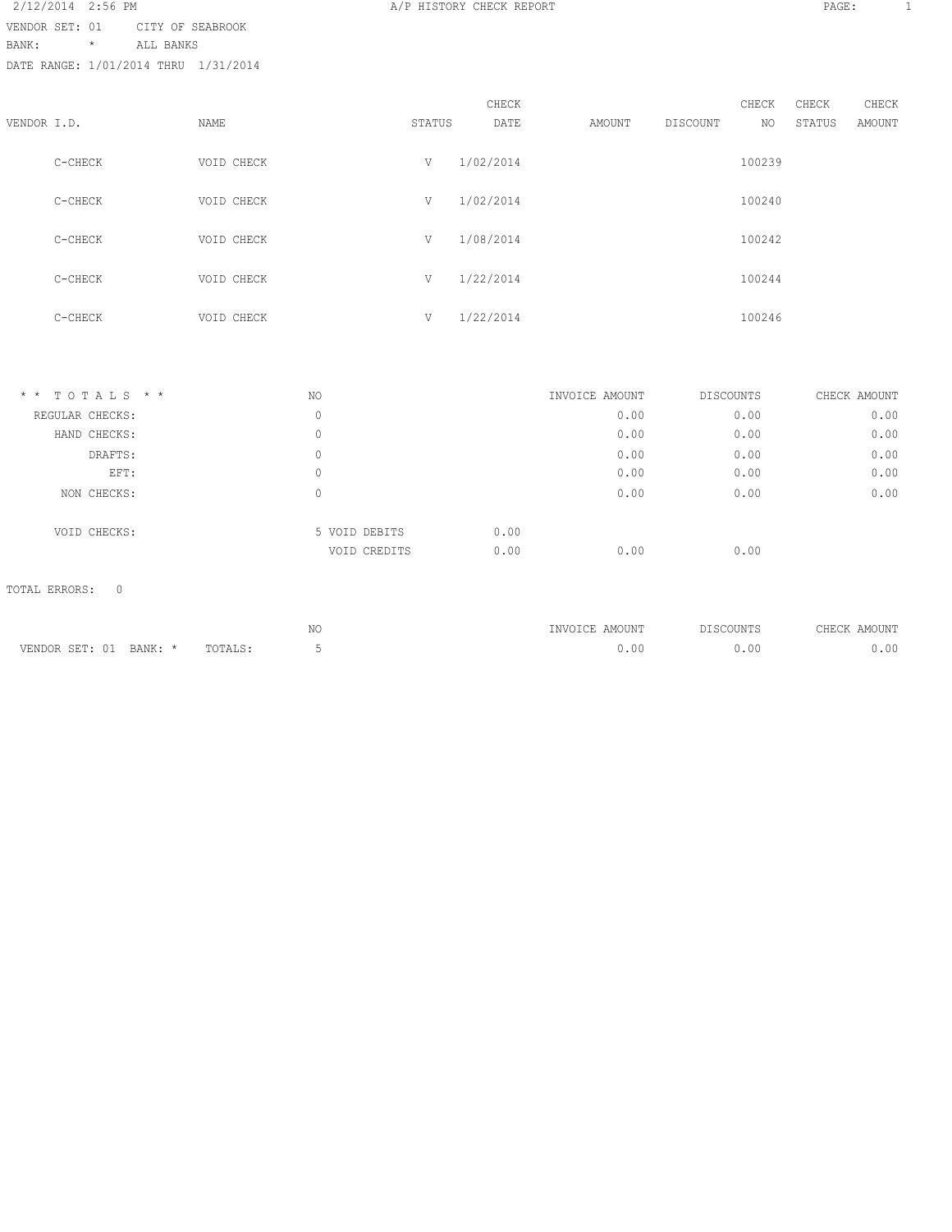2/12/2014 2:56 PM **A/P HISTORY CHECK REPORT PAGE:** 1 VENDOR SET: 01 CITY OF SEABROOK BANK: \* ALL BANKS DATE RANGE: 1/01/2014 THRU 1/31/2014

|             |         |            |        | CHECK     |        |          | CHECK  | CHECK  | CHECK  |
|-------------|---------|------------|--------|-----------|--------|----------|--------|--------|--------|
| VENDOR I.D. |         | NAME       | STATUS | DATE      | AMOUNT | DISCOUNT | NO.    | STATUS | AMOUNT |
|             | C-CHECK | VOID CHECK | V      | 1/02/2014 |        |          | 100239 |        |        |
|             | C-CHECK | VOID CHECK | V      | 1/02/2014 |        |          | 100240 |        |        |
|             | C-CHECK | VOID CHECK | V      | 1/08/2014 |        |          | 100242 |        |        |
|             | C-CHECK | VOID CHECK | V      | 1/22/2014 |        |          | 100244 |        |        |
|             | C-CHECK | VOID CHECK | V      | 1/22/2014 |        |          | 100246 |        |        |
|             |         |            |        |           |        |          |        |        |        |

| $*$ * TOTALS * * | NO |               | INVOICE AMOUNT |      | DISCOUNTS | CHECK AMOUNT |
|------------------|----|---------------|----------------|------|-----------|--------------|
| REGULAR CHECKS:  | 0  |               |                | 0.00 | 0.00      | 0.00         |
| HAND CHECKS:     | 0  |               |                | 0.00 | 0.00      | 0.00         |
| DRAFTS:          | 0  |               |                | 0.00 | 0.00      | 0.00         |
| EFT:             | 0  |               |                | 0.00 | 0.00      | 0.00         |
| NON CHECKS:      | 0  |               |                | 0.00 | 0.00      | 0.00         |
| VOID CHECKS:     |    | 5 VOID DEBITS | 0.00           |      |           |              |
|                  |    | VOID CREDITS  | 0.00           | 0.00 | 0.00      |              |

# TOTAL ERRORS: 0

|                           |         | $\lambda$ T $\cap$<br>IN C | AMOUNT<br>"NVOTCE |     | <b>MOTIMT</b><br>거대교 |
|---------------------------|---------|----------------------------|-------------------|-----|----------------------|
| VENDOR SET: 01<br>BANK: * | TOTALS: |                            |                   | -00 | $\cap$               |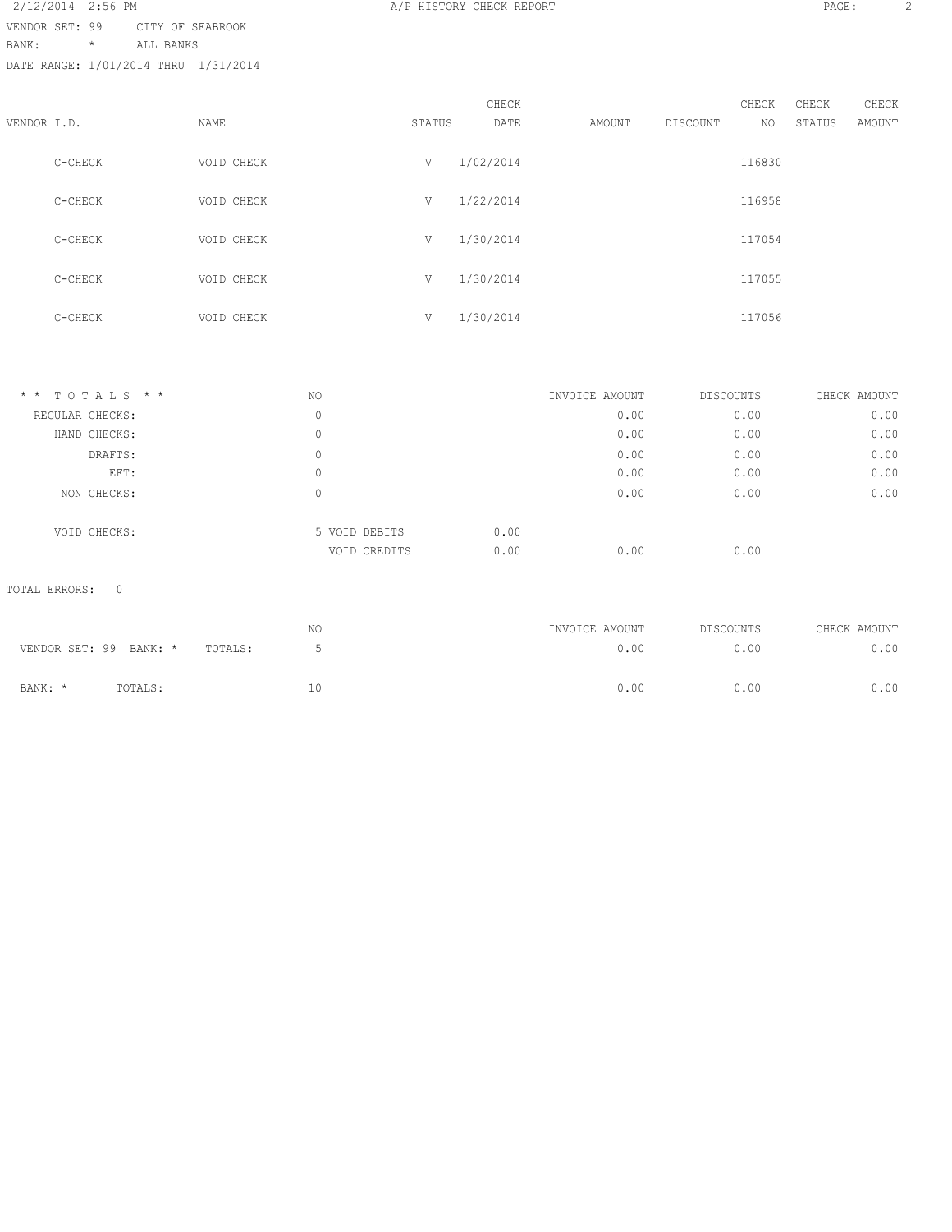2/12/2014 2:56 PM **A/P HISTORY CHECK REPORT PAGE:** 2 VENDOR SET: 99 CITY OF SEABROOK BANK: \* ALL BANKS DATE RANGE: 1/01/2014 THRU 1/31/2014

|             |         |            |        | CHECK     |        |          | CHECK  | CHECK  | CHECK  |
|-------------|---------|------------|--------|-----------|--------|----------|--------|--------|--------|
| VENDOR I.D. |         | NAME       | STATUS | DATE      | AMOUNT | DISCOUNT | NO     | STATUS | AMOUNT |
|             | C-CHECK | VOID CHECK | V      | 1/02/2014 |        |          | 116830 |        |        |
|             | C-CHECK | VOID CHECK | V      | 1/22/2014 |        |          | 116958 |        |        |
|             | C-CHECK | VOID CHECK | V      | 1/30/2014 |        |          | 117054 |        |        |
|             | C-CHECK | VOID CHECK | V      | 1/30/2014 |        |          | 117055 |        |        |
|             | C-CHECK | VOID CHECK | V      | 1/30/2014 |        |          | 117056 |        |        |

| $*$ * TOTALS * * | NO            | INVOICE AMOUNT | DISCOUNTS | CHECK AMOUNT |
|------------------|---------------|----------------|-----------|--------------|
| REGULAR CHECKS:  | 0             | 0.00           | 0.00      | 0.00         |
| HAND CHECKS:     | 0             | 0.00           | 0.00      | 0.00         |
| DRAFTS:          |               | 0.00           | 0.00      | 0.00         |
| EFT:             | 0             | 0.00           | 0.00      | 0.00         |
| NON CHECKS:      | 0             | 0.00           | 0.00      | 0.00         |
| VOID CHECKS:     | 5 VOID DEBITS | 0.00           |           |              |
|                  | VOID CREDITS  | 0.00<br>0.00   | 0.00      |              |

# TOTAL ERRORS: 0

|         |                        |         | ΝC  | INVOICE AMOUNT | DISCOUNTS | CHECK AMOUNT |
|---------|------------------------|---------|-----|----------------|-----------|--------------|
|         | VENDOR SET: 99 BANK: * | TOTALS: |     | 0.00           | 0.00      | 0.00         |
| BANK: * | TOTALS:                |         | 10. | 0.00           | 0.00      | 0.00         |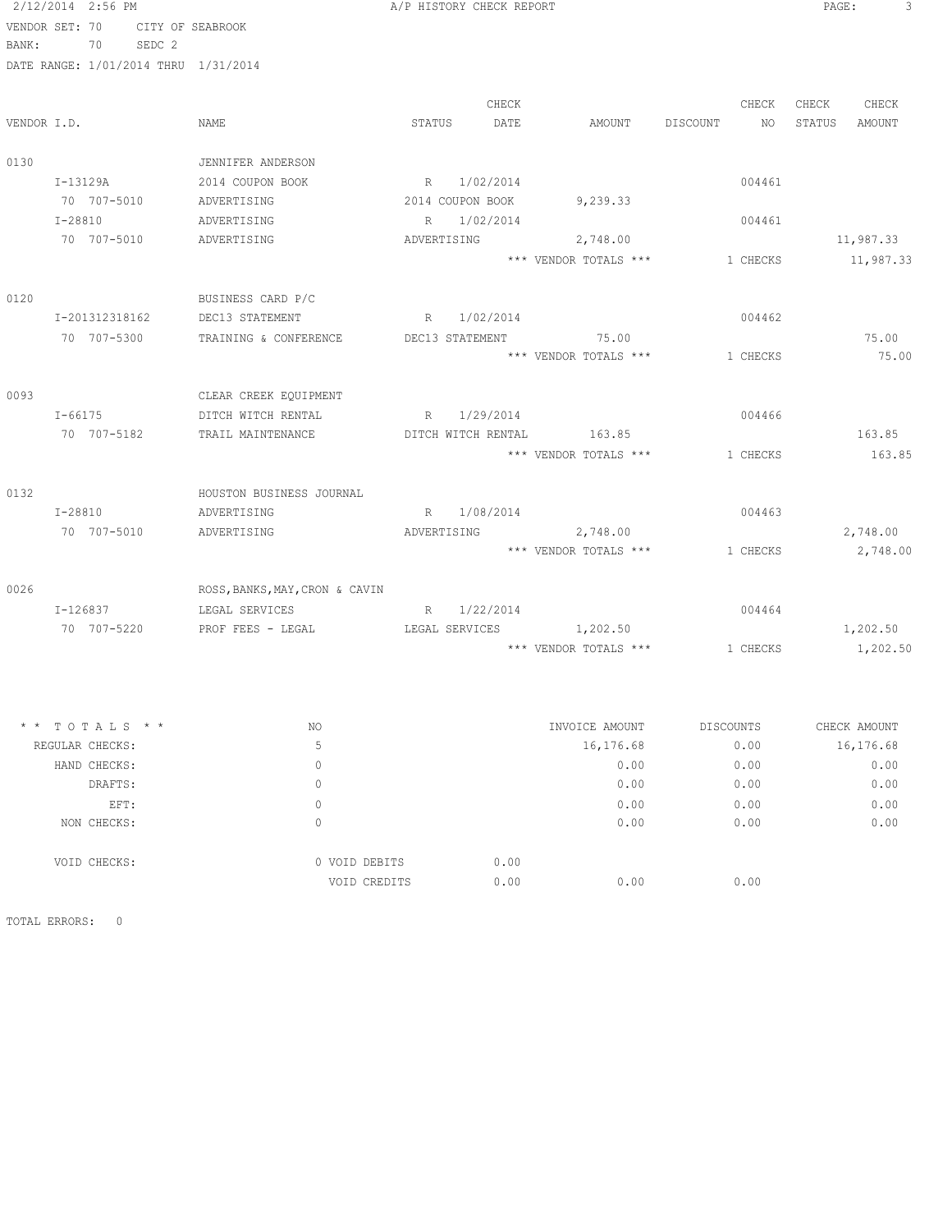| 2/12/2014 2:56 PM                    |                                | A/P HISTORY CHECK REPORT |             |                           |                | 3<br>PAGE:       |
|--------------------------------------|--------------------------------|--------------------------|-------------|---------------------------|----------------|------------------|
| VENDOR SET: 70 CITY OF SEABROOK      |                                |                          |             |                           |                |                  |
| 70<br>SEDC 2<br>BANK:                |                                |                          |             |                           |                |                  |
| DATE RANGE: 1/01/2014 THRU 1/31/2014 |                                |                          |             |                           |                |                  |
|                                      |                                |                          |             |                           |                |                  |
|                                      |                                |                          | CHECK       |                           | CHECK          | CHECK<br>CHECK   |
| VENDOR I.D.                          | NAME                           | STATUS                   | DATE        | AMOUNT                    | DISCOUNT<br>NO | STATUS<br>AMOUNT |
|                                      |                                |                          |             |                           |                |                  |
| 0130                                 | JENNIFER ANDERSON              |                          |             |                           |                |                  |
| I-13129A                             | 2014 COUPON BOOK               |                          | R 1/02/2014 |                           | 004461         |                  |
| 70 707-5010                          | ADVERTISING                    | 2014 COUPON BOOK         |             | 9,239.33                  |                |                  |
| $T - 28810$                          | ADVERTISING                    |                          | R 1/02/2014 |                           | 004461         |                  |
| 70 707-5010                          | ADVERTISING                    | ADVERTISING              |             | 2,748.00                  |                | 11,987.33        |
|                                      |                                |                          |             | *** VENDOR TOTALS ***     | 1 CHECKS       | 11,987.33        |
|                                      |                                |                          |             |                           |                |                  |
| 0120                                 | BUSINESS CARD P/C              |                          |             |                           |                |                  |
| I-201312318162                       | DEC13 STATEMENT                |                          | R 1/02/2014 |                           | 004462         |                  |
| 70 707-5300                          | TRAINING & CONFERENCE          | DEC13 STATEMENT          |             | 75.00                     |                | 75.00            |
|                                      |                                |                          |             | *** VENDOR TOTALS ***     | 1 CHECKS       | 75.00            |
|                                      |                                |                          |             |                           |                |                  |
| 0093                                 | CLEAR CREEK EQUIPMENT          |                          |             |                           |                |                  |
| $I - 66175$                          | DITCH WITCH RENTAL             |                          | R 1/29/2014 |                           | 004466         |                  |
| 70 707-5182                          | TRAIL MAINTENANCE              |                          |             | DITCH WITCH RENTAL 163.85 |                | 163.85           |
|                                      |                                |                          |             | *** VENDOR TOTALS ***     | 1 CHECKS       | 163.85           |
|                                      |                                |                          |             |                           |                |                  |
| 0132                                 | HOUSTON BUSINESS JOURNAL       |                          |             |                           |                |                  |
| I-28810                              | ADVERTISING                    |                          | R 1/08/2014 |                           | 004463         |                  |
| 70 707-5010                          | ADVERTISING                    | ADVERTISING              |             | 2,748.00                  |                | 2,748.00         |
|                                      |                                |                          |             | *** VENDOR TOTALS ***     | 1 CHECKS       | 2,748.00         |
|                                      |                                |                          |             |                           |                |                  |
| 0026                                 | ROSS, BANKS, MAY, CRON & CAVIN |                          |             |                           |                |                  |
| I-126837                             | LEGAL SERVICES                 |                          | R 1/22/2014 |                           | 004464         |                  |
| 70 707-5220                          | PROF FEES - LEGAL              | LEGAL SERVICES           |             | 1,202.50                  |                | 1,202.50         |
|                                      |                                |                          |             | *** VENDOR TOTALS ***     | 1 CHECKS       | 1,202.50         |
|                                      |                                |                          |             |                           |                |                  |
| TOTALS * *                           | NO                             |                          |             | INVOICE AMOUNT            | DISCOUNTS      | CHECK AMOUNT     |
| REGULAR CHECKS:                      | 5                              |                          |             | 16,176.68                 | 0.00           | 16,176.68        |
| HAND CHECKS:                         | $\mathbb O$                    |                          |             | 0.00                      | 0.00           | 0.00             |
| DRAFTS:                              | $\mathbb O$                    |                          |             | 0.00                      | 0.00           | 0.00             |
| EFT:                                 | $\mathbb O$                    |                          |             | 0.00                      | 0.00           | 0.00             |
| NON CHECKS:                          | $\mathbb O$                    |                          |             | 0.00                      | 0.00           | 0.00             |
| VOID CHECKS:                         | 0 VOID DEBITS                  |                          | 0.00        |                           |                |                  |

VOID CREDITS 0.00 0.00 0.00 0.00

TOTAL ERRORS: 0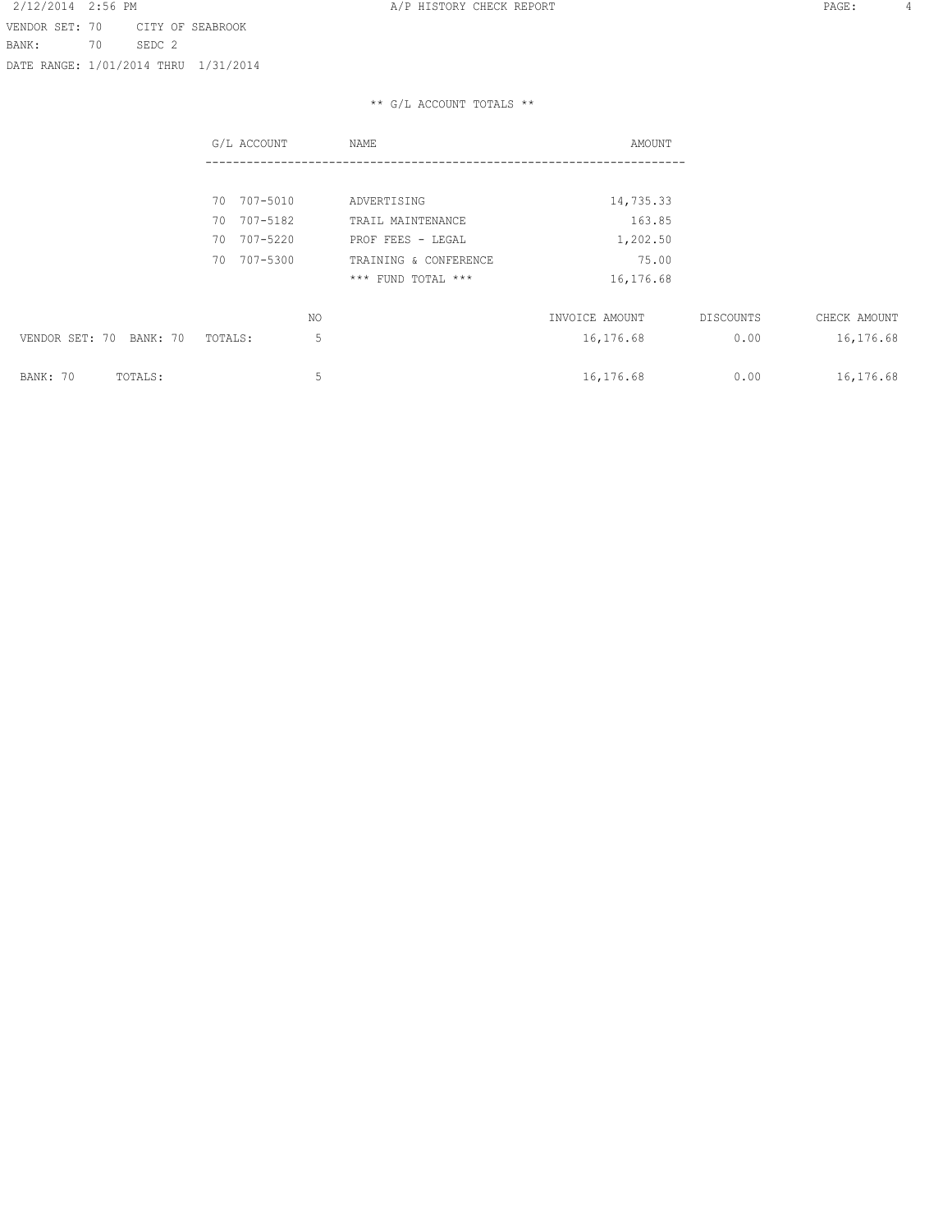2/12/2014 2:56 PM **A/P HISTORY CHECK REPORT PAGE:** 4 VENDOR SET: 70 CITY OF SEABROOK BANK: 70 SEDC 2 DATE RANGE: 1/01/2014 THRU 1/31/2014

|                         | G/L ACCOUNT    | NAME                  | AMOUNT         |           |              |
|-------------------------|----------------|-----------------------|----------------|-----------|--------------|
|                         |                |                       |                |           |              |
|                         | 707-5010<br>70 | ADVERTISING           | 14,735.33      |           |              |
|                         | 707-5182<br>70 | TRAIL MAINTENANCE     | 163.85         |           |              |
|                         | 707-5220<br>70 | PROF FEES - LEGAL     | 1,202.50       |           |              |
|                         | 707-5300<br>70 | TRAINING & CONFERENCE | 75.00          |           |              |
|                         |                | *** FUND TOTAL ***    | 16,176.68      |           |              |
|                         |                | NO                    | INVOICE AMOUNT | DISCOUNTS | CHECK AMOUNT |
| VENDOR SET: 70 BANK: 70 | TOTALS:        | 5                     | 16,176.68      | 0.00      | 16,176.68    |
| BANK: 70<br>TOTALS:     |                | 5                     | 16,176.68      | 0.00      | 16,176.68    |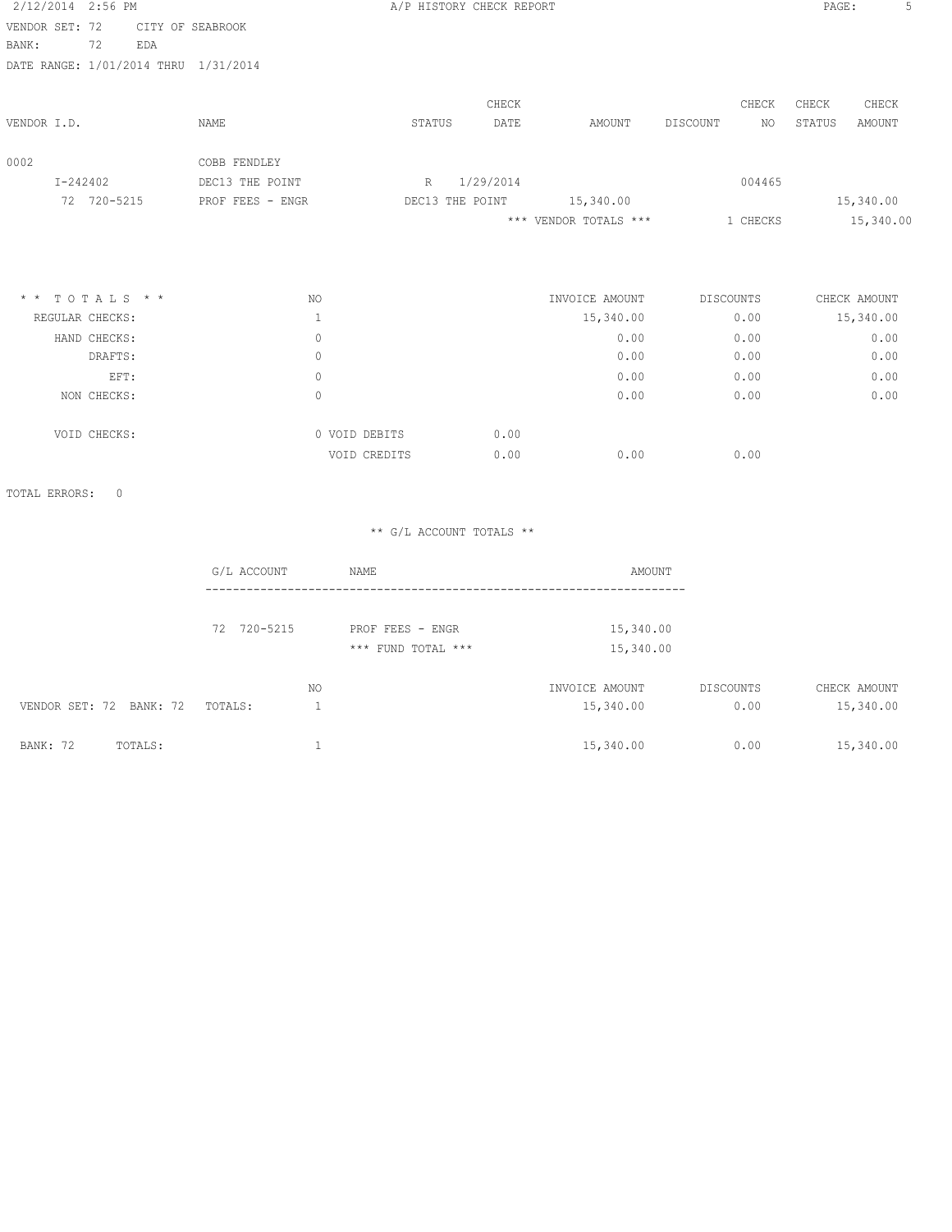| 2/12/2014 2:56 PM          |                 |     |                  |               | A/P HISTORY CHECK REPORT |           |       |                       |          |                  | PAGE:  |              | 5 |
|----------------------------|-----------------|-----|------------------|---------------|--------------------------|-----------|-------|-----------------------|----------|------------------|--------|--------------|---|
| VENDOR SET: 72             |                 |     | CITY OF SEABROOK |               |                          |           |       |                       |          |                  |        |              |   |
| BANK:                      | 72              | EDA |                  |               |                          |           |       |                       |          |                  |        |              |   |
| DATE RANGE: 1/01/2014 THRU |                 |     | 1/31/2014        |               |                          |           |       |                       |          |                  |        |              |   |
|                            |                 |     |                  |               |                          |           | CHECK |                       |          | CHECK            | CHECK  | CHECK        |   |
| VENDOR I.D.                |                 |     | NAME             |               | STATUS                   |           | DATE  | AMOUNT                | DISCOUNT | NO               | STATUS | AMOUNT       |   |
| 0002                       |                 |     | COBB FENDLEY     |               |                          |           |       |                       |          |                  |        |              |   |
| $I - 242402$               |                 |     | DEC13 THE POINT  |               | R                        | 1/29/2014 |       |                       |          | 004465           |        |              |   |
|                            | 72 720-5215     |     | PROF FEES - ENGR |               | DEC13 THE POINT          |           |       | 15,340.00             |          |                  |        | 15,340.00    |   |
|                            |                 |     |                  |               |                          |           |       | *** VENDOR TOTALS *** |          | 1 CHECKS         |        | 15,340.00    |   |
|                            |                 |     |                  |               |                          |           |       |                       |          |                  |        |              |   |
| $*$ * TOTALS * *           |                 |     | <b>NO</b>        |               |                          |           |       | INVOICE AMOUNT        |          | <b>DISCOUNTS</b> |        | CHECK AMOUNT |   |
|                            | REGULAR CHECKS: |     | $\mathbf{1}$     |               |                          |           |       | 15,340.00             |          | 0.00             |        | 15,340.00    |   |
|                            | HAND CHECKS:    |     | $\circ$          |               |                          |           |       | 0.00                  |          | 0.00             |        | 0.00         |   |
|                            | DRAFTS:         |     | $\circ$          |               |                          |           |       | 0.00                  |          | 0.00             |        | 0.00         |   |
|                            | EFT:            |     | $\Omega$         |               |                          |           |       | 0.00                  |          | 0.00             |        | 0.00         |   |
|                            | NON CHECKS:     |     | $\circ$          |               |                          |           |       | 0.00                  |          | 0.00             |        | 0.00         |   |
|                            | VOID CHECKS:    |     |                  | 0 VOID DEBITS |                          |           | 0.00  |                       |          |                  |        |              |   |
|                            |                 |     |                  | VOID CREDITS  |                          |           | 0.00  | 0.00                  |          | 0.00             |        |              |   |

TOTAL ERRORS: 0

|                            | G/L ACCOUNT | NAME               | AMOUNT         |           |              |
|----------------------------|-------------|--------------------|----------------|-----------|--------------|
|                            |             |                    |                |           |              |
|                            | 72 720-5215 | PROF FEES - ENGR   | 15,340.00      |           |              |
|                            |             | *** FUND TOTAL *** | 15,340.00      |           |              |
|                            | NO          |                    | INVOICE AMOUNT | DISCOUNTS | CHECK AMOUNT |
| VENDOR SET: 72 BANK: 72    | TOTALS:     |                    | 15,340.00      | 0.00      | 15,340.00    |
| <b>BANK: 72</b><br>TOTALS: |             |                    | 15,340.00      | 0.00      | 15,340.00    |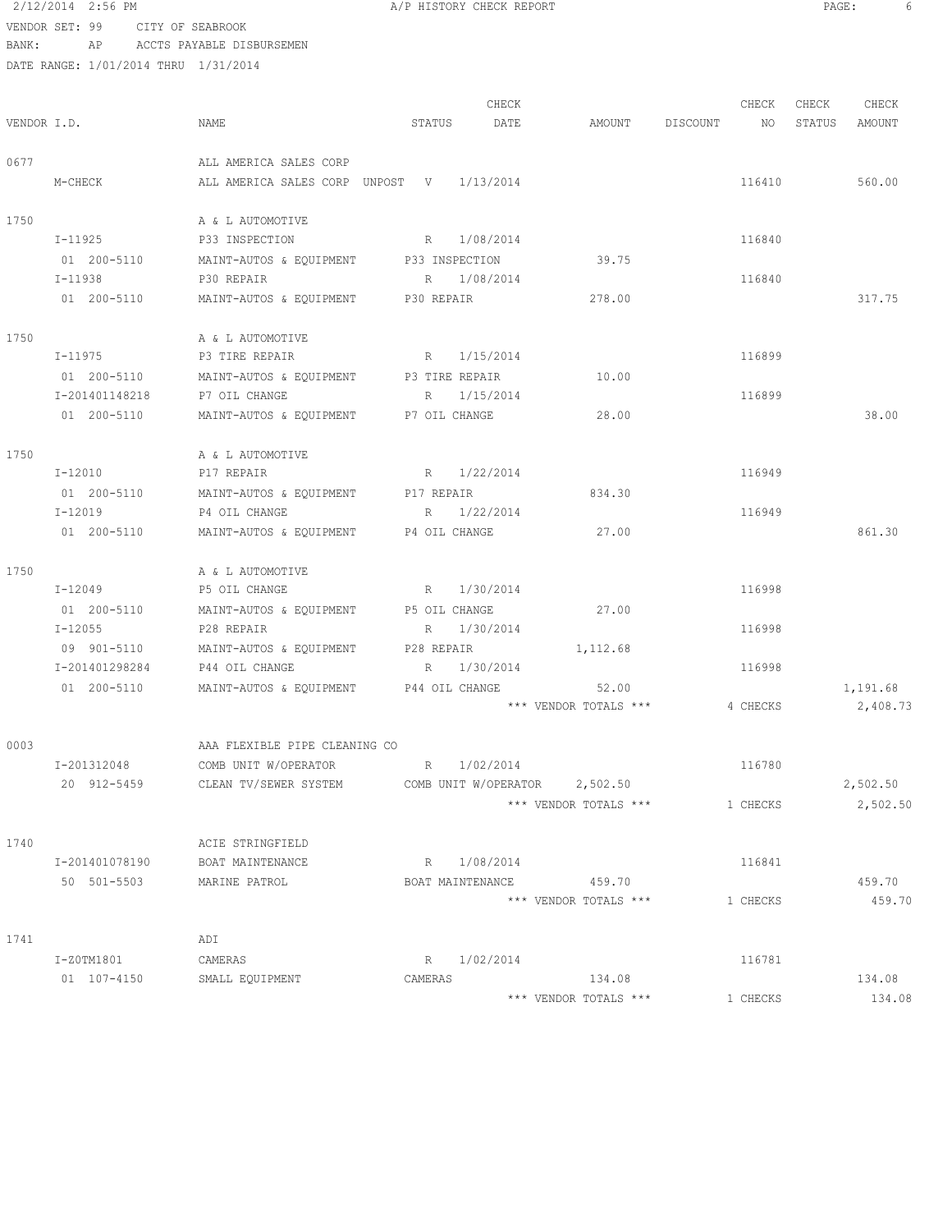2/12/2014 2:56 PM **A/P HISTORY CHECK REPORT PAGE:** 6 VENDOR SET: 99 CITY OF SEABROOK

BANK: AP ACCTS PAYABLE DISBURSEMEN

|             |                        |                                                     |         | CHECK       |                         |             | CHECK    | CHECK  | CHECK    |
|-------------|------------------------|-----------------------------------------------------|---------|-------------|-------------------------|-------------|----------|--------|----------|
| VENDOR I.D. |                        | NAME                                                | STATUS  | DATE        | AMOUNT                  | DISCOUNT NO |          | STATUS | AMOUNT   |
| 0677        |                        | ALL AMERICA SALES CORP                              |         |             |                         |             |          |        |          |
|             | M-CHECK                | ALL AMERICA SALES CORP UNPOST V 1/13/2014           |         |             |                         |             | 116410   |        | 560.00   |
| 1750        |                        | A & L AUTOMOTIVE                                    |         |             |                         |             |          |        |          |
|             | I-11925                | P33 INSPECTION R 1/08/2014                          |         |             |                         |             | 116840   |        |          |
|             | 01 200-5110            | MAINT-AUTOS & EQUIPMENT P33 INSPECTION              |         |             | 39.75                   |             |          |        |          |
|             | I-11938                | P30 REPAIR                                          |         | R 1/08/2014 |                         |             | 116840   |        |          |
|             | 01 200-5110            | MAINT-AUTOS & EQUIPMENT P30 REPAIR                  |         |             | 278.00                  |             |          |        | 317.75   |
| 1750        |                        | A & L AUTOMOTIVE                                    |         |             |                         |             |          |        |          |
|             | I-11975                | P3 TIRE REPAIR                                      |         | R 1/15/2014 |                         |             | 116899   |        |          |
|             | 01 200-5110            | MAINT-AUTOS & EQUIPMENT P3 TIRE REPAIR              |         |             | 10.00                   |             |          |        |          |
|             | I-201401148218         | P7 OIL CHANGE                                       |         | R 1/15/2014 |                         |             | 116899   |        |          |
|             | 01 200-5110            | MAINT-AUTOS & EQUIPMENT P7 OIL CHANGE               |         |             | 28.00                   |             |          |        | 38.00    |
| 1750        |                        | A & L AUTOMOTIVE                                    |         |             |                         |             |          |        |          |
|             | I-12010                | P17 REPAIR                                          |         | R 1/22/2014 |                         |             | 116949   |        |          |
|             | 01 200-5110<br>I-12019 | MAINT-AUTOS & EQUIPMENT P17 REPAIR<br>P4 OIL CHANGE |         | R 1/22/2014 | 834.30                  |             | 116949   |        |          |
|             | 01 200-5110            | MAINT-AUTOS & EQUIPMENT P4 OIL CHANGE               |         |             | 27.00                   |             |          |        | 861.30   |
| 1750        |                        | A & L AUTOMOTIVE                                    |         |             |                         |             |          |        |          |
|             | I-12049                | P5 OIL CHANGE                                       |         | R 1/30/2014 |                         |             | 116998   |        |          |
|             | 01 200-5110            | MAINT-AUTOS & EQUIPMENT P5 OIL CHANGE               |         |             | 27.00                   |             |          |        |          |
|             | I-12055                | P28 REPAIR                                          |         | R 1/30/2014 |                         |             | 116998   |        |          |
|             | 09 901-5110            | MAINT-AUTOS & EQUIPMENT P28 REPAIR                  |         |             | 1, 112.68               |             |          |        |          |
|             | I-201401298284         | P44 OIL CHANGE                                      |         | R 1/30/2014 |                         |             | 116998   |        |          |
|             | 01 200-5110            | MAINT-AUTOS & EQUIPMENT P44 OIL CHANGE              |         |             | 52.00                   |             |          |        | 1,191.68 |
|             |                        |                                                     |         |             | *** VENDOR TOTALS ***   |             | 4 CHECKS |        | 2,408.73 |
| 0003        |                        | AAA FLEXIBLE PIPE CLEANING CO                       |         |             |                         |             |          |        |          |
|             | I-201312048            | COMB UNIT W/OPERATOR                                |         | R 1/02/2014 |                         |             | 116780   |        |          |
|             | 20 912-5459            | CLEAN TV/SEWER SYSTEM COMB UNIT W/OPERATOR 2,502.50 |         |             |                         |             |          |        | 2,502.50 |
|             |                        |                                                     |         |             | *** VENDOR TOTALS ***   |             | 1 CHECKS |        | 2,502.50 |
| 1740        |                        | ACIE STRINGFIELD                                    |         |             |                         |             |          |        |          |
|             | I-201401078190         | BOAT MAINTENANCE                                    |         | R 1/08/2014 |                         |             | 116841   |        |          |
|             | 50 501-5503            | MARINE PATROL                                       |         |             | BOAT MAINTENANCE 459.70 |             |          |        | 459.70   |
|             |                        |                                                     |         |             | *** VENDOR TOTALS ***   |             | 1 CHECKS |        | 459.70   |
| 1741        |                        | ADI                                                 |         |             |                         |             |          |        |          |
|             | I-Z0TM1801             | CAMERAS                                             |         | R 1/02/2014 |                         |             | 116781   |        |          |
|             | 01 107-4150            | SMALL EQUIPMENT                                     | CAMERAS |             | 134.08                  |             |          |        | 134.08   |
|             |                        |                                                     |         |             | *** VENDOR TOTALS ***   |             | 1 CHECKS |        | 134.08   |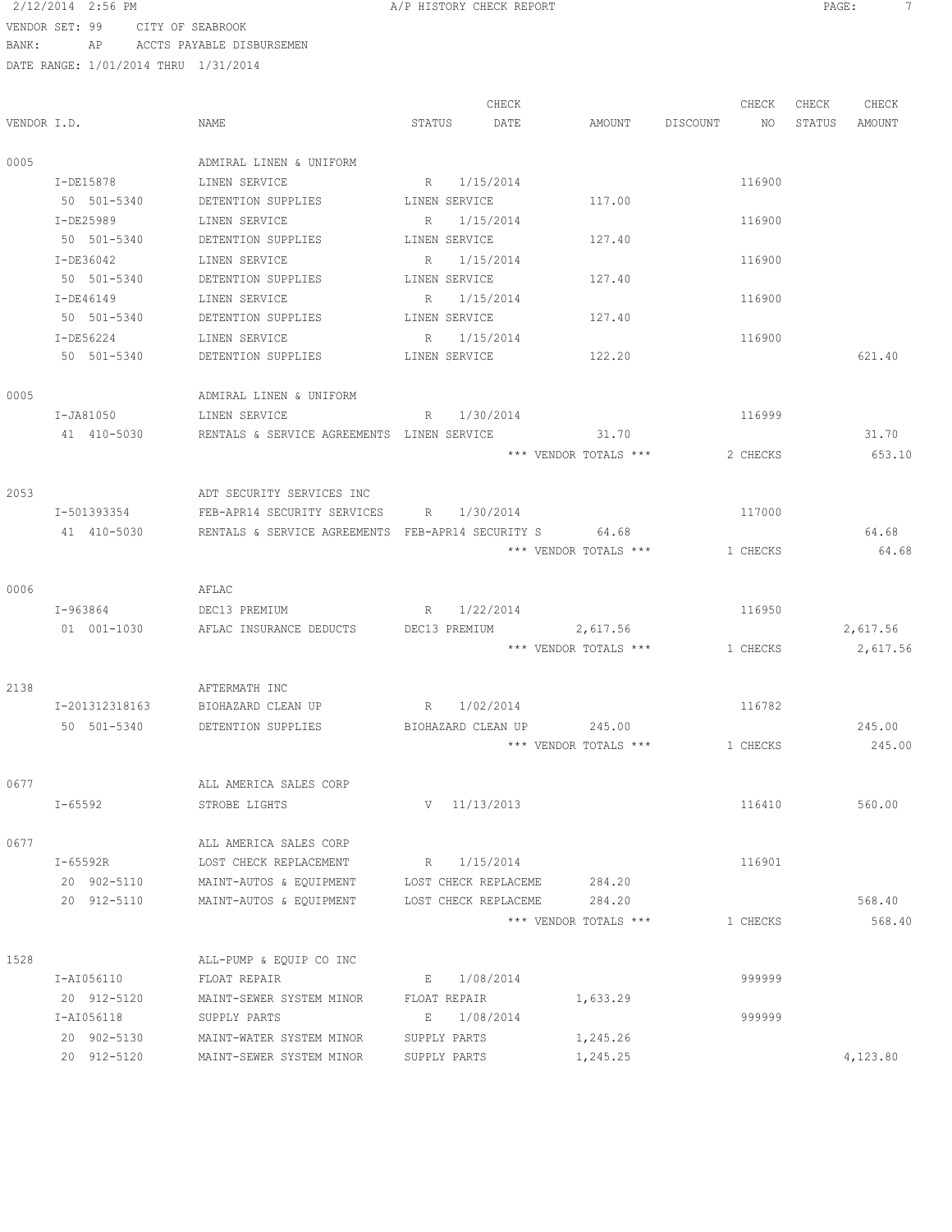# 2/12/2014 2:56 PM **A/P HISTORY CHECK REPORT PAGE:** 7 VENDOR SET: 99 CITY OF SEABROOK

BANK: AP ACCTS PAYABLE DISBURSEMEN

|      | DATE KANGE; 1/01/2014 THKU 1/31/2014 |                                                     |                             |                       |                    |                  |
|------|--------------------------------------|-----------------------------------------------------|-----------------------------|-----------------------|--------------------|------------------|
|      |                                      |                                                     | CHECK                       |                       | CHECK              | CHECK<br>CHECK   |
|      | VENDOR I.D.                          | NAME                                                | STATUS<br>DATE              |                       | AMOUNT DISCOUNT NO | STATUS<br>AMOUNT |
| 0005 |                                      | ADMIRAL LINEN & UNIFORM                             |                             |                       |                    |                  |
|      | I-DE15878                            | LINEN SERVICE                                       | R 1/15/2014                 |                       | 116900             |                  |
|      | 50 501-5340                          | DETENTION SUPPLIES                                  | LINEN SERVICE               | 117.00                |                    |                  |
|      | I-DE25989                            | LINEN SERVICE                                       | R 1/15/2014                 |                       | 116900             |                  |
|      | 50 501-5340                          | DETENTION SUPPLIES                                  | LINEN SERVICE               | 127.40                |                    |                  |
|      | I-DE36042                            | LINEN SERVICE                                       | R 1/15/2014                 |                       | 116900             |                  |
|      | 50 501-5340                          | DETENTION SUPPLIES                                  | LINEN SERVICE               | 127.40                |                    |                  |
|      | $I-DE46149$                          | LINEN SERVICE                                       | R<br>1/15/2014              |                       | 116900             |                  |
|      | 50 501-5340                          | DETENTION SUPPLIES                                  | LINEN SERVICE               | 127.40                |                    |                  |
|      | I-DE56224                            | LINEN SERVICE                                       | 1/15/2014<br>R              |                       | 116900             |                  |
|      | 50 501-5340                          | DETENTION SUPPLIES LINEN SERVICE                    |                             | 122.20                |                    | 621.40           |
| 0005 |                                      | ADMIRAL LINEN & UNIFORM                             |                             |                       |                    |                  |
|      | I-JA81050                            | LINEN SERVICE                                       | R 1/30/2014                 |                       | 116999             |                  |
|      | 41 410-5030                          | RENTALS & SERVICE AGREEMENTS LINEN SERVICE          |                             | 31.70                 |                    | 31.70            |
|      |                                      |                                                     |                             | *** VENDOR TOTALS *** | 2 CHECKS           | 653.10           |
| 2053 |                                      | ADT SECURITY SERVICES INC                           |                             |                       |                    |                  |
|      | I-501393354                          | FEB-APR14 SECURITY SERVICES R 1/30/2014             |                             |                       | 117000             |                  |
|      | 41 410-5030                          | RENTALS & SERVICE AGREEMENTS FEB-APR14 SECURITY S   |                             | 64.68                 |                    | 64.68            |
|      |                                      |                                                     |                             | *** VENDOR TOTALS *** | 1 CHECKS           | 64.68            |
| 0006 |                                      | AFLAC                                               |                             |                       |                    |                  |
|      | $I - 963864$                         | DEC13 PREMIUM                                       | R 1/22/2014                 |                       | 116950             |                  |
|      | 01 001-1030                          | AFLAC INSURANCE DEDUCTS DEC13 PREMIUM 2,617.56      |                             |                       |                    | 2,617.56         |
|      |                                      |                                                     |                             | *** VENDOR TOTALS *** | 1 CHECKS           | 2,617.56         |
| 2138 |                                      | AFTERMATH INC                                       |                             |                       |                    |                  |
|      | I-201312318163                       | BIOHAZARD CLEAN UP                                  | R 1/02/2014                 |                       | 116782             |                  |
|      | 50 501-5340                          | DETENTION SUPPLIES                                  | BIOHAZARD CLEAN UP          | 245.00                |                    | 245.00           |
|      |                                      |                                                     |                             | *** VENDOR TOTALS *** | 1 CHECKS           | 245.00           |
| 0677 |                                      | ALL AMERICA SALES CORP                              |                             |                       |                    |                  |
|      | I-65592                              | STROBE LIGHTS                                       | V 11/13/2013                |                       | 116410             | 560.00           |
| 0677 |                                      | ALL AMERICA SALES CORP                              |                             |                       |                    |                  |
|      | I-65592R                             | LOST CHECK REPLACEMENT                              | R 1/15/2014                 |                       | 116901             |                  |
|      | 20 902-5110                          | MAINT-AUTOS & EQUIPMENT LOST CHECK REPLACEME 284.20 |                             |                       |                    |                  |
|      | 20 912-5110                          | MAINT-AUTOS & EQUIPMENT LOST CHECK REPLACEME        |                             | 284.20                |                    | 568.40           |
|      |                                      |                                                     |                             | *** VENDOR TOTALS *** | 1 CHECKS           | 568.40           |
| 1528 |                                      | ALL-PUMP & EQUIP CO INC                             |                             |                       |                    |                  |
|      | I-AI056110                           | FLOAT REPAIR                                        | E 1/08/2014                 |                       | 999999             |                  |
|      | 20 912-5120<br>I-AI056118            | MAINT-SEWER SYSTEM MINOR<br>SUPPLY PARTS            | FLOAT REPAIR<br>E 1/08/2014 | 1,633.29              | 999999             |                  |
|      | 20 902-5130                          | MAINT-WATER SYSTEM MINOR                            | SUPPLY PARTS                | 1,245.26              |                    |                  |
|      | 20 912-5120                          | MAINT-SEWER SYSTEM MINOR                            | SUPPLY PARTS                | 1,245.25              |                    | 4,123.80         |
|      |                                      |                                                     |                             |                       |                    |                  |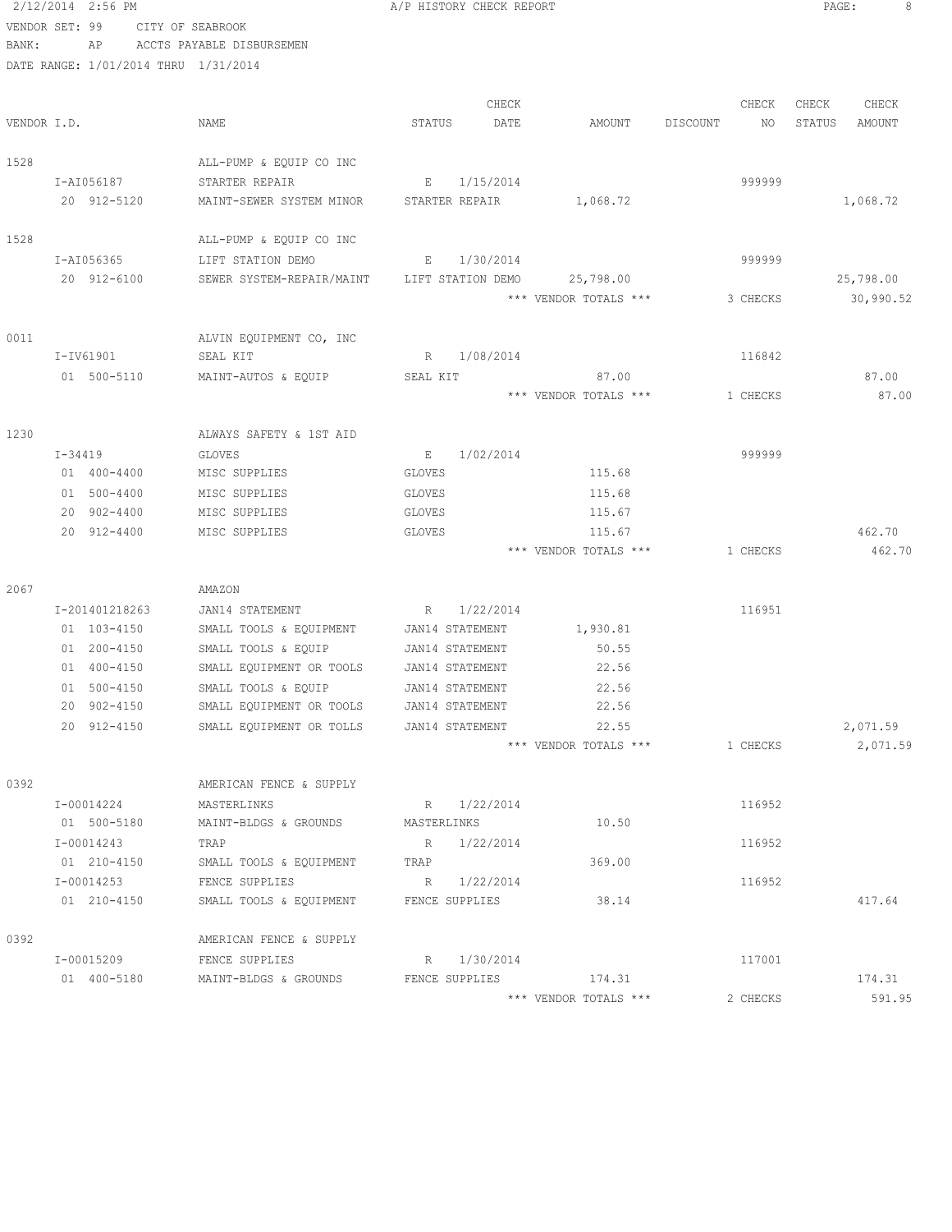2/12/2014 2:56 PM A/P HISTORY CHECK REPORT PAGE: 8 VENDOR SET: 99 CITY OF SEABROOK BANK: AP ACCTS PAYABLE DISBURSEMEN DATE RANGE: 1/01/2014 THRU 1/31/2014 CHECK CHECK CHECK CHECK VENDOR I.D. NAME STATUS DATE AMOUNT DISCOUNT NO STATUS AMOUNT 1528 ALL-PUMP & EQUIP CO INC I-AI056187 STARTER REPAIR E 1/15/2014 999999 20 912-5120 MAINT-SEWER SYSTEM MINOR STARTER REPAIR 1,068.72 1,068.72 1528 ALL-PUMP & EQUIP CO INC I-AI056365 LIFT STATION DEMO E 1/30/2014 999999 20 912-6100 SEWER SYSTEM-REPAIR/MAINT LIFT STATION DEMO 25,798.00 25,798.00 \*\*\* VENDOR TOTALS \*\*\* 3 CHECKS 30,990.52 0011 ALVIN EQUIPMENT CO, INC I-IV61901 SEAL KIT R 1/08/2014 116842 01 500-5110 MAINT-AUTOS & EQUIP SEAL KIT 87.00 \*\*\* VENDOR TOTALS \*\*\* 1 CHECKS 87.00 1230 ALWAYS SAFETY & 1ST AID I-34419 GLOVES E 1/02/2014 999999 01 400-4400 MISC SUPPLIES GLOVES 115.68 01 500-4400 MISC SUPPLIES GLOVES 115.68 20 902-4400 MISC SUPPLIES GLOVES 115.67 20 912-4400 MISC SUPPLIES GLOVES 115.67 462.70 \*\*\* VENDOR TOTALS \*\*\* 1 CHECKS 462.70 2067 AMAZON I-201401218263 JAN14 STATEMENT R 1/22/2014 116951 01 103-4150 SMALL TOOLS & EQUIPMENT JAN14 STATEMENT 1,930.81 01 200-4150 SMALL TOOLS & EQUIP JAN14 STATEMENT 50.55 01 400-4150 SMALL EQUIPMENT OR TOOLS JAN14 STATEMENT 22.56 01 500-4150 SMALL TOOLS & EQUIP JAN14 STATEMENT 22.56 20 902-4150 SMALL EQUIPMENT OR TOOLS JAN14 STATEMENT 22.56 20 912-4150 SMALL EQUIPMENT OR TOLLS JAN14 STATEMENT 22.55 2,071.59 \*\*\* VENDOR TOTALS \*\*\* 1 CHECKS 2,071.59 0392 AMERICAN FENCE & SUPPLY I-00014224 MASTERLINKS R 1/22/2014 116952 01 500-5180 MAINT-BLDGS & GROUNDS MASTERLINKS 10.50 I-00014243 TRAP R 1/22/2014 116952 01 210-4150 SMALL TOOLS & EQUIPMENT TRAP 369.00 I-00014253 FENCE SUPPLIES R 1/22/2014 116952 01 210-4150 SMALL TOOLS & EQUIPMENT FENCE SUPPLIES 38.14 38.14 0392 AMERICAN FENCE & SUPPLY I-00015209 FENCE SUPPLIES R 1/30/2014 R 1/30/2014 01 400-5180 MAINT-BLDGS & GROUNDS FENCE SUPPLIES 174.31 174.31 174.31 \*\*\* VENDOR TOTALS \*\*\* 2 CHECKS 591.95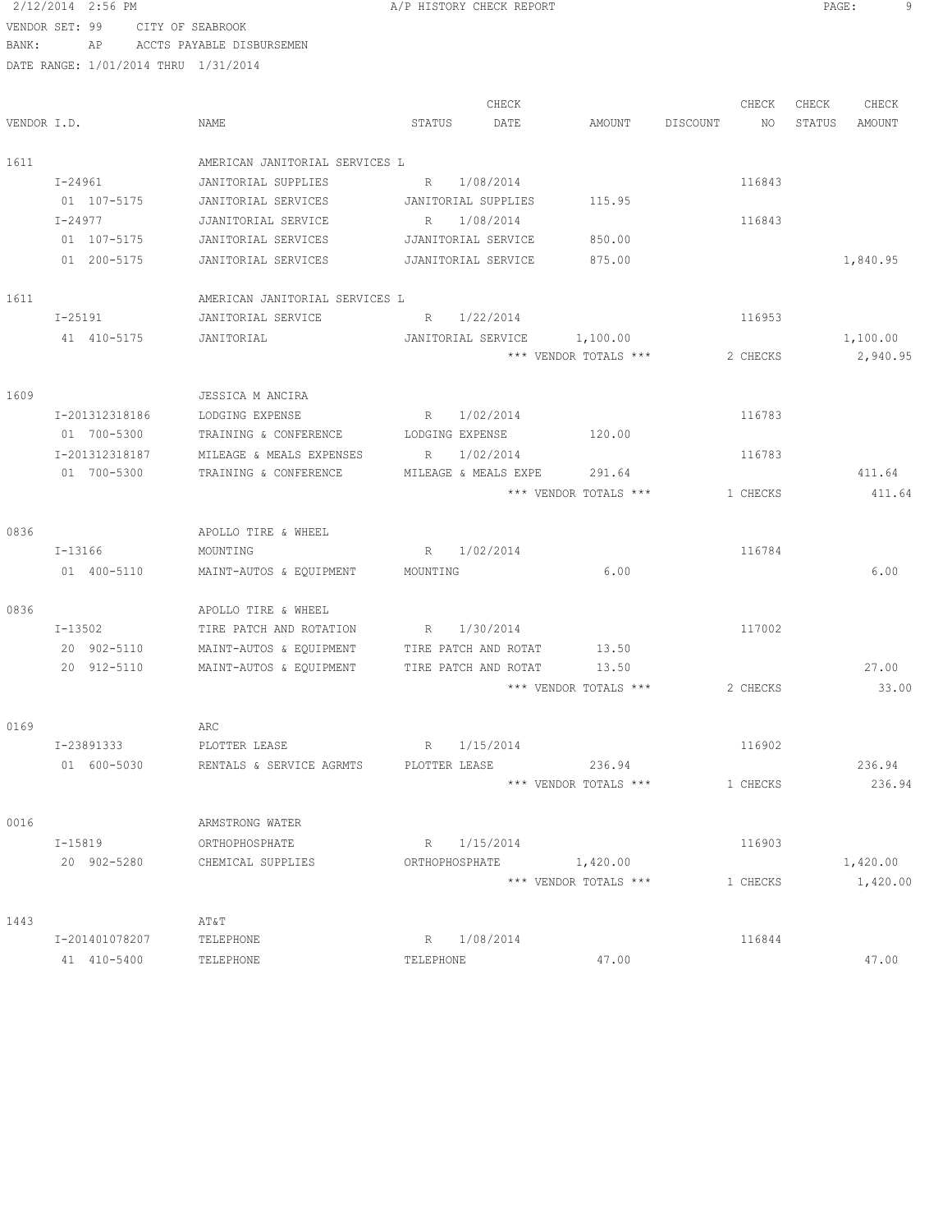# 2/12/2014 2:56 PM **A/P HISTORY CHECK REPORT PAGE:** 9 VENDOR SET: 99 CITY OF SEABROOK

BANK: AP ACCTS PAYABLE DISBURSEMEN

|             |                |                                |                          | CHECK     |                       |          | CHECK    | CHECK  | CHECK    |
|-------------|----------------|--------------------------------|--------------------------|-----------|-----------------------|----------|----------|--------|----------|
| VENDOR I.D. |                | NAME                           | STATUS                   | DATE      | AMOUNT                | DISCOUNT | NO       | STATUS | AMOUNT   |
| 1611        |                | AMERICAN JANITORIAL SERVICES L |                          |           |                       |          |          |        |          |
|             | I-24961        | JANITORIAL SUPPLIES            | R                        | 1/08/2014 |                       |          | 116843   |        |          |
|             | 01 107-5175    | JANITORIAL SERVICES            | JANITORIAL SUPPLIES      |           | 115.95                |          |          |        |          |
|             | $I - 24977$    | JJANITORIAL SERVICE            | R                        | 1/08/2014 |                       |          | 116843   |        |          |
|             | 01 107-5175    | JANITORIAL SERVICES            | JJANITORIAL SERVICE      |           | 850.00                |          |          |        |          |
|             | 01 200-5175    | JANITORIAL SERVICES            | JJANITORIAL SERVICE      |           | 875.00                |          |          |        | 1,840.95 |
| 1611        |                | AMERICAN JANITORIAL SERVICES L |                          |           |                       |          |          |        |          |
|             | I-25191        | JANITORIAL SERVICE             | R 1/22/2014              |           |                       |          | 116953   |        |          |
|             | 41 410-5175    | JANITORIAL                     | JANITORIAL SERVICE       |           | 1,100.00              |          |          |        | 1,100.00 |
|             |                |                                |                          |           | *** VENDOR TOTALS *** |          | 2 CHECKS |        | 2,940.95 |
| 1609        |                | JESSICA M ANCIRA               |                          |           |                       |          |          |        |          |
|             | I-201312318186 | LODGING EXPENSE                | R 1/02/2014              |           |                       |          | 116783   |        |          |
|             | 01 700-5300    | TRAINING & CONFERENCE          | LODGING EXPENSE          |           | 120.00                |          |          |        |          |
|             | I-201312318187 | MILEAGE & MEALS EXPENSES       | R                        | 1/02/2014 |                       |          | 116783   |        |          |
|             | 01 700-5300    | TRAINING & CONFERENCE          | MILEAGE & MEALS EXPE     |           | 291.64                |          |          |        | 411.64   |
|             |                |                                |                          |           | *** VENDOR TOTALS *** |          | 1 CHECKS |        | 411.64   |
| 0836        |                | APOLLO TIRE & WHEEL            |                          |           |                       |          |          |        |          |
|             | I-13166        | MOUNTING                       | $R \sim$                 | 1/02/2014 |                       |          | 116784   |        |          |
|             | 01 400-5110    | MAINT-AUTOS & EQUIPMENT        | MOUNTING                 |           | 6.00                  |          |          |        | 6.00     |
| 0836        |                | APOLLO TIRE & WHEEL            |                          |           |                       |          |          |        |          |
|             | I-13502        | TIRE PATCH AND ROTATION        | 1/30/2014<br>$R_{\rm c}$ |           |                       |          | 117002   |        |          |
|             | 20 902-5110    | MAINT-AUTOS & EQUIPMENT        | TIRE PATCH AND ROTAT     |           | 13.50                 |          |          |        |          |
|             | 20 912-5110    | MAINT-AUTOS & EQUIPMENT        | TIRE PATCH AND ROTAT     |           | 13.50                 |          |          |        | 27.00    |
|             |                |                                |                          |           | *** VENDOR TOTALS *** |          | 2 CHECKS |        | 33.00    |
| 0169        |                | ARC                            |                          |           |                       |          |          |        |          |
|             | I-23891333     | PLOTTER LEASE                  | R                        | 1/15/2014 |                       |          | 116902   |        |          |
|             | 01 600-5030    | RENTALS & SERVICE AGRMTS       | PLOTTER LEASE            |           | 236.94                |          |          |        | 236.94   |
|             |                |                                |                          |           | *** VENDOR TOTALS *** |          | 1 CHECKS |        | 236.94   |
| 0016        |                | ARMSTRONG WATER                |                          |           |                       |          |          |        |          |
|             | I-15819        | ORTHOPHOSPHATE                 | R 1/15/2014              |           |                       |          | 116903   |        |          |
|             | 20 902-5280    | CHEMICAL SUPPLIES              | ORTHOPHOSPHATE 1,420.00  |           |                       |          |          |        | 1,420.00 |
|             |                |                                |                          |           | *** VENDOR TOTALS *** |          | 1 CHECKS |        | 1,420.00 |
| 1443        |                | AT&T                           |                          |           |                       |          |          |        |          |
|             | I-201401078207 | TELEPHONE                      | R 1/08/2014              |           |                       |          | 116844   |        |          |
|             | 41 410-5400    | TELEPHONE                      | TELEPHONE                |           | 47.00                 |          |          |        | 47.00    |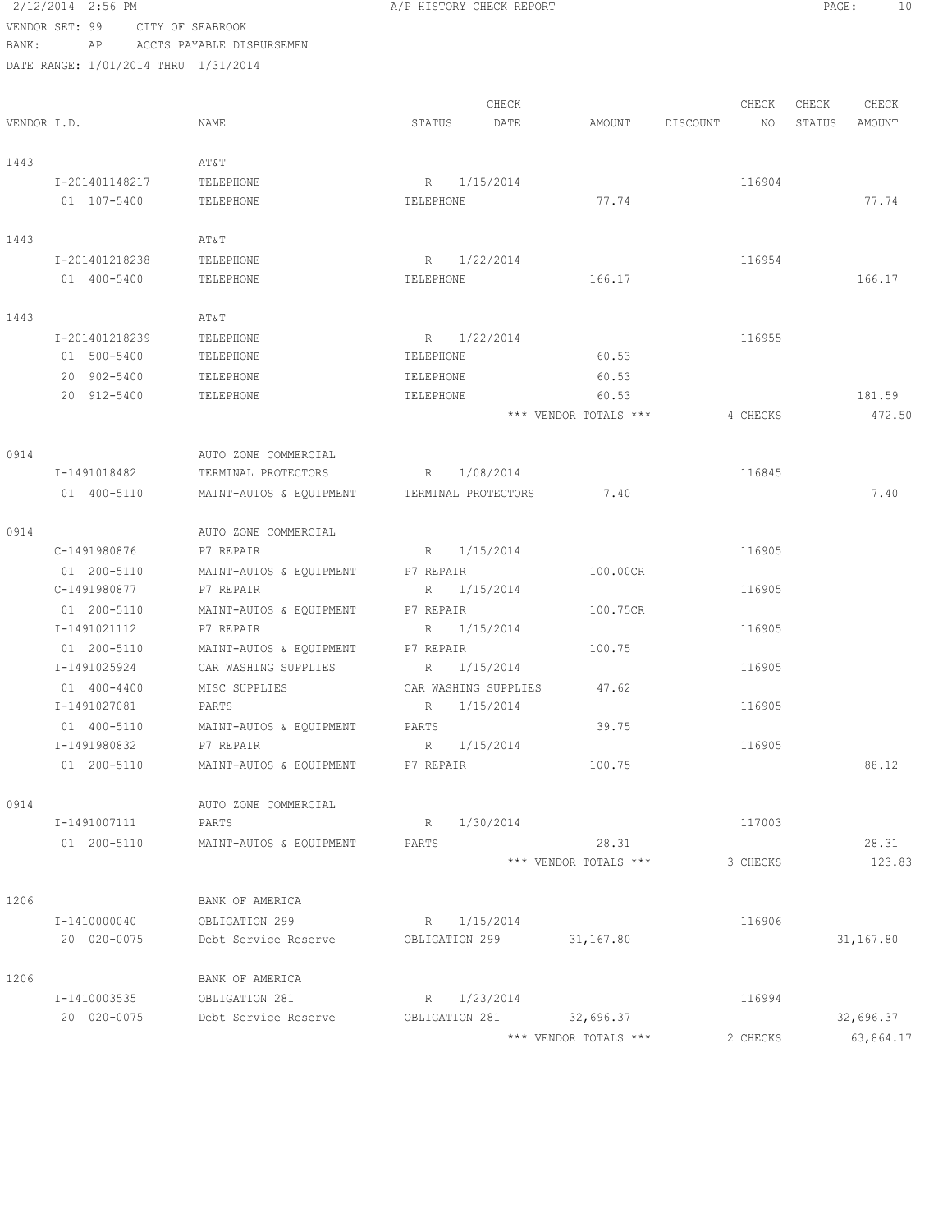2/12/2014 2:56 PM A/P HISTORY CHECK REPORT PAGE: 10 VENDOR SET: 99 CITY OF SEABROOK BANK: AP ACCTS PAYABLE DISBURSEMEN DATE RANGE: 1/01/2014 THRU 1/31/2014 CHECK CHECK CHECK CHECK CHECK CHECK CHECK CHECK CHECK CHECK CHECK CHECK CHECK CHECK CHECK CHECK CHECK CHECK CHECK CHECK CHECK CHECK CHECK CHECK CHECK CHECK CHECK CHECK CHECK CHECK CHECK CHECK CHECK CHECK CHECK CHECK CHECK VENDOR I.D. NAME STATUS DATE AMOUNT DISCOUNT NO STATUS AMOUNT 1443 AT&T I-201401148217 TELEPHONE R 1/15/2014 116904 01 107-5400 TELEPHONE TELEPHONE TELEPHONE TELEPHONE 77.74 1443 AT&T I-201401218238 TELEPHONE R 1/22/2014 116954 01 400-5400 TELEPHONE TELEPHONE TELEPHONE TELEPHONE 166.17 1443 AT&T I-201401218239 TELEPHONE R 1/22/2014 116955 01 500-5400 TELEPHONE TELEPHONE 60.53 20 902-5400 TELEPHONE TELEPHONE 60.53 20 912-5400 TELEPHONE TELEPHONE 60.53 181.59 \*\*\* VENDOR TOTALS \*\*\* 4 CHECKS 472.50 0914 AUTO ZONE COMMERCIAL I-1491018482 TERMINAL PROTECTORS R 1/08/2014 116845 01 400-5110 MAINT-AUTOS & EQUIPMENT TERMINAL PROTECTORS 7.40 7.40 0914 QUE AUTO ZONE COMMERCIAL C-1491980876 P7 REPAIR R 1/15/2014 R 1/15/2014 116905 01 200-5110 MAINT-AUTOS & EQUIPMENT P7 REPAIR 100.00CR C-1491980877 P7 REPAIR R 1/15/2014 116905 01 200-5110 MAINT-AUTOS & EQUIPMENT P7 REPAIR 100.75CR I-1491021112 P7 REPAIR R 1/15/2014 116905 01 200-5110 MAINT-AUTOS & EQUIPMENT P7 REPAIR 100.75 I-1491025924 CAR WASHING SUPPLIES R 1/15/2014 116905 01 400-4400 MISC SUPPLIES CAR WASHING SUPPLIES 47.62 I-1491027081 PARTS R 1/15/2014 116905 01 400-5110 MAINT-AUTOS & EQUIPMENT PARTS 39.75 I-1491980832 P7 REPAIR R 1/15/2014 116905 01 200-5110 MAINT-AUTOS & EQUIPMENT P7 REPAIR 100.75 100.75 88.12 0914 AUTO ZONE COMMERCIAL I-1491007111 PARTS R 1/30/2014 117003 01 200-5110 MAINT-AUTOS & EQUIPMENT PARTS 28.31 28.31 \*\*\* VENDOR TOTALS \*\*\* 3 CHECKS 123.83 1206 BANK OF AMERICA I-1410000040 OBLIGATION 299 R 1/15/2014 116906 20 020-0075 Debt Service Reserve OBLIGATION 299 31,167.80 31,167.80 1206 BANK OF AMERICA I-1410003535 OBLIGATION 281 R 1/23/2014 116994 20 020-0075 Debt Service Reserve OBLIGATION 281 32,696.37 32,696.37

\*\*\* VENDOR TOTALS \*\*\* 2 CHECKS 63,864.17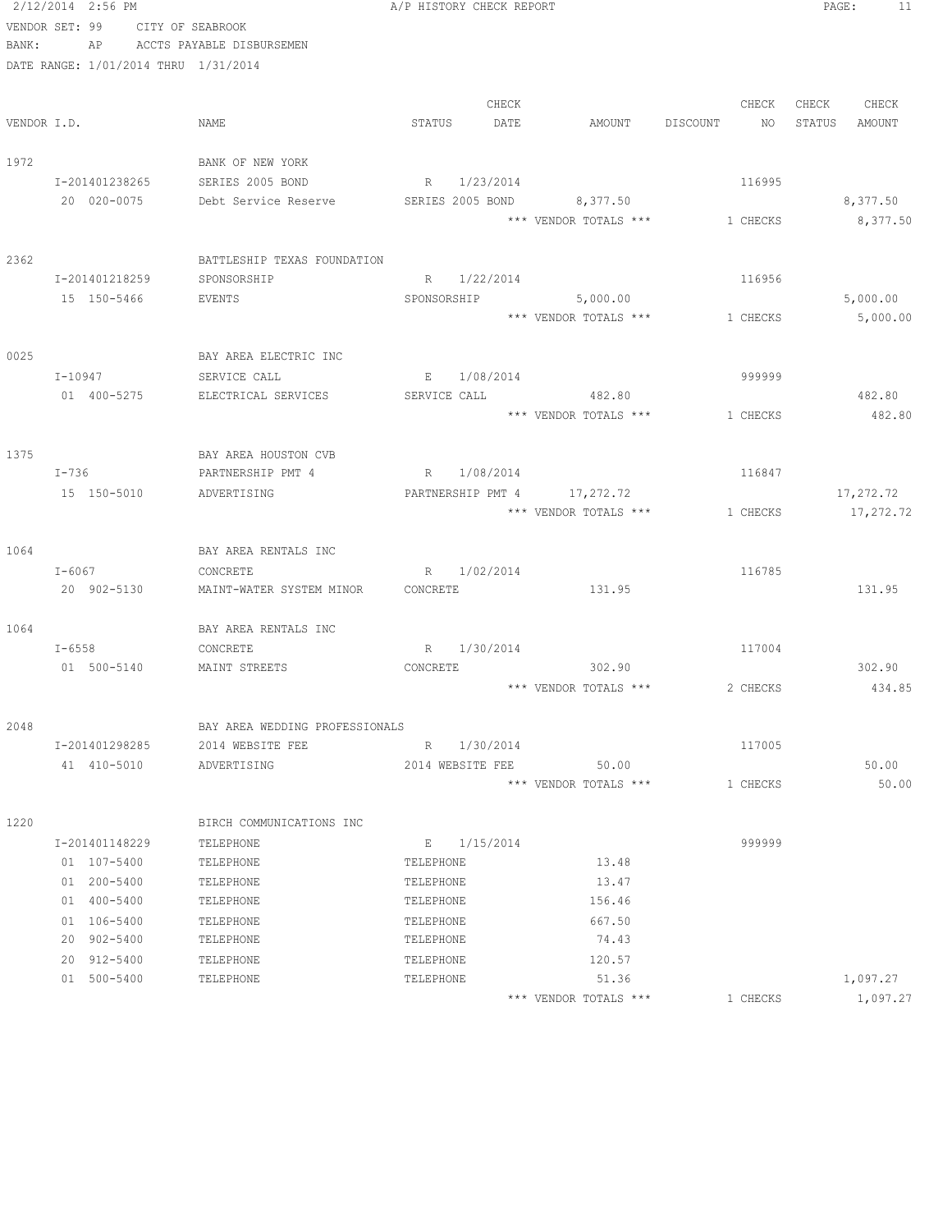|       | 2/12/2014 2:56 PM                    |                                   | A/P HISTORY CHECK REPORT    |                       |                                | PAGE:<br>-11   |
|-------|--------------------------------------|-----------------------------------|-----------------------------|-----------------------|--------------------------------|----------------|
|       | VENDOR SET: 99                       | CITY OF SEABROOK                  |                             |                       |                                |                |
| BANK: |                                      | AP ACCTS PAYABLE DISBURSEMEN      |                             |                       |                                |                |
|       | DATE RANGE: 1/01/2014 THRU 1/31/2014 |                                   |                             |                       |                                |                |
|       |                                      |                                   |                             |                       |                                |                |
|       |                                      |                                   | CHECK                       |                       | CHECK                          | CHECK<br>CHECK |
|       | VENDOR I.D.                          | NAME                              | STATUS<br>DATE              |                       | AMOUNT DISCOUNT<br>NO          | STATUS AMOUNT  |
| 1972  |                                      | BANK OF NEW YORK                  |                             |                       |                                |                |
|       | I-201401238265                       | SERIES 2005 BOND                  | R 1/23/2014                 |                       | 116995                         |                |
|       | 20 020-0075                          | Debt Service Reserve              | SERIES 2005 BOND 8,377.50   |                       |                                | 8,377.50       |
|       |                                      |                                   |                             |                       | *** VENDOR TOTALS *** 1 CHECKS | 8,377.50       |
|       |                                      |                                   |                             |                       |                                |                |
| 2362  |                                      | BATTLESHIP TEXAS FOUNDATION       |                             |                       |                                |                |
|       | I-201401218259                       | SPONSORSHIP                       | R 1/22/2014                 |                       | 116956                         |                |
|       | 15 150-5466                          | EVENTS                            | SPONSORSHIP                 | 5,000.00              |                                | 5,000.00       |
|       |                                      |                                   |                             | *** VENDOR TOTALS *** | 1 CHECKS                       | 5,000.00       |
|       |                                      |                                   |                             |                       |                                |                |
| 0025  |                                      | BAY AREA ELECTRIC INC             |                             |                       |                                |                |
|       | $I - 10947$                          | SERVICE CALL                      | $E = -$<br>1/08/2014        |                       | 999999                         |                |
|       | 01 400-5275                          | ELECTRICAL SERVICES               | SERVICE CALL 482.80         |                       |                                | 482.80         |
|       |                                      |                                   |                             | *** VENDOR TOTALS *** | 1 CHECKS                       | 482.80         |
|       |                                      |                                   |                             |                       |                                |                |
| 1375  |                                      | BAY AREA HOUSTON CVB              |                             |                       |                                |                |
|       | $I-736$                              | PARTNERSHIP PMT 4                 | R 1/08/2014                 |                       | 116847                         |                |
|       | 15 150-5010                          | ADVERTISING                       | PARTNERSHIP PMT 4 17,272.72 |                       |                                | 17,272.72      |
|       |                                      |                                   |                             | *** VENDOR TOTALS *** | 1 CHECKS                       | 17,272.72      |
|       |                                      |                                   |                             |                       |                                |                |
| 1064  |                                      | BAY AREA RENTALS INC              |                             |                       |                                |                |
|       | $I - 6067$                           | CONCRETE                          | R 1/02/2014                 |                       | 116785                         |                |
|       | 20 902-5130                          | MAINT-WATER SYSTEM MINOR CONCRETE |                             | 131.95                |                                | 131.95         |
| 1064  |                                      |                                   |                             |                       |                                |                |
|       | $I - 6558$                           | BAY AREA RENTALS INC<br>CONCRETE  | R 1/30/2014                 |                       | 117004                         |                |
|       | 01 500-5140                          | MAINT STREETS                     | CONCRETE                    | 302.90                |                                | 302.90         |
|       |                                      |                                   |                             | *** VENDOR TOTALS *** | 2 CHECKS                       | 434.85         |
|       |                                      |                                   |                             |                       |                                |                |
| 2048  |                                      | BAY AREA WEDDING PROFESSIONALS    |                             |                       |                                |                |
|       | I-201401298285                       | 2014 WEBSITE FEE                  | R 1/30/2014                 |                       | 117005                         |                |
|       | 41 410-5010                          | ADVERTISING                       | 2014 WEBSITE FEE            | 50.00                 |                                | 50.00          |
|       |                                      |                                   |                             | *** VENDOR TOTALS *** | 1 CHECKS                       | 50.00          |
|       |                                      |                                   |                             |                       |                                |                |
| 1220  |                                      | BIRCH COMMUNICATIONS INC          |                             |                       |                                |                |
|       | I-201401148229                       | TELEPHONE                         | E 1/15/2014                 |                       | 999999                         |                |
|       | 01 107-5400                          | TELEPHONE                         | TELEPHONE                   | 13.48                 |                                |                |
|       | 01 200-5400                          | TELEPHONE                         | TELEPHONE                   | 13.47                 |                                |                |
|       | 01 400-5400                          | TELEPHONE                         | TELEPHONE                   | 156.46                |                                |                |
|       | 01 106-5400                          | TELEPHONE                         | TELEPHONE                   | 667.50                |                                |                |
|       | 20 902-5400                          | TELEPHONE                         | TELEPHONE                   | 74.43                 |                                |                |
|       | 20 912-5400                          | TELEPHONE                         | TELEPHONE                   | 120.57                |                                |                |
|       | 01 500-5400                          | TELEPHONE                         | TELEPHONE                   | 51.36                 |                                | 1,097.27       |
|       |                                      |                                   |                             | *** VENDOR TOTALS *** | 1 CHECKS                       | 1,097.27       |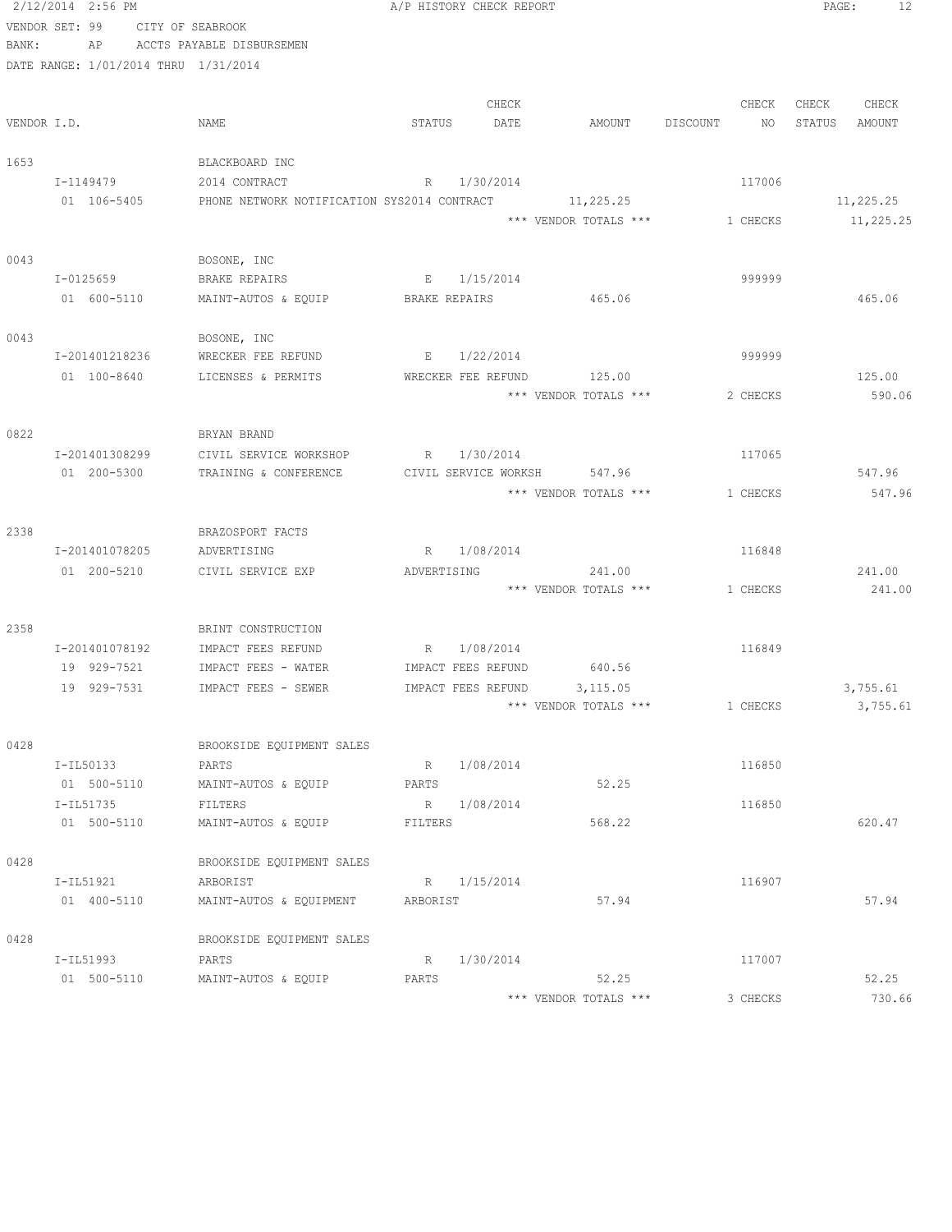|                | 2/12/2014 2:56 PM |                  |                                                       |             | A/P HISTORY CHECK REPORT |                             |                | PAGE:<br>12      |
|----------------|-------------------|------------------|-------------------------------------------------------|-------------|--------------------------|-----------------------------|----------------|------------------|
| VENDOR SET: 99 |                   | CITY OF SEABROOK |                                                       |             |                          |                             |                |                  |
| BANK:          | AP                |                  | ACCTS PAYABLE DISBURSEMEN                             |             |                          |                             |                |                  |
|                |                   |                  | DATE RANGE: 1/01/2014 THRU 1/31/2014                  |             |                          |                             |                |                  |
|                |                   |                  |                                                       |             |                          |                             |                |                  |
|                |                   |                  |                                                       |             | CHECK                    |                             | CHECK          | CHECK<br>CHECK   |
| VENDOR I.D.    |                   |                  | NAME                                                  | STATUS      | DATE                     | AMOUNT                      | DISCOUNT<br>NO | STATUS<br>AMOUNT |
| 1653           |                   |                  | BLACKBOARD INC                                        |             |                          |                             |                |                  |
|                | I-1149479         |                  | 2014 CONTRACT                                         |             | R 1/30/2014              |                             | 117006         |                  |
|                | 01 106-5405       |                  | PHONE NETWORK NOTIFICATION SYS2014 CONTRACT 11,225.25 |             |                          |                             |                | 11,225.25        |
|                |                   |                  |                                                       |             |                          | *** VENDOR TOTALS ***       | 1 CHECKS       | 11,225.25        |
| 0043           |                   |                  | BOSONE, INC                                           |             |                          |                             |                |                  |
|                | I-0125659         |                  | BRAKE REPAIRS                                         |             | E 1/15/2014              |                             | 999999         |                  |
|                | 01 600-5110       |                  | MAINT-AUTOS & EQUIP                                   |             |                          | BRAKE REPAIRS 465.06        |                | 465.06           |
|                |                   |                  |                                                       |             |                          |                             |                |                  |
| 0043           |                   |                  | BOSONE, INC                                           |             |                          |                             |                |                  |
|                | I-201401218236    |                  | WRECKER FEE REFUND                                    |             | E 1/22/2014              |                             | 999999         |                  |
|                | 01 100-8640       |                  | LICENSES & PERMITS                                    |             | WRECKER FEE REFUND       | 125.00                      |                | 125.00           |
|                |                   |                  |                                                       |             |                          | *** VENDOR TOTALS ***       | 2 CHECKS       | 590.06           |
|                |                   |                  |                                                       |             |                          |                             |                |                  |
| 0822           |                   |                  | BRYAN BRAND                                           |             |                          |                             |                |                  |
|                | I-201401308299    |                  | CIVIL SERVICE WORKSHOP                                | $R_{\perp}$ | 1/30/2014                |                             | 117065         |                  |
|                | 01 200-5300       |                  | TRAINING & CONFERENCE                                 |             |                          | CIVIL SERVICE WORKSH 547.96 |                | 547.96           |
|                |                   |                  |                                                       |             |                          | *** VENDOR TOTALS ***       | 1 CHECKS       | 547.96           |
| 2338           |                   |                  | BRAZOSPORT FACTS                                      |             |                          |                             |                |                  |
|                | I-201401078205    |                  | ADVERTISING                                           |             | R 1/08/2014              |                             | 116848         |                  |
|                | 01 200-5210       |                  | CIVIL SERVICE EXP                                     | ADVERTISING |                          | 241.00                      |                | 241.00           |
|                |                   |                  |                                                       |             |                          | *** VENDOR TOTALS ***       | 1 CHECKS       | 241.00           |
|                |                   |                  |                                                       |             |                          |                             |                |                  |
| 2358           |                   |                  | BRINT CONSTRUCTION                                    |             |                          |                             |                |                  |
|                | I-201401078192    |                  | IMPACT FEES REFUND                                    |             | R 1/08/2014              |                             | 116849         |                  |
|                | 19 929-7521       |                  | IMPACT FEES - WATER                                   |             |                          | IMPACT FEES REFUND 640.56   |                |                  |
|                | 19 929-7531       |                  | IMPACT FEES - SEWER                                   |             | IMPACT FEES REFUND       | 3,115.05                    |                | 3,755.61         |
|                |                   |                  |                                                       |             |                          | *** VENDOR TOTALS ***       | 1 CHECKS       | 3,755.61         |
| 0428           |                   |                  | BROOKSIDE EQUIPMENT SALES                             |             |                          |                             |                |                  |
|                | I-IL50133         |                  | PARTS                                                 |             | R 1/08/2014              |                             | 116850         |                  |
|                | 01 500-5110       |                  | MAINT-AUTOS & EQUIP                                   | PARTS       |                          | 52.25                       |                |                  |
|                | I-IL51735         |                  | FILTERS                                               |             | R 1/08/2014              |                             | 116850         |                  |
|                | 01 500-5110       |                  | MAINT-AUTOS & EQUIP                                   | FILTERS     |                          | 568.22                      |                | 620.47           |
|                |                   |                  |                                                       |             |                          |                             |                |                  |
| 0428           |                   |                  | BROOKSIDE EQUIPMENT SALES                             |             |                          |                             |                |                  |
|                | I-IL51921         |                  | ARBORIST                                              |             | R 1/15/2014              |                             | 116907         |                  |
|                | 01 400-5110       |                  | MAINT-AUTOS & EQUIPMENT                               | ARBORIST    |                          | 57.94                       |                | 57.94            |
| 0428           |                   |                  | BROOKSIDE EQUIPMENT SALES                             |             |                          |                             |                |                  |
|                | I-IL51993         |                  | PARTS                                                 | $R_{\perp}$ | 1/30/2014                |                             | 117007         |                  |
|                | 01 500-5110       |                  | MAINT-AUTOS & EQUIP                                   | PARTS       |                          | 52.25                       |                | 52.25            |
|                |                   |                  |                                                       |             |                          | *** VENDOR TOTALS ***       | 3 CHECKS       | 730.66           |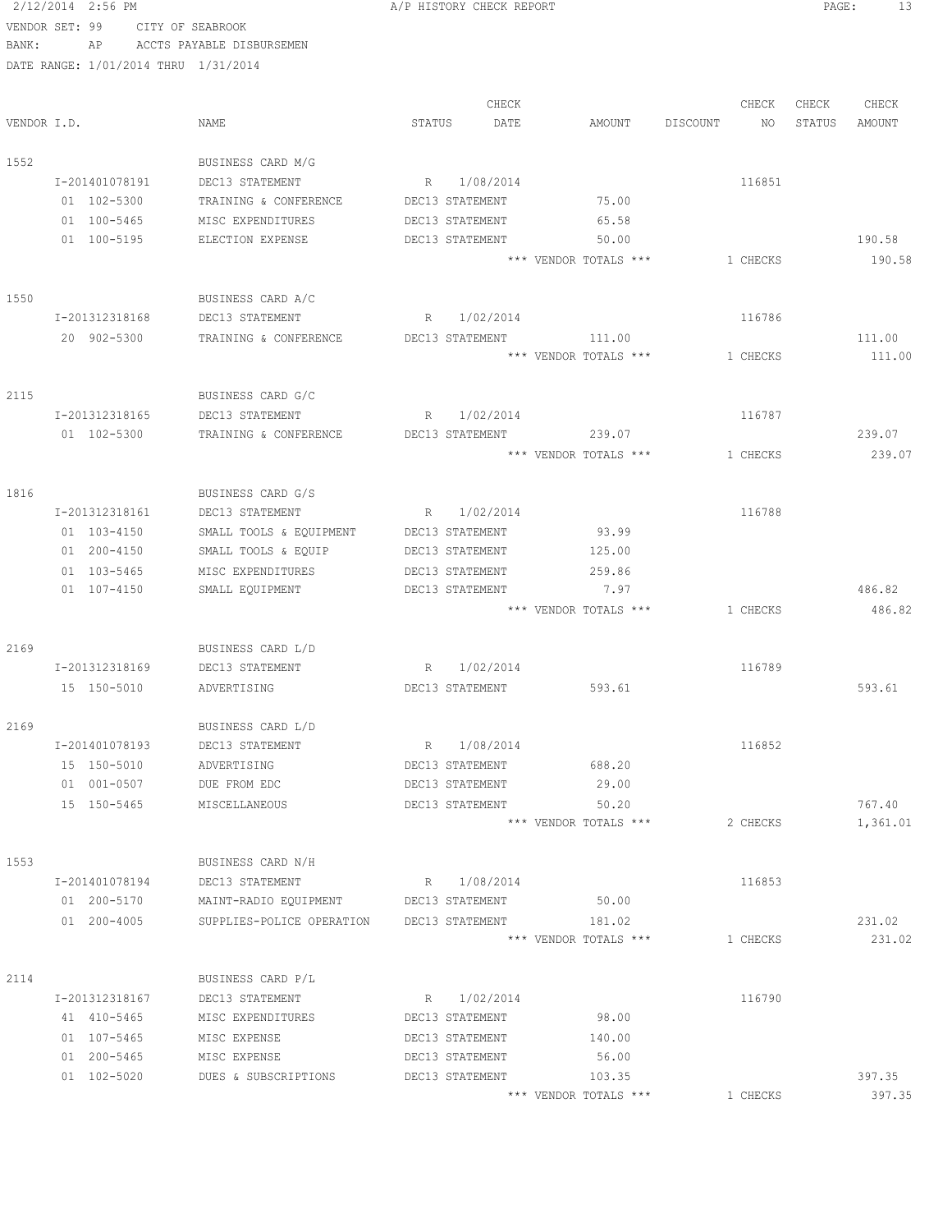2/12/2014 2:56 PM A/P HISTORY CHECK REPORT PAGE: 13 VENDOR SET: 99 CITY OF SEABROOK BANK: AP ACCTS PAYABLE DISBURSEMEN DATE RANGE: 1/01/2014 THRU 1/31/2014 CHECK CHECK CHECK CHECK VENDOR I.D. NAME STATUS DATE AMOUNT DISCOUNT NO STATUS AMOUNT 1552 BUSINESS CARD M/G I-201401078191 DEC13 STATEMENT R 1/08/2014 116851 01 102-5300 TRAINING & CONFERENCE DEC13 STATEMENT 75.00 01 100-5465 MISC EXPENDITURES DEC13 STATEMENT 65.58 01 100-5195 ELECTION EXPENSE DEC13 STATEMENT 50.00 58 \*\*\* VENDOR TOTALS \*\*\* 1 CHECKS 190.58 1550 BUSINESS CARD A/C I-201312318168 DEC13 STATEMENT R 1/02/2014 116786 20 902-5300 TRAINING & CONFERENCE DEC13 STATEMENT 111.00 111.00 \*\*\* VENDOR TOTALS \*\*\* 1 CHECKS 111.00 2115 BUSINESS CARD G/C I-201312318165 DEC13 STATEMENT R 1/02/2014 116787 01 102-5300 TRAINING & CONFERENCE DEC13 STATEMENT 239.07 239.07 \*\*\* VENDOR TOTALS \*\*\* 1 CHECKS 239.07 1816 BUSINESS CARD G/S I-201312318161 DEC13 STATEMENT R 1/02/2014 116788 01 103-4150 SMALL TOOLS & EQUIPMENT DEC13 STATEMENT 93.99 01 200-4150 SMALL TOOLS & EQUIP DEC13 STATEMENT 125.00 01 103-5465 MISC EXPENDITURES DEC13 STATEMENT 259.86 01 107-4150 SMALL EQUIPMENT DEC13 STATEMENT 7.97 7 7 7 486.82 \*\*\* VENDOR TOTALS \*\*\* 1 CHECKS 486.82 2169 BUSINESS CARD L/D I-201312318169 DEC13 STATEMENT R 1/02/2014 116789 15 150-5010 ADVERTISING DEC13 STATEMENT 593.61 593.61 2169 BUSINESS CARD L/D I-201401078193 DEC13 STATEMENT R 1/08/2014 116852 15 150-5010 ADVERTISING DEC13 STATEMENT 688.20 01 001-0507 DUE FROM EDC DEC13 STATEMENT 29.00 15 150-5465 MISCELLANEOUS DEC13 STATEMENT 50.20 767.40 \*\*\* VENDOR TOTALS \*\*\* 2 CHECKS 1,361.01 1553 BUSINESS CARD N/H I-201401078194 DEC13 STATEMENT R 1/08/2014 116853 01 200-5170 MAINT-RADIO EQUIPMENT DEC13 STATEMENT 50.00 01 200-4005 SUPPLIES-POLICE OPERATION DEC13 STATEMENT 181.02 231.02 \*\*\* VENDOR TOTALS \*\*\* 1 CHECKS 231.02 2114 BUSINESS CARD P/L I-201312318167 DEC13 STATEMENT R 1/02/2014 116790 41 410-5465 MISC EXPENDITURES DEC13 STATEMENT 98.00 01 107-5465 MISC EXPENSE DEC13 STATEMENT 140.00 01 200-5465 MISC EXPENSE DEC13 STATEMENT 56.00 01 102-5020 DUES & SUBSCRIPTIONS DEC13 STATEMENT 103.35 397.35 \*\*\* VENDOR TOTALS \*\*\* 1 CHECKS 397.35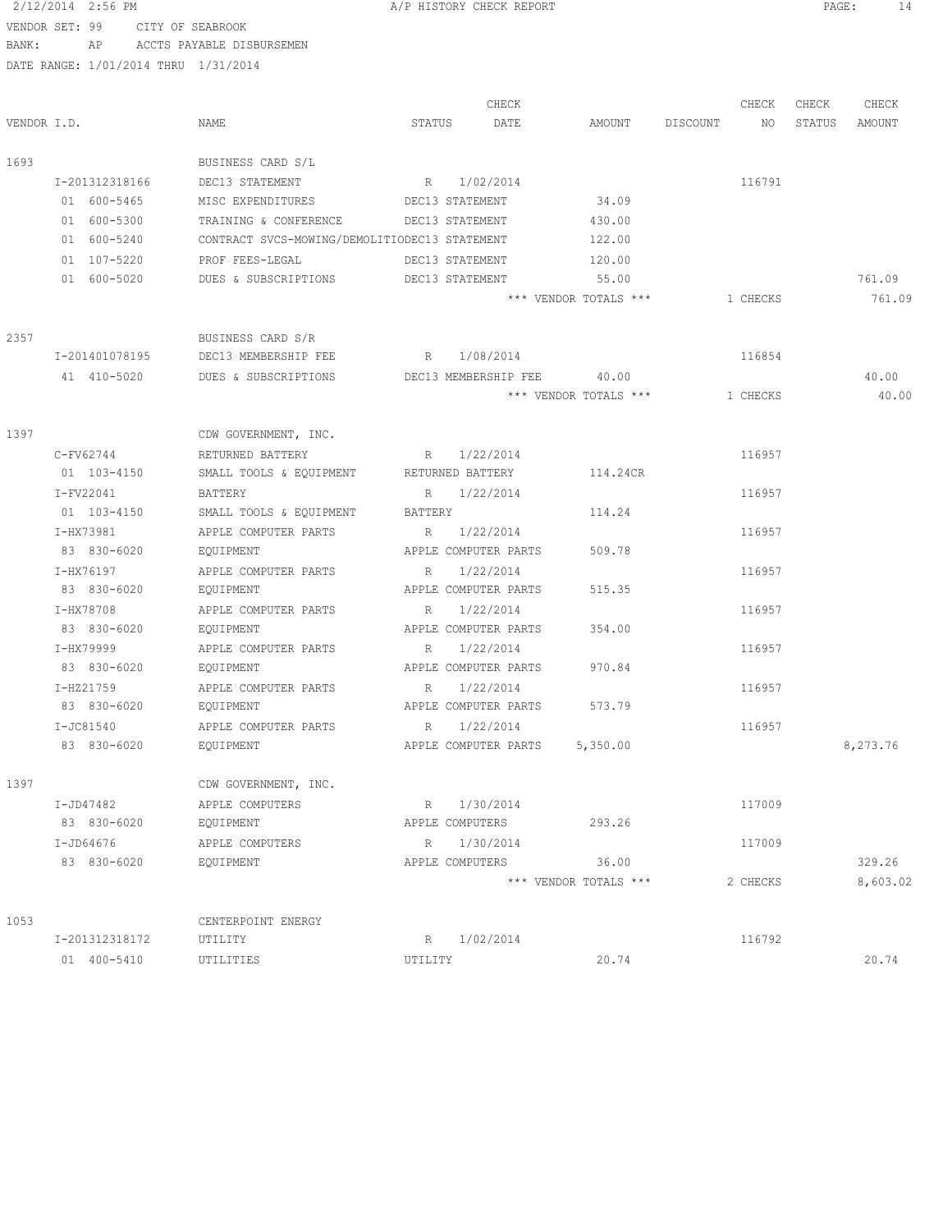### 2/12/2014 2:56 PM A/P HISTORY CHECK REPORT PAGE: 14 VENDOR SET: 99 CITY OF SEABROOK

BANK: AP ACCTS PAYABLE DISBURSEMEN

DATE RANGE: 1/01/2014 THRU 1/31/2014

CHECK CHECK CHECK CHECK VENDOR I.D. NAME STATUS DATE AMOUNT DISCOUNT NO STATUS AMOUNT 1693 BUSINESS CARD S/L I-201312318166 DEC13 STATEMENT R 1/02/2014 116791 01 600-5465 MISC EXPENDITURES DEC13 STATEMENT 34.09 01 600-5300 TRAINING & CONFERENCE DEC13 STATEMENT 430.00 01 600-5240 CONTRACT SVCS-MOWING/DEMOLITIODEC13 STATEMENT 122.00 01 107-5220 PROF FEES-LEGAL DEC13 STATEMENT 120.00 01 600-5020 DUES & SUBSCRIPTIONS DEC13 STATEMENT 55.00 55.00 761.09 \*\*\* VENDOR TOTALS \*\*\* 1 CHECKS 761.09 2357 BUSINESS CARD S/R I-201401078195 DEC13 MEMBERSHIP FEE R 1/08/2014 116854 41 410-5020 DUES & SUBSCRIPTIONS DEC13 MEMBERSHIP FEE 40.00 40.00  $***$  VENDOR TOTALS  $***$  1 CHECKS 40.00 1397 CDW GOVERNMENT, INC.  $C-FV62744$  RETURNED BATTERY R  $1/22/2014$  116957 01 103-4150 SMALL TOOLS & EQUIPMENT RETURNED BATTERY 114.24CR I-FV22041 BATTERY R 1/22/2014 116957 01 103-4150 SMALL TOOLS & EQUIPMENT BATTERY 114.24 I-HX73981 APPLE COMPUTER PARTS R  $1/22/2014$  116957 83 830-6020 EQUIPMENT APPLE COMPUTER PARTS 509.78 I-HX76197 APPLE COMPUTER PARTS R 1/22/2014 116957 83 830-6020 EQUIPMENT APPLE COMPUTER PARTS 515.35 I-HX78708 APPLE COMPUTER PARTS R 1/22/2014 116957 83 830-6020 EQUIPMENT APPLE COMPUTER PARTS 354.00 I-HX79999 APPLE COMPUTER PARTS R 1/22/2014 R 116957 83 830-6020 EQUIPMENT APPLE COMPUTER PARTS 970.84 I-HZ21759 APPLE COMPUTER PARTS R 1/22/2014 116957 83 830-6020 EQUIPMENT APPLE COMPUTER PARTS 573.79 I-JC81540 APPLE COMPUTER PARTS R 1/22/2014 116957 83 830-6020 BQUIPMENT APPLE COMPUTER PARTS 5,350.00 1397 CDW GOVERNMENT, INC. I-JD47482 APPLE COMPUTERS R 1/30/2014 117009 83 830-6020 EQUIPMENT APPLE COMPUTERS 293.26 I-JD64676 APPLE COMPUTERS R 1/30/2014 117009 83 830-6020 EQUIPMENT APPLE COMPUTERS 36.00 329.26 \*\*\* VENDOR TOTALS \*\*\* 2 CHECKS 8,603.02 1053 CENTERPOINT ENERGY I-201312318172 UTILITY R 1/02/2014 116792 01 400-5410 UTILITIES UTILITY 20.74 20.74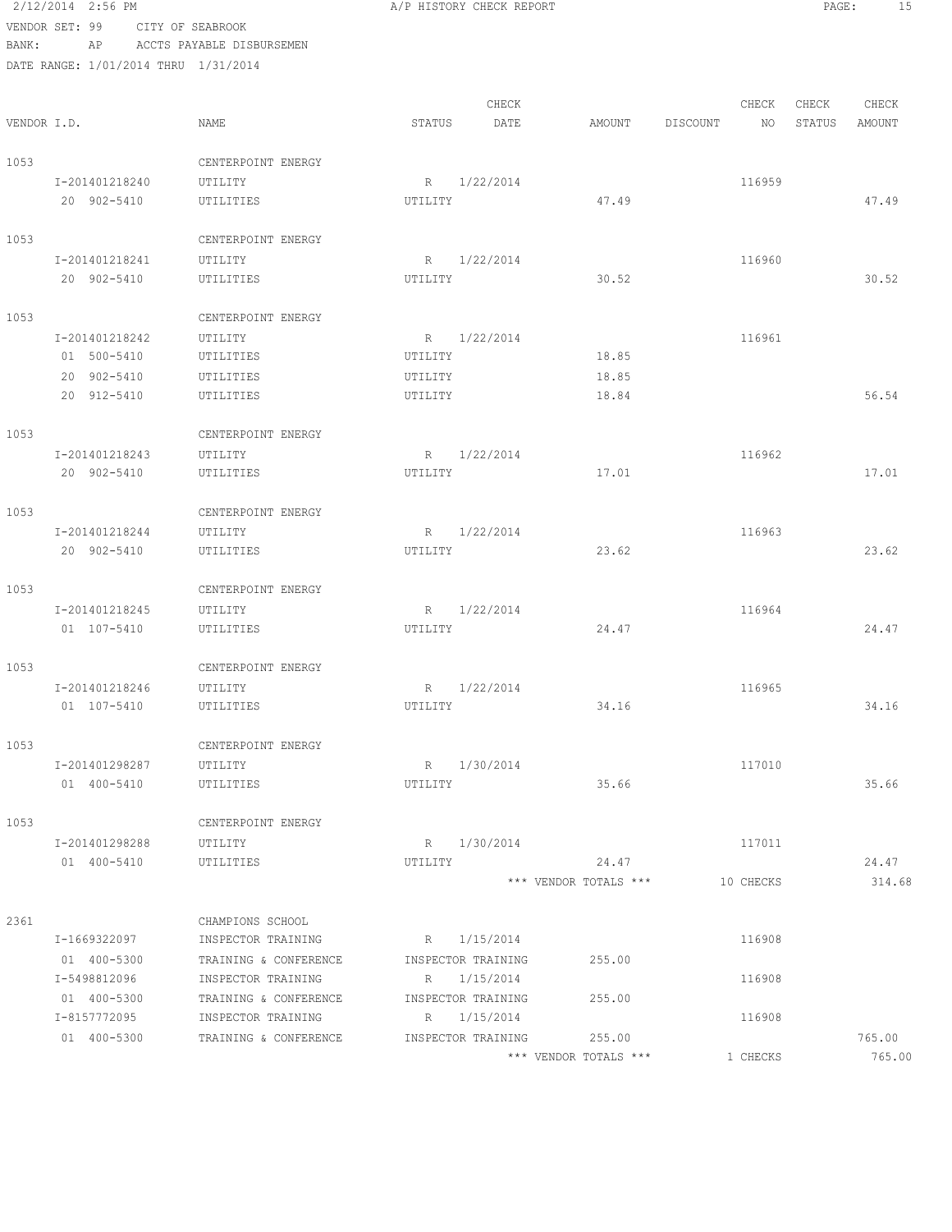|             | 2/12/2014 2:56 PM                    |                           |         | A/P HISTORY CHECK REPORT |        |          |        | PAGE:  | 15     |  |
|-------------|--------------------------------------|---------------------------|---------|--------------------------|--------|----------|--------|--------|--------|--|
|             | VENDOR SET: 99                       | CITY OF SEABROOK          |         |                          |        |          |        |        |        |  |
| BANK:       | ΑP                                   | ACCTS PAYABLE DISBURSEMEN |         |                          |        |          |        |        |        |  |
|             | DATE RANGE: 1/01/2014 THRU 1/31/2014 |                           |         |                          |        |          |        |        |        |  |
|             |                                      |                           |         | CHECK                    |        |          | CHECK  | CHECK  | CHECK  |  |
| VENDOR I.D. |                                      | NAME                      | STATUS  | DATE                     | AMOUNT | DISCOUNT | NO     | STATUS | AMOUNT |  |
| 1053        |                                      | CENTERPOINT ENERGY        |         |                          |        |          |        |        |        |  |
|             | I-201401218240                       | UTILITY                   |         | R 1/22/2014              |        |          | 116959 |        |        |  |
|             | 20 902-5410                          | UTILITIES                 | UTILITY |                          | 47.49  |          |        |        | 47.49  |  |
| 1053        |                                      | CENTERPOINT ENERGY        |         |                          |        |          |        |        |        |  |
|             | I-201401218241                       | UTILITY                   |         | R 1/22/2014              |        |          | 116960 |        |        |  |
|             | 20 902-5410                          | UTILITIES                 | UTILITY |                          | 30.52  |          |        |        | 30.52  |  |
| 1053        |                                      | CENTERPOINT ENERGY        |         |                          |        |          |        |        |        |  |
|             | I-201401218242                       | UTILITY                   | R       | 1/22/2014                |        |          | 116961 |        |        |  |
|             | 01 500-5410                          | UTILITIES                 | UTILITY |                          | 18.85  |          |        |        |        |  |
|             | 20 902-5410                          | UTILITIES                 | UTILITY |                          | 18.85  |          |        |        |        |  |
|             | 20 912-5410                          | UTILITIES                 | UTILITY |                          | 18.84  |          |        |        | 56.54  |  |
| 1053        |                                      | CENTERPOINT ENERGY        |         |                          |        |          |        |        |        |  |
|             | I-201401218243                       | UTILITY                   | R.      | 1/22/2014                |        |          | 116962 |        |        |  |
|             | 20 902-5410                          | UTILITIES                 | UTILITY |                          | 17.01  |          |        |        | 17.01  |  |
| 1053        |                                      | CENTERPOINT ENERGY        |         |                          |        |          |        |        |        |  |
|             | I-201401218244                       | UTILITY                   |         | R 1/22/2014              |        |          | 116963 |        |        |  |
|             | 20 902-5410                          | UTILITIES                 | UTILITY |                          | 23.62  |          |        |        | 23.62  |  |
| 1053        |                                      | CENTERPOINT ENERGY        |         |                          |        |          |        |        |        |  |
|             | I-201401218245                       | UTILITY                   |         | R 1/22/2014              |        |          | 116964 |        |        |  |
|             | 01 107-5410                          | UTILITIES                 | UTILITY |                          | 24.47  |          |        |        | 24.47  |  |
| 1053        |                                      | CENTERPOINT ENERGY        |         |                          |        |          |        |        |        |  |
|             | I-201401218246                       | UTILITY                   | R       | 1/22/2014                |        |          | 116965 |        |        |  |
|             | 01 107-5410                          | UTILITIES                 | UTILITY |                          | 34.16  |          |        |        | 34.16  |  |
| 1053        |                                      | CENTERPOINT ENERGY        |         |                          |        |          |        |        |        |  |
|             | I-201401298287                       | UTILITY                   |         | R 1/30/2014              |        |          | 117010 |        |        |  |
|             | 01 400-5410                          | UTILITIES                 | UTILITY |                          | 35.66  |          |        |        | 35.66  |  |
| 1053        |                                      | CENTERPOINT ENERGY        |         |                          |        |          |        |        |        |  |
|             | I-201401298288                       | UTILITY                   |         | R 1/30/2014              |        |          | 117011 |        |        |  |

01 400-5410 UTILITIES UTILITY 24.47 24.47

2361 CHAMPIONS SCHOOL I-1669322097 INSPECTOR TRAINING R 1/15/2014 R 1/15/2014 01 400-5300 TRAINING & CONFERENCE INSPECTOR TRAINING 255.00 I-5498812096 INSPECTOR TRAINING R 1/15/2014 116908 01 400-5300 TRAINING & CONFERENCE INSPECTOR TRAINING 255.00 I-8157772095 INSPECTOR TRAINING R 1/15/2014 116908 01 400-5300 TRAINING & CONFERENCE INSPECTOR TRAINING 255.00 765.00

\*\*\* VENDOR TOTALS \*\*\* 1 CHECKS 765.00

\*\*\* VENDOR TOTALS \*\*\* 10 CHECKS 314.68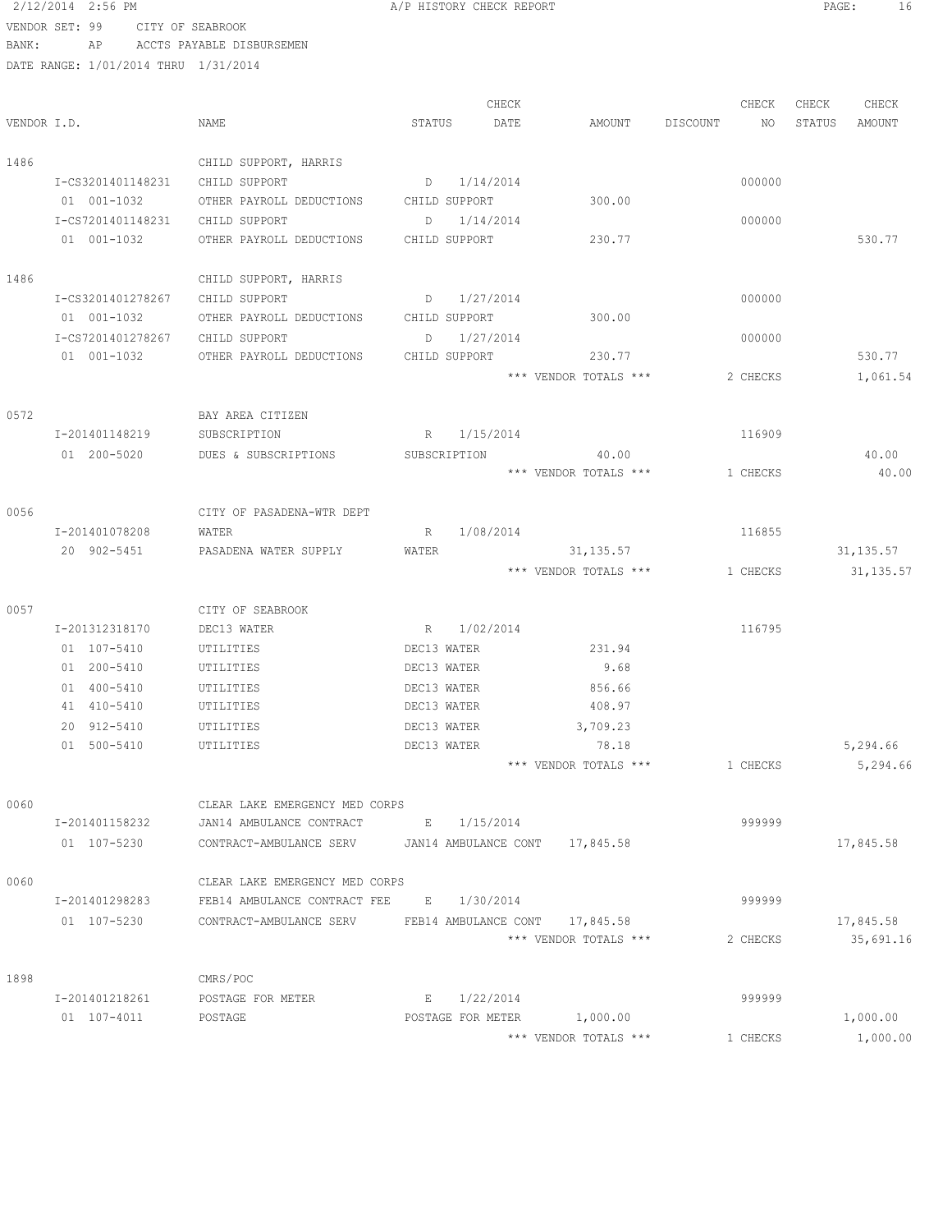```
2/12/2014 2:56 PM A/P HISTORY CHECK REPORT PAGE: 16
VENDOR SET: 99 CITY OF SEABROOK
```
BANK: AP ACCTS PAYABLE DISBURSEMEN

|             |                   |                                |               | CHECK             |                                |          | CHECK    | CHECK  | CHECK      |
|-------------|-------------------|--------------------------------|---------------|-------------------|--------------------------------|----------|----------|--------|------------|
| VENDOR I.D. |                   | NAME                           | STATUS        | DATE              | AMOUNT                         | DISCOUNT | NO       | STATUS | AMOUNT     |
| 1486        |                   | CHILD SUPPORT, HARRIS          |               |                   |                                |          |          |        |            |
|             | I-CS3201401148231 | CHILD SUPPORT                  |               | $D = 1/14/2014$   |                                |          | 000000   |        |            |
|             | 01 001-1032       | OTHER PAYROLL DEDUCTIONS       | CHILD SUPPORT |                   | 300.00                         |          |          |        |            |
|             | I-CS7201401148231 | CHILD SUPPORT                  | D             | 1/14/2014         |                                |          | 000000   |        |            |
|             | 01 001-1032       | OTHER PAYROLL DEDUCTIONS       | CHILD SUPPORT |                   | 230.77                         |          |          |        | 530.77     |
| 1486        |                   | CHILD SUPPORT, HARRIS          |               |                   |                                |          |          |        |            |
|             | I-CS3201401278267 | CHILD SUPPORT                  |               | $D = 1/27/2014$   |                                |          | 000000   |        |            |
|             | 01 001-1032       | OTHER PAYROLL DEDUCTIONS       | CHILD SUPPORT |                   | 300.00                         |          |          |        |            |
|             | I-CS7201401278267 | CHILD SUPPORT                  | D             | 1/27/2014         |                                |          | 000000   |        |            |
|             | 01 001-1032       | OTHER PAYROLL DEDUCTIONS       | CHILD SUPPORT |                   | 230.77                         |          |          |        | 530.77     |
|             |                   |                                |               |                   | *** VENDOR TOTALS ***          |          | 2 CHECKS |        | 1,061.54   |
| 0572        |                   | BAY AREA CITIZEN               |               |                   |                                |          |          |        |            |
|             | I-201401148219    | SUBSCRIPTION                   | R             | 1/15/2014         |                                |          | 116909   |        |            |
|             | 01 200-5020       | DUES & SUBSCRIPTIONS           | SUBSCRIPTION  |                   | 40.00                          |          |          |        | 40.00      |
|             |                   |                                |               |                   | *** VENDOR TOTALS ***          |          | 1 CHECKS |        | 40.00      |
| 0056        |                   | CITY OF PASADENA-WTR DEPT      |               |                   |                                |          |          |        |            |
|             | I-201401078208    | WATER                          | R             | 1/08/2014         |                                |          | 116855   |        |            |
|             | 20 902-5451       | PASADENA WATER SUPPLY          | WATER         |                   | 31,135.57                      |          |          |        | 31, 135.57 |
|             |                   |                                |               |                   | *** VENDOR TOTALS ***          |          | 1 CHECKS |        | 31, 135.57 |
| 0057        |                   | CITY OF SEABROOK               |               |                   |                                |          |          |        |            |
|             | I-201312318170    | DEC13 WATER                    |               | R 1/02/2014       |                                |          | 116795   |        |            |
|             | 01 107-5410       | UTILITIES                      | DEC13 WATER   |                   | 231.94                         |          |          |        |            |
|             | 01 200-5410       | UTILITIES                      | DEC13 WATER   |                   | 9.68                           |          |          |        |            |
|             | 01 400-5410       | UTILITIES                      | DEC13 WATER   |                   | 856.66                         |          |          |        |            |
|             | 41 410-5410       | UTILITIES                      | DEC13 WATER   |                   | 408.97                         |          |          |        |            |
|             | 20 912-5410       | UTILITIES                      | DEC13 WATER   |                   | 3,709.23                       |          |          |        |            |
|             | 01 500-5410       | UTILITIES                      | DEC13 WATER   |                   | 78.18                          |          |          |        | 5,294.66   |
|             |                   |                                |               |                   | *** VENDOR TOTALS ***          |          | 1 CHECKS |        | 5,294.66   |
| 0060        |                   | CLEAR LAKE EMERGENCY MED CORPS |               |                   |                                |          |          |        |            |
|             | I-201401158232    | JAN14 AMBULANCE CONTRACT       | Е             | 1/15/2014         |                                |          | 999999   |        |            |
|             | 01 107-5230       | CONTRACT-AMBULANCE SERV        |               |                   | JAN14 AMBULANCE CONT 17,845.58 |          |          |        | 17,845.58  |
| 0060        |                   | CLEAR LAKE EMERGENCY MED CORPS |               |                   |                                |          |          |        |            |
|             | I-201401298283    | FEB14 AMBULANCE CONTRACT FEE   |               | E 1/30/2014       |                                |          | 999999   |        |            |
|             | 01 107-5230       | CONTRACT-AMBULANCE SERV        |               |                   | FEB14 AMBULANCE CONT 17,845.58 |          |          |        | 17,845.58  |
|             |                   |                                |               |                   | *** VENDOR TOTALS ***          |          | 2 CHECKS |        | 35,691.16  |
| 1898        |                   | CMRS/POC                       |               |                   |                                |          |          |        |            |
|             | I-201401218261    | POSTAGE FOR METER              |               | E 1/22/2014       |                                |          | 999999   |        |            |
|             | $01 107 - 4011$   | POSTAGE                        |               | POSTAGE FOR METER | 1,000.00                       |          |          |        | 1,000.00   |
|             |                   |                                |               |                   | *** VENDOR TOTALS ***          |          | 1 CHECKS |        | 1,000.00   |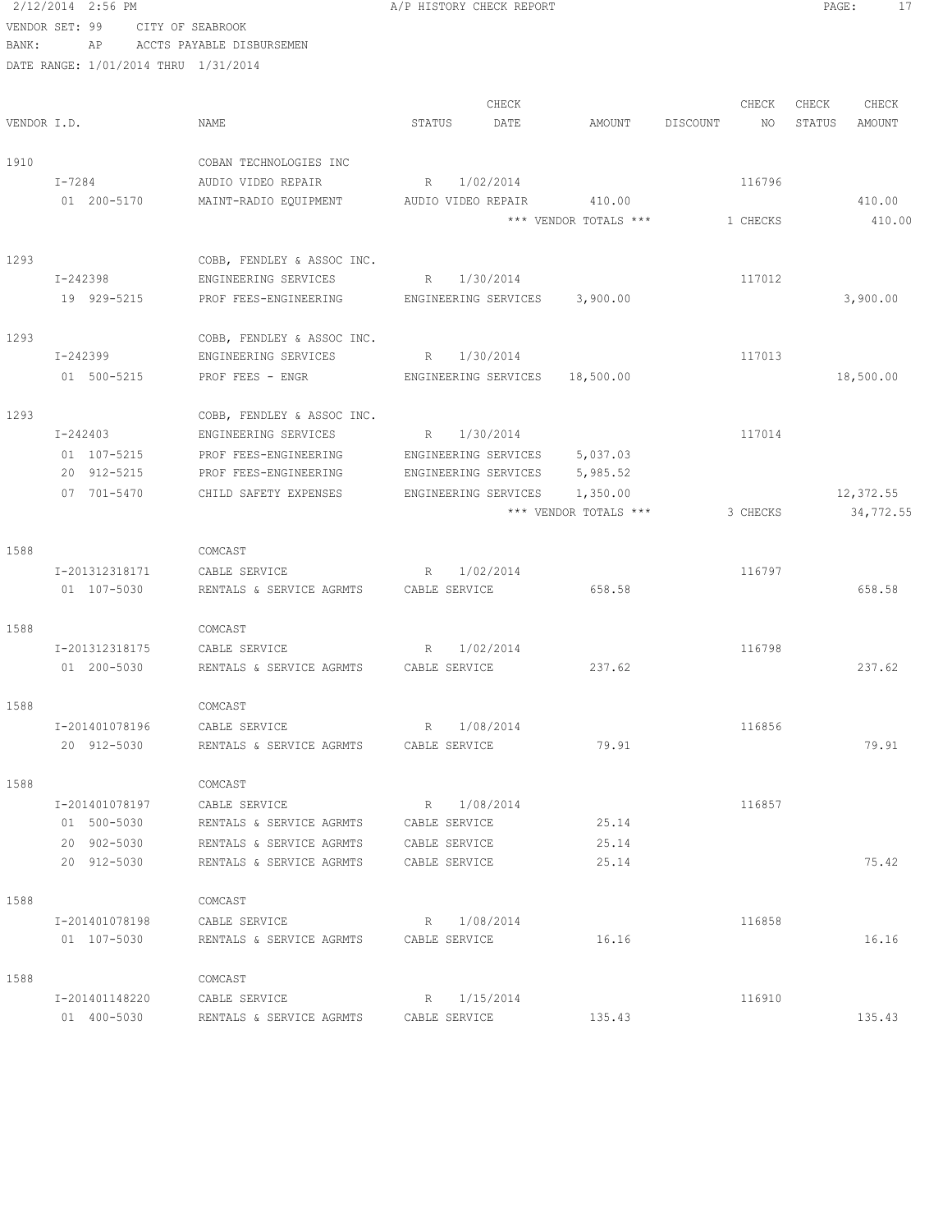2/12/2014 2:56 PM A/P HISTORY CHECK REPORT PAGE: 17 VENDOR SET: 99 CITY OF SEABROOK BANK: AP ACCTS PAYABLE DISBURSEMEN DATE RANGE: 1/01/2014 THRU 1/31/2014 CHECK CHECK CHECK CHECK CHECK CHECK CHECK CHECK CHECK CHECK CHECK CHECK CHECK CHECK CHECK CHECK CHECK CHECK CHECK CHECK CHECK CHECK CHECK CHECK CHECK CHECK CHECK CHECK CHECK CHECK CHECK CHECK CHECK CHECK CHECK CHECK CHECK VENDOR I.D. NAME STATUS DATE AMOUNT DISCOUNT NO STATUS AMOUNT 1910 COBAN TECHNOLOGIES INC I-7284 AUDIO VIDEO REPAIR R 1/02/2014 116796 01 200-5170 MAINT-RADIO EQUIPMENT AUDIO VIDEO REPAIR 410.00 410.00 \*\*\* VENDOR TOTALS \*\*\* 1 CHECKS 410.00 1293 COBB, FENDLEY & ASSOC INC. I-242398 ENGINEERING SERVICES R 1/30/2014 117012 19 929-5215 PROF FEES-ENGINEERING ENGINEERING SERVICES 3,900.00 3,900.00 1293 COBB, FENDLEY & ASSOC INC. I-242399 ENGINEERING SERVICES R 1/30/2014 117013 01 500-5215 PROF FEES - ENGR ENGINEERING SERVICES 18,500.00 18,500.00 18,500.00 1293 COBB, FENDLEY & ASSOC INC. I-242403 ENGINEERING SERVICES R 1/30/2014 117014 01 107-5215 PROF FEES-ENGINEERING ENGINEERING SERVICES 5,037.03 20 912-5215 PROF FEES-ENGINEERING ENGINEERING SERVICES 5,985.52 07 701-5470 CHILD SAFETY EXPENSES ENGINEERING SERVICES 1,350.00 12,372.55 \*\*\* VENDOR TOTALS \*\*\* 3 CHECKS 34,772.55 1588 COMCAST I-201312318171 CABLE SERVICE R 1/02/2014 116797 01 107-5030 RENTALS & SERVICE AGRMTS CABLE SERVICE 658.58 658.58 658.58 658.58 1588 COMCAST I-201312318175 CABLE SERVICE R 1/02/2014 116798 01 200-5030 RENTALS & SERVICE AGRMTS CABLE SERVICE 237.62 237.62 1588 COMCAST I-201401078196 CABLE SERVICE R 1/08/2014 116856 20 912-5030 RENTALS & SERVICE AGRMTS CABLE SERVICE 79.91 79.91 1588 COMCAST I-201401078197 CABLE SERVICE R 1/08/2014 116857 01 500-5030 RENTALS & SERVICE AGRMTS CABLE SERVICE 25.14 20 902-5030 RENTALS & SERVICE AGRMTS CABLE SERVICE 25.14 20 912-5030 RENTALS & SERVICE AGRMTS CABLE SERVICE 25.14 75.42 1588 COMCAST I-201401078198 CABLE SERVICE R 1/08/2014 116858 01 107-5030 RENTALS & SERVICE AGRMTS CABLE SERVICE 16.16 16.16 16.16 16.16 1588 COMCAST I-201401148220 CABLE SERVICE R 1/15/2014 116910 01 400-5030 RENTALS & SERVICE AGRMTS CABLE SERVICE 135.43 135.43 135.43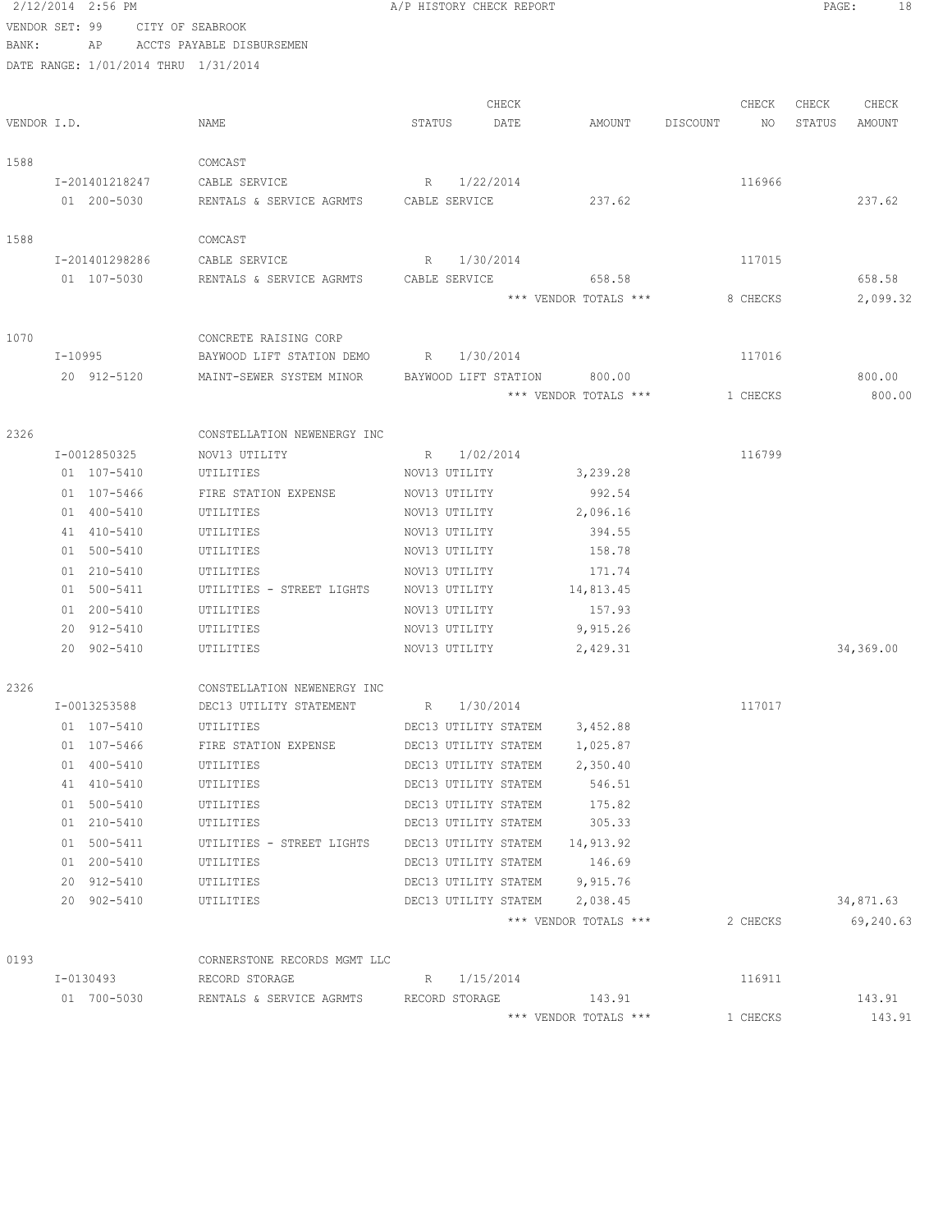|                | 2/12/2014 2:56 PM                    |                                         |        |                      | A/P HISTORY CHECK REPORT |                               |          |          | PAGE:  | 18        |
|----------------|--------------------------------------|-----------------------------------------|--------|----------------------|--------------------------|-------------------------------|----------|----------|--------|-----------|
| VENDOR SET: 99 | CITY OF SEABROOK                     |                                         |        |                      |                          |                               |          |          |        |           |
| BANK:          | AP                                   | ACCTS PAYABLE DISBURSEMEN               |        |                      |                          |                               |          |          |        |           |
|                | DATE RANGE: 1/01/2014 THRU 1/31/2014 |                                         |        |                      |                          |                               |          |          |        |           |
|                |                                      |                                         |        |                      | CHECK                    |                               |          | CHECK    | CHECK  | CHECK     |
| VENDOR I.D.    |                                      | NAME                                    | STATUS |                      | DATE                     | AMOUNT                        | DISCOUNT | NO       | STATUS | AMOUNT    |
|                |                                      |                                         |        |                      |                          |                               |          |          |        |           |
| 1588           |                                      | COMCAST                                 |        |                      |                          |                               |          |          |        |           |
|                | I-201401218247                       | CABLE SERVICE                           | R      | 1/22/2014            |                          |                               |          | 116966   |        |           |
|                | 01 200-5030                          | RENTALS & SERVICE AGRMTS CABLE SERVICE  |        |                      |                          | 237.62                        |          |          |        | 237.62    |
| 1588           |                                      | COMCAST                                 |        |                      |                          |                               |          |          |        |           |
|                | I-201401298286                       | CABLE SERVICE                           | R      | 1/30/2014            |                          |                               |          | 117015   |        |           |
|                | 01 107-5030                          | RENTALS & SERVICE AGRMTS                |        | CABLE SERVICE        |                          | 658.58                        |          |          |        | 658.58    |
|                |                                      |                                         |        |                      |                          | *** VENDOR TOTALS ***         |          | 8 CHECKS |        | 2,099.32  |
| 1070           |                                      | CONCRETE RAISING CORP                   |        |                      |                          |                               |          |          |        |           |
|                | I-10995                              | BAYWOOD LIFT STATION DEMO               |        | R 1/30/2014          |                          |                               |          | 117016   |        |           |
|                | 20 912-5120                          | MAINT-SEWER SYSTEM MINOR                |        |                      | BAYWOOD LIFT STATION     | 800.00                        |          |          |        | 800.00    |
|                |                                      |                                         |        |                      |                          | *** VENDOR TOTALS ***         |          | 1 CHECKS |        | 800.00    |
| 2326           |                                      | CONSTELLATION NEWENERGY INC             |        |                      |                          |                               |          |          |        |           |
|                | I-0012850325                         | NOV13 UTILITY                           |        | R 1/02/2014          |                          |                               |          | 116799   |        |           |
|                | 01 107-5410                          | UTILITIES                               |        | NOV13 UTILITY        |                          | 3,239.28                      |          |          |        |           |
|                | 01 107-5466                          | FIRE STATION EXPENSE                    |        | NOV13 UTILITY        |                          | 992.54                        |          |          |        |           |
|                | 01 400-5410                          | UTILITIES                               |        | NOV13 UTILITY        |                          | 2,096.16                      |          |          |        |           |
|                | 41 410-5410                          | UTILITIES                               |        | NOV13 UTILITY        |                          | 394.55                        |          |          |        |           |
|                | 01 500-5410                          | UTILITIES                               |        | NOV13 UTILITY        |                          | 158.78                        |          |          |        |           |
|                | 01 210-5410                          | UTILITIES                               |        | NOV13 UTILITY        |                          | 171.74                        |          |          |        |           |
|                | 01 500-5411                          | UTILITIES - STREET LIGHTS               |        | NOV13 UTILITY        |                          | 14,813.45                     |          |          |        |           |
|                | 01 200-5410                          | UTILITIES                               |        | NOV13 UTILITY        |                          | 157.93                        |          |          |        |           |
|                | 20 912-5410                          | UTILITIES                               |        | NOV13 UTILITY        |                          | 9,915.26                      |          |          |        |           |
|                | 20 902-5410                          | UTILITIES                               |        | NOV13 UTILITY        |                          | 2,429.31                      |          |          |        | 34,369.00 |
| 2326           |                                      | CONSTELLATION NEWENERGY INC             |        |                      |                          |                               |          |          |        |           |
|                | I-0013253588                         | DEC13 UTILITY STATEMENT                 |        | R 1/30/2014          |                          |                               |          | 117017   |        |           |
|                | 01 107-5410                          | UTILITIES                               |        |                      | DEC13 UTILITY STATEM     | 3,452.88                      |          |          |        |           |
|                | 01 107-5466                          | FIRE STATION EXPENSE                    |        |                      | DEC13 UTILITY STATEM     | 1,025.87                      |          |          |        |           |
|                | 01 400-5410<br>41 410-5410           | UTILITIES<br>UTILITIES                  |        | DEC13 UTILITY STATEM | DEC13 UTILITY STATEM     | 2,350.40<br>546.51            |          |          |        |           |
|                | 01 500-5410                          | UTILITIES                               |        |                      | DEC13 UTILITY STATEM     | 175.82                        |          |          |        |           |
|                | 01 210-5410                          | UTILITIES                               |        |                      | DEC13 UTILITY STATEM     | 305.33                        |          |          |        |           |
|                | 01 500-5411                          | UTILITIES - STREET LIGHTS               |        |                      | DEC13 UTILITY STATEM     | 14,913.92                     |          |          |        |           |
|                | 01 200-5410                          | UTILITIES                               |        |                      | DEC13 UTILITY STATEM     | 146.69                        |          |          |        |           |
|                | 20 912-5410                          | UTILITIES                               |        |                      |                          | DEC13 UTILITY STATEM 9,915.76 |          |          |        |           |
|                | 20 902-5410                          | UTILITIES                               |        |                      |                          | DEC13 UTILITY STATEM 2,038.45 |          |          |        | 34,871.63 |
|                |                                      |                                         |        |                      |                          | *** VENDOR TOTALS ***         |          | 2 CHECKS |        | 69,240.63 |
| 0193           |                                      | CORNERSTONE RECORDS MGMT LLC            |        |                      |                          |                               |          |          |        |           |
|                | I-0130493                            | RECORD STORAGE                          |        | R 1/15/2014          |                          |                               |          | 116911   |        |           |
|                | 01 700-5030                          | RENTALS & SERVICE AGRMTS RECORD STORAGE |        |                      |                          | 143.91                        |          |          |        | 143.91    |
|                |                                      |                                         |        |                      |                          | *** VENDOR TOTALS ***         |          | 1 CHECKS |        | 143.91    |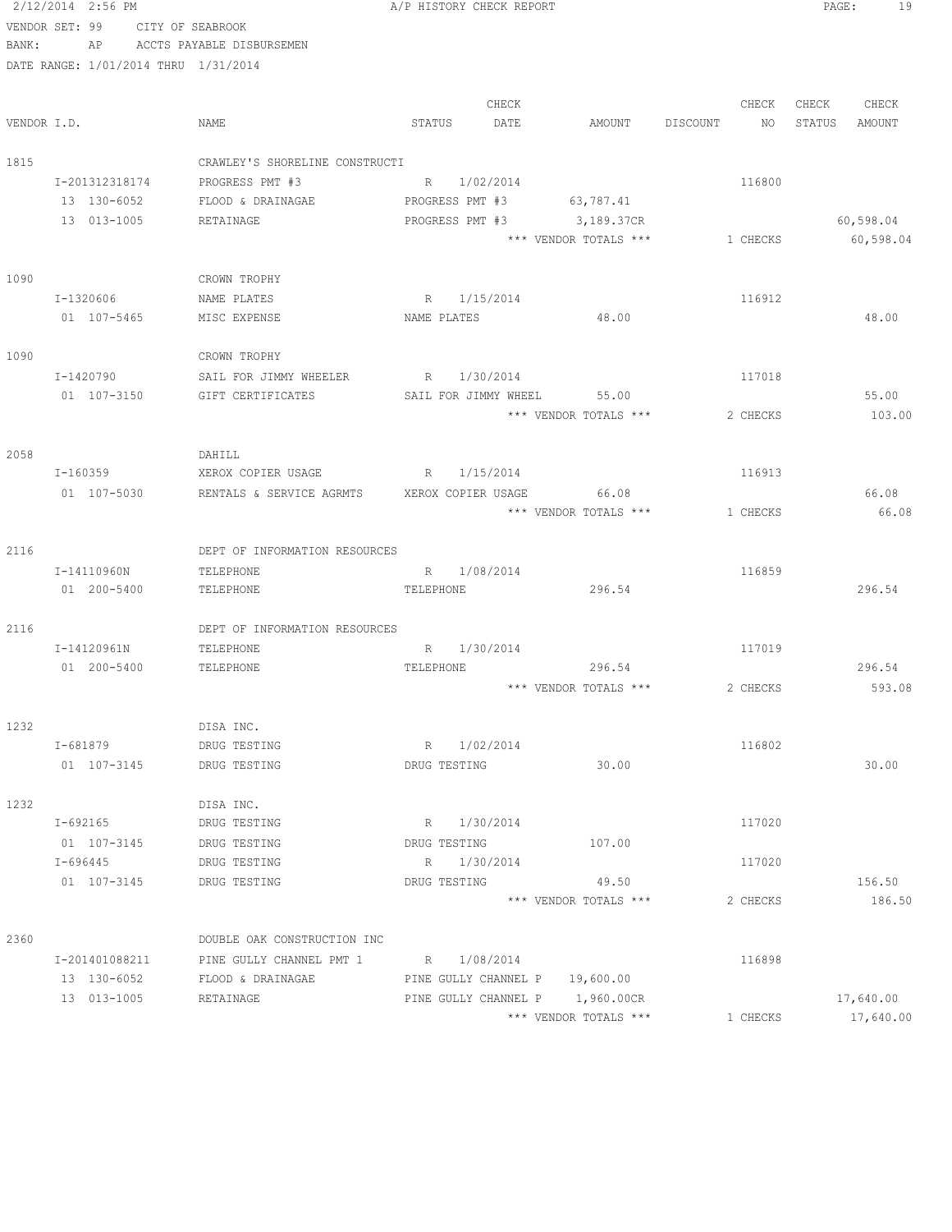2/12/2014 2:56 PM **A/P HISTORY CHECK REPORT PAGE:** 19 VENDOR SET: 99 CITY OF SEABROOK

BANK: AP ACCTS PAYABLE DISBURSEMEN

| VENDOR I.D. |                | NAME                                        | STATUS                          | CHECK<br>DATE | AMOUNT                | DISCOUNT | CHECK<br>NO | CHECK<br>STATUS | CHECK<br>AMOUNT |
|-------------|----------------|---------------------------------------------|---------------------------------|---------------|-----------------------|----------|-------------|-----------------|-----------------|
| 1815        |                | CRAWLEY'S SHORELINE CONSTRUCTI              |                                 |               |                       |          |             |                 |                 |
|             | I-201312318174 | PROGRESS PMT #3                             | 1/02/2014<br>R                  |               |                       |          | 116800      |                 |                 |
|             | 13 130-6052    | FLOOD & DRAINAGAE                           | PROGRESS PMT #3                 |               | 63,787.41             |          |             |                 |                 |
|             | 13 013-1005    | RETAINAGE                                   | PROGRESS PMT #3 3,189.37CR      |               |                       |          |             |                 | 60,598.04       |
|             |                |                                             |                                 |               | *** VENDOR TOTALS *** |          | 1 CHECKS    |                 | 60,598.04       |
| 1090        |                | CROWN TROPHY                                |                                 |               |                       |          |             |                 |                 |
|             | I-1320606      | NAME PLATES                                 | 1/15/2014<br>R                  |               |                       |          | 116912      |                 |                 |
|             | 01 107-5465    | MISC EXPENSE                                | NAME PLATES                     |               | 48.00                 |          |             |                 | 48.00           |
| 1090        |                | CROWN TROPHY                                |                                 |               |                       |          |             |                 |                 |
|             | I-1420790      | SAIL FOR JIMMY WHEELER                      | R 1/30/2014                     |               |                       |          | 117018      |                 |                 |
|             | 01 107-3150    | GIFT CERTIFICATES                           | SAIL FOR JIMMY WHEEL            |               | 55.00                 |          |             |                 | 55.00           |
|             |                |                                             |                                 |               | *** VENDOR TOTALS *** |          | 2 CHECKS    |                 | 103.00          |
| 2058        |                | DAHILL                                      |                                 |               |                       |          |             |                 |                 |
|             | I-160359       | XEROX COPIER USAGE                          | R 1/15/2014                     |               |                       |          | 116913      |                 |                 |
|             | 01 107-5030    | RENTALS & SERVICE AGRMTS XEROX COPIER USAGE |                                 |               | 66.08                 |          |             |                 | 66.08           |
|             |                |                                             |                                 |               | *** VENDOR TOTALS *** |          | 1 CHECKS    |                 | 66.08           |
| 2116        |                | DEPT OF INFORMATION RESOURCES               |                                 |               |                       |          |             |                 |                 |
|             | I-14110960N    | TELEPHONE                                   | 1/08/2014<br>$R_{\odot}$        |               |                       |          | 116859      |                 |                 |
|             | 01 200-5400    | TELEPHONE                                   | TELEPHONE                       |               | 296.54                |          |             |                 | 296.54          |
| 2116        |                | DEPT OF INFORMATION RESOURCES               |                                 |               |                       |          |             |                 |                 |
|             | I-14120961N    | TELEPHONE                                   | 1/30/2014<br>R                  |               |                       |          | 117019      |                 |                 |
|             | 01 200-5400    | TELEPHONE                                   | TELEPHONE                       |               | 296.54                |          |             |                 | 296.54          |
|             |                |                                             |                                 |               | *** VENDOR TOTALS *** |          | 2 CHECKS    |                 | 593.08          |
| 1232        |                | DISA INC.                                   |                                 |               |                       |          |             |                 |                 |
|             | I-681879       | DRUG TESTING                                | 1/02/2014<br>R                  |               |                       |          | 116802      |                 |                 |
|             | 01 107-3145    | DRUG TESTING                                | DRUG TESTING                    |               | 30.00                 |          |             |                 | 30.00           |
| 1232        |                | DISA INC.                                   |                                 |               |                       |          |             |                 |                 |
|             | I-692165       | DRUG TESTING                                | R 1/30/2014                     |               |                       |          | 117020      |                 |                 |
|             | 01 107-3145    | DRUG TESTING                                | DRUG TESTING                    |               | 107.00                |          |             |                 |                 |
|             | $I - 696445$   | DRUG TESTING                                | R 1/30/2014                     |               |                       |          | 117020      |                 |                 |
|             | 01 107-3145    | DRUG TESTING                                | DRUG TESTING                    |               | 49.50                 |          |             |                 | 156.50          |
|             |                |                                             |                                 |               | *** VENDOR TOTALS *** |          | 2 CHECKS    |                 | 186.50          |
| 2360        |                | DOUBLE OAK CONSTRUCTION INC                 |                                 |               |                       |          |             |                 |                 |
|             | I-201401088211 | PINE GULLY CHANNEL PMT 1                    | R 1/08/2014                     |               |                       |          | 116898      |                 |                 |
|             | 13 130-6052    | FLOOD & DRAINAGAE                           | PINE GULLY CHANNEL P 19,600.00  |               |                       |          |             |                 |                 |
|             | 13 013-1005    | RETAINAGE                                   | PINE GULLY CHANNEL P 1,960.00CR |               |                       |          |             |                 | 17,640.00       |
|             |                |                                             |                                 |               | *** VENDOR TOTALS *** |          | 1 CHECKS    |                 | 17,640.00       |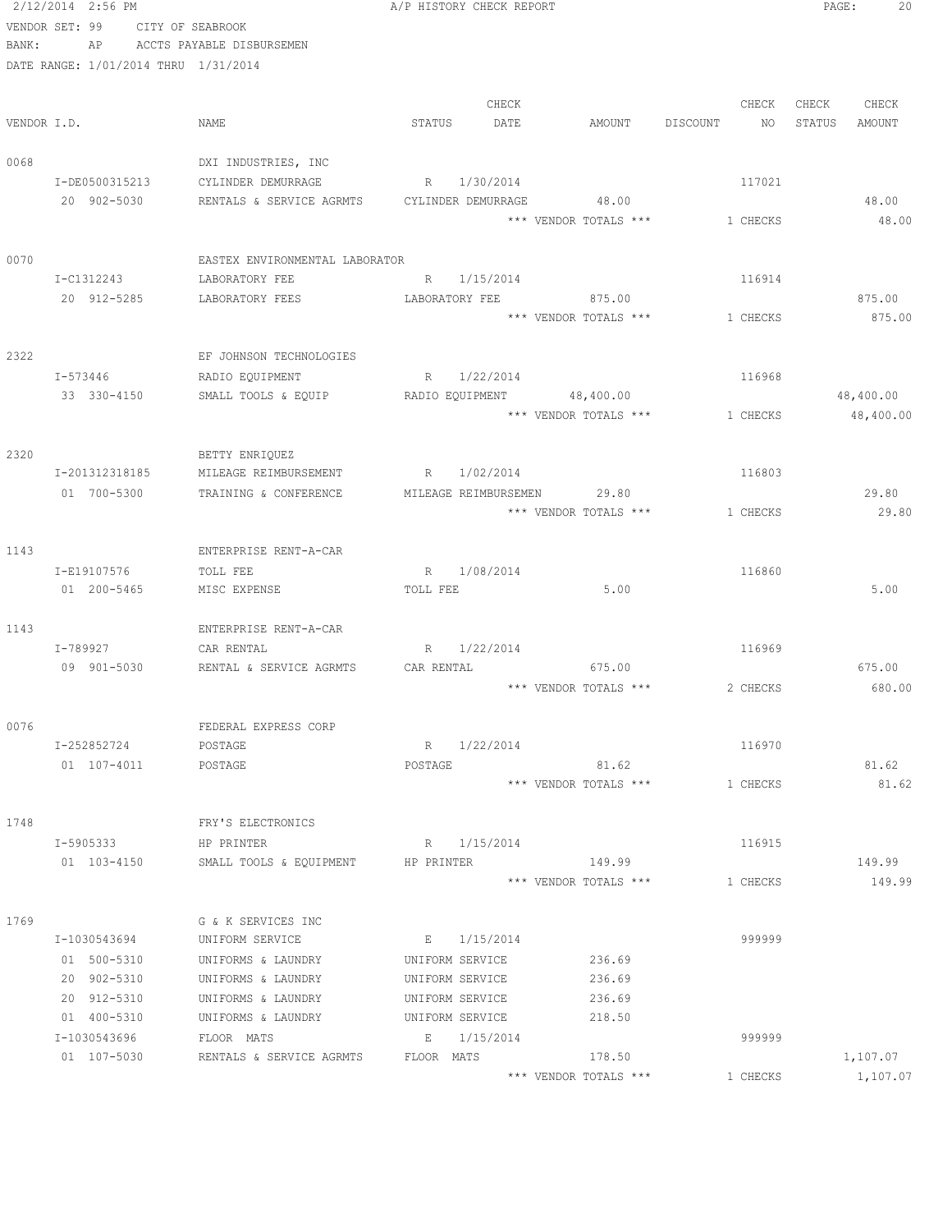|             | 2/12/2014 2:56 PM                    |                                | A/P HISTORY CHECK REPORT  |                       |                | 20<br>PAGE:      |
|-------------|--------------------------------------|--------------------------------|---------------------------|-----------------------|----------------|------------------|
|             | VENDOR SET: 99                       | CITY OF SEABROOK               |                           |                       |                |                  |
| BANK:       | AP                                   | ACCTS PAYABLE DISBURSEMEN      |                           |                       |                |                  |
|             | DATE RANGE: 1/01/2014 THRU 1/31/2014 |                                |                           |                       |                |                  |
|             |                                      |                                |                           |                       |                |                  |
|             |                                      |                                | CHECK                     |                       | CHECK          | CHECK<br>CHECK   |
| VENDOR I.D. |                                      | NAME                           | STATUS<br>DATE            | AMOUNT                | DISCOUNT<br>NO | STATUS<br>AMOUNT |
| 0068        |                                      | DXI INDUSTRIES, INC            |                           |                       |                |                  |
|             | I-DE0500315213                       | CYLINDER DEMURRAGE             | R 1/30/2014               |                       | 117021         |                  |
|             | 20 902-5030                          | RENTALS & SERVICE AGRMTS       | CYLINDER DEMURRAGE        | 48.00                 |                | 48.00            |
|             |                                      |                                |                           | *** VENDOR TOTALS *** | 1 CHECKS       | 48.00            |
| 0070        |                                      | EASTEX ENVIRONMENTAL LABORATOR |                           |                       |                |                  |
|             | I-C1312243                           | LABORATORY FEE                 | R 1/15/2014               |                       | 116914         |                  |
|             | 20 912-5285                          | LABORATORY FEES                | LABORATORY FEE            | 875.00                |                | 875.00           |
|             |                                      |                                |                           | *** VENDOR TOTALS *** | 1 CHECKS       | 875.00           |
| 2322        |                                      | EF JOHNSON TECHNOLOGIES        |                           |                       |                |                  |
|             | I-573446                             | RADIO EQUIPMENT                | R 1/22/2014               |                       | 116968         |                  |
|             | 33 330-4150                          | SMALL TOOLS & EQUIP            | RADIO EQUIPMENT 48,400.00 |                       |                | 48,400.00        |
|             |                                      |                                |                           | *** VENDOR TOTALS *** | 1 CHECKS       | 48,400.00        |
|             |                                      |                                |                           |                       |                |                  |
| 2320        |                                      | BETTY ENRIQUEZ                 |                           |                       |                |                  |
|             | I-201312318185                       | MILEAGE REIMBURSEMENT          | 1/02/2014<br>R            |                       | 116803         |                  |
|             | 01 700-5300                          | TRAINING & CONFERENCE          | MILEAGE REIMBURSEMEN      | 29.80                 |                | 29.80            |
|             |                                      |                                |                           | *** VENDOR TOTALS *** | 1 CHECKS       | 29.80            |
| 1143        |                                      | ENTERPRISE RENT-A-CAR          |                           |                       |                |                  |
|             | I-E19107576                          | TOLL FEE                       | R 1/08/2014               |                       | 116860         |                  |
|             | 01 200-5465                          | MISC EXPENSE                   | TOLL FEE                  | 5.00                  |                | 5.00             |
|             |                                      |                                |                           |                       |                |                  |
| 1143        |                                      | ENTERPRISE RENT-A-CAR          |                           |                       |                |                  |
|             | I-789927                             | CAR RENTAL                     | R 1/22/2014               |                       | 116969         |                  |
|             | 09 901-5030                          | RENTAL & SERVICE AGRMTS        | CAR RENTAL                | 675.00                |                | 675.00           |
|             |                                      |                                |                           | *** VENDOR TOTALS *** | 2 CHECKS       | 680.00           |
| 0076        |                                      | FEDERAL EXPRESS CORP           |                           |                       |                |                  |
|             | I-252852724                          | POSTAGE                        | R 1/22/2014               |                       | 116970         |                  |
|             | 01 107-4011                          | POSTAGE                        | POSTAGE                   | 81.62                 |                | 81.62            |
|             |                                      |                                |                           | *** VENDOR TOTALS *** | 1 CHECKS       | 81.62            |
|             |                                      |                                |                           |                       |                |                  |
| 1748        |                                      | FRY'S ELECTRONICS              |                           |                       |                |                  |
|             | I-5905333                            | HP PRINTER                     | R 1/15/2014               |                       | 116915         |                  |
|             | 01 103-4150                          | SMALL TOOLS & EQUIPMENT        | HP PRINTER                | 149.99                |                | 149.99           |
|             |                                      |                                |                           | *** VENDOR TOTALS *** | 1 CHECKS       | 149.99           |
| 1769        |                                      | G & K SERVICES INC             |                           |                       |                |                  |
|             | I-1030543694                         | UNIFORM SERVICE                | E 1/15/2014               |                       | 999999         |                  |
|             | 01 500-5310                          | UNIFORMS & LAUNDRY             | UNIFORM SERVICE           | 236.69                |                |                  |
|             | 20 902-5310                          | UNIFORMS & LAUNDRY             | UNIFORM SERVICE           | 236.69                |                |                  |
|             | 20 912-5310                          | UNIFORMS & LAUNDRY             | UNIFORM SERVICE           | 236.69                |                |                  |
|             | 01 400-5310                          | UNIFORMS & LAUNDRY             | UNIFORM SERVICE           | 218.50                |                |                  |
|             | I-1030543696                         | FLOOR MATS                     | E 1/15/2014               |                       | 999999         |                  |
|             | 01 107-5030                          | RENTALS & SERVICE AGRMTS       | FLOOR MATS                | 178.50                |                | 1,107.07         |
|             |                                      |                                |                           | *** VENDOR TOTALS *** | 1 CHECKS       | 1,107.07         |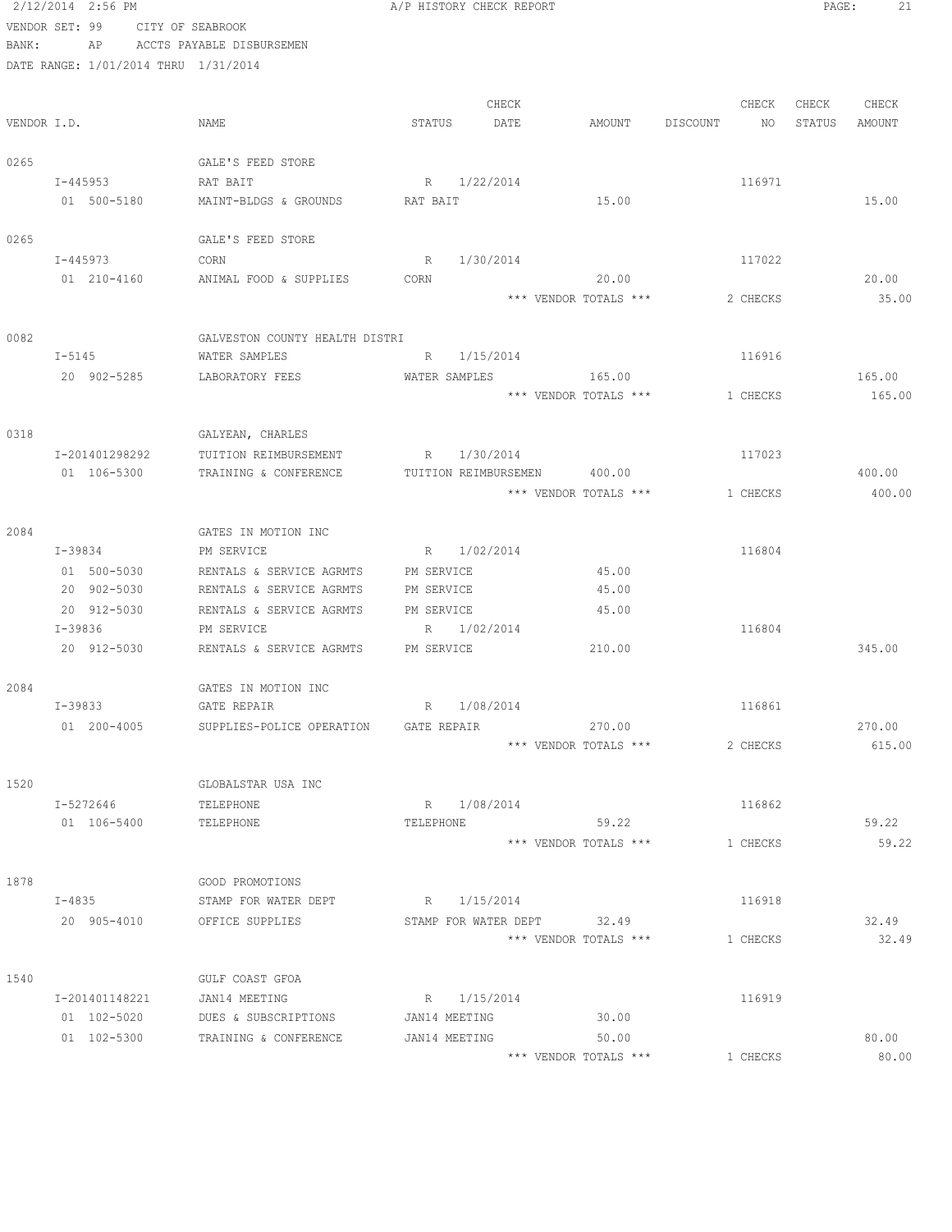|       | 2/12/2014 2:56 PM                    |                                | A/P HISTORY CHECK REPORT    |                       |                | 21<br>PAGE:      |
|-------|--------------------------------------|--------------------------------|-----------------------------|-----------------------|----------------|------------------|
|       | VENDOR SET: 99                       | CITY OF SEABROOK               |                             |                       |                |                  |
| BANK: | AP                                   | ACCTS PAYABLE DISBURSEMEN      |                             |                       |                |                  |
|       | DATE RANGE: 1/01/2014 THRU 1/31/2014 |                                |                             |                       |                |                  |
|       |                                      |                                |                             |                       |                |                  |
|       |                                      |                                | CHECK                       |                       | CHECK          | CHECK<br>CHECK   |
|       | VENDOR I.D.                          | NAME                           | STATUS<br>DATE              | AMOUNT                | DISCOUNT<br>NO | STATUS<br>AMOUNT |
|       |                                      |                                |                             |                       |                |                  |
| 0265  |                                      | GALE'S FEED STORE              |                             |                       |                |                  |
|       | I-445953                             | RAT BAIT                       | R 1/22/2014                 |                       | 116971         |                  |
|       | 01 500-5180                          | MAINT-BLDGS & GROUNDS          | RAT BAIT                    | 15.00                 |                | 15.00            |
| 0265  |                                      | GALE'S FEED STORE              |                             |                       |                |                  |
|       | I-445973                             | CORN                           | R 1/30/2014                 |                       | 117022         |                  |
|       | 01 210-4160                          | ANIMAL FOOD & SUPPLIES         | CORN                        | 20.00                 |                | 20.00            |
|       |                                      |                                |                             | *** VENDOR TOTALS *** | 2 CHECKS       | 35.00            |
|       |                                      |                                |                             |                       |                |                  |
| 0082  |                                      | GALVESTON COUNTY HEALTH DISTRI |                             |                       |                |                  |
|       | $I - 5145$                           | WATER SAMPLES                  | R 1/15/2014                 |                       | 116916         |                  |
|       | 20 902-5285                          | LABORATORY FEES                | WATER SAMPLES               | 165.00                |                | 165.00           |
|       |                                      |                                |                             | *** VENDOR TOTALS *** | 1 CHECKS       | 165.00           |
|       |                                      |                                |                             |                       |                |                  |
| 0318  |                                      | GALYEAN, CHARLES               |                             |                       |                |                  |
|       | I-201401298292                       | TUITION REIMBURSEMENT          | 1/30/2014<br>R              |                       | 117023         |                  |
|       | 01 106-5300                          | TRAINING & CONFERENCE          | TUITION REIMBURSEMEN 400.00 |                       |                | 400.00           |
|       |                                      |                                |                             | *** VENDOR TOTALS *** | 1 CHECKS       | 400.00           |
|       |                                      |                                |                             |                       |                |                  |
| 2084  |                                      | GATES IN MOTION INC            |                             |                       |                |                  |
|       | I-39834                              | PM SERVICE                     | R 1/02/2014                 |                       | 116804         |                  |
|       | 01 500-5030                          | RENTALS & SERVICE AGRMTS       | PM SERVICE                  | 45.00                 |                |                  |
|       | 20 902-5030                          | RENTALS & SERVICE AGRMTS       | PM SERVICE                  | 45.00                 |                |                  |
|       | 20 912-5030                          | RENTALS & SERVICE AGRMTS       | PM SERVICE                  | 45.00                 |                |                  |
|       | I-39836                              | PM SERVICE                     | R 1/02/2014                 |                       | 116804         |                  |
|       | 20 912-5030                          | RENTALS & SERVICE AGRMTS       | PM SERVICE                  | 210.00                |                | 345.00           |
|       |                                      |                                |                             |                       |                |                  |
| 2084  |                                      | GATES IN MOTION INC            |                             |                       |                |                  |
|       | $I-39833$                            | GATE REPAIR                    | R 1/08/2014                 |                       | 116861         |                  |
|       | 01 200-4005                          | SUPPLIES-POLICE OPERATION      | GATE REPAIR                 | 270.00                |                | 270.00           |
|       |                                      |                                |                             | *** VENDOR TOTALS *** | 2 CHECKS       | 615.00           |
| 1520  |                                      | GLOBALSTAR USA INC             |                             |                       |                |                  |
|       | I-5272646                            | TELEPHONE                      | R 1/08/2014                 |                       | 116862         |                  |
|       | 01 106-5400                          | TELEPHONE                      | TELEPHONE                   | 59.22                 |                | 59.22            |
|       |                                      |                                |                             | *** VENDOR TOTALS *** | 1 CHECKS       | 59.22            |
|       |                                      |                                |                             |                       |                |                  |
| 1878  |                                      | GOOD PROMOTIONS                |                             |                       |                |                  |
|       | $I - 4835$                           | STAMP FOR WATER DEPT           | R 1/15/2014                 |                       | 116918         |                  |
|       | 20 905-4010                          | OFFICE SUPPLIES                | STAMP FOR WATER DEPT 32.49  |                       |                | 32.49            |
|       |                                      |                                |                             | *** VENDOR TOTALS *** | 1 CHECKS       | 32.49            |
|       |                                      |                                |                             |                       |                |                  |
| 1540  |                                      | GULF COAST GFOA                |                             |                       |                |                  |
|       | I-201401148221                       | JAN14 MEETING                  | R 1/15/2014                 |                       | 116919         |                  |
|       | 01 102-5020                          | DUES & SUBSCRIPTIONS           | JAN14 MEETING               | 30.00                 |                |                  |
|       | 01 102-5300                          | TRAINING & CONFERENCE          | JAN14 MEETING               | 50.00                 |                | 80.00            |
|       |                                      |                                |                             | *** VENDOR TOTALS *** | 1 CHECKS       | 80.00            |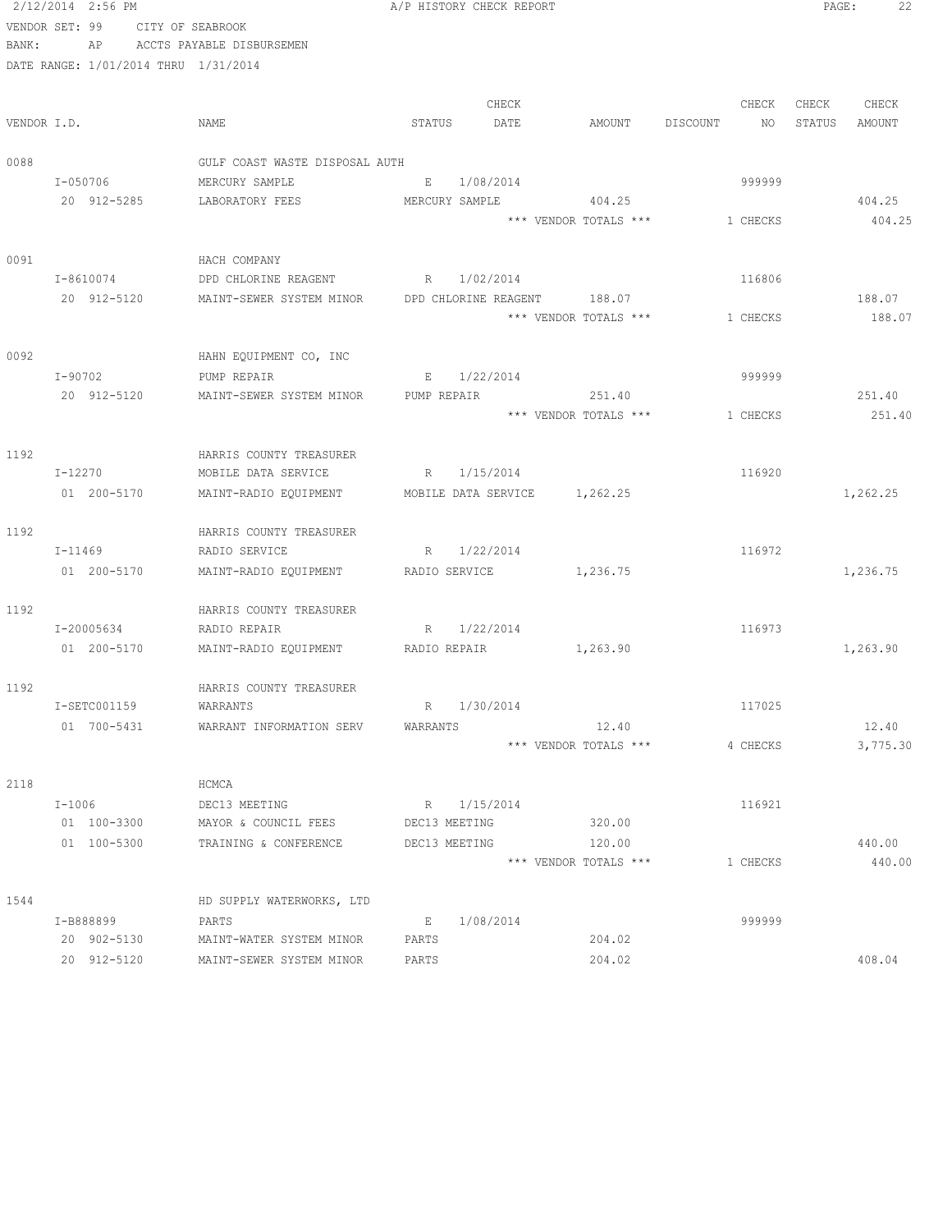|             | 2/12/2014 2:56 PM                    |                                                | A/P HISTORY CHECK REPORT       |                       |                | 22<br>PAGE:      |
|-------------|--------------------------------------|------------------------------------------------|--------------------------------|-----------------------|----------------|------------------|
|             | VENDOR SET: 99                       | CITY OF SEABROOK                               |                                |                       |                |                  |
| BANK:       | AP                                   | ACCTS PAYABLE DISBURSEMEN                      |                                |                       |                |                  |
|             | DATE RANGE: 1/01/2014 THRU 1/31/2014 |                                                |                                |                       |                |                  |
|             |                                      |                                                |                                |                       |                |                  |
|             |                                      |                                                | CHECK                          |                       | CHECK          | CHECK<br>CHECK   |
| VENDOR I.D. |                                      | NAME                                           | STATUS<br>DATE                 | AMOUNT                | DISCOUNT<br>NO | STATUS<br>AMOUNT |
| 0088        |                                      | GULF COAST WASTE DISPOSAL AUTH                 |                                |                       |                |                  |
|             | I-050706                             | MERCURY SAMPLE                                 | E<br>1/08/2014                 |                       | 999999         |                  |
|             | 20 912-5285                          | LABORATORY FEES                                | MERCURY SAMPLE                 | 404.25                |                | 404.25           |
|             |                                      |                                                |                                | *** VENDOR TOTALS *** | 1 CHECKS       | 404.25           |
|             |                                      |                                                |                                |                       |                |                  |
| 0091        |                                      | HACH COMPANY                                   |                                |                       |                |                  |
|             | I-8610074                            | DPD CHLORINE REAGENT                           | R 1/02/2014                    |                       | 116806         |                  |
|             | 20 912-5120                          | MAINT-SEWER SYSTEM MINOR                       | DPD CHLORINE REAGENT           | 188.07                |                | 188.07           |
|             |                                      |                                                |                                | *** VENDOR TOTALS *** | 1 CHECKS       | 188.07           |
|             |                                      |                                                |                                |                       |                |                  |
| 0092        |                                      | HAHN EQUIPMENT CO, INC                         |                                |                       |                |                  |
|             | I-90702                              | PUMP REPAIR                                    | 1/22/2014<br>$\mathbb E$       |                       | 999999         |                  |
|             | 20 912-5120                          | MAINT-SEWER SYSTEM MINOR                       | PUMP REPAIR                    | 251.40                |                | 251.40           |
|             |                                      |                                                |                                | *** VENDOR TOTALS *** | 1 CHECKS       | 251.40           |
|             |                                      |                                                |                                |                       |                |                  |
| 1192        | I-12270                              | HARRIS COUNTY TREASURER<br>MOBILE DATA SERVICE | R<br>1/15/2014                 |                       | 116920         |                  |
|             | 01 200-5170                          | MAINT-RADIO EQUIPMENT                          | MOBILE DATA SERVICE 1,262.25   |                       |                | 1,262.25         |
|             |                                      |                                                |                                |                       |                |                  |
| 1192        |                                      | HARRIS COUNTY TREASURER                        |                                |                       |                |                  |
|             | I-11469                              | RADIO SERVICE                                  | R<br>1/22/2014                 |                       | 116972         |                  |
|             | 01 200-5170                          | MAINT-RADIO EQUIPMENT                          | RADIO SERVICE                  | 1,236.75              |                | 1,236.75         |
|             |                                      |                                                |                                |                       |                |                  |
| 1192        |                                      | HARRIS COUNTY TREASURER                        |                                |                       |                |                  |
|             | I-20005634                           | RADIO REPAIR                                   | 1/22/2014<br>R                 |                       | 116973         |                  |
|             | 01 200-5170                          | MAINT-RADIO EQUIPMENT RADIO REPAIR             |                                | 1, 263.90             |                | 1,263.90         |
|             |                                      |                                                |                                |                       |                |                  |
| 1192        |                                      | HARRIS COUNTY TREASURER                        |                                |                       |                |                  |
|             | I-SETC001159                         | WARRANTS                                       | 1/30/2014<br>R                 |                       | 117025         |                  |
|             | 01 700-5431                          | WARRANT INFORMATION SERV                       | WARRANTS                       | 12.40                 |                | 12.40            |
|             |                                      |                                                |                                | *** VENDOR TOTALS *** | 4 CHECKS       | 3,775.30         |
|             |                                      |                                                |                                |                       |                |                  |
| 2118        |                                      | HCMCA                                          |                                |                       |                |                  |
|             | I-1006                               | DEC13 MEETING                                  | R 1/15/2014                    |                       | 116921         |                  |
|             | 01 100-3300<br>01 100-5300           | MAYOR & COUNCIL FEES                           | DEC13 MEETING<br>DEC13 MEETING | 320.00<br>120.00      |                | 440.00           |
|             |                                      | TRAINING & CONFERENCE                          |                                | *** VENDOR TOTALS *** | 1 CHECKS       | 440.00           |
|             |                                      |                                                |                                |                       |                |                  |
| 1544        |                                      | HD SUPPLY WATERWORKS, LTD                      |                                |                       |                |                  |
|             | I-B888899                            | PARTS                                          | 1/08/2014<br>Е                 |                       | 999999         |                  |
|             | 20 902-5130                          | MAINT-WATER SYSTEM MINOR                       | PARTS                          | 204.02                |                |                  |
|             | 20 912-5120                          | MAINT-SEWER SYSTEM MINOR                       | PARTS                          | 204.02                |                | 408.04           |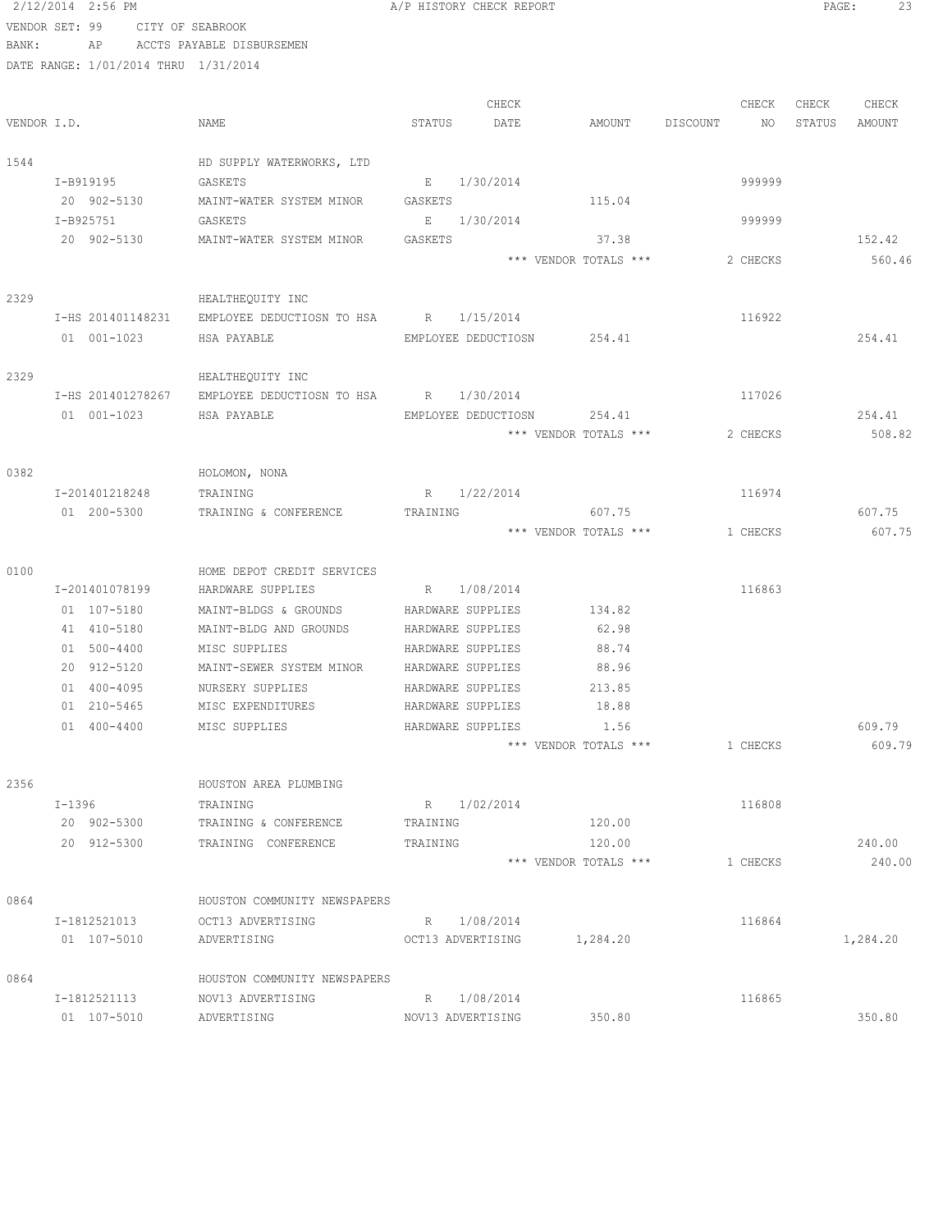|       | 2/12/2014 2:56 PM                    |                                                          | A/P HISTORY CHECK REPORT   |                       |                | PAGE:  | 23       |
|-------|--------------------------------------|----------------------------------------------------------|----------------------------|-----------------------|----------------|--------|----------|
|       | VENDOR SET: 99 CITY OF SEABROOK      |                                                          |                            |                       |                |        |          |
| BANK: |                                      | AP ACCTS PAYABLE DISBURSEMEN                             |                            |                       |                |        |          |
|       | DATE RANGE: 1/01/2014 THRU 1/31/2014 |                                                          |                            |                       |                |        |          |
|       |                                      |                                                          |                            |                       |                |        |          |
|       |                                      |                                                          | CHECK                      |                       | CHECK          | CHECK  | CHECK    |
|       | VENDOR I.D.                          | NAME                                                     | STATUS<br>DATE             | AMOUNT                | DISCOUNT<br>NO | STATUS | AMOUNT   |
|       |                                      |                                                          |                            |                       |                |        |          |
| 1544  |                                      | HD SUPPLY WATERWORKS, LTD                                |                            |                       |                |        |          |
|       | I-B919195                            | GASKETS                                                  | E 1/30/2014                |                       | 999999         |        |          |
|       | 20 902-5130                          | MAINT-WATER SYSTEM MINOR                                 | GASKETS                    | 115.04                |                |        |          |
|       | I-B925751                            | GASKETS                                                  | E 1/30/2014                |                       | 999999         |        |          |
|       | 20 902-5130                          | MAINT-WATER SYSTEM MINOR                                 | GASKETS                    | 37.38                 |                |        | 152.42   |
|       |                                      |                                                          |                            | *** VENDOR TOTALS *** | 2 CHECKS       |        | 560.46   |
|       |                                      |                                                          |                            |                       |                |        |          |
| 2329  |                                      | HEALTHEQUITY INC                                         |                            |                       |                |        |          |
|       |                                      | I-HS 201401148231 EMPLOYEE DEDUCTIOSN TO HSA R 1/15/2014 |                            |                       | 116922         |        |          |
|       |                                      |                                                          |                            |                       |                |        |          |
|       | 01 001-1023                          | HSA PAYABLE                                              | EMPLOYEE DEDUCTIOSN 254.41 |                       |                |        | 254.41   |
|       |                                      |                                                          |                            |                       |                |        |          |
| 2329  |                                      | HEALTHEQUITY INC                                         |                            |                       |                |        |          |
|       | I-HS 201401278267                    | EMPLOYEE DEDUCTIOSN TO HSA R 1/30/2014                   |                            |                       | 117026         |        |          |
|       | 01 001-1023                          | HSA PAYABLE                                              | EMPLOYEE DEDUCTIOSN 254.41 |                       |                |        | 254.41   |
|       |                                      |                                                          |                            | *** VENDOR TOTALS *** | 2 CHECKS       |        | 508.82   |
|       |                                      |                                                          |                            |                       |                |        |          |
| 0382  |                                      | HOLOMON, NONA                                            |                            |                       |                |        |          |
|       | I-201401218248                       | TRAINING                                                 | R 1/22/2014                |                       | 116974         |        |          |
|       | 01 200-5300                          | TRAINING & CONFERENCE                                    | TRAINING                   | 607.75                |                |        | 607.75   |
|       |                                      |                                                          |                            | *** VENDOR TOTALS *** | 1 CHECKS       |        | 607.75   |
|       |                                      |                                                          |                            |                       |                |        |          |
| 0100  |                                      | HOME DEPOT CREDIT SERVICES                               |                            |                       |                |        |          |
|       | I-201401078199                       | HARDWARE SUPPLIES                                        | R 1/08/2014                |                       | 116863         |        |          |
|       | 01 107-5180                          | MAINT-BLDGS & GROUNDS HARDWARE SUPPLIES                  |                            | 134.82                |                |        |          |
|       | 41 410-5180                          | MAINT-BLDG AND GROUNDS                                   | HARDWARE SUPPLIES          | 62.98                 |                |        |          |
|       | 01 500-4400                          | MISC SUPPLIES                                            | HARDWARE SUPPLIES          | 88.74                 |                |        |          |
|       | 20 912-5120                          | MAINT-SEWER SYSTEM MINOR HARDWARE SUPPLIES               |                            | 88.96                 |                |        |          |
|       | 01 400-4095                          | NURSERY SUPPLIES                                         | HARDWARE SUPPLIES          | 213.85                |                |        |          |
|       | 01 210-5465                          | MISC EXPENDITURES                                        | HARDWARE SUPPLIES          | 18.88                 |                |        |          |
|       | 01 400-4400                          | MISC SUPPLIES                                            | HARDWARE SUPPLIES          | 1.56                  |                |        | 609.79   |
|       |                                      |                                                          |                            | *** VENDOR TOTALS *** | 1 CHECKS       |        | 609.79   |
|       |                                      |                                                          |                            |                       |                |        |          |
| 2356  |                                      | HOUSTON AREA PLUMBING                                    |                            |                       |                |        |          |
|       | I-1396                               | TRAINING                                                 | R 1/02/2014                |                       | 116808         |        |          |
|       | 20 902-5300                          | TRAINING & CONFERENCE                                    | TRAINING                   | 120.00                |                |        |          |
|       | 20 912-5300                          | TRAINING CONFERENCE                                      | TRAINING                   | 120.00                |                |        | 240.00   |
|       |                                      |                                                          |                            | *** VENDOR TOTALS *** | 1 CHECKS       |        | 240.00   |
|       |                                      |                                                          |                            |                       |                |        |          |
| 0864  |                                      | HOUSTON COMMUNITY NEWSPAPERS                             |                            |                       |                |        |          |
|       | I-1812521013                         | OCT13 ADVERTISING                                        | R 1/08/2014                |                       | 116864         |        |          |
|       | 01 107-5010                          | ADVERTISING                                              | OCT13 ADVERTISING          | 1,284.20              |                |        | 1,284.20 |
|       |                                      |                                                          |                            |                       |                |        |          |
| 0864  |                                      | HOUSTON COMMUNITY NEWSPAPERS                             |                            |                       |                |        |          |
|       | I-1812521113                         | NOV13 ADVERTISING                                        | R 1/08/2014                |                       | 116865         |        |          |
|       | 01 107-5010                          | ADVERTISING                                              | NOV13 ADVERTISING          | 350.80                |                |        | 350.80   |
|       |                                      |                                                          |                            |                       |                |        |          |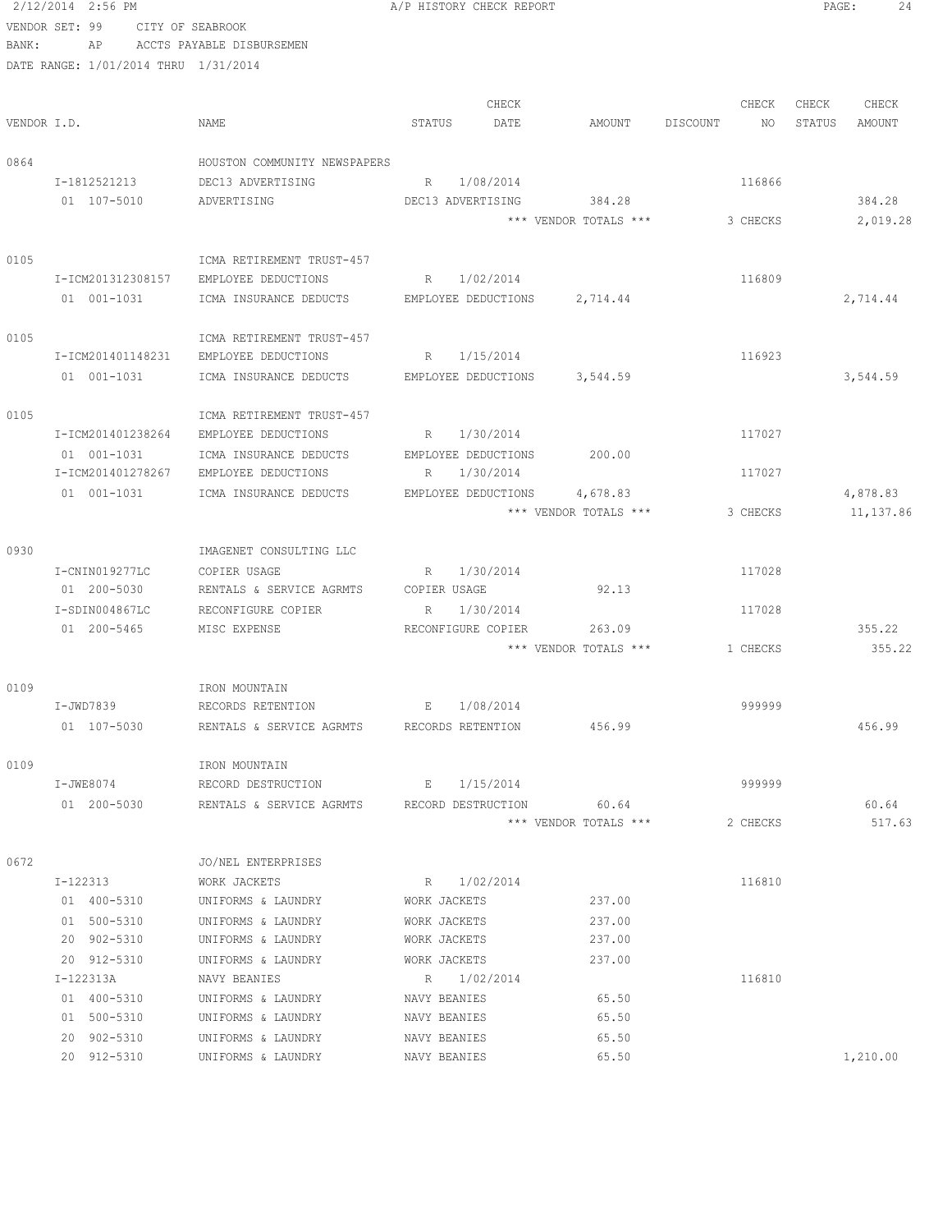2/12/2014 2:56 PM **A/P HISTORY CHECK REPORT PAGE:** 24 VENDOR SET: 99 CITY OF SEABROOK BANK: AP ACCTS PAYABLE DISBURSEMEN

|             | DATE RANGE: 1/01/2014 THRU 1/31/2014 |                                             |                 |                     |                                   |          |          |        |                       |
|-------------|--------------------------------------|---------------------------------------------|-----------------|---------------------|-----------------------------------|----------|----------|--------|-----------------------|
|             |                                      |                                             |                 | CHECK               |                                   |          | CHECK    | CHECK  | CHECK                 |
| VENDOR I.D. |                                      | NAME                                        | STATUS          | DATE                | AMOUNT                            | DISCOUNT | NO       | STATUS | AMOUNT                |
| 0864        |                                      | HOUSTON COMMUNITY NEWSPAPERS                |                 |                     |                                   |          |          |        |                       |
|             | I-1812521213                         | DEC13 ADVERTISING                           |                 | R 1/08/2014         |                                   |          | 116866   |        |                       |
|             | 01 107-5010                          | ADVERTISING                                 |                 | DEC13 ADVERTISING   | 384.28                            |          |          |        | 384.28                |
|             |                                      |                                             |                 |                     | *** VENDOR TOTALS ***             |          | 3 CHECKS |        | 2,019.28              |
| 0105        |                                      | ICMA RETIREMENT TRUST-457                   |                 |                     |                                   |          |          |        |                       |
|             |                                      | I-ICM201312308157 EMPLOYEE DEDUCTIONS       | R 1/02/2014     |                     |                                   |          | 116809   |        |                       |
|             | 01 001-1031                          | ICMA INSURANCE DEDUCTS EMPLOYEE DEDUCTIONS  |                 |                     | 2,714.44                          |          |          |        | 2,714.44              |
| 0105        |                                      | ICMA RETIREMENT TRUST-457                   |                 |                     |                                   |          |          |        |                       |
|             | I-ICM201401148231                    | EMPLOYEE DEDUCTIONS                         |                 | R 1/15/2014         |                                   |          | 116923   |        |                       |
|             | 01 001-1031                          | ICMA INSURANCE DEDUCTS                      |                 | EMPLOYEE DEDUCTIONS | 3,544.59                          |          |          |        | 3,544.59              |
| 0105        |                                      | ICMA RETIREMENT TRUST-457                   |                 |                     |                                   |          |          |        |                       |
|             | I-ICM201401238264                    | EMPLOYEE DEDUCTIONS                         |                 | R 1/30/2014         |                                   |          | 117027   |        |                       |
|             | 01 001-1031                          | ICMA INSURANCE DEDUCTS                      |                 | EMPLOYEE DEDUCTIONS | 200.00                            |          |          |        |                       |
|             | I-ICM201401278267                    | EMPLOYEE DEDUCTIONS                         | $R_{\parallel}$ | 1/30/2014           |                                   |          | 117027   |        |                       |
|             | 01 001-1031                          | ICMA INSURANCE DEDUCTS                      |                 | EMPLOYEE DEDUCTIONS | 4,678.83<br>*** VENDOR TOTALS *** |          | 3 CHECKS |        | 4,878.83<br>11,137.86 |
| 0930        |                                      | IMAGENET CONSULTING LLC                     |                 |                     |                                   |          |          |        |                       |
|             | I-CNIN019277LC                       | COPIER USAGE                                |                 | R 1/30/2014         |                                   |          | 117028   |        |                       |
|             | 01 200-5030                          | RENTALS & SERVICE AGRMTS COPIER USAGE       |                 |                     | 92.13                             |          |          |        |                       |
|             | I-SDIN004867LC                       | RECONFIGURE COPIER                          |                 | R 1/30/2014         |                                   |          | 117028   |        |                       |
|             | 01 200-5465                          | MISC EXPENSE                                |                 | RECONFIGURE COPIER  | 263.09                            |          |          |        | 355.22                |
|             |                                      |                                             |                 |                     | *** VENDOR TOTALS ***             |          | 1 CHECKS |        | 355.22                |
| 0109        |                                      | IRON MOUNTAIN                               |                 |                     |                                   |          |          |        |                       |
|             | I-JWD7839                            | RECORDS RETENTION E 1/08/2014               |                 |                     |                                   |          | 999999   |        |                       |
|             | 01 107-5030                          | RENTALS & SERVICE AGRMTS RECORDS RETENTION  |                 |                     | 456.99                            |          |          |        | 456.99                |
| 0109        |                                      | IRON MOUNTAIN                               |                 |                     |                                   |          |          |        |                       |
|             | I-JWE8074                            | RECORD DESTRUCTION                          |                 | E 1/15/2014         |                                   |          | 999999   |        |                       |
|             | 01 200-5030                          | RENTALS & SERVICE AGRMTS RECORD DESTRUCTION |                 |                     | 60.64                             |          |          |        | 60.64                 |
|             |                                      |                                             |                 |                     | *** VENDOR TOTALS ***             |          | 2 CHECKS |        | 517.63                |
| 0672        |                                      | JO/NEL ENTERPRISES                          |                 |                     |                                   |          |          |        |                       |
|             | I-122313                             | WORK JACKETS                                |                 | R 1/02/2014         |                                   |          | 116810   |        |                       |
|             | 01 400-5310                          | UNIFORMS & LAUNDRY                          | WORK JACKETS    |                     | 237.00                            |          |          |        |                       |
|             | 01 500-5310                          | UNIFORMS & LAUNDRY                          | WORK JACKETS    |                     | 237.00                            |          |          |        |                       |
|             | 20 902-5310                          | UNIFORMS & LAUNDRY                          | WORK JACKETS    |                     | 237.00                            |          |          |        |                       |
|             | 20 912-5310<br>I-122313A             | UNIFORMS & LAUNDRY<br>NAVY BEANIES          | WORK JACKETS    | R 1/02/2014         | 237.00                            |          | 116810   |        |                       |
|             | 01 400-5310                          | UNIFORMS & LAUNDRY                          | NAVY BEANIES    |                     | 65.50                             |          |          |        |                       |
|             | 01 500-5310                          | UNIFORMS & LAUNDRY                          | NAVY BEANIES    |                     | 65.50                             |          |          |        |                       |
|             | 20 902-5310                          | UNIFORMS & LAUNDRY                          | NAVY BEANIES    |                     | 65.50                             |          |          |        |                       |
|             | 20 912-5310                          | UNIFORMS & LAUNDRY                          | NAVY BEANIES    |                     | 65.50                             |          |          |        | 1,210.00              |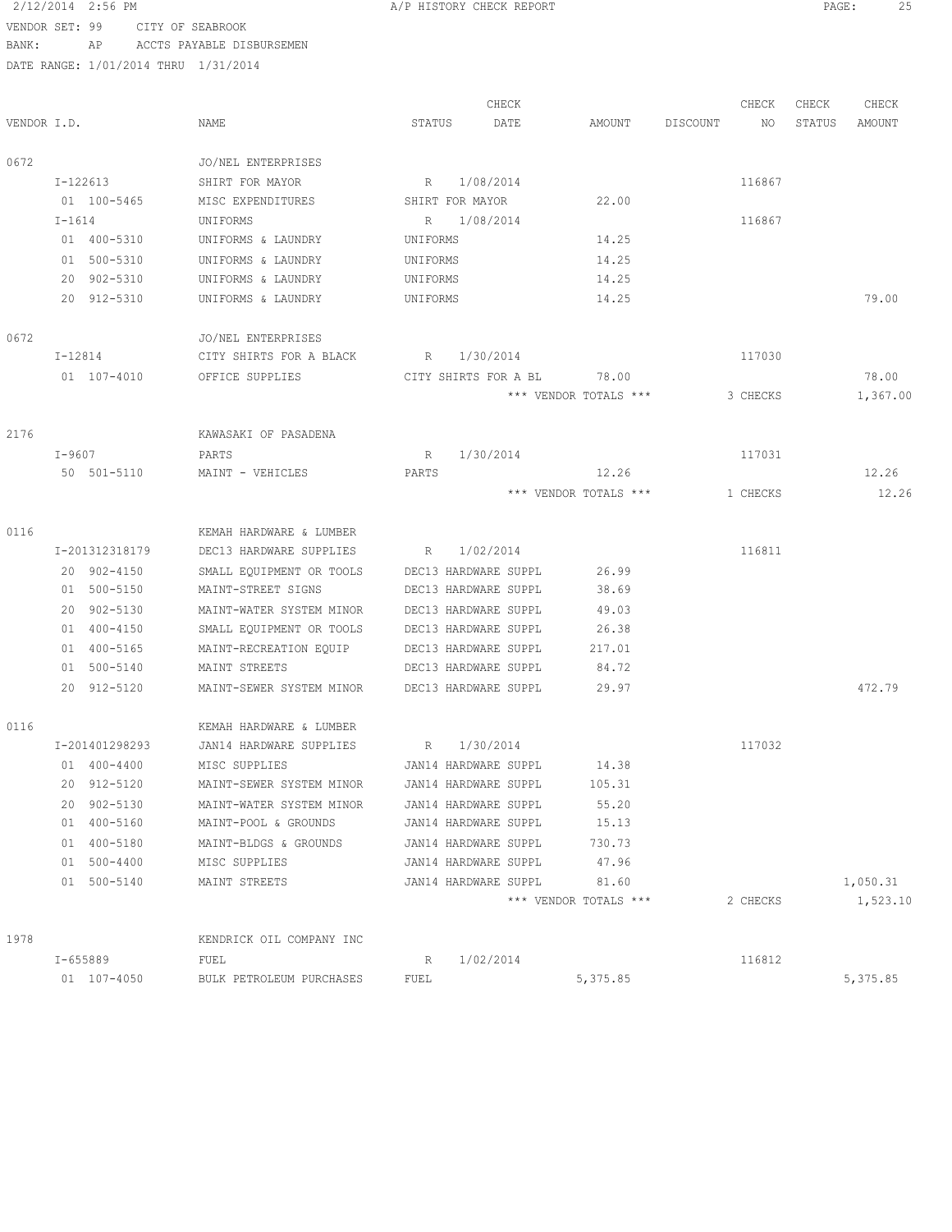# 2/12/2014 2:56 PM **A/P HISTORY CHECK REPORT PAGE:** 25 VENDOR SET: 99 CITY OF SEABROOK

|             |                |                          |                          | CHECK |                       | CHECK          | CHECK  | CHECK    |
|-------------|----------------|--------------------------|--------------------------|-------|-----------------------|----------------|--------|----------|
| VENDOR I.D. |                | NAME                     | STATUS                   | DATE  | AMOUNT                | DISCOUNT<br>NO | STATUS | AMOUNT   |
| 0672        |                | JO/NEL ENTERPRISES       |                          |       |                       |                |        |          |
|             | I-122613       | SHIRT FOR MAYOR          | 1/08/2014<br>$R_{\rm c}$ |       |                       | 116867         |        |          |
|             | 01 100-5465    | MISC EXPENDITURES        | SHIRT FOR MAYOR          |       | 22.00                 |                |        |          |
|             | $I-1614$       | UNIFORMS                 | R 1/08/2014              |       |                       | 116867         |        |          |
|             | 01 400-5310    | UNIFORMS & LAUNDRY       | UNIFORMS                 |       | 14.25                 |                |        |          |
|             | 01 500-5310    | UNIFORMS & LAUNDRY       | UNIFORMS                 |       | 14.25                 |                |        |          |
|             | 20 902-5310    | UNIFORMS & LAUNDRY       | UNIFORMS                 |       | 14.25                 |                |        |          |
|             | 20 912-5310    | UNIFORMS & LAUNDRY       | UNIFORMS                 |       | 14.25                 |                |        | 79.00    |
| 0672        |                | JO/NEL ENTERPRISES       |                          |       |                       |                |        |          |
|             | I-12814        | CITY SHIRTS FOR A BLACK  | R 1/30/2014              |       |                       | 117030         |        |          |
|             | 01 107-4010    | OFFICE SUPPLIES          | CITY SHIRTS FOR A BL     |       | 78.00                 |                |        | 78.00    |
|             |                |                          |                          |       | *** VENDOR TOTALS *** | 3 CHECKS       |        | 1,367.00 |
| 2176        |                | KAWASAKI OF PASADENA     |                          |       |                       |                |        |          |
|             | I-9607         | PARTS                    | 1/30/2014<br>R           |       |                       | 117031         |        |          |
|             | 50 501-5110    | MAINT - VEHICLES         | PARTS                    |       | 12.26                 |                |        | 12.26    |
|             |                |                          |                          |       | *** VENDOR TOTALS *** | 1 CHECKS       |        | 12.26    |
| 0116        |                | KEMAH HARDWARE & LUMBER  |                          |       |                       |                |        |          |
|             | I-201312318179 | DEC13 HARDWARE SUPPLIES  | 1/02/2014<br>R           |       |                       | 116811         |        |          |
|             | 20 902-4150    | SMALL EQUIPMENT OR TOOLS | DEC13 HARDWARE SUPPL     |       | 26.99                 |                |        |          |
|             | 01 500-5150    | MAINT-STREET SIGNS       | DEC13 HARDWARE SUPPL     |       | 38.69                 |                |        |          |
|             | 20 902-5130    | MAINT-WATER SYSTEM MINOR | DEC13 HARDWARE SUPPL     |       | 49.03                 |                |        |          |
|             | 01 400-4150    | SMALL EQUIPMENT OR TOOLS | DEC13 HARDWARE SUPPL     |       | 26.38                 |                |        |          |
|             | 01 400-5165    | MAINT-RECREATION EQUIP   | DEC13 HARDWARE SUPPL     |       | 217.01                |                |        |          |
|             | 01 500-5140    | MAINT STREETS            | DEC13 HARDWARE SUPPL     |       | 84.72                 |                |        |          |
|             | 20 912-5120    | MAINT-SEWER SYSTEM MINOR | DEC13 HARDWARE SUPPL     |       | 29.97                 |                |        | 472.79   |
| 0116        |                | KEMAH HARDWARE & LUMBER  |                          |       |                       |                |        |          |
|             | I-201401298293 | JAN14 HARDWARE SUPPLIES  | R<br>1/30/2014           |       |                       | 117032         |        |          |
|             | 01 400-4400    | MISC SUPPLIES            | JAN14 HARDWARE SUPPL     |       | 14.38                 |                |        |          |
|             | 20 912-5120    | MAINT-SEWER SYSTEM MINOR | JAN14 HARDWARE SUPPL     |       | 105.31                |                |        |          |
|             | 20 902-5130    | MAINT-WATER SYSTEM MINOR | JAN14 HARDWARE SUPPL     |       | 55.20                 |                |        |          |
|             | 01 400-5160    | MAINT-POOL & GROUNDS     | JAN14 HARDWARE SUPPL     |       | 15.13                 |                |        |          |
|             | 01 400-5180    | MAINT-BLDGS & GROUNDS    | JAN14 HARDWARE SUPPL     |       | 730.73                |                |        |          |
|             | 01 500-4400    | MISC SUPPLIES            | JAN14 HARDWARE SUPPL     |       | 47.96                 |                |        |          |
|             | 01 500-5140    | MAINT STREETS            | JAN14 HARDWARE SUPPL     |       | 81.60                 |                |        | 1,050.31 |
|             |                |                          |                          |       | *** VENDOR TOTALS *** | 2 CHECKS       |        | 1,523.10 |
| 1978        |                | KENDRICK OIL COMPANY INC |                          |       |                       |                |        |          |
|             | I-655889       | FUEL                     | 1/02/2014<br>R           |       |                       | 116812         |        |          |
|             | 01 107-4050    | BULK PETROLEUM PURCHASES | FUEL                     |       | 5,375.85              |                |        | 5,375.85 |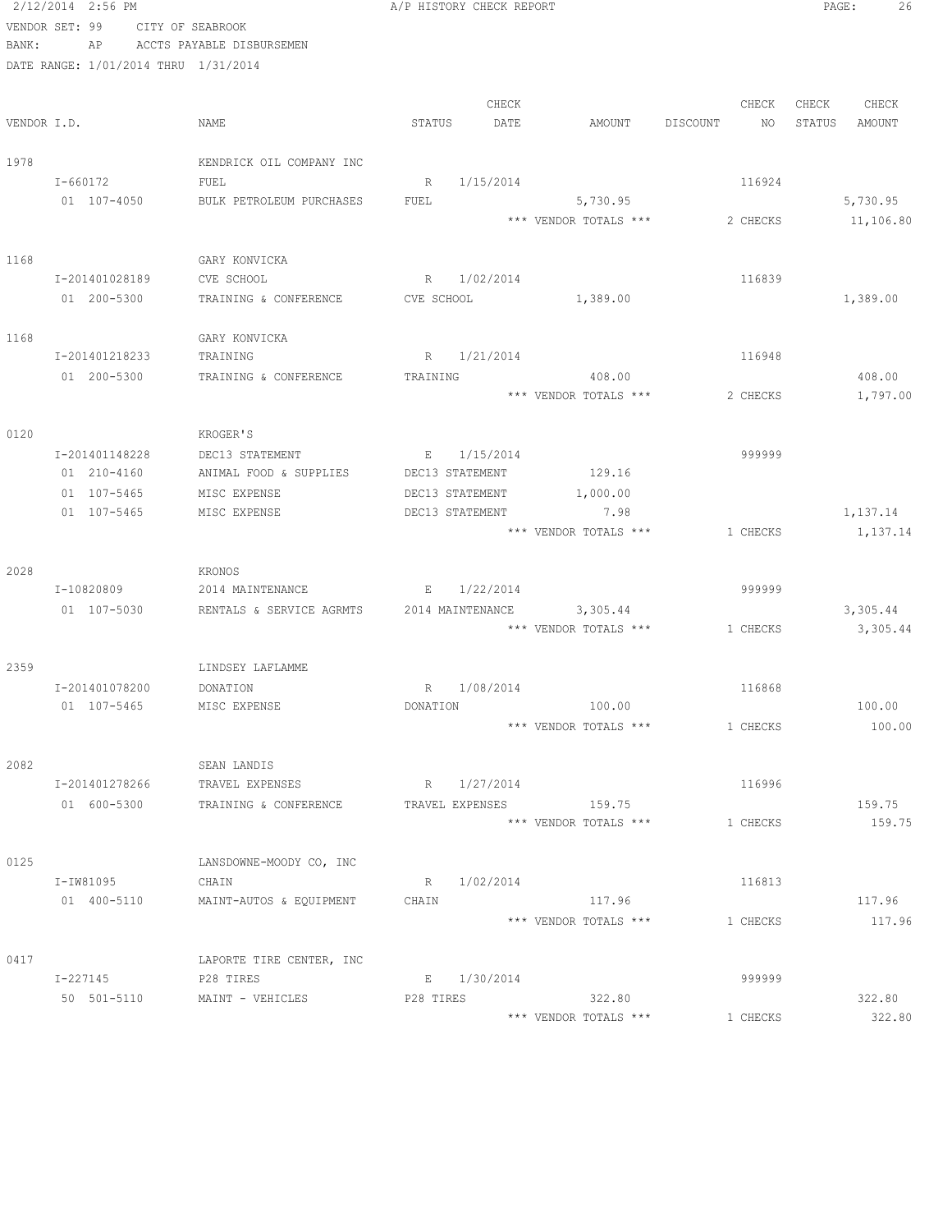|             | 2/12/2014 2:56 PM                    |                                  | A/P HISTORY CHECK REPORT |             |                           |                | PAGE:<br>26      |
|-------------|--------------------------------------|----------------------------------|--------------------------|-------------|---------------------------|----------------|------------------|
|             | VENDOR SET: 99                       | CITY OF SEABROOK                 |                          |             |                           |                |                  |
| BANK:       | AP                                   | ACCTS PAYABLE DISBURSEMEN        |                          |             |                           |                |                  |
|             | DATE RANGE: 1/01/2014 THRU 1/31/2014 |                                  |                          |             |                           |                |                  |
|             |                                      |                                  |                          |             |                           |                |                  |
|             |                                      |                                  |                          | CHECK       |                           | CHECK          | CHECK<br>CHECK   |
| VENDOR I.D. |                                      | NAME                             | STATUS                   | DATE        | AMOUNT                    | DISCOUNT<br>NO | STATUS<br>AMOUNT |
| 1978        |                                      | KENDRICK OIL COMPANY INC         |                          |             |                           |                |                  |
|             | I-660172                             | FUEL                             | R                        | 1/15/2014   |                           | 116924         |                  |
|             | 01 107-4050                          | BULK PETROLEUM PURCHASES         | FUEL                     |             | 5,730.95                  |                | 5,730.95         |
|             |                                      |                                  |                          |             | *** VENDOR TOTALS ***     | 2 CHECKS       | 11,106.80        |
|             |                                      |                                  |                          |             |                           |                |                  |
| 1168        |                                      | GARY KONVICKA                    |                          |             |                           |                |                  |
|             | I-201401028189                       | CVE SCHOOL                       | R                        | 1/02/2014   |                           | 116839         |                  |
|             | 01 200-5300                          | TRAINING & CONFERENCE            | CVE SCHOOL               |             | 1,389.00                  |                | 1,389.00         |
|             |                                      |                                  |                          |             |                           |                |                  |
| 1168        |                                      | GARY KONVICKA                    |                          |             |                           |                |                  |
|             | I-201401218233                       | TRAINING                         |                          | R 1/21/2014 |                           | 116948         |                  |
|             | 01 200-5300                          | TRAINING & CONFERENCE            | TRAINING                 |             | 408.00                    |                | 408.00           |
|             |                                      |                                  |                          |             | *** VENDOR TOTALS ***     | 2 CHECKS       | 1,797.00         |
| 0120        |                                      | KROGER'S                         |                          |             |                           |                |                  |
|             | I-201401148228                       | DEC13 STATEMENT                  |                          | E 1/15/2014 |                           | 999999         |                  |
|             | 01 210-4160                          | ANIMAL FOOD & SUPPLIES           | DEC13 STATEMENT          |             | 129.16                    |                |                  |
|             | 01 107-5465                          | MISC EXPENSE                     | DEC13 STATEMENT          |             | 1,000.00                  |                |                  |
|             | 01 107-5465                          | MISC EXPENSE                     | DEC13 STATEMENT          |             | 7.98                      |                | 1,137.14         |
|             |                                      |                                  |                          |             | *** VENDOR TOTALS ***     | 1 CHECKS       | 1,137.14         |
|             |                                      |                                  |                          |             |                           |                |                  |
| 2028        |                                      | KRONOS                           |                          |             |                           |                |                  |
|             | I-10820809                           | 2014 MAINTENANCE                 | E 1/22/2014              |             |                           | 999999         |                  |
|             | 01 107-5030                          | RENTALS & SERVICE AGRMTS         |                          |             | 2014 MAINTENANCE 3,305.44 |                | 3,305.44         |
|             |                                      |                                  |                          |             | *** VENDOR TOTALS ***     | 1 CHECKS       | 3,305.44         |
| 2359        |                                      | LINDSEY LAFLAMME                 |                          |             |                           |                |                  |
|             | I-201401078200                       | DONATION                         | R                        | 1/08/2014   |                           | 116868         |                  |
|             | 01 107-5465                          | MISC EXPENSE                     | DONATION                 |             | 100.00                    |                | 100.00           |
|             |                                      |                                  |                          |             | *** VENDOR TOTALS ***     | 1 CHECKS       | 100.00           |
|             |                                      |                                  |                          |             |                           |                |                  |
| 2082        |                                      | SEAN LANDIS                      |                          |             |                           |                |                  |
|             | I-201401278266                       | TRAVEL EXPENSES                  | R 1/27/2014              |             |                           | 116996         |                  |
|             | 01 600-5300                          | TRAINING & CONFERENCE            | TRAVEL EXPENSES          |             | 159.75                    |                | 159.75           |
|             |                                      |                                  |                          |             | *** VENDOR TOTALS ***     | 1 CHECKS       | 159.75           |
|             |                                      |                                  |                          |             |                           |                |                  |
| 0125        | I-IW81095                            | LANSDOWNE-MOODY CO, INC<br>CHAIN |                          | R 1/02/2014 |                           | 116813         |                  |
|             | 01 400-5110                          | MAINT-AUTOS & EQUIPMENT          | CHAIN                    |             | 117.96                    |                | 117.96           |
|             |                                      |                                  |                          |             | *** VENDOR TOTALS ***     | 1 CHECKS       | 117.96           |
|             |                                      |                                  |                          |             |                           |                |                  |
| 0417        |                                      | LAPORTE TIRE CENTER, INC         |                          |             |                           |                |                  |
|             | I-227145                             | P28 TIRES                        |                          | E 1/30/2014 |                           | 999999         |                  |
|             |                                      | 50 501-5110 MAINT - VEHICLES     | P28 TIRES                |             | 322.80                    |                | 322.80           |
|             |                                      |                                  |                          |             | *** VENDOR TOTALS ***     | 1 CHECKS       | 322.80           |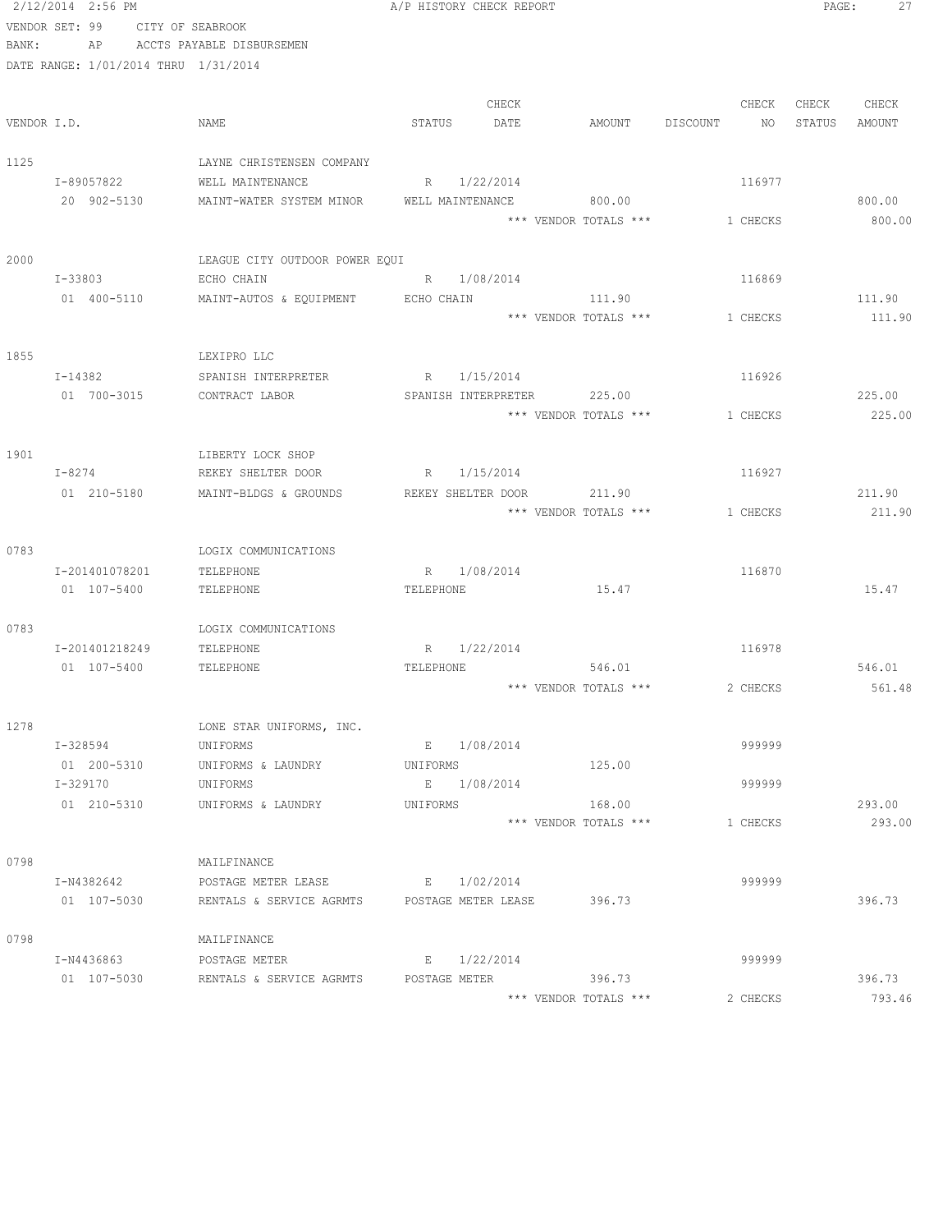|             | 2/12/2014 2:56 PM                    |                                      |                  | A/P HISTORY CHECK REPORT |                            |                                |        | PAGE:<br>27 |
|-------------|--------------------------------------|--------------------------------------|------------------|--------------------------|----------------------------|--------------------------------|--------|-------------|
|             | VENDOR SET: 99                       | CITY OF SEABROOK                     |                  |                          |                            |                                |        |             |
| BANK:       | AP                                   | ACCTS PAYABLE DISBURSEMEN            |                  |                          |                            |                                |        |             |
|             | DATE RANGE: 1/01/2014 THRU 1/31/2014 |                                      |                  |                          |                            |                                |        |             |
|             |                                      |                                      |                  |                          |                            |                                |        |             |
|             |                                      |                                      |                  | CHECK                    |                            | CHECK                          |        | CHECK CHECK |
| VENDOR I.D. |                                      | NAME                                 | STATUS           | DATE                     |                            | AMOUNT DISCOUNT<br>NO 11       | STATUS | AMOUNT      |
| 1125        |                                      | LAYNE CHRISTENSEN COMPANY            |                  |                          |                            |                                |        |             |
|             | I-89057822                           | WELL MAINTENANCE                     |                  | R 1/22/2014              |                            | 116977                         |        |             |
|             | 20 902-5130                          | MAINT-WATER SYSTEM MINOR             | WELL MAINTENANCE |                          | 800.00                     |                                |        | 800.00      |
|             |                                      |                                      |                  |                          |                            | *** VENDOR TOTALS *** 1 CHECKS |        | 800.00      |
|             |                                      |                                      |                  |                          |                            |                                |        |             |
| 2000        |                                      | LEAGUE CITY OUTDOOR POWER EQUI       |                  |                          |                            |                                |        |             |
|             | I-33803                              | ECHO CHAIN                           | R 1/08/2014      |                          |                            | 116869                         |        |             |
|             | 01 400-5110                          | MAINT-AUTOS & EQUIPMENT ECHO CHAIN   |                  |                          | 111.90                     |                                |        | 111.90      |
|             |                                      |                                      |                  |                          | *** VENDOR TOTALS ***      | 1 CHECKS                       |        | 111.90      |
|             |                                      |                                      |                  |                          |                            |                                |        |             |
| 1855        |                                      | LEXIPRO LLC                          |                  |                          |                            |                                |        |             |
|             | I-14382                              | SPANISH INTERPRETER                  |                  | R 1/15/2014              |                            | 116926                         |        |             |
|             | 01 700-3015                          | CONTRACT LABOR                       |                  |                          | SPANISH INTERPRETER 225.00 |                                |        | 225.00      |
|             |                                      |                                      |                  |                          | *** VENDOR TOTALS ***      | 1 CHECKS                       |        | 225.00      |
|             |                                      |                                      |                  |                          |                            |                                |        |             |
| 1901        |                                      | LIBERTY LOCK SHOP                    |                  |                          |                            |                                |        |             |
|             | $I-8274$                             | REKEY SHELTER DOOR                   |                  | R 1/15/2014              |                            | 116927                         |        |             |
|             | 01 210-5180                          | MAINT-BLDGS & GROUNDS                |                  | REKEY SHELTER DOOR       | 211.90                     |                                |        | 211.90      |
|             |                                      |                                      |                  |                          | *** VENDOR TOTALS ***      | 1 CHECKS                       |        | 211.90      |
|             |                                      |                                      |                  |                          |                            |                                |        |             |
| 0783        |                                      | LOGIX COMMUNICATIONS                 |                  |                          |                            |                                |        |             |
|             | I-201401078201                       | TELEPHONE                            | R 1/08/2014      |                          |                            | 116870                         |        |             |
|             | 01 107-5400                          | TELEPHONE                            | TELEPHONE        |                          | 15.47                      |                                |        | 15.47       |
|             |                                      |                                      |                  |                          |                            |                                |        |             |
| 0783        |                                      | LOGIX COMMUNICATIONS                 |                  |                          |                            |                                |        |             |
|             | I-201401218249                       | TELEPHONE                            |                  | R 1/22/2014              |                            | 116978                         |        |             |
|             | 01 107-5400                          | TELEPHONE                            | TELEPHONE        |                          | 546.01                     |                                |        | 546.01      |
|             |                                      |                                      |                  |                          | *** VENDOR TOTALS ***      | 2 CHECKS                       |        | 561.48      |
| 1278        |                                      |                                      |                  |                          |                            |                                |        |             |
|             | I-328594                             | LONE STAR UNIFORMS, INC.<br>UNIFORMS |                  | E 1/08/2014              |                            | 999999                         |        |             |
|             | 01 200-5310                          | UNIFORMS & LAUNDRY                   | UNIFORMS         |                          | 125.00                     |                                |        |             |
|             | I-329170                             | UNIFORMS                             |                  | E 1/08/2014              |                            | 999999                         |        |             |
|             | 01 210-5310                          | UNIFORMS & LAUNDRY                   | UNIFORMS         |                          | 168.00                     |                                |        | 293.00      |
|             |                                      |                                      |                  |                          | *** VENDOR TOTALS ***      | 1 CHECKS                       |        | 293.00      |
|             |                                      |                                      |                  |                          |                            |                                |        |             |
| 0798        |                                      | MAILFINANCE                          |                  |                          |                            |                                |        |             |
|             | I-N4382642                           | POSTAGE METER LEASE                  | E 1/02/2014      |                          |                            | 999999                         |        |             |
|             | 01 107-5030                          | RENTALS & SERVICE AGRMTS             |                  | POSTAGE METER LEASE      | 396.73                     |                                |        | 396.73      |
|             |                                      |                                      |                  |                          |                            |                                |        |             |
| 0798        |                                      | MAILFINANCE                          |                  |                          |                            |                                |        |             |
|             | I-N4436863                           | POSTAGE METER                        |                  | E 1/22/2014              |                            | 999999                         |        |             |
|             | 01 107-5030                          | RENTALS & SERVICE AGRMTS             | POSTAGE METER    |                          | 396.73                     |                                |        | 396.73      |
|             |                                      |                                      |                  |                          | *** VENDOR TOTALS ***      | 2 CHECKS                       |        | 793.46      |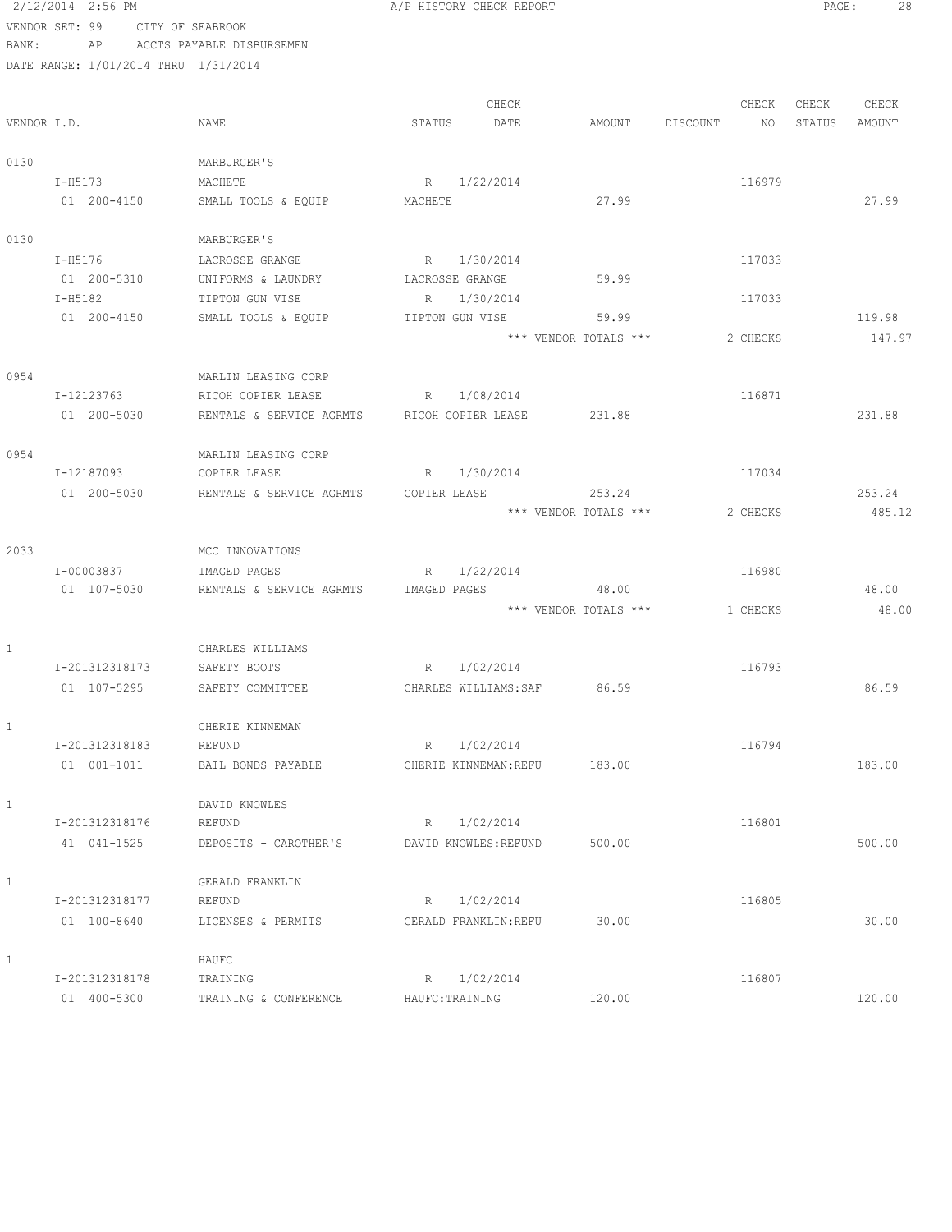2/12/2014 2:56 PM **A/P HISTORY CHECK REPORT PAGE:** 28 VENDOR SET: 99 CITY OF SEABROOK BANK: AP ACCTS PAYABLE DISBURSEMEN

|              |                |                                             |                              | CHECK     |                       |          | CHECK    | CHECK  | CHECK  |
|--------------|----------------|---------------------------------------------|------------------------------|-----------|-----------------------|----------|----------|--------|--------|
| VENDOR I.D.  |                | NAME                                        | STATUS                       | DATE      | AMOUNT                | DISCOUNT | NO       | STATUS | AMOUNT |
| 0130         |                | MARBURGER'S                                 |                              |           |                       |          |          |        |        |
|              | I-H5173        | MACHETE                                     | 1/22/2014<br>R               |           |                       |          | 116979   |        |        |
|              | 01 200-4150    | SMALL TOOLS & EQUIP                         | MACHETE                      |           | 27.99                 |          |          |        | 27.99  |
| 0130         |                | MARBURGER'S                                 |                              |           |                       |          |          |        |        |
|              | I-H5176        | LACROSSE GRANGE                             | R 1/30/2014                  |           |                       |          | 117033   |        |        |
|              | 01 200-5310    | UNIFORMS & LAUNDRY                          | LACROSSE GRANGE              |           | 59.99                 |          |          |        |        |
|              | $T - H5182$    | TIPTON GUN VISE                             | 1/30/2014<br>R               |           |                       |          | 117033   |        |        |
|              | 01 200-4150    | SMALL TOOLS & EQUIP                         | TIPTON GUN VISE              |           | 59.99                 |          |          |        | 119.98 |
|              |                |                                             |                              |           | *** VENDOR TOTALS *** |          | 2 CHECKS |        | 147.97 |
| 0954         |                | MARLIN LEASING CORP                         |                              |           |                       |          |          |        |        |
|              | I-12123763     | RICOH COPIER LEASE                          | R                            | 1/08/2014 |                       |          | 116871   |        |        |
|              | 01 200-5030    | RENTALS & SERVICE AGRMTS RICOH COPIER LEASE |                              |           | 231.88                |          |          |        | 231.88 |
| 0954         |                | MARLIN LEASING CORP                         |                              |           |                       |          |          |        |        |
|              | I-12187093     | COPIER LEASE                                | 1/30/2014<br>R               |           |                       |          | 117034   |        |        |
|              | 01 200-5030    | RENTALS & SERVICE AGRMTS                    | COPIER LEASE                 |           | 253.24                |          |          |        | 253.24 |
|              |                |                                             |                              |           | *** VENDOR TOTALS *** |          | 2 CHECKS |        | 485.12 |
| 2033         |                | MCC INNOVATIONS                             |                              |           |                       |          |          |        |        |
|              | I-00003837     | IMAGED PAGES                                | 1/22/2014<br>R               |           |                       |          | 116980   |        |        |
|              | 01 107-5030    | RENTALS & SERVICE AGRMTS                    | IMAGED PAGES                 |           | 48.00                 |          |          |        | 48.00  |
|              |                |                                             |                              |           | *** VENDOR TOTALS *** |          | 1 CHECKS |        | 48.00  |
| $\mathbf{1}$ |                | CHARLES WILLIAMS                            |                              |           |                       |          |          |        |        |
|              | I-201312318173 | SAFETY BOOTS                                | 1/02/2014<br>R               |           |                       |          | 116793   |        |        |
|              | 01 107-5295    | SAFETY COMMITTEE                            | CHARLES WILLIAMS: SAF 86.59  |           |                       |          |          |        | 86.59  |
| 1            |                | CHERIE KINNEMAN                             |                              |           |                       |          |          |        |        |
|              | I-201312318183 | REFUND                                      | R                            | 1/02/2014 |                       |          | 116794   |        |        |
|              | 01 001-1011    | BAIL BONDS PAYABLE                          | CHERIE KINNEMAN: REFU 183.00 |           |                       |          |          |        | 183.00 |
| $\mathbf{1}$ |                | DAVID KNOWLES                               |                              |           |                       |          |          |        |        |
|              | I-201312318176 | REFUND                                      | 1/02/2014<br>R               |           |                       |          | 116801   |        |        |
|              | 41 041-1525    | DEPOSITS - CAROTHER'S                       | DAVID KNOWLES: REFUND        |           | 500.00                |          |          |        | 500.00 |
| $\mathbf{1}$ |                | GERALD FRANKLIN                             |                              |           |                       |          |          |        |        |
|              | I-201312318177 | REFUND                                      | 1/02/2014<br>R               |           |                       |          | 116805   |        |        |
|              | 01 100-8640    | LICENSES & PERMITS                          | GERALD FRANKLIN: REFU        |           | 30.00                 |          |          |        | 30.00  |
| $\mathbf{1}$ |                | HAUFC                                       |                              |           |                       |          |          |        |        |
|              | I-201312318178 | TRAINING                                    | 1/02/2014<br>R               |           |                       |          | 116807   |        |        |
|              | 01 400-5300    | TRAINING & CONFERENCE                       | HAUFC: TRAINING              |           | 120.00                |          |          |        | 120.00 |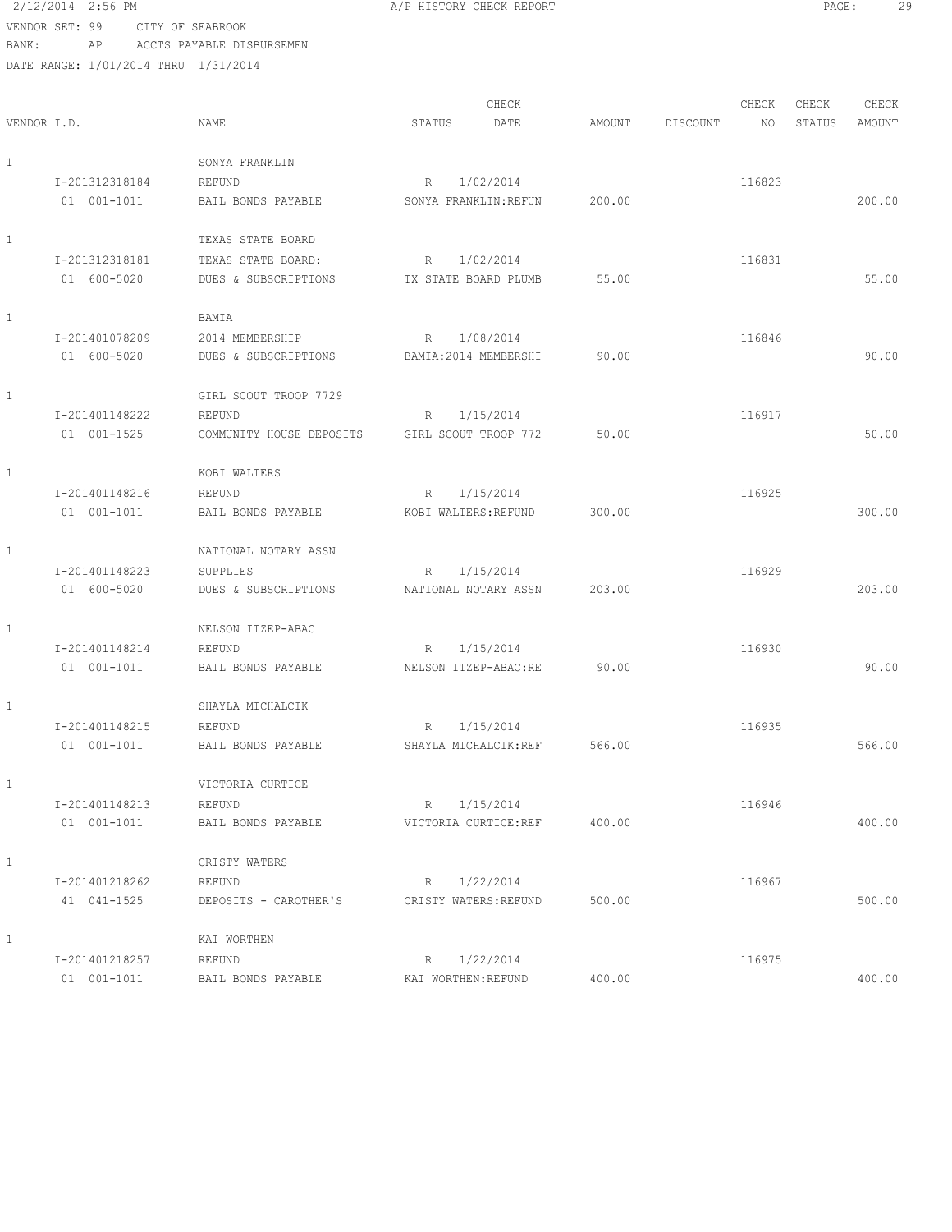2/12/2014 2:56 PM **A/P HISTORY CHECK REPORT PAGE:** 29 VENDOR SET: 99 CITY OF SEABROOK BANK: AP ACCTS PAYABLE DISBURSEMEN DATE RANGE: 1/01/2014 THRU 1/31/2014

| VENDOR I.D.  |                               | <b>NAME</b>                                                     | CHECK<br>STATUS<br>DATE                 | AMOUNT | CHECK<br>DISCOUNT<br>NO | CHECK<br>STATUS | CHECK<br>AMOUNT |
|--------------|-------------------------------|-----------------------------------------------------------------|-----------------------------------------|--------|-------------------------|-----------------|-----------------|
| $\mathbf{1}$ | T-201312318184<br>01 001-1011 | SONYA FRANKLIN<br>REFUND<br>BAIL BONDS PAYABLE                  | 1/02/2014<br>R<br>SONYA FRANKLIN: REFUN | 200.00 | 116823                  |                 | 200.00          |
| $\mathbf{1}$ | I-201312318181<br>01 600-5020 | TEXAS STATE BOARD<br>TEXAS STATE BOARD:<br>DUES & SUBSCRIPTIONS | 1/02/2014<br>R<br>TX STATE BOARD PLUMB  | 55.00  | 116831                  |                 | 55.00           |
| $\mathbf{1}$ | I-201401078209<br>01 600-5020 | BAMIA<br>2014 MEMBERSHIP<br>DUES & SUBSCRIPTIONS                | 1/08/2014<br>R<br>BAMIA: 2014 MEMBERSHI | 90.00  | 116846                  |                 | 90.00           |
| 1            | I-201401148222<br>01 001-1525 | GIRL SCOUT TROOP 7729<br>REFUND<br>COMMUNITY HOUSE DEPOSITS     | 1/15/2014<br>R<br>GIRL SCOUT TROOP 772  | 50.00  | 116917                  |                 | 50.00           |
| 1            | I-201401148216<br>01 001-1011 | KOBI WALTERS<br>REFUND<br>BAIL BONDS PAYABLE                    | 1/15/2014<br>R<br>KOBI WALTERS: REFUND  | 300.00 | 116925                  |                 | 300.00          |
| $\mathbf{1}$ | I-201401148223<br>01 600-5020 | NATIONAL NOTARY ASSN<br>SUPPLIES<br>DUES & SUBSCRIPTIONS        | 1/15/2014<br>R<br>NATIONAL NOTARY ASSN  | 203.00 | 116929                  |                 | 203.00          |
| $\mathbf{1}$ | I-201401148214<br>01 001-1011 | NELSON ITZEP-ABAC<br>REFUND<br>BAIL BONDS PAYABLE               | R<br>1/15/2014<br>NELSON ITZEP-ABAC:RE  | 90.00  | 116930                  |                 | 90.00           |
| 1            | I-201401148215<br>01 001-1011 | SHAYLA MICHALCIK<br>REFUND<br>BAIL BONDS PAYABLE                | 1/15/2014<br>R<br>SHAYLA MICHALCIK: REF | 566.00 | 116935                  |                 | 566.00          |
| $\mathbf{1}$ | I-201401148213<br>01 001-1011 | VICTORIA CURTICE<br>REFUND<br>BAIL BONDS PAYABLE                | R<br>1/15/2014<br>VICTORIA CURTICE:REF  | 400.00 | 116946                  |                 | 400.00          |
| $\mathbf{1}$ | I-201401218262<br>41 041-1525 | CRISTY WATERS<br>REFUND<br>DEPOSITS - CAROTHER'S                | R 1/22/2014<br>CRISTY WATERS: REFUND    | 500.00 | 116967                  |                 | 500.00          |
| $\mathbf{1}$ | I-201401218257<br>01 001-1011 | KAI WORTHEN<br>REFUND<br>BAIL BONDS PAYABLE                     | R 1/22/2014<br>KAI WORTHEN: REFUND      | 400.00 | 116975                  |                 | 400.00          |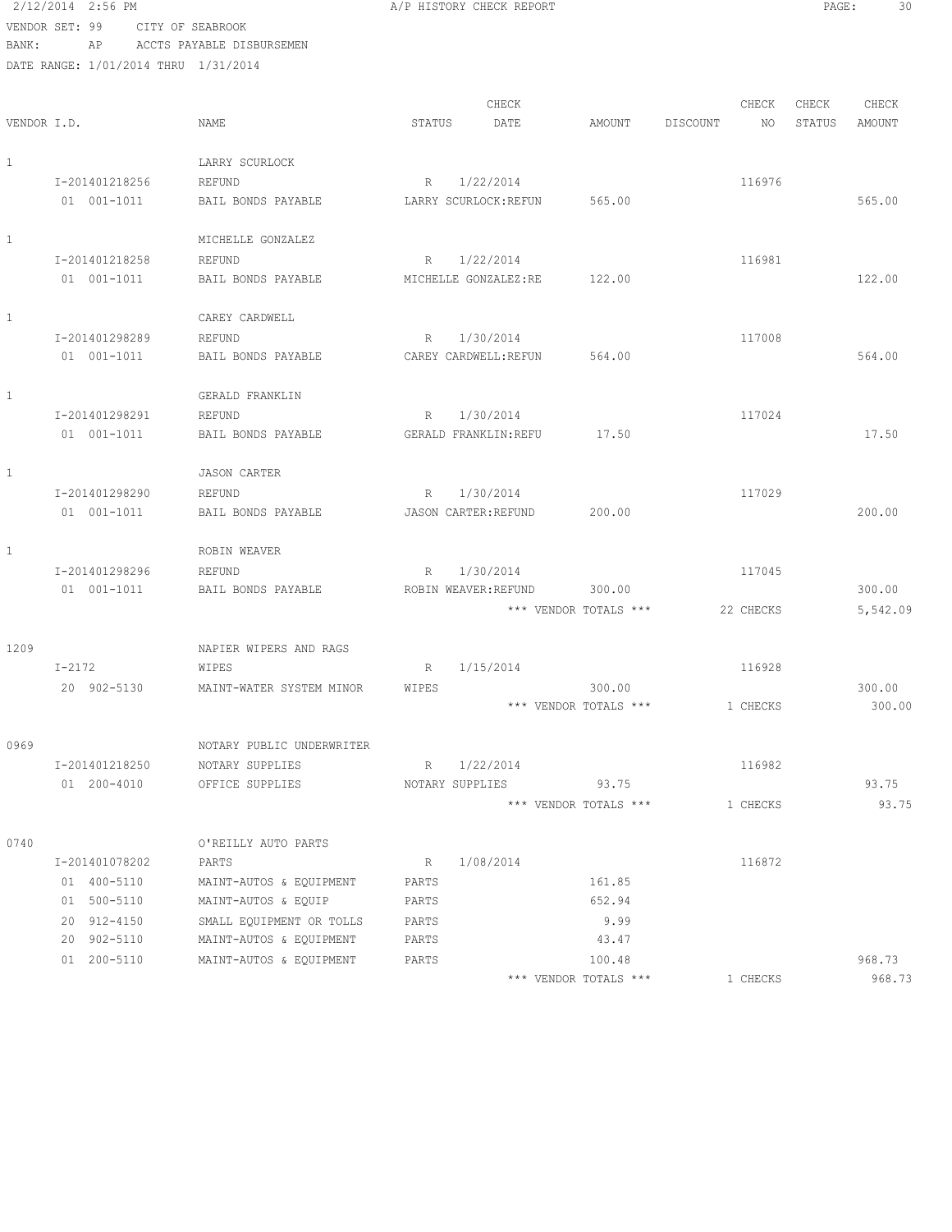2/12/2014 2:56 PM **A/P HISTORY CHECK REPORT PAGE:** 30 VENDOR SET: 99 CITY OF SEABROOK

| BANK:       | ΑP                                   | ACCTS PAYABLE DISBURSEMEN    |                                        |                       |          |           |        |          |
|-------------|--------------------------------------|------------------------------|----------------------------------------|-----------------------|----------|-----------|--------|----------|
|             | DATE RANGE: 1/01/2014 THRU 1/31/2014 |                              |                                        |                       |          |           |        |          |
|             |                                      |                              |                                        |                       |          |           |        |          |
|             |                                      |                              | CHECK                                  |                       |          | CHECK     | CHECK  | CHECK    |
| VENDOR I.D. |                                      | NAME                         | STATUS<br>DATE                         | AMOUNT                | DISCOUNT | NO.       | STATUS | AMOUNT   |
| 1           |                                      | LARRY SCURLOCK               |                                        |                       |          |           |        |          |
|             | I-201401218256                       | REFUND                       | R 1/22/2014                            |                       |          | 116976    |        |          |
|             | 01 001-1011                          | BAIL BONDS PAYABLE           | LARRY SCURLOCK: REFUN                  | 565.00                |          |           |        | 565.00   |
|             |                                      |                              |                                        |                       |          |           |        |          |
| 1           |                                      | MICHELLE GONZALEZ            |                                        |                       |          |           |        |          |
|             | I-201401218258                       | REFUND                       | R 1/22/2014                            |                       |          | 116981    |        |          |
|             | 01 001-1011                          | BAIL BONDS PAYABLE           | MICHELLE GONZALEZ:RE                   | 122.00                |          |           |        | 122.00   |
|             |                                      |                              |                                        |                       |          |           |        |          |
| 1           |                                      | CAREY CARDWELL               |                                        |                       |          |           |        |          |
|             | I-201401298289                       | REFUND                       | 1/30/2014<br>R                         |                       |          | 117008    |        |          |
|             | 01 001-1011                          | BAIL BONDS PAYABLE           | CAREY CARDWELL: REFUN                  | 564.00                |          |           |        | 564.00   |
| 1           |                                      | GERALD FRANKLIN              |                                        |                       |          |           |        |          |
|             | I-201401298291                       | REFUND                       | 1/30/2014<br>R                         |                       |          | 117024    |        |          |
|             | 01 001-1011                          | BAIL BONDS PAYABLE           | GERALD FRANKLIN: REFU                  | 17.50                 |          |           |        | 17.50    |
|             |                                      |                              |                                        |                       |          |           |        |          |
| 1           |                                      | <b>JASON CARTER</b>          |                                        |                       |          |           |        |          |
|             | I-201401298290                       | REFUND                       | R 1/30/2014                            |                       |          | 117029    |        |          |
|             | 01 001-1011                          | BAIL BONDS PAYABLE           | JASON CARTER: REFUND                   | 200.00                |          |           |        | 200.00   |
| 1           |                                      | ROBIN WEAVER                 |                                        |                       |          |           |        |          |
|             |                                      |                              |                                        |                       |          |           |        |          |
|             | I-201401298296<br>01 001-1011        | REFUND<br>BAIL BONDS PAYABLE | 1/30/2014<br>R<br>ROBIN WEAVER: REFUND | 300.00                |          | 117045    |        | 300.00   |
|             |                                      |                              |                                        | *** VENDOR TOTALS *** |          |           |        |          |
|             |                                      |                              |                                        |                       |          | 22 CHECKS |        | 5,542.09 |
| 1209        |                                      | NAPIER WIPERS AND RAGS       |                                        |                       |          |           |        |          |
|             | $I - 2172$                           | WIPES                        | 1/15/2014<br>R                         |                       |          | 116928    |        |          |
|             | 20 902-5130                          | MAINT-WATER SYSTEM MINOR     | WIPES                                  | 300.00                |          |           |        | 300.00   |
|             |                                      |                              |                                        | *** VENDOR TOTALS *** |          | 1 CHECKS  |        | 300.00   |
|             |                                      |                              |                                        |                       |          |           |        |          |
| 0969        |                                      | NOTARY PUBLIC UNDERWRITER    |                                        |                       |          |           |        |          |
|             | I-201401218250                       | NOTARY SUPPLIES              | 1/22/2014<br>$R_{\perp}$               |                       |          | 116982    |        |          |
|             | 01 200-4010                          | OFFICE SUPPLIES              | NOTARY SUPPLIES                        | 93.75                 |          |           |        | 93.75    |
|             |                                      |                              |                                        | *** VENDOR TOTALS *** |          | 1 CHECKS  |        | 93.75    |
| 0740        |                                      | O'REILLY AUTO PARTS          |                                        |                       |          |           |        |          |
|             | I-201401078202                       | PARTS                        | 1/08/2014<br>R                         |                       |          | 116872    |        |          |
|             | 01 400-5110                          | MAINT-AUTOS & EQUIPMENT      | PARTS                                  | 161.85                |          |           |        |          |
|             | 01 500-5110                          | MAINT-AUTOS & EQUIP          | PARTS                                  | 652.94                |          |           |        |          |
|             | 20 912-4150                          | SMALL EQUIPMENT OR TOLLS     | PARTS                                  | 9.99                  |          |           |        |          |
|             | 20 902-5110                          | MAINT-AUTOS & EQUIPMENT      | PARTS                                  | 43.47                 |          |           |        |          |
|             | 01 200-5110                          | MAINT-AUTOS & EQUIPMENT      | PARTS                                  | 100.48                |          |           |        | 968.73   |
|             |                                      |                              |                                        | *** VENDOR TOTALS *** |          | 1 CHECKS  |        | 968.73   |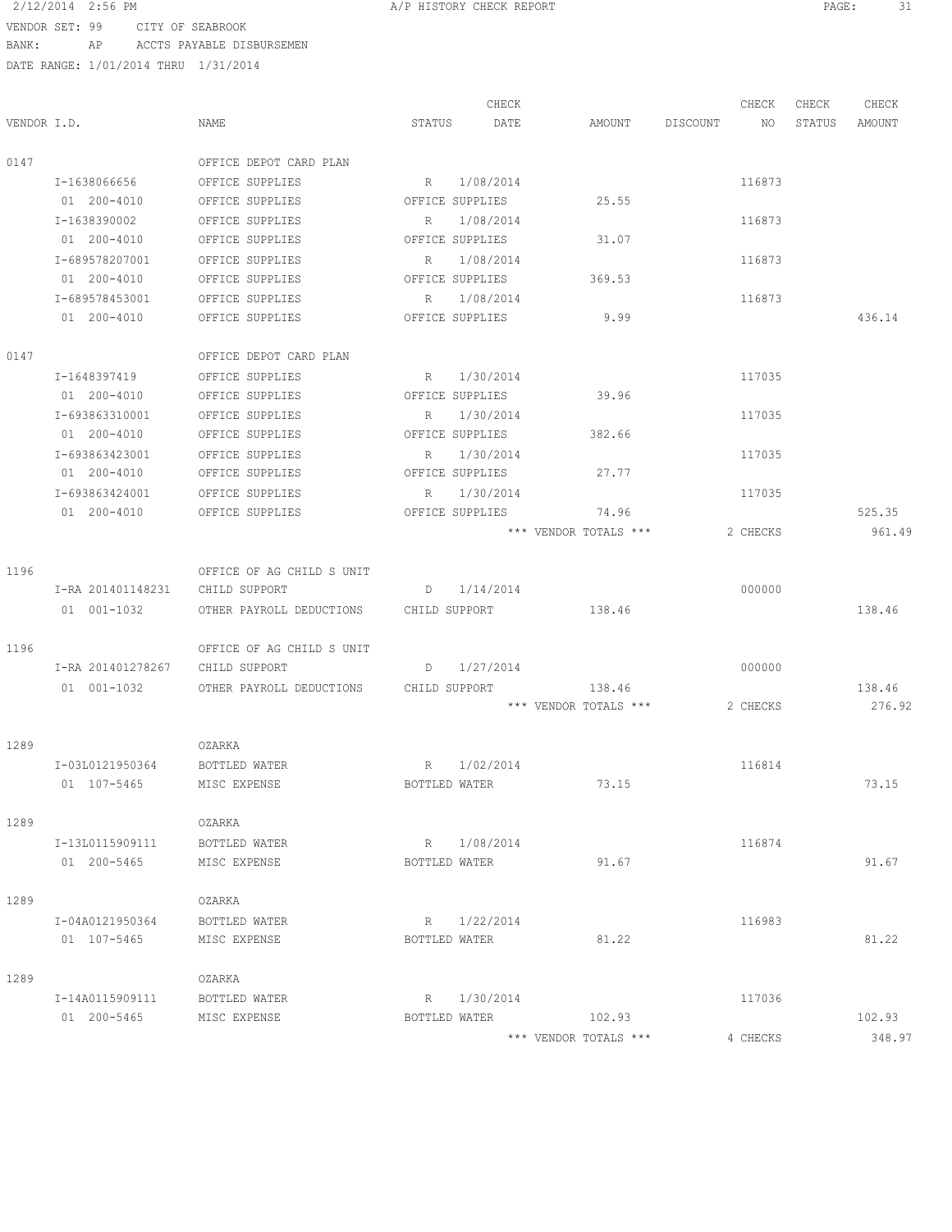# 2/12/2014 2:56 PM **A/P HISTORY CHECK REPORT PAGE:** 31 VENDOR SET: 99 CIT

| VENDOR SET: 99 | CITY OF SEABROOK                     |                           |             |                 |        |          |        |        |        |
|----------------|--------------------------------------|---------------------------|-------------|-----------------|--------|----------|--------|--------|--------|
| BANK:          | AP                                   | ACCTS PAYABLE DISBURSEMEN |             |                 |        |          |        |        |        |
|                | DATE RANGE: 1/01/2014 THRU 1/31/2014 |                           |             |                 |        |          |        |        |        |
|                |                                      |                           |             | CHECK           |        |          | CHECK  | CHECK  |        |
|                |                                      |                           |             |                 |        |          |        |        | CHECK  |
| VENDOR I.D.    |                                      | <b>NAME</b>               | STATUS      | DATE            | AMOUNT | DISCOUNT | NO     | STATUS | AMOUNT |
| 0147           |                                      | OFFICE DEPOT CARD PLAN    |             |                 |        |          |        |        |        |
|                | I-1638066656                         | OFFICE SUPPLIES           | $R_{\perp}$ | 1/08/2014       |        |          | 116873 |        |        |
|                | 01 200-4010                          | OFFICE SUPPLIES           |             | OFFICE SUPPLIES | 25.55  |          |        |        |        |
|                | I-1638390002                         | OFFICE SUPPLIES           | R           | 1/08/2014       |        |          | 116873 |        |        |
|                | 01 200-4010                          | OFFICE SUPPLIES           |             | OFFICE SUPPLIES | 31.07  |          |        |        |        |
|                | I-689578207001                       | OFFICE SUPPLIES           | R           | 1/08/2014       |        |          | 116873 |        |        |
|                | 01 200-4010                          | OFFICE SUPPLIES           |             | OFFICE SUPPLIES | 369.53 |          |        |        |        |
|                | I-689578453001                       | OFFICE SUPPLIES           | R           | 1/08/2014       |        |          | 116873 |        |        |
|                | 01 200-4010                          | OFFICE SUPPLIES           |             | OFFICE SUPPLIES | 9.99   |          |        |        | 436.14 |
| 0147           |                                      | OFFICE DEPOT CARD PLAN    |             |                 |        |          |        |        |        |
|                | T-1648397419                         | OFFICE SUPPLIES           | R           | 1/30/2014       |        |          | 117035 |        |        |

| 0147           | OFFICE DEPOT CARD PLAN |                 |                       |          |        |
|----------------|------------------------|-----------------|-----------------------|----------|--------|
| I-1648397419   | OFFICE SUPPLIES        | 1/30/2014<br>R  |                       | 117035   |        |
| $01200 - 4010$ | OFFICE SUPPLIES        | OFFICE SUPPLIES | 39.96                 |          |        |
| I-693863310001 | OFFICE SUPPLIES        | 1/30/2014<br>R  |                       | 117035   |        |
| 01 200-4010    | OFFICE SUPPLIES        | OFFICE SUPPLIES | 382.66                |          |        |
| I-693863423001 | OFFICE SUPPLIES        | 1/30/2014<br>R  |                       | 117035   |        |
| $01200 - 4010$ | OFFICE SUPPLIES        | OFFICE SUPPLIES | 27.77                 |          |        |
| T-693863424001 | OFFICE SUPPLIES        | 1/30/2014<br>R. |                       | 117035   |        |
| 01 200-4010    | OFFICE SUPPLIES        | OFFICE SUPPLIES | 74.96                 |          | 525.35 |
|                |                        |                 | *** VENDOR TOTALS *** | 2 CHECKS | 961.49 |

| 1196 |     |                   | OFFICE OF AG CHILD S UNIT |               |                   |          |        |
|------|-----|-------------------|---------------------------|---------------|-------------------|----------|--------|
|      |     | I-RA 201401148231 | CHILD SUPPORT             | 1/14/2014     |                   | 000000   |        |
|      | 01  | 001-1032          | OTHER PAYROLL DEDUCTIONS  | CHILD SUPPORT | 138.46            |          | 138.46 |
| 1196 |     |                   | OFFICE OF AG CHILD S UNIT |               |                   |          |        |
|      |     | I-RA 201401278267 | CHILD SUPPORT             | 1/27/2014     |                   | 000000   |        |
|      | 01. | $001 - 1032$      | OTHER PAYROLL DEDUCTIONS  | CHILD SUPPORT | 138.46            |          | 138.46 |
|      |     |                   |                           | ***           | VENDOR TOTALS *** | 2 CHECKS | 276.92 |

| 1289 |                 | OZARKA        |               |           |                       |          |        |
|------|-----------------|---------------|---------------|-----------|-----------------------|----------|--------|
|      | I-03L0121950364 | BOTTLED WATER | R             | 1/02/2014 |                       | 116814   |        |
|      | 01 107-5465     | MISC EXPENSE  | BOTTLED WATER |           | 73.15                 |          | 73.15  |
| 1289 |                 | OZARKA        |               |           |                       |          |        |
|      | I-13L0115909111 | BOTTLED WATER | R             | 1/08/2014 |                       | 116874   |        |
|      | 200-5465<br>01  | MISC EXPENSE  | BOTTLED WATER |           | 91.67                 |          | 91.67  |
| 1289 |                 | OZARKA        |               |           |                       |          |        |
|      | I-04A0121950364 | BOTTLED WATER | R             | 1/22/2014 |                       | 116983   |        |
|      | 01 107-5465     | MISC EXPENSE  | BOTTLED WATER |           | 81.22                 |          | 81.22  |
| 1289 |                 | OZARKA        |               |           |                       |          |        |
|      | I-14A0115909111 | BOTTLED WATER | R             | 1/30/2014 |                       | 117036   |        |
|      | 200-5465<br>01  | MISC EXPENSE  | BOTTLED WATER |           | 102.93                |          | 102.93 |
|      |                 |               |               |           | *** VENDOR TOTALS *** | 4 CHECKS | 348.97 |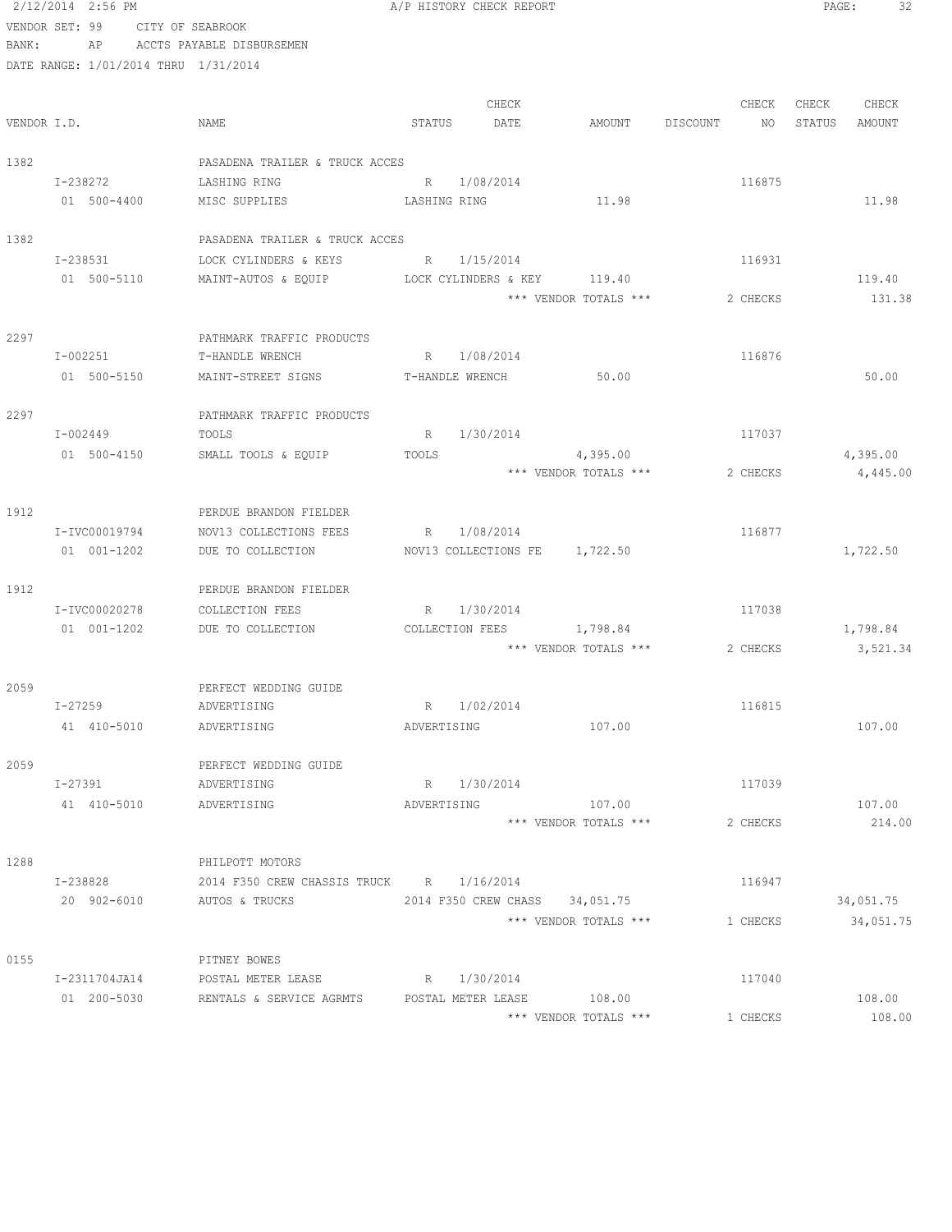|             | 2/12/2014 2:56 PM                    |                                          | A/P HISTORY CHECK REPORT       |                       |          | 32<br>PAGE:      |
|-------------|--------------------------------------|------------------------------------------|--------------------------------|-----------------------|----------|------------------|
|             | VENDOR SET: 99 CITY OF SEABROOK      |                                          |                                |                       |          |                  |
| BANK:       | AP                                   | ACCTS PAYABLE DISBURSEMEN                |                                |                       |          |                  |
|             | DATE RANGE: 1/01/2014 THRU 1/31/2014 |                                          |                                |                       |          |                  |
|             |                                      |                                          |                                |                       |          |                  |
|             |                                      |                                          | CHECK                          |                       | CHECK    | CHECK<br>CHECK   |
| VENDOR I.D. |                                      | NAME                                     | STATUS<br>DATE                 | AMOUNT DISCOUNT       | NO       | STATUS<br>AMOUNT |
| 1382        |                                      | PASADENA TRAILER & TRUCK ACCES           |                                |                       |          |                  |
|             | I-238272                             | LASHING RING                             | R 1/08/2014                    |                       | 116875   |                  |
|             | 01 500-4400                          | MISC SUPPLIES                            | LASHING RING                   | 11.98                 |          | 11.98            |
| 1382        |                                      | PASADENA TRAILER & TRUCK ACCES           |                                |                       |          |                  |
|             | I-238531                             | LOCK CYLINDERS & KEYS                    | R 1/15/2014                    |                       | 116931   |                  |
|             | 01 500-5110                          | MAINT-AUTOS & EQUIP                      | LOCK CYLINDERS & KEY 119.40    |                       |          | 119.40           |
|             |                                      |                                          |                                | *** VENDOR TOTALS *** | 2 CHECKS | 131.38           |
| 2297        |                                      | PATHMARK TRAFFIC PRODUCTS                |                                |                       |          |                  |
|             | I-002251                             | T-HANDLE WRENCH                          | R 1/08/2014                    |                       | 116876   |                  |
|             | 01 500-5150                          | MAINT-STREET SIGNS                       | T-HANDLE WRENCH                | 50.00                 |          | 50.00            |
| 2297        |                                      | PATHMARK TRAFFIC PRODUCTS                |                                |                       |          |                  |
|             | I-002449                             | TOOLS                                    | 1/30/2014<br>R                 |                       | 117037   |                  |
|             | 01 500-4150                          | SMALL TOOLS & EQUIP                      | TOOLS                          | 4,395.00              |          | 4,395.00         |
|             |                                      |                                          |                                | *** VENDOR TOTALS *** | 2 CHECKS | 4,445.00         |
| 1912        |                                      | PERDUE BRANDON FIELDER                   |                                |                       |          |                  |
|             | I-IVC00019794                        | NOV13 COLLECTIONS FEES                   | R 1/08/2014                    |                       | 116877   |                  |
|             | 01 001-1202                          | DUE TO COLLECTION                        | NOV13 COLLECTIONS FE 1,722.50  |                       |          | 1,722.50         |
| 1912        |                                      | PERDUE BRANDON FIELDER                   |                                |                       |          |                  |
|             | I-IVC00020278                        | COLLECTION FEES                          | R 1/30/2014                    |                       | 117038   |                  |
|             | 01 001-1202                          | DUE TO COLLECTION                        | COLLECTION FEES                | 1,798.84              |          | 1,798.84         |
|             |                                      |                                          |                                | *** VENDOR TOTALS *** | 2 CHECKS | 3,521.34         |
| 2059        |                                      | PERFECT WEDDING GUIDE                    |                                |                       |          |                  |
|             | $I - 27259$                          | ADVERTISING                              | R 1/02/2014                    |                       | 116815   |                  |
|             | 41 410-5010                          | ADVERTISING                              | ADVERTISING                    | 107.00                |          | 107.00           |
| 2059        |                                      | PERFECT WEDDING GUIDE                    |                                |                       |          |                  |
|             | I-27391                              | ADVERTISING                              | R 1/30/2014                    |                       | 117039   |                  |
|             | 41 410-5010                          | ADVERTISING                              | ADVERTISING                    | 107.00                |          | 107.00           |
|             |                                      |                                          |                                | *** VENDOR TOTALS *** | 2 CHECKS | 214.00           |
| 1288        |                                      | PHILPOTT MOTORS                          |                                |                       |          |                  |
|             | I-238828                             | 2014 F350 CREW CHASSIS TRUCK R 1/16/2014 |                                |                       | 116947   |                  |
|             | 20 902-6010                          | AUTOS & TRUCKS                           | 2014 F350 CREW CHASS 34,051.75 |                       |          | 34,051.75        |
|             |                                      |                                          |                                | *** VENDOR TOTALS *** | 1 CHECKS | 34,051.75        |
| 0155        |                                      | PITNEY BOWES                             |                                |                       |          |                  |
|             | I-2311704JA14                        | POSTAL METER LEASE                       | R 1/30/2014                    |                       | 117040   |                  |
|             | 01 200-5030                          | RENTALS & SERVICE AGRMTS                 | POSTAL METER LEASE             | 108.00                |          | 108.00           |
|             |                                      |                                          |                                | *** VENDOR TOTALS *** | 1 CHECKS | 108.00           |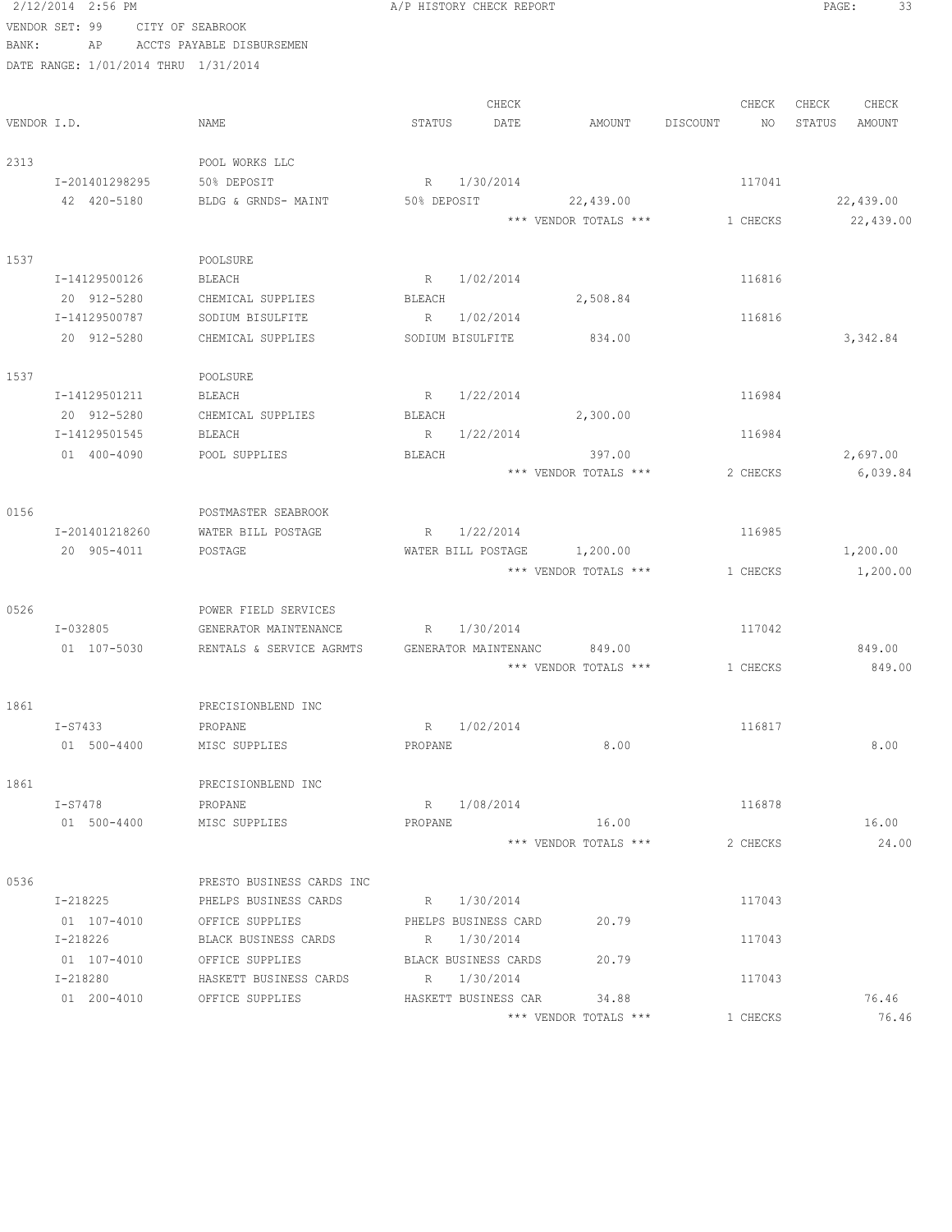|             | 2/12/2014 2:56 PM                    |                                               |             | A/P HISTORY CHECK REPORT |                       |          |          | PAGE:  | 33               |
|-------------|--------------------------------------|-----------------------------------------------|-------------|--------------------------|-----------------------|----------|----------|--------|------------------|
|             | VENDOR SET: 99                       | CITY OF SEABROOK                              |             |                          |                       |          |          |        |                  |
| BANK:       | AP                                   | ACCTS PAYABLE DISBURSEMEN                     |             |                          |                       |          |          |        |                  |
|             | DATE RANGE: 1/01/2014 THRU 1/31/2014 |                                               |             |                          |                       |          |          |        |                  |
|             |                                      |                                               |             |                          |                       |          |          |        |                  |
|             |                                      |                                               |             | CHECK                    |                       |          | CHECK    | CHECK  | CHECK            |
| VENDOR I.D. |                                      | NAME                                          | STATUS      | DATE                     | AMOUNT                | DISCOUNT | NO       | STATUS | AMOUNT           |
|             |                                      |                                               |             |                          |                       |          |          |        |                  |
| 2313        |                                      | POOL WORKS LLC                                |             |                          |                       |          |          |        |                  |
|             | I-201401298295                       | 50% DEPOSIT                                   |             | R 1/30/2014              |                       |          | 117041   |        |                  |
|             | 42 420-5180                          | BLDG & GRNDS- MAINT                           | 50% DEPOSIT |                          | 22,439.00             |          |          |        | 22,439.00        |
|             |                                      |                                               |             |                          | *** VENDOR TOTALS *** |          | 1 CHECKS |        | 22,439.00        |
|             |                                      |                                               |             |                          |                       |          |          |        |                  |
| 1537        |                                      | POOLSURE                                      |             |                          |                       |          |          |        |                  |
|             | I-14129500126                        | BLEACH                                        |             | R 1/02/2014              |                       |          | 116816   |        |                  |
|             | 20 912-5280                          | CHEMICAL SUPPLIES                             | BLEACH      |                          | 2,508.84              |          |          |        |                  |
|             | I-14129500787                        | SODIUM BISULFITE                              |             | R 1/02/2014              |                       |          | 116816   |        |                  |
|             | 20 912-5280                          | CHEMICAL SUPPLIES                             |             | SODIUM BISULFITE         | 834.00                |          |          |        | 3,342.84         |
|             |                                      |                                               |             |                          |                       |          |          |        |                  |
| 1537        |                                      | POOLSURE                                      |             |                          |                       |          |          |        |                  |
|             | I-14129501211                        | BLEACH                                        |             | R 1/22/2014              |                       |          | 116984   |        |                  |
|             | 20 912-5280                          | CHEMICAL SUPPLIES                             | BLEACH      |                          | 2,300.00              |          |          |        |                  |
|             | I-14129501545                        | BLEACH                                        |             | R 1/22/2014              |                       |          | 116984   |        |                  |
|             | 01 400-4090                          | POOL SUPPLIES                                 | BLEACH      |                          | 397.00                |          |          |        | 2,697.00         |
|             |                                      |                                               |             |                          | *** VENDOR TOTALS *** |          | 2 CHECKS |        | 6,039.84         |
|             |                                      |                                               |             |                          |                       |          |          |        |                  |
| 0156        |                                      | POSTMASTER SEABROOK                           |             |                          |                       |          |          |        |                  |
|             | I-201401218260                       | WATER BILL POSTAGE                            |             | R 1/22/2014              |                       |          | 116985   |        |                  |
|             | 20 905-4011                          | POSTAGE                                       |             | WATER BILL POSTAGE       | 1,200.00              |          |          |        | 1,200.00         |
|             |                                      |                                               |             |                          | *** VENDOR TOTALS *** |          | 1 CHECKS |        | 1,200.00         |
|             |                                      |                                               |             |                          |                       |          |          |        |                  |
| 0526        | I-032805                             | POWER FIELD SERVICES<br>GENERATOR MAINTENANCE |             | R 1/30/2014              |                       |          | 117042   |        |                  |
|             | 01 107-5030                          |                                               |             |                          | 849.00                |          |          |        |                  |
|             |                                      | RENTALS & SERVICE AGRMTS                      |             | GENERATOR MAINTENANC     | *** VENDOR TOTALS *** |          | 1 CHECKS |        | 849.00<br>849.00 |
|             |                                      |                                               |             |                          |                       |          |          |        |                  |
| 1861        |                                      | PRECISIONBLEND INC                            |             |                          |                       |          |          |        |                  |
|             | I-S7433                              | PROPANE                                       |             | R 1/02/2014              |                       |          | 116817   |        |                  |
|             | 01 500-4400                          | MISC SUPPLIES                                 | PROPANE     |                          | 8.00                  |          |          |        | 8.00             |
|             |                                      |                                               |             |                          |                       |          |          |        |                  |
| 1861        |                                      | PRECISIONBLEND INC                            |             |                          |                       |          |          |        |                  |
|             | I-S7478                              | PROPANE                                       |             | R 1/08/2014              |                       |          | 116878   |        |                  |
|             | 01 500-4400                          | MISC SUPPLIES                                 | PROPANE     |                          | 16.00                 |          |          |        | 16.00            |
|             |                                      |                                               |             |                          | *** VENDOR TOTALS *** |          | 2 CHECKS |        | 24.00            |
|             |                                      |                                               |             |                          |                       |          |          |        |                  |
| 0536        |                                      | PRESTO BUSINESS CARDS INC                     |             |                          |                       |          |          |        |                  |
|             | I-218225                             | PHELPS BUSINESS CARDS                         |             | R 1/30/2014              |                       |          | 117043   |        |                  |
|             | 01 107-4010                          | OFFICE SUPPLIES                               |             | PHELPS BUSINESS CARD     | 20.79                 |          |          |        |                  |
|             | I-218226                             | BLACK BUSINESS CARDS                          |             | R 1/30/2014              |                       |          | 117043   |        |                  |
|             | 01 107-4010                          | OFFICE SUPPLIES                               |             | BLACK BUSINESS CARDS     | 20.79                 |          |          |        |                  |
|             | I-218280                             | HASKETT BUSINESS CARDS                        |             | R 1/30/2014              |                       |          | 117043   |        |                  |
|             | 01 200-4010                          | OFFICE SUPPLIES                               |             | HASKETT BUSINESS CAR     | 34.88                 |          |          |        | 76.46            |
|             |                                      |                                               |             |                          | *** VENDOR TOTALS *** |          | 1 CHECKS |        | 76.46            |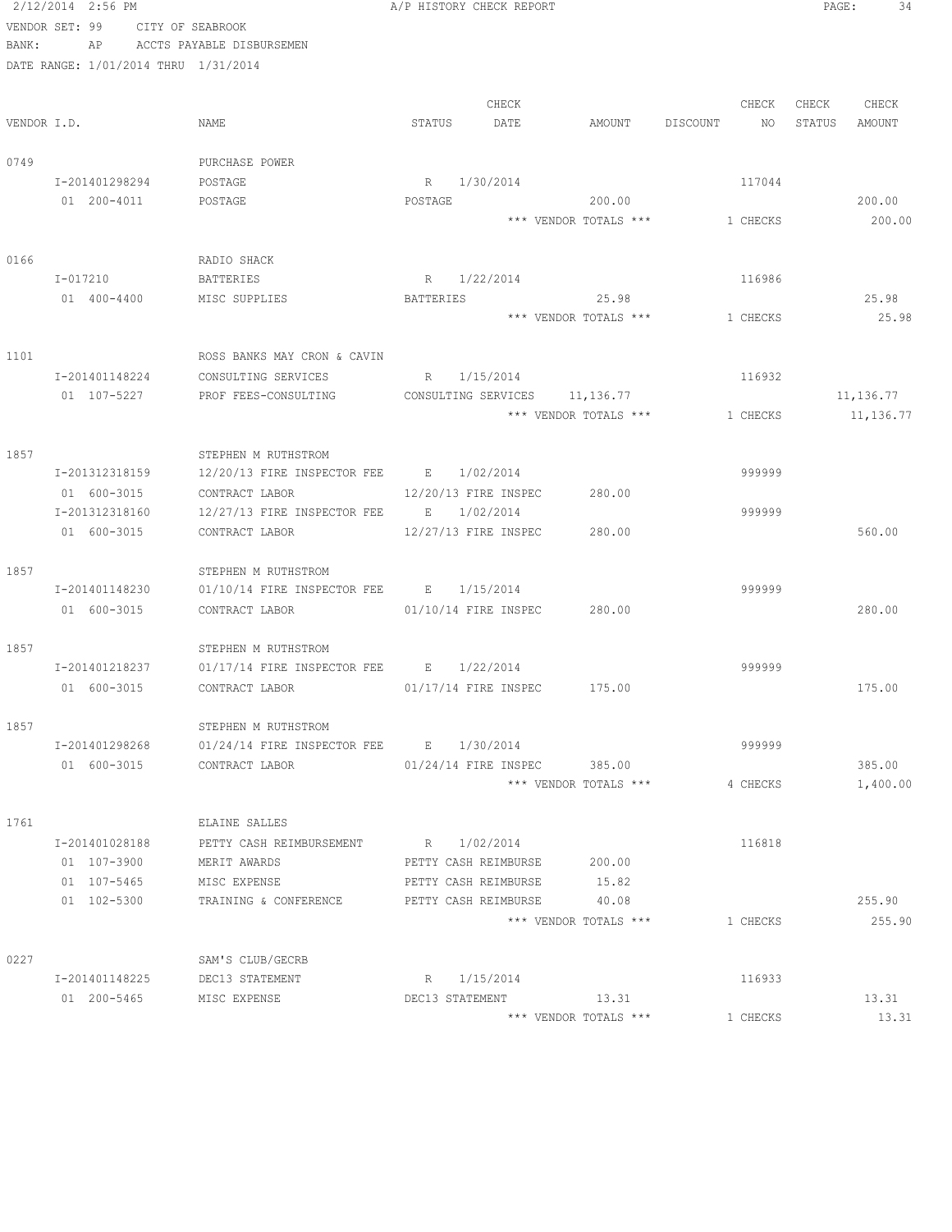|       | 2/12/2014 2:56 PM                    |                                                          | A/P HISTORY CHECK REPORT                                   | PAGE:<br>34      |
|-------|--------------------------------------|----------------------------------------------------------|------------------------------------------------------------|------------------|
|       | VENDOR SET: 99                       | CITY OF SEABROOK                                         |                                                            |                  |
| BANK: | ΑP                                   | ACCTS PAYABLE DISBURSEMEN                                |                                                            |                  |
|       | DATE RANGE: 1/01/2014 THRU 1/31/2014 |                                                          |                                                            |                  |
|       |                                      |                                                          | CHECK<br>CHECK                                             | CHECK CHECK      |
|       | VENDOR I.D.                          | NAME                                                     | STATUS<br>DATE<br>AMOUNT DISCOUNT NO                       | STATUS<br>AMOUNT |
| 0749  |                                      | PURCHASE POWER                                           |                                                            |                  |
|       | I-201401298294                       | POSTAGE                                                  | R 1/30/2014<br>117044                                      |                  |
|       | 01 200-4011                          | POSTAGE                                                  | POSTAGE<br>200.00                                          | 200.00           |
|       |                                      |                                                          | *** VENDOR TOTALS *** 1 CHECKS                             | 200.00           |
| 0166  |                                      | RADIO SHACK                                              |                                                            |                  |
|       | I-017210                             | BATTERIES                                                | R 1/22/2014<br>116986                                      |                  |
|       | 01 400-4400                          | MISC SUPPLIES                                            | BATTERIES 25.98                                            | 25.98            |
|       |                                      |                                                          | *** VENDOR TOTALS ***<br>1 CHECKS                          | 25.98            |
|       |                                      |                                                          |                                                            |                  |
| 1101  |                                      | ROSS BANKS MAY CRON & CAVIN                              |                                                            |                  |
|       | I-201401148224                       | CONSULTING SERVICES                                      | R 1/15/2014<br>116932                                      |                  |
|       | 01 107-5227                          | PROF FEES-CONSULTING                                     | CONSULTING SERVICES 11,136.77                              | 11,136.77        |
|       |                                      |                                                          | *** VENDOR TOTALS ***<br>1 CHECKS                          | 11,136.77        |
| 1857  |                                      | STEPHEN M RUTHSTROM                                      |                                                            |                  |
|       | I-201312318159                       | 12/20/13 FIRE INSPECTOR FEE B 1/02/2014                  | 999999                                                     |                  |
|       | 01 600-3015                          | CONTRACT LABOR                                           | 12/20/13 FIRE INSPEC<br>280.00                             |                  |
|       | I-201312318160                       | $12/27/13$ FIRE INSPECTOR FEE B $1/02/2014$              | 999999                                                     |                  |
|       | 01 600-3015                          | CONTRACT LABOR                                           | 12/27/13 FIRE INSPEC<br>280.00                             | 560.00           |
| 1857  |                                      | STEPHEN M RUTHSTROM                                      |                                                            |                  |
|       | I-201401148230                       | $01/10/14$ FIRE INSPECTOR FEE B 1/15/2014                | 999999                                                     |                  |
|       | 01 600-3015                          | CONTRACT LABOR                                           | 01/10/14 FIRE INSPEC 280.00                                | 280.00           |
| 1857  |                                      | STEPHEN M RUTHSTROM                                      |                                                            |                  |
|       |                                      | $I-201401218237$ 01/17/14 FIRE INSPECTOR FEE B 1/22/2014 | 999999                                                     |                  |
|       | 01 600-3015                          | CONTRACT LABOR                                           | 01/17/14 FIRE INSPEC 175.00                                | 175.00           |
| 1857  |                                      | STEPHEN M RUTHSTROM                                      |                                                            |                  |
|       | I-201401298268                       | 01/24/14 FIRE INSPECTOR FEE B 1/30/2014                  | 999999                                                     |                  |
|       | 01 600-3015 CONTRACT LABOR           |                                                          | 01/24/14 FIRE INSPEC 385.00                                | 385.00           |
|       |                                      |                                                          | *** VENDOR TOTALS ***<br>4 CHECKS                          | 1,400.00         |
|       |                                      |                                                          |                                                            |                  |
| 1761  |                                      | ELAINE SALLES                                            |                                                            |                  |
|       | I-201401028188<br>01 107-3900        | PETTY CASH REIMBURSEMENT<br>MERIT AWARDS                 | R 1/02/2014<br>116818<br>PETTY CASH REIMBURSE<br>200.00    |                  |
|       | 01 107-5465                          | MISC EXPENSE                                             | 15.82<br>PETTY CASH REIMBURSE                              |                  |
|       | 01 102-5300                          | TRAINING & CONFERENCE                                    | PETTY CASH REIMBURSE<br>40.08                              | 255.90           |
|       |                                      |                                                          | *** VENDOR TOTALS ***<br>1 CHECKS                          | 255.90           |
|       |                                      |                                                          |                                                            |                  |
| 0227  |                                      | SAM'S CLUB/GECRB                                         |                                                            |                  |
|       | I-201401148225 DEC13 STATEMENT       |                                                          | R 1/15/2014<br>116933                                      |                  |
|       | 01 200-5465 MISC EXPENSE             |                                                          | DEC13 STATEMENT 13.31<br>*** VENDOR TOTALS ***<br>1 CHECKS | 13.31<br>13.31   |
|       |                                      |                                                          |                                                            |                  |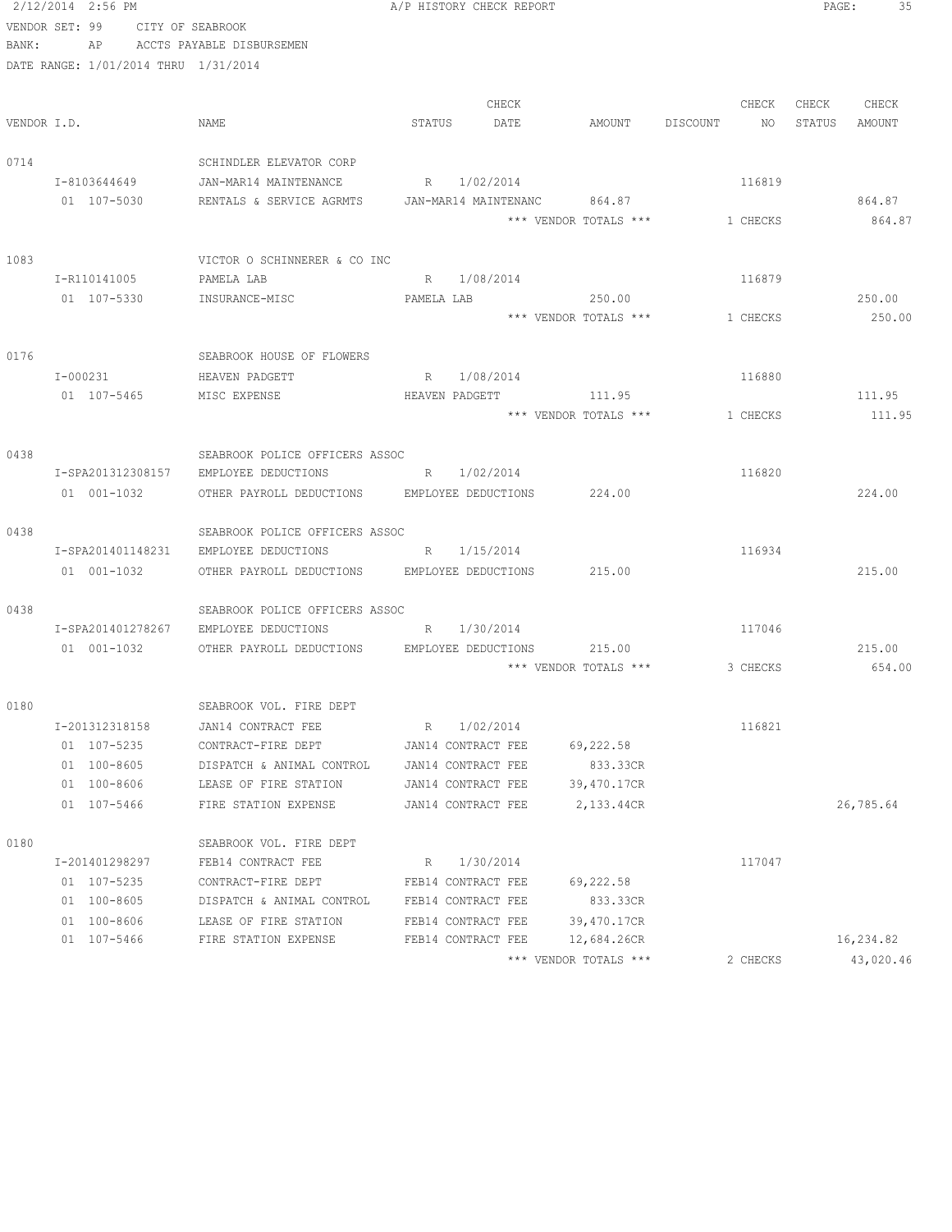|             | 2/12/2014 2:56 PM                    |                                                                     |            | A/P HISTORY CHECK REPORT |                       |          |          | $\mathtt{PAGE}$ : | 35        |
|-------------|--------------------------------------|---------------------------------------------------------------------|------------|--------------------------|-----------------------|----------|----------|-------------------|-----------|
|             | VENDOR SET: 99                       | CITY OF SEABROOK                                                    |            |                          |                       |          |          |                   |           |
| BANK:       | AP                                   | ACCTS PAYABLE DISBURSEMEN                                           |            |                          |                       |          |          |                   |           |
|             | DATE RANGE: 1/01/2014 THRU 1/31/2014 |                                                                     |            |                          |                       |          |          |                   |           |
|             |                                      |                                                                     |            |                          |                       |          |          |                   |           |
|             |                                      |                                                                     |            | CHECK                    |                       |          | CHECK    | CHECK             | CHECK     |
| VENDOR I.D. |                                      | NAME                                                                | STATUS     | DATE                     | AMOUNT                | DISCOUNT | NO       | STATUS            | AMOUNT    |
|             |                                      |                                                                     |            |                          |                       |          |          |                   |           |
| 0714        |                                      | SCHINDLER ELEVATOR CORP                                             |            |                          |                       |          |          |                   |           |
|             | I-8103644649                         | JAN-MAR14 MAINTENANCE                                               |            | R 1/02/2014              |                       |          | 116819   |                   |           |
|             | 01 107-5030                          | RENTALS & SERVICE AGRMTS                                            |            | JAN-MAR14 MAINTENANC     | 864.87                |          |          |                   | 864.87    |
|             |                                      |                                                                     |            |                          | *** VENDOR TOTALS *** |          | 1 CHECKS |                   | 864.87    |
| 1083        |                                      | VICTOR O SCHINNERER & CO INC                                        |            |                          |                       |          |          |                   |           |
|             | I-R110141005                         | PAMELA LAB                                                          | R          | 1/08/2014                |                       |          | 116879   |                   |           |
|             | 01 107-5330                          | INSURANCE-MISC                                                      | PAMELA LAB |                          | 250.00                |          |          |                   | 250.00    |
|             |                                      |                                                                     |            |                          | *** VENDOR TOTALS *** |          | 1 CHECKS |                   | 250.00    |
|             |                                      |                                                                     |            |                          |                       |          |          |                   |           |
| 0176        |                                      | SEABROOK HOUSE OF FLOWERS                                           |            |                          |                       |          |          |                   |           |
|             | I-000231                             | HEAVEN PADGETT                                                      |            | R 1/08/2014              |                       |          | 116880   |                   |           |
|             | 01 107-5465                          | MISC EXPENSE                                                        |            | HEAVEN PADGETT           | 111.95                |          |          |                   | 111.95    |
|             |                                      |                                                                     |            |                          | *** VENDOR TOTALS *** |          | 1 CHECKS |                   | 111.95    |
|             |                                      |                                                                     |            |                          |                       |          |          |                   |           |
| 0438        |                                      | SEABROOK POLICE OFFICERS ASSOC                                      |            |                          |                       |          |          |                   |           |
|             | I-SPA201312308157                    | EMPLOYEE DEDUCTIONS                                                 |            | R 1/02/2014              |                       |          | 116820   |                   |           |
|             | 01 001-1032                          | OTHER PAYROLL DEDUCTIONS                                            |            | EMPLOYEE DEDUCTIONS      | 224.00                |          |          |                   | 224.00    |
|             |                                      |                                                                     |            |                          |                       |          |          |                   |           |
| 0438        |                                      | SEABROOK POLICE OFFICERS ASSOC                                      |            |                          |                       |          |          |                   |           |
|             | I-SPA201401148231                    | EMPLOYEE DEDUCTIONS                                                 |            | R 1/15/2014              |                       |          | 116934   |                   |           |
|             | 01 001-1032                          | OTHER PAYROLL DEDUCTIONS                                            |            | EMPLOYEE DEDUCTIONS      | 215.00                |          |          |                   | 215.00    |
|             |                                      |                                                                     |            |                          |                       |          |          |                   |           |
| 0438        |                                      | SEABROOK POLICE OFFICERS ASSOC                                      |            | R 1/30/2014              |                       |          | 117046   |                   |           |
|             | I-SPA201401278267<br>01 001-1032     | EMPLOYEE DEDUCTIONS<br>OTHER PAYROLL DEDUCTIONS EMPLOYEE DEDUCTIONS |            |                          | 215.00                |          |          |                   | 215.00    |
|             |                                      |                                                                     |            |                          | *** VENDOR TOTALS *** |          | 3 CHECKS |                   | 654.00    |
|             |                                      |                                                                     |            |                          |                       |          |          |                   |           |
| 0180        |                                      | SEABROOK VOL. FIRE DEPT                                             |            |                          |                       |          |          |                   |           |
|             | I-201312318158                       | JAN14 CONTRACT FEE                                                  |            | R 1/02/2014              |                       |          | 116821   |                   |           |
|             | 01 107-5235                          | CONTRACT-FIRE DEPT                                                  |            | JAN14 CONTRACT FEE       | 69,222.58             |          |          |                   |           |
|             | 01 100-8605                          | DISPATCH & ANIMAL CONTROL                                           |            | JAN14 CONTRACT FEE       | 833.33CR              |          |          |                   |           |
|             | 01 100-8606                          | LEASE OF FIRE STATION                                               |            | JAN14 CONTRACT FEE       | 39,470.17CR           |          |          |                   |           |
|             | 01 107-5466                          | FIRE STATION EXPENSE                                                |            | JAN14 CONTRACT FEE       | 2,133.44CR            |          |          |                   | 26,785.64 |
|             |                                      |                                                                     |            |                          |                       |          |          |                   |           |
| 0180        |                                      | SEABROOK VOL. FIRE DEPT                                             |            |                          |                       |          |          |                   |           |
|             | I-201401298297                       | FEB14 CONTRACT FEE                                                  | R          | 1/30/2014                |                       |          | 117047   |                   |           |
|             | 01 107-5235                          | CONTRACT-FIRE DEPT                                                  |            | FEB14 CONTRACT FEE       | 69,222.58             |          |          |                   |           |
|             | 01 100-8605                          | DISPATCH & ANIMAL CONTROL                                           |            | FEB14 CONTRACT FEE       | 833.33CR              |          |          |                   |           |
|             | 01 100-8606                          | LEASE OF FIRE STATION                                               |            | FEB14 CONTRACT FEE       | 39,470.17CR           |          |          |                   |           |
|             | 01 107-5466                          | FIRE STATION EXPENSE                                                |            | FEB14 CONTRACT FEE       | 12,684.26CR           |          |          |                   | 16,234.82 |
|             |                                      |                                                                     |            |                          | *** VENDOR TOTALS *** |          | 2 CHECKS |                   | 43,020.46 |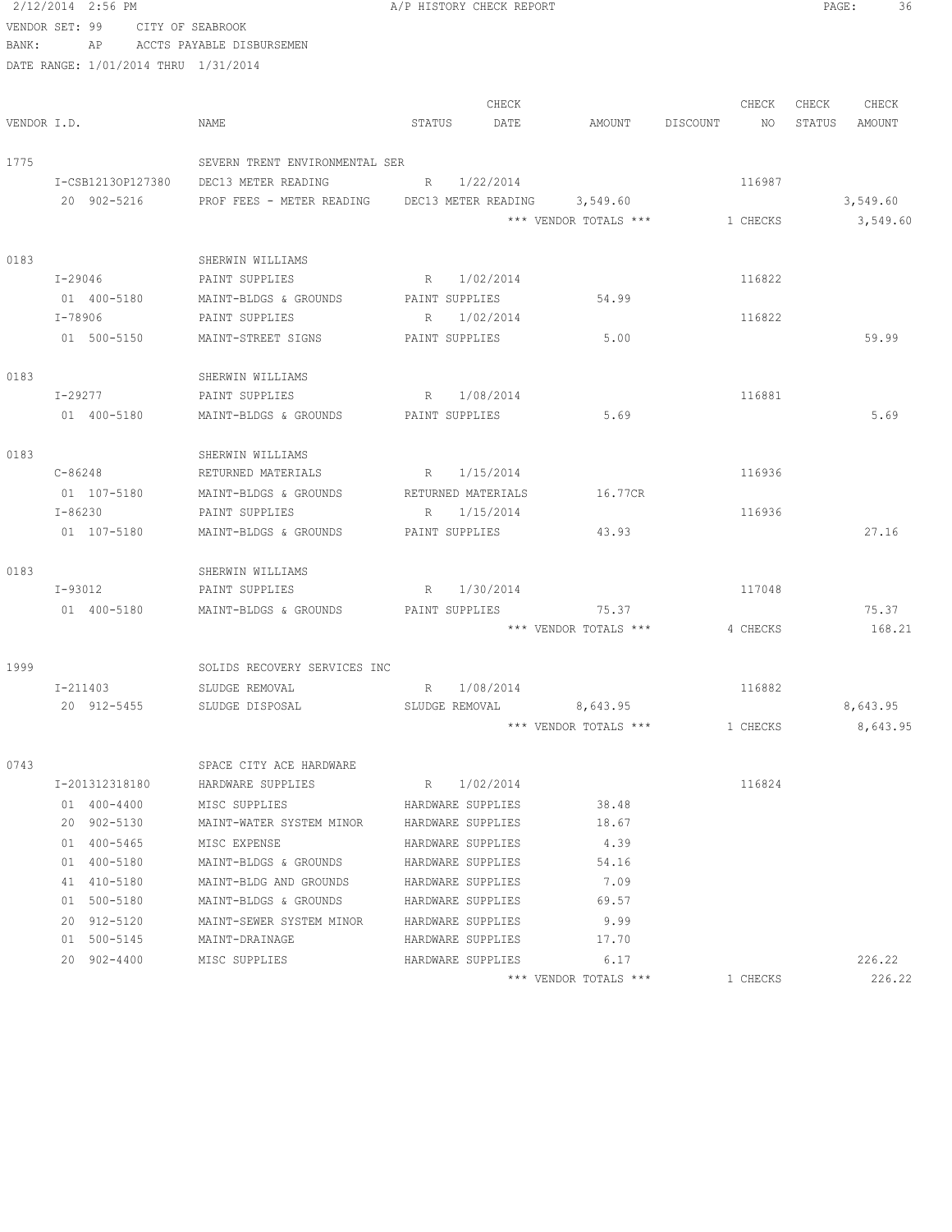|             | 2/12/2014 2:56 PM                    |                                      | A/P HISTORY CHECK REPORT      |             |                              |                | PAGE:<br>36      |
|-------------|--------------------------------------|--------------------------------------|-------------------------------|-------------|------------------------------|----------------|------------------|
|             | VENDOR SET: 99 CITY OF SEABROOK      |                                      |                               |             |                              |                |                  |
| BANK:       |                                      | AP ACCTS PAYABLE DISBURSEMEN         |                               |             |                              |                |                  |
|             | DATE RANGE: 1/01/2014 THRU 1/31/2014 |                                      |                               |             |                              |                |                  |
|             |                                      |                                      |                               |             |                              |                |                  |
|             |                                      |                                      |                               | CHECK       |                              | CHECK          | CHECK<br>CHECK   |
| VENDOR I.D. |                                      | NAME                                 | STATUS                        | DATE        | AMOUNT                       | DISCOUNT<br>NO | STATUS<br>AMOUNT |
|             |                                      |                                      |                               |             |                              |                |                  |
| 1775        |                                      | SEVERN TRENT ENVIRONMENTAL SER       |                               |             |                              |                |                  |
|             | I-CSB12130P127380                    | DEC13 METER READING                  | R 1/22/2014                   |             |                              | 116987         |                  |
|             | 20 902-5216                          | PROF FEES - METER READING            |                               |             | DEC13 METER READING 3,549.60 |                | 3,549.60         |
|             |                                      |                                      |                               |             | *** VENDOR TOTALS ***        | 1 CHECKS       | 3,549.60         |
| 0183        |                                      | SHERWIN WILLIAMS                     |                               |             |                              |                |                  |
|             | I-29046                              | PAINT SUPPLIES                       | R 1/02/2014                   |             |                              | 116822         |                  |
|             | 01 400-5180                          | MAINT-BLDGS & GROUNDS                | PAINT SUPPLIES                |             | 54.99                        |                |                  |
|             | I-78906                              | PAINT SUPPLIES                       | R 1/02/2014                   |             |                              | 116822         |                  |
|             | 01 500-5150                          | MAINT-STREET SIGNS                   | PAINT SUPPLIES                |             | 5.00                         |                | 59.99            |
|             |                                      |                                      |                               |             |                              |                |                  |
| 0183        |                                      | SHERWIN WILLIAMS                     |                               |             |                              |                |                  |
|             | I-29277                              | PAINT SUPPLIES                       | $R_{\odot}$                   | 1/08/2014   |                              | 116881         |                  |
|             | 01 400-5180                          | MAINT-BLDGS & GROUNDS PAINT SUPPLIES |                               |             | 5.69                         |                | 5.69             |
|             |                                      |                                      |                               |             |                              |                |                  |
| 0183        |                                      | SHERWIN WILLIAMS                     |                               |             |                              |                |                  |
|             | C-86248                              | RETURNED MATERIALS                   | R 1/15/2014                   |             |                              | 116936         |                  |
|             | 01 107-5180                          | MAINT-BLDGS & GROUNDS                | RETURNED MATERIALS            |             | 16.77CR                      |                |                  |
|             | I-86230                              | PAINT SUPPLIES                       | R 1/15/2014                   |             |                              | 116936         |                  |
|             | 01 107-5180                          | MAINT-BLDGS & GROUNDS                | PAINT SUPPLIES                |             | 43.93                        |                | 27.16            |
|             |                                      |                                      |                               |             |                              |                |                  |
| 0183        |                                      | SHERWIN WILLIAMS                     |                               |             |                              |                |                  |
|             | I-93012                              | PAINT SUPPLIES                       | R 1/30/2014                   |             |                              | 117048         |                  |
|             | 01 400-5180                          | MAINT-BLDGS & GROUNDS                | PAINT SUPPLIES                |             | 75.37                        |                | 75.37            |
|             |                                      |                                      |                               |             | *** VENDOR TOTALS ***        | 4 CHECKS       | 168.21           |
|             |                                      | SOLIDS RECOVERY SERVICES INC         |                               |             |                              |                |                  |
| 1999        |                                      |                                      |                               |             |                              |                |                  |
|             | I-211403<br>20 912-5455              | SLUDGE REMOVAL<br>SLUDGE DISPOSAL    | R 1/08/2014<br>SLUDGE REMOVAL |             | 8,643.95                     | 116882         | 8,643.95         |
|             |                                      |                                      |                               |             | *** VENDOR TOTALS ***        | 1 CHECKS       | 8,643.95         |
|             |                                      |                                      |                               |             |                              |                |                  |
| 0743        |                                      | SPACE CITY ACE HARDWARE              |                               |             |                              |                |                  |
|             | I-201312318180                       | HARDWARE SUPPLIES                    |                               | R 1/02/2014 |                              | 116824         |                  |
|             | 01 400-4400                          | MISC SUPPLIES                        | HARDWARE SUPPLIES             |             | 38.48                        |                |                  |
|             | 20 902-5130                          | MAINT-WATER SYSTEM MINOR             | HARDWARE SUPPLIES             |             | 18.67                        |                |                  |
|             | 01 400-5465                          | MISC EXPENSE                         | HARDWARE SUPPLIES             |             | 4.39                         |                |                  |
|             | 01 400-5180                          | MAINT-BLDGS & GROUNDS                | HARDWARE SUPPLIES             |             | 54.16                        |                |                  |
|             | 41 410-5180                          | MAINT-BLDG AND GROUNDS               | HARDWARE SUPPLIES             |             | 7.09                         |                |                  |
|             | 01 500-5180                          | MAINT-BLDGS & GROUNDS                | HARDWARE SUPPLIES             |             | 69.57                        |                |                  |
|             | 20 912-5120                          | MAINT-SEWER SYSTEM MINOR             | HARDWARE SUPPLIES             |             | 9.99                         |                |                  |
|             | 01 500-5145                          | MAINT-DRAINAGE                       | HARDWARE SUPPLIES             |             | 17.70                        |                |                  |
|             | 20 902-4400                          | MISC SUPPLIES                        | HARDWARE SUPPLIES             |             | 6.17                         |                | 226.22           |
|             |                                      |                                      |                               |             | *** VENDOR TOTALS ***        | 1 CHECKS       | 226.22           |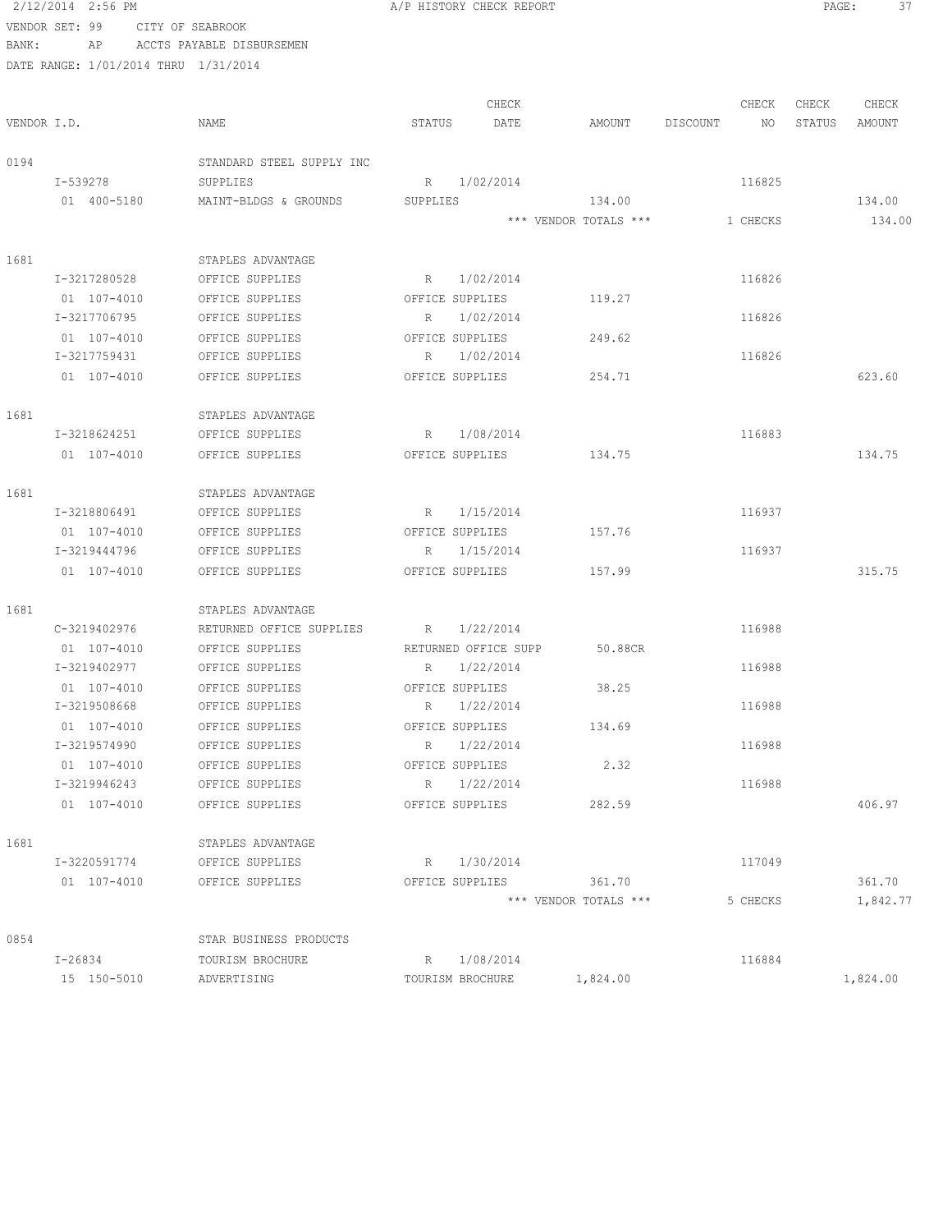|             | 2/12/2014 2:56 PM                    |                           |             | A/P HISTORY CHECK REPORT |                       |                       | PAGE:  | 37     |
|-------------|--------------------------------------|---------------------------|-------------|--------------------------|-----------------------|-----------------------|--------|--------|
|             | VENDOR SET: 99                       | CITY OF SEABROOK          |             |                          |                       |                       |        |        |
| BANK:       | ΑP                                   | ACCTS PAYABLE DISBURSEMEN |             |                          |                       |                       |        |        |
|             | DATE RANGE: 1/01/2014 THRU 1/31/2014 |                           |             |                          |                       |                       |        |        |
|             |                                      |                           |             |                          |                       |                       |        |        |
|             |                                      |                           |             | CHECK                    |                       | CHECK                 | CHECK  | CHECK  |
| VENDOR I.D. |                                      | NAME                      | STATUS      | DATE                     |                       | AMOUNT DISCOUNT<br>NO | STATUS | AMOUNT |
| 0194        |                                      | STANDARD STEEL SUPPLY INC |             |                          |                       |                       |        |        |
|             | I-539278                             | SUPPLIES                  | R           | 1/02/2014                |                       | 116825                |        |        |
|             | 01 400-5180                          | MAINT-BLDGS & GROUNDS     | SUPPLIES    |                          | 134.00                |                       |        | 134.00 |
|             |                                      |                           |             |                          | *** VENDOR TOTALS *** | 1 CHECKS              |        | 134.00 |
| 1681        |                                      | STAPLES ADVANTAGE         |             |                          |                       |                       |        |        |
|             | I-3217280528                         | OFFICE SUPPLIES           |             | R 1/02/2014              |                       | 116826                |        |        |
|             | 01 107-4010                          | OFFICE SUPPLIES           |             | OFFICE SUPPLIES          | 119.27                |                       |        |        |
|             | I-3217706795                         | OFFICE SUPPLIES           |             | R 1/02/2014              |                       | 116826                |        |        |
|             | 01 107-4010                          | OFFICE SUPPLIES           |             | OFFICE SUPPLIES          | 249.62                |                       |        |        |
|             | I-3217759431                         | OFFICE SUPPLIES           |             | R 1/02/2014              |                       | 116826                |        |        |
|             | 01 107-4010                          | OFFICE SUPPLIES           |             | OFFICE SUPPLIES          | 254.71                |                       |        | 623.60 |
| 1681        |                                      | STAPLES ADVANTAGE         |             |                          |                       |                       |        |        |
|             | I-3218624251                         | OFFICE SUPPLIES           |             | R 1/08/2014              |                       | 116883                |        |        |
|             | 01 107-4010                          | OFFICE SUPPLIES           |             | OFFICE SUPPLIES          | 134.75                |                       |        | 134.75 |
| 1681        |                                      | STAPLES ADVANTAGE         |             |                          |                       |                       |        |        |
|             | I-3218806491                         | OFFICE SUPPLIES           |             | R 1/15/2014              |                       | 116937                |        |        |
|             | 01 107-4010                          | OFFICE SUPPLIES           |             | OFFICE SUPPLIES          | 157.76                |                       |        |        |
|             | I-3219444796                         | OFFICE SUPPLIES           |             | R 1/15/2014              |                       | 116937                |        |        |
|             | 01 107-4010                          | OFFICE SUPPLIES           |             | OFFICE SUPPLIES          | 157.99                |                       |        | 315.75 |
| 1681        |                                      | STAPLES ADVANTAGE         |             |                          |                       |                       |        |        |
|             | C-3219402976                         | RETURNED OFFICE SUPPLIES  |             | R 1/22/2014              |                       | 116988                |        |        |
|             | 01 107-4010                          | OFFICE SUPPLIES           |             | RETURNED OFFICE SUPP     | 50.88CR               |                       |        |        |
|             | I-3219402977                         | OFFICE SUPPLIES           |             | R 1/22/2014              |                       | 116988                |        |        |
|             | 01 107-4010                          | OFFICE SUPPLIES           |             | OFFICE SUPPLIES          | 38.25                 |                       |        |        |
|             | I-3219508668                         | OFFICE SUPPLIES           | R.          | 1/22/2014                |                       | 116988                |        |        |
|             | 01 107-4010                          | OFFICE SUPPLIES           |             | OFFICE SUPPLIES          | 134.69                |                       |        |        |
|             | I-3219574990                         | OFFICE SUPPLIES           | R.          | 1/22/2014                |                       | 116988                |        |        |
|             | 01 107-4010                          | OFFICE SUPPLIES           |             | OFFICE SUPPLIES          | 2.32                  |                       |        |        |
|             | I-3219946243                         | OFFICE SUPPLIES           | $R_{\perp}$ | 1/22/2014                |                       | 116988                |        |        |
|             | 01 107-4010                          | OFFICE SUPPLIES           |             | OFFICE SUPPLIES          | 282.59                |                       |        | 406.97 |
| 1681        |                                      | STAPLES ADVANTAGE         |             |                          |                       |                       |        |        |
|             | I-3220591774                         | OFFICE SUPPLIES           | $R_{\perp}$ | 1/30/2014                |                       | 117049                |        |        |
|             | 01 107-4010                          | OFFICE SUPPLIES           |             | OFFICE SUPPLIES          | 361.70                |                       |        | 361.70 |

\*\*\* VENDOR TOTALS \*\*\* 5 CHECKS 1,842.77 0854 STAR BUSINESS PRODUCTS I-26834 TOURISM BROCHURE R 1/08/2014 116884 15 150-5010 ADVERTISING TOURISM BROCHURE 1,824.00 1,824.00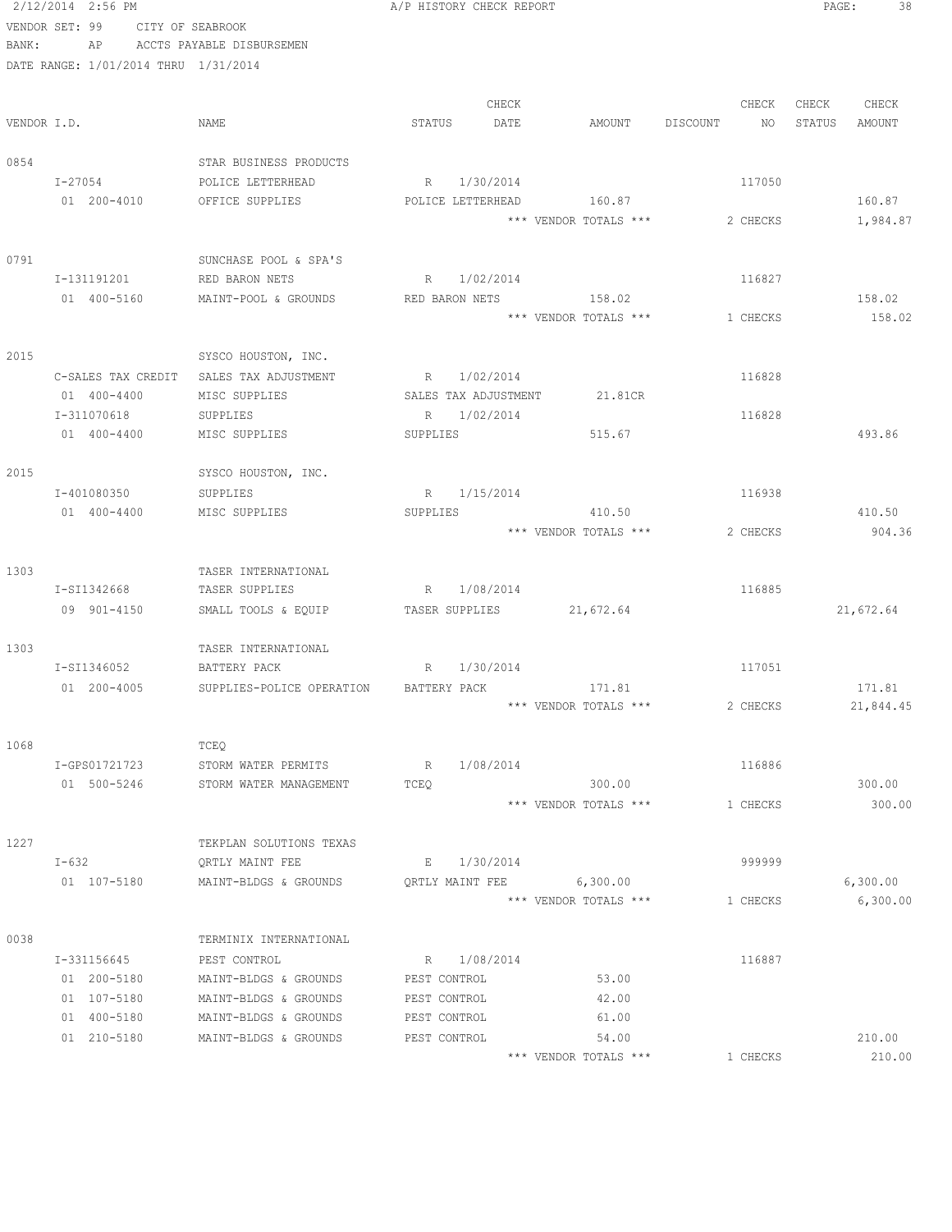```
 2/12/2014 2:56 PM A/P HISTORY CHECK REPORT PAGE: 38
VENDOR SET: 99 CITY OF SEABROOK
BANK: AP ACCTS PAYABLE DISBURSEMEN
DATE RANGE: 1/01/2014 THRU 1/31/2014
                                    CHECK CHECK CHECK CHECK
VENDOR I.D. NAME STATUS DATE AMOUNT DISCOUNT NO STATUS AMOUNT
0854 STAR BUSINESS PRODUCTS
    I-27054 POLICE LETTERHEAD R 1/30/2014 117050
   01 200-4010 OFFICE SUPPLIES POLICE LETTERHEAD 160.87 160.87 160.87
                                     *** VENDOR TOTALS *** 2 CHECKS 1,984.87
0791 SUNCHASE POOL & SPA'S
    I-131191201 RED BARON NETS R 1/02/2014 116827
    01 400-5160 MAINT-POOL & GROUNDS RED BARON NETS 158.02 158.02
                                     *** VENDOR TOTALS *** 1 CHECKS 158.02
2015 SYSCO HOUSTON, INC.
   C-SALES TAX CREDIT SALES TAX ADJUSTMENT R 1/02/2014
    01 400-4400 MISC SUPPLIES SALES TAX ADJUSTMENT 21.81CR
    I-311070618 SUPPLIES R 1/02/2014 116828
   01 400-4400 MISC SUPPLIES SUPPLIES SUPPLIES 515.67
2015 SYSCO HOUSTON, INC.
    I-401080350 SUPPLIES R 1/15/2014 116938
   01 400-4400 MISC SUPPLIES SUPPLIES SUPPLIES 410.50
                                     *** VENDOR TOTALS *** 2 CHECKS 904.36
1303 TASER INTERNATIONAL
    I-SI1342668 TASER SUPPLIES R 1/08/2014 116885
    09 901-4150 SMALL TOOLS & EQUIP TASER SUPPLIES 21,672.64 21,672.64
1303 TASER INTERNATIONAL
   I-SI1346052 BATTERY PACK R 1/30/2014 R 1/30 117051
   01 200-4005 SUPPLIES-POLICE OPERATION BATTERY PACK 171.81 171.81 171.81
                                     *** VENDOR TOTALS *** 2 CHECKS 21,844.45
1068 TCEQ
    I-GPS01721723 STORM WATER PERMITS R 1/08/2014 116886
   01 500-5246 STORM WATER MANAGEMENT TCEQ 300.00 300.00 300.00 300.00
                                     *** VENDOR TOTALS *** 1 CHECKS 300.00
1227 TEKPLAN SOLUTIONS TEXAS
    I-632 QRTLY MAINT FEE E 1/30/2014 999999
   01 107-5180 MAINT-BLDGS & GROUNDS QRTLY MAINT FEE 6,300.00 6,300.00 6,300.00
                                     *** VENDOR TOTALS *** 1 CHECKS 6,300.00
0038 TERMINIX INTERNATIONAL
   I-331156645 PEST CONTROL R 1/08/2014 R 1/08/2014
    01 200-5180 MAINT-BLDGS & GROUNDS PEST CONTROL 53.00
    01 107-5180 MAINT-BLDGS & GROUNDS PEST CONTROL 42.00
     01 400-5180 MAINT-BLDGS & GROUNDS PEST CONTROL 61.00
     01 210-5180 MAINT-BLDGS & GROUNDS PEST CONTROL 54.00 210.00
                                     *** VENDOR TOTALS *** 1 CHECKS 210.00
```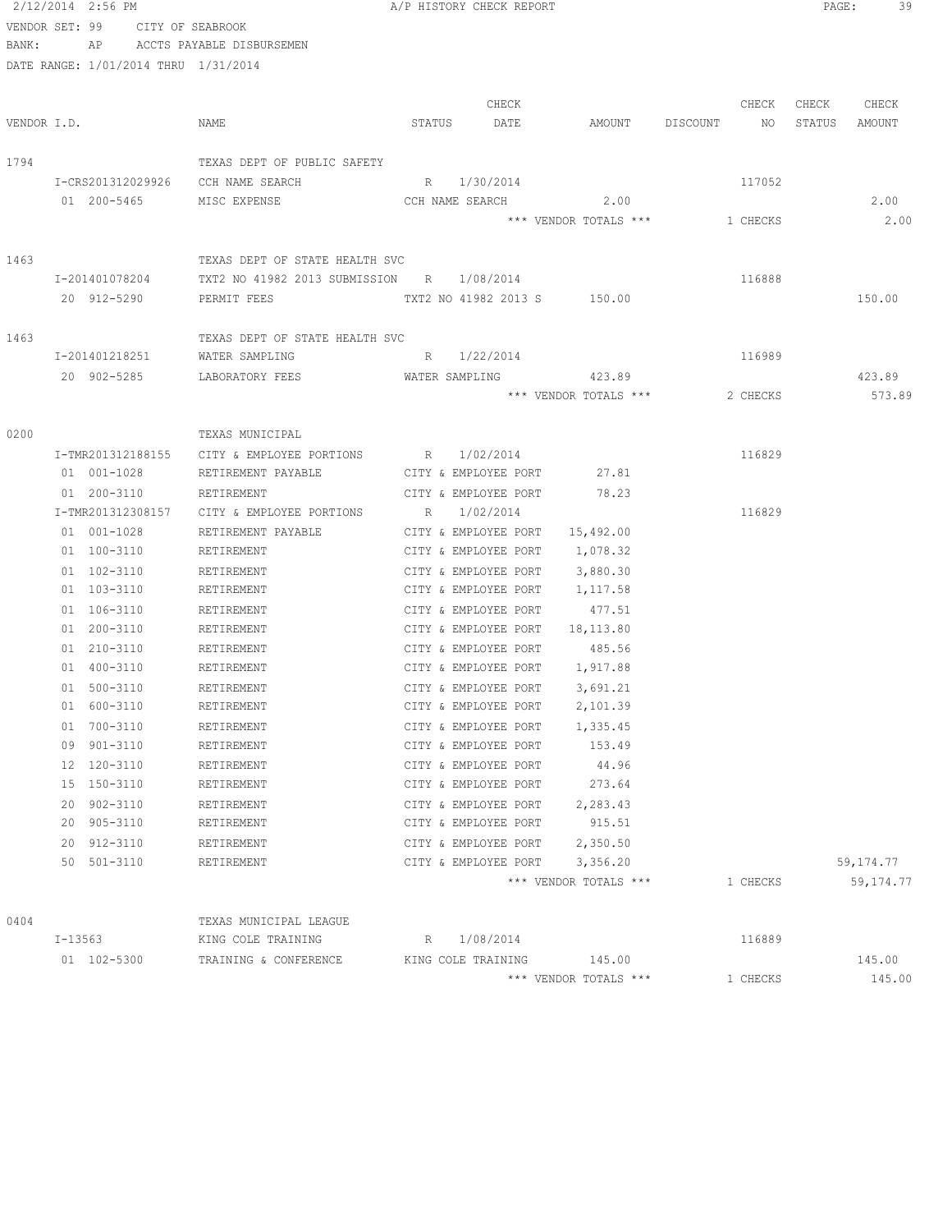|             | 2/12/2014 2:56 PM                    |                                           |                             | A/P HISTORY CHECK REPORT                     |                       |                | PAGE:  | 39          |
|-------------|--------------------------------------|-------------------------------------------|-----------------------------|----------------------------------------------|-----------------------|----------------|--------|-------------|
|             | VENDOR SET: 99 CITY OF SEABROOK      |                                           |                             |                                              |                       |                |        |             |
| BANK:       |                                      | AP ACCTS PAYABLE DISBURSEMEN              |                             |                                              |                       |                |        |             |
|             | DATE RANGE: 1/01/2014 THRU 1/31/2014 |                                           |                             |                                              |                       |                |        |             |
|             |                                      |                                           |                             |                                              |                       |                |        |             |
|             |                                      |                                           |                             | CHECK                                        |                       | CHECK          | CHECK  | CHECK       |
| VENDOR I.D. |                                      | NAME                                      | STATUS                      | DATE                                         | AMOUNT                | DISCOUNT<br>NO | STATUS | AMOUNT      |
|             |                                      |                                           |                             |                                              |                       |                |        |             |
| 1794        |                                      | TEXAS DEPT OF PUBLIC SAFETY               |                             |                                              |                       |                |        |             |
|             |                                      | I-CRS201312029926 CCH NAME SEARCH         | R 1/30/2014                 |                                              |                       | 117052         |        |             |
|             | 01 200-5465                          | MISC EXPENSE                              | CCH NAME SEARCH             |                                              | 2.00                  |                |        | 2.00        |
|             |                                      |                                           |                             |                                              | *** VENDOR TOTALS *** | 1 CHECKS       |        | 2.00        |
| 1463        |                                      | TEXAS DEPT OF STATE HEALTH SVC            |                             |                                              |                       |                |        |             |
|             | I-201401078204                       | TXT2 NO 41982 2013 SUBMISSION R 1/08/2014 |                             |                                              |                       | 116888         |        |             |
|             | 20 912-5290                          | PERMIT FEES                               | TXT2 NO 41982 2013 S 150.00 |                                              |                       |                |        | 150.00      |
|             |                                      |                                           |                             |                                              |                       |                |        |             |
| 1463        |                                      | TEXAS DEPT OF STATE HEALTH SVC            |                             |                                              |                       |                |        |             |
|             | I-201401218251                       | WATER SAMPLING                            | R 1/22/2014                 |                                              |                       | 116989         |        |             |
|             |                                      | 20 902-5285 LABORATORY FEES               | WATER SAMPLING              |                                              | 423.89                |                |        | 423.89      |
|             |                                      |                                           |                             |                                              | *** VENDOR TOTALS *** | 2 CHECKS       |        | 573.89      |
|             |                                      |                                           |                             |                                              |                       |                |        |             |
| 0200        |                                      | TEXAS MUNICIPAL                           |                             |                                              |                       |                |        |             |
|             | I-TMR201312188155                    | CITY & EMPLOYEE PORTIONS R 1/02/2014      |                             |                                              |                       | 116829         |        |             |
|             | 01 001-1028                          | RETIREMENT PAYABLE                        | CITY & EMPLOYEE PORT 27.81  |                                              |                       |                |        |             |
|             | 01 200-3110                          | RETIREMENT                                |                             | CITY & EMPLOYEE PORT 78.23                   |                       |                |        |             |
|             | I-TMR201312308157                    | CITY & EMPLOYEE PORTIONS                  | R 1/02/2014                 |                                              |                       | 116829         |        |             |
|             | 01 001-1028                          | RETIREMENT PAYABLE                        |                             | CITY & EMPLOYEE PORT                         | 15,492.00             |                |        |             |
|             | 01 100-3110                          | RETIREMENT                                |                             | CITY & EMPLOYEE PORT                         | 1,078.32              |                |        |             |
|             | 01 102-3110                          | RETIREMENT                                |                             | CITY & EMPLOYEE PORT                         | 3,880.30              |                |        |             |
|             | 01 103-3110                          | RETIREMENT                                |                             | CITY & EMPLOYEE PORT                         | 1,117.58              |                |        |             |
|             | 01 106-3110                          | RETIREMENT                                |                             | CITY & EMPLOYEE PORT                         | 477.51                |                |        |             |
|             | 01 200-3110                          | RETIREMENT                                |                             | CITY & EMPLOYEE PORT                         | 18,113.80             |                |        |             |
|             | 01 210-3110                          | RETIREMENT                                |                             | CITY & EMPLOYEE PORT                         | 485.56                |                |        |             |
|             | 01 400-3110                          | RETIREMENT                                |                             | CITY & EMPLOYEE PORT                         | 1,917.88              |                |        |             |
|             | 01 500-3110                          | RETIREMENT                                |                             | CITY & EMPLOYEE PORT                         | 3,691.21              |                |        |             |
|             | 01 600-3110                          | RETIREMENT                                |                             | CITY & EMPLOYEE PORT                         | 2,101.39              |                |        |             |
|             | 01 700-3110<br>09 901-3110           | RETIREMENT<br>RETIREMENT                  |                             | CITY & EMPLOYEE PORT<br>CITY & EMPLOYEE PORT | 1,335.45<br>153.49    |                |        |             |
|             | 12 120-3110                          | RETIREMENT                                |                             | CITY & EMPLOYEE PORT                         | 44.96                 |                |        |             |
|             | 15 150-3110                          | RETIREMENT                                |                             | CITY & EMPLOYEE PORT                         | 273.64                |                |        |             |
|             | 20 902-3110                          | RETIREMENT                                |                             | CITY & EMPLOYEE PORT                         | 2,283.43              |                |        |             |
|             | 20 905-3110                          | RETIREMENT                                |                             | CITY & EMPLOYEE PORT                         | 915.51                |                |        |             |
|             | 20 912-3110                          | RETIREMENT                                |                             | CITY & EMPLOYEE PORT                         | 2,350.50              |                |        |             |
|             | 50 501-3110                          | RETIREMENT                                |                             | CITY & EMPLOYEE PORT                         | 3,356.20              |                |        | 59, 174. 77 |
|             |                                      |                                           |                             |                                              | *** VENDOR TOTALS *** | 1 CHECKS       |        | 59, 174.77  |
|             |                                      |                                           |                             |                                              |                       |                |        |             |
| 0404        |                                      | TEXAS MUNICIPAL LEAGUE                    |                             |                                              |                       |                |        |             |
|             | I-13563                              | KING COLE TRAINING                        | $R_{\perp}$                 | 1/08/2014                                    |                       | 116889         |        |             |
|             | 01 102-5300                          | TRAINING & CONFERENCE                     | KING COLE TRAINING          |                                              | 145.00                |                |        | 145.00      |
|             |                                      |                                           |                             |                                              | *** VENDOR TOTALS *** | 1 CHECKS       |        | 145.00      |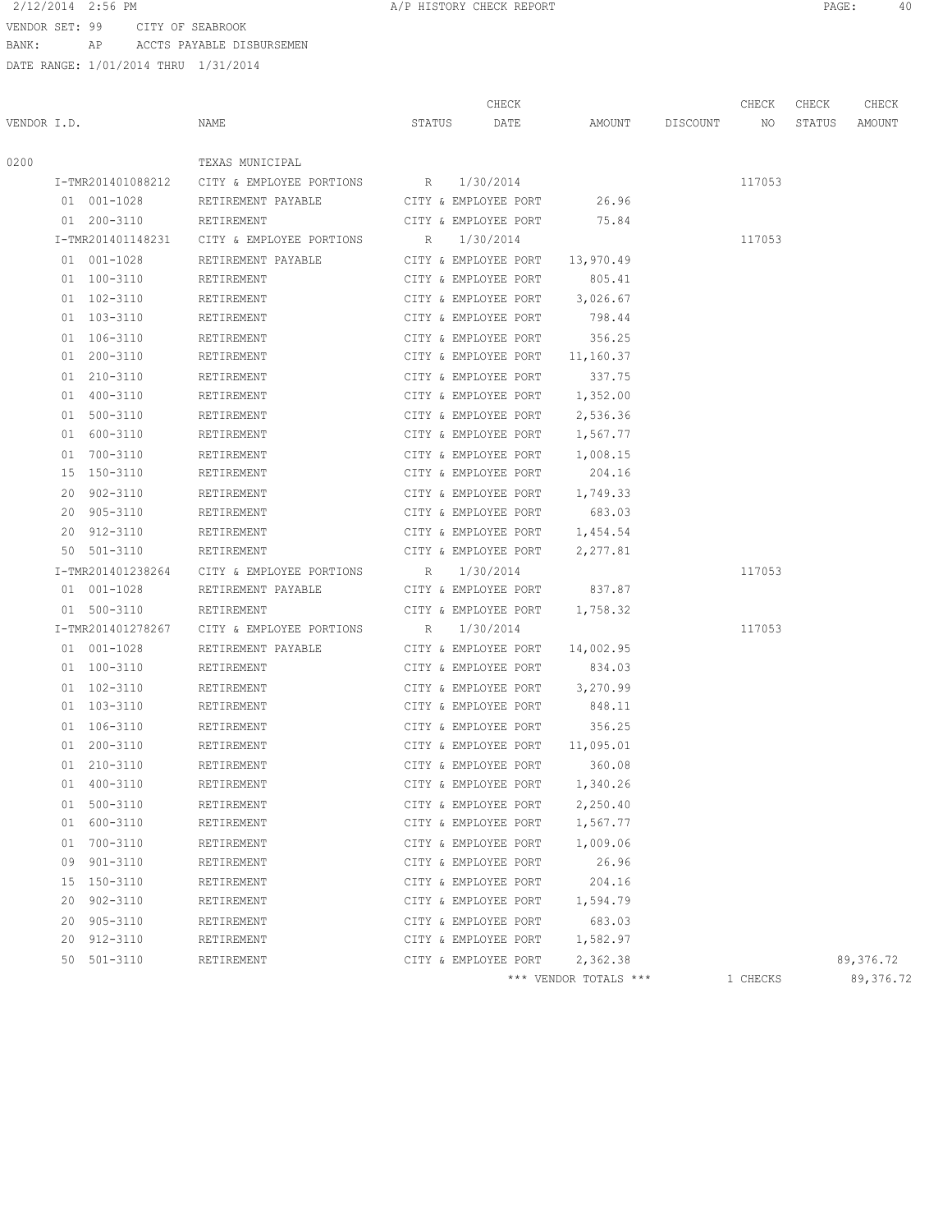2/12/2014 2:56 PM **A/P HISTORY CHECK REPORT PAGE:** 40

VENDOR SET: 99 CITY OF SEABROOK BANK: AP ACCTS PAYABLE DISBURSEMEN

|             |    |                   |                            |        | CHECK                |                       |          | CHECK    | CHECK  | CHECK      |
|-------------|----|-------------------|----------------------------|--------|----------------------|-----------------------|----------|----------|--------|------------|
| VENDOR I.D. |    |                   | NAME                       | STATUS | DATE                 | AMOUNT                | DISCOUNT | NO.      | STATUS | AMOUNT     |
| 0200        |    |                   | TEXAS MUNICIPAL            |        |                      |                       |          |          |        |            |
|             |    | I-TMR201401088212 | CITY & EMPLOYEE PORTIONS R |        | 1/30/2014            |                       |          | 117053   |        |            |
|             |    | 01 001-1028       | RETIREMENT PAYABLE         |        | CITY & EMPLOYEE PORT | 26.96                 |          |          |        |            |
|             |    | 01 200-3110       | RETIREMENT                 |        | CITY & EMPLOYEE PORT | 75.84                 |          |          |        |            |
|             |    | I-TMR201401148231 | CITY & EMPLOYEE PORTIONS   | R      | 1/30/2014            |                       |          | 117053   |        |            |
|             |    | 01 001-1028       | RETIREMENT PAYABLE         |        | CITY & EMPLOYEE PORT | 13,970.49             |          |          |        |            |
|             |    | 01 100-3110       | RETIREMENT                 |        | CITY & EMPLOYEE PORT | 805.41                |          |          |        |            |
|             |    | 01 102-3110       | RETIREMENT                 |        | CITY & EMPLOYEE PORT | 3,026.67              |          |          |        |            |
|             |    | 01 103-3110       | RETIREMENT                 |        | CITY & EMPLOYEE PORT | 798.44                |          |          |        |            |
|             |    | 01 106-3110       | RETIREMENT                 |        | CITY & EMPLOYEE PORT | 356.25                |          |          |        |            |
|             |    | 01 200-3110       | RETIREMENT                 |        | CITY & EMPLOYEE PORT | 11,160.37             |          |          |        |            |
|             |    | 01 210-3110       | RETIREMENT                 |        | CITY & EMPLOYEE PORT | 337.75                |          |          |        |            |
|             |    | 01 400-3110       | RETIREMENT                 |        | CITY & EMPLOYEE PORT | 1,352.00              |          |          |        |            |
|             |    | 01 500-3110       | RETIREMENT                 |        | CITY & EMPLOYEE PORT | 2,536.36              |          |          |        |            |
|             |    | 01 600-3110       | RETIREMENT                 |        | CITY & EMPLOYEE PORT | 1,567.77              |          |          |        |            |
|             |    | 01 700-3110       | RETIREMENT                 |        | CITY & EMPLOYEE PORT | 1,008.15              |          |          |        |            |
|             |    | 15 150-3110       | RETIREMENT                 |        | CITY & EMPLOYEE PORT | 204.16                |          |          |        |            |
|             | 20 | 902-3110          | RETIREMENT                 |        | CITY & EMPLOYEE PORT | 1,749.33              |          |          |        |            |
|             | 20 | 905-3110          | RETIREMENT                 |        | CITY & EMPLOYEE PORT | 683.03                |          |          |        |            |
|             | 20 | 912-3110          | RETIREMENT                 |        | CITY & EMPLOYEE PORT | 1,454.54              |          |          |        |            |
|             | 50 | 501-3110          | RETIREMENT                 |        | CITY & EMPLOYEE PORT | 2,277.81              |          |          |        |            |
|             |    | I-TMR201401238264 | CITY & EMPLOYEE PORTIONS   | R      | 1/30/2014            |                       |          | 117053   |        |            |
|             |    | 01 001-1028       | RETIREMENT PAYABLE         |        | CITY & EMPLOYEE PORT | 837.87                |          |          |        |            |
|             |    | 01 500-3110       | RETIREMENT                 |        | CITY & EMPLOYEE PORT | 1,758.32              |          |          |        |            |
|             |    | I-TMR201401278267 | CITY & EMPLOYEE PORTIONS   | R      | 1/30/2014            |                       |          | 117053   |        |            |
|             |    | 01 001-1028       | RETIREMENT PAYABLE         |        | CITY & EMPLOYEE PORT | 14,002.95             |          |          |        |            |
|             |    | 01 100-3110       | RETIREMENT                 |        | CITY & EMPLOYEE PORT | 834.03                |          |          |        |            |
|             |    | 01 102-3110       | RETIREMENT                 |        | CITY & EMPLOYEE PORT | 3,270.99              |          |          |        |            |
|             |    | 01 103-3110       | RETIREMENT                 |        | CITY & EMPLOYEE PORT | 848.11                |          |          |        |            |
|             |    | 01 106-3110       | RETIREMENT                 |        | CITY & EMPLOYEE PORT | 356.25                |          |          |        |            |
|             |    | 01 200-3110       | RETIREMENT                 |        | CITY & EMPLOYEE PORT | 11,095.01             |          |          |        |            |
|             | 01 | 210-3110          | RETIREMENT                 |        | CITY & EMPLOYEE PORT | 360.08                |          |          |        |            |
|             |    | 01 400-3110       | RETIREMENT                 |        | CITY & EMPLOYEE PORT | 1,340.26              |          |          |        |            |
|             | 01 | 500-3110          | RETIREMENT                 |        | CITY & EMPLOYEE PORT | 2,250.40              |          |          |        |            |
|             |    | 01 600-3110       | RETIREMENT                 |        | CITY & EMPLOYEE PORT | 1,567.77              |          |          |        |            |
|             |    | 01 700-3110       | RETIREMENT                 |        | CITY & EMPLOYEE PORT | 1,009.06              |          |          |        |            |
|             | 09 | 901-3110          | RETIREMENT                 |        | CITY & EMPLOYEE PORT | 26.96                 |          |          |        |            |
|             |    | 15 150-3110       | RETIREMENT                 |        | CITY & EMPLOYEE PORT | 204.16                |          |          |        |            |
|             | 20 | 902-3110          | RETIREMENT                 |        | CITY & EMPLOYEE PORT | 1,594.79              |          |          |        |            |
|             | 20 | 905-3110          | RETIREMENT                 |        | CITY & EMPLOYEE PORT | 683.03                |          |          |        |            |
|             | 20 | 912-3110          | RETIREMENT                 |        | CITY & EMPLOYEE PORT | 1,582.97              |          |          |        |            |
|             | 50 | 501-3110          | RETIREMENT                 |        | CITY & EMPLOYEE PORT | 2,362.38              |          |          |        | 89,376.72  |
|             |    |                   |                            |        |                      | *** VENDOR TOTALS *** |          | 1 CHECKS |        | 89, 376.72 |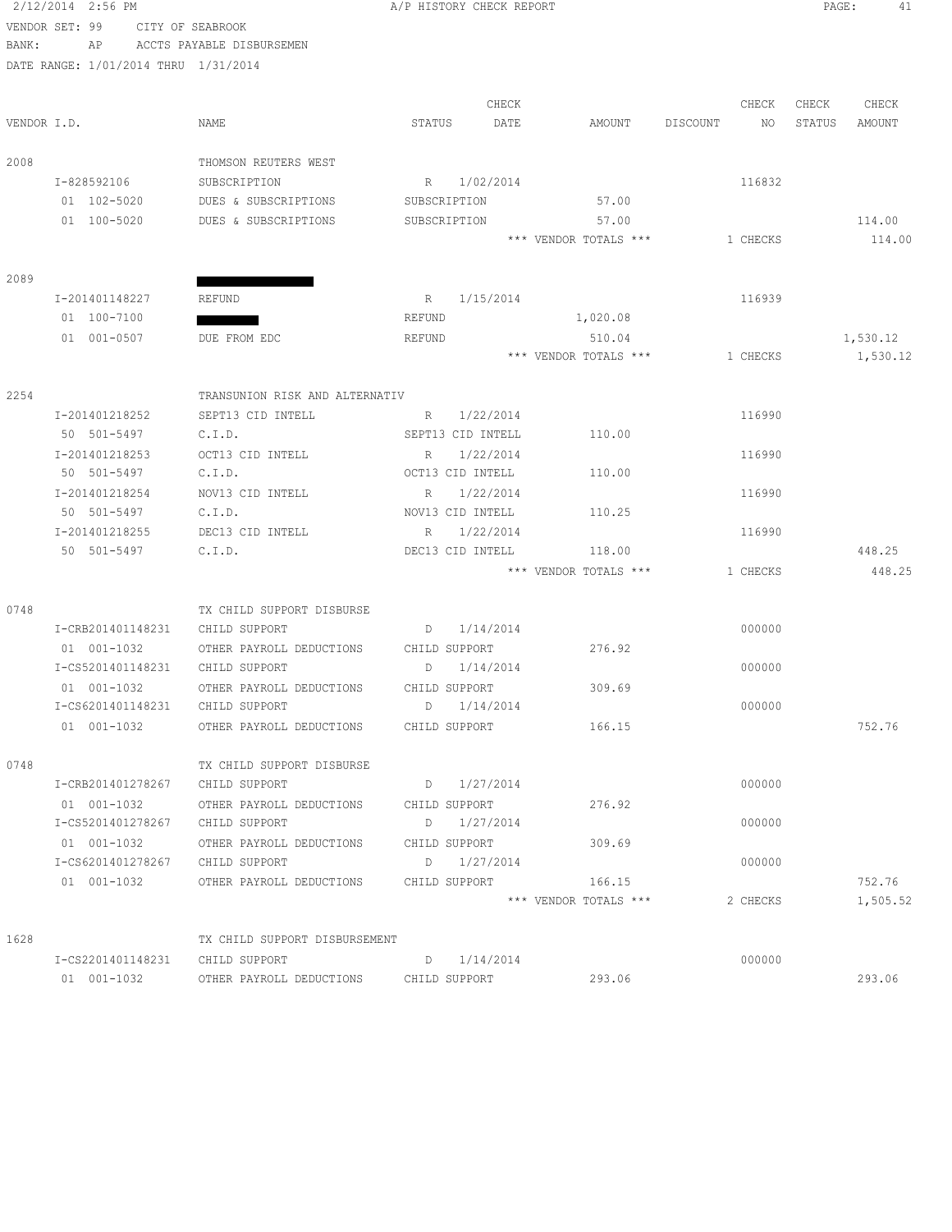|       | 2/12/2014 2:56 PM                    |                                | A/P HISTORY CHECK REPORT |           |                                 |                | PAGE:  | 41       |
|-------|--------------------------------------|--------------------------------|--------------------------|-----------|---------------------------------|----------------|--------|----------|
|       | VENDOR SET: 99                       | CITY OF SEABROOK               |                          |           |                                 |                |        |          |
| BANK: | AP                                   | ACCTS PAYABLE DISBURSEMEN      |                          |           |                                 |                |        |          |
|       | DATE RANGE: 1/01/2014 THRU 1/31/2014 |                                |                          |           |                                 |                |        |          |
|       |                                      |                                |                          |           |                                 |                |        |          |
|       |                                      |                                |                          | CHECK     |                                 | CHECK          | CHECK  | CHECK    |
|       | VENDOR I.D.                          | NAME                           | STATUS                   | DATE      | AMOUNT                          | DISCOUNT<br>NO | STATUS | AMOUNT   |
|       |                                      | THOMSON REUTERS WEST           |                          |           |                                 |                |        |          |
| 2008  | I-828592106                          | SUBSCRIPTION                   |                          |           |                                 | 116832         |        |          |
|       | 01 102-5020                          | DUES & SUBSCRIPTIONS           | R<br>SUBSCRIPTION        | 1/02/2014 | 57.00                           |                |        |          |
|       | 01 100-5020                          | DUES & SUBSCRIPTIONS           | SUBSCRIPTION             |           | 57.00                           |                |        | 114.00   |
|       |                                      |                                |                          |           | *** VENDOR TOTALS ***           | 1 CHECKS       |        | 114.00   |
|       |                                      |                                |                          |           |                                 |                |        |          |
| 2089  |                                      |                                |                          |           |                                 |                |        |          |
|       | I-201401148227                       | <b>REFUND</b>                  | R                        | 1/15/2014 |                                 | 116939         |        |          |
|       | 01 100-7100                          |                                | <b>REFUND</b>            |           | 1,020.08                        |                |        |          |
|       | 01 001-0507                          | DUE FROM EDC                   | REFUND                   |           | 510.04                          |                |        | 1,530.12 |
|       |                                      |                                |                          |           | *** VENDOR TOTALS ***           | 1 CHECKS       |        | 1,530.12 |
|       |                                      |                                |                          |           |                                 |                |        |          |
| 2254  |                                      | TRANSUNION RISK AND ALTERNATIV |                          |           |                                 |                |        |          |
|       | I-201401218252                       | SEPT13 CID INTELL              | R                        | 1/22/2014 |                                 | 116990         |        |          |
|       | 50 501-5497                          | C.I.D.                         | SEPT13 CID INTELL        |           | 110.00                          |                |        |          |
|       | I-201401218253                       | OCT13 CID INTELL               | R                        | 1/22/2014 |                                 | 116990         |        |          |
|       | 50 501-5497                          | C.I.D.                         | OCT13 CID INTELL         |           | 110.00                          |                |        |          |
|       | I-201401218254                       | NOV13 CID INTELL               | R                        | 1/22/2014 |                                 | 116990         |        |          |
|       | 50 501-5497                          | C.I.D.                         | NOV13 CID INTELL         |           | 110.25                          |                |        |          |
|       | I-201401218255                       | DEC13 CID INTELL               | R                        | 1/22/2014 |                                 | 116990         |        |          |
|       | 50 501-5497                          | C.I.D.                         | DEC13 CID INTELL         |           | 118.00                          |                |        | 448.25   |
|       |                                      |                                |                          |           | *** VENDOR TOTALS ***           | 1 CHECKS       |        | 448.25   |
|       |                                      |                                |                          |           |                                 |                |        |          |
| 0748  |                                      | TX CHILD SUPPORT DISBURSE      |                          |           |                                 |                |        |          |
|       | I-CRB201401148231                    | CHILD SUPPORT                  | D                        | 1/14/2014 |                                 | 000000         |        |          |
|       | 01 001-1032                          | OTHER PAYROLL DEDUCTIONS       | CHILD SUPPORT            |           | 276.92                          |                |        |          |
|       | I-CS5201401148231                    | CHILD SUPPORT                  | D                        | 1/14/2014 |                                 | 000000         |        |          |
|       | 01 001-1032                          | OTHER PAYROLL DEDUCTIONS       | CHILD SUPPORT            |           | 309.69                          |                |        |          |
|       | I-CS6201401148231                    | CHILD SUPPORT                  | D                        | 1/14/2014 |                                 | 000000         |        |          |
|       | 01 001-1032                          | OTHER PAYROLL DEDUCTIONS       | CHILD SUPPORT            |           | 166.15                          |                |        | 752.76   |
|       |                                      |                                |                          |           |                                 |                |        |          |
| 0748  |                                      | TX CHILD SUPPORT DISBURSE      |                          |           |                                 |                |        |          |
|       | I-CRB201401278267                    | CHILD SUPPORT                  | D                        | 1/27/2014 |                                 | 000000         |        |          |
|       | 01 001-1032                          | OTHER PAYROLL DEDUCTIONS       | CHILD SUPPORT            |           | 276.92                          |                |        |          |
|       | I-CS5201401278267                    | CHILD SUPPORT                  | D                        | 1/27/2014 |                                 | 000000         |        |          |
|       | 01 001-1032                          | OTHER PAYROLL DEDUCTIONS       | CHILD SUPPORT            |           | 309.69                          |                |        |          |
|       | I-CS6201401278267                    | CHILD SUPPORT                  | D                        | 1/27/2014 |                                 | 000000         |        |          |
|       | 01 001-1032                          | OTHER PAYROLL DEDUCTIONS       | CHILD SUPPORT            |           | 166.15<br>*** VENDOR TOTALS *** | 2 CHECKS       |        | 752.76   |
|       |                                      |                                |                          |           |                                 |                |        | 1,505.52 |
| 1628  |                                      | TX CHILD SUPPORT DISBURSEMENT  |                          |           |                                 |                |        |          |
|       | I-CS2201401148231                    | CHILD SUPPORT                  | D                        | 1/14/2014 |                                 | 000000         |        |          |
|       | $01 001 - 1032$                      | OTHER PAYROLL DEDUCTIONS       | CHILD SUPPORT            |           | 293.06                          |                |        | 293.06   |
|       |                                      |                                |                          |           |                                 |                |        |          |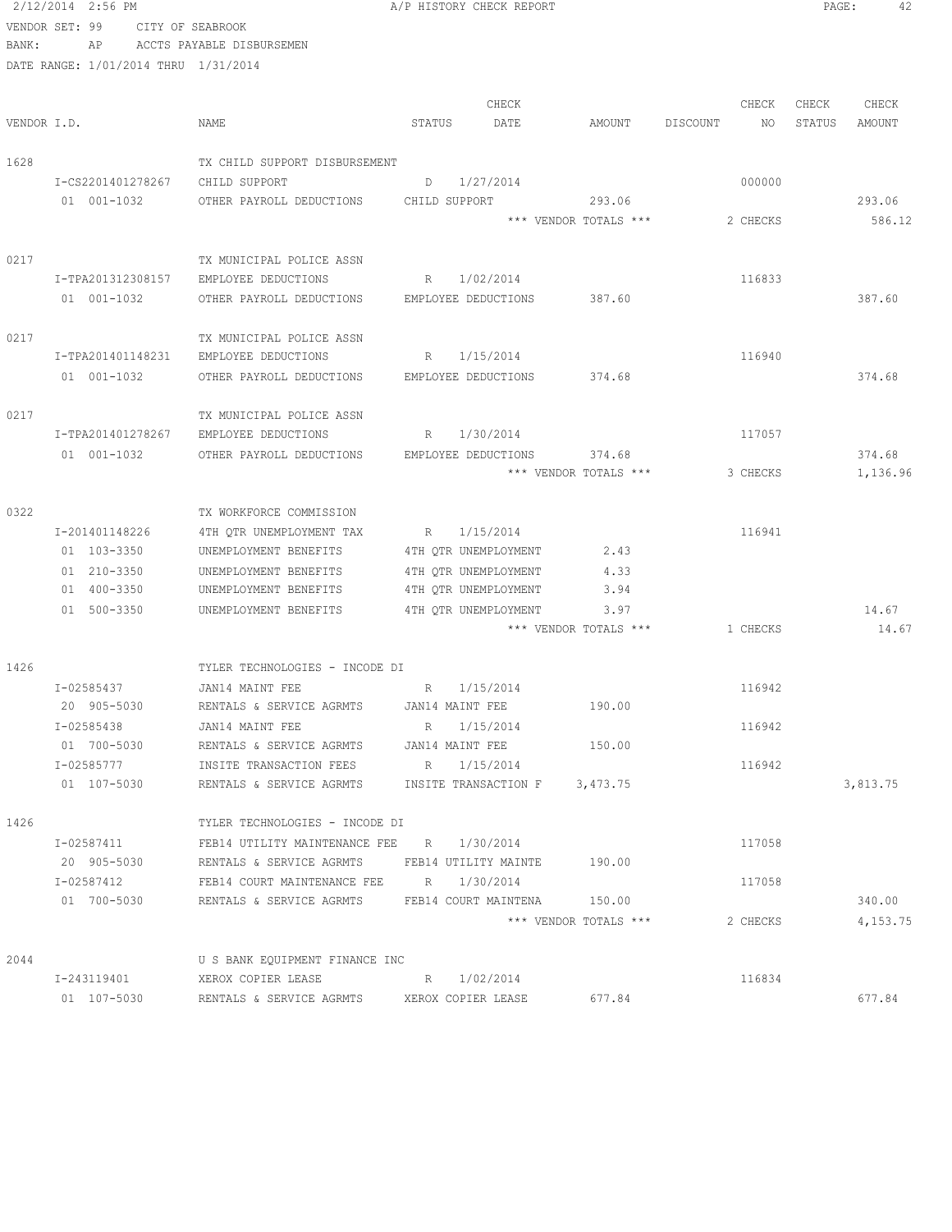VENDOR SET: 99 CITY OF SEABROOK BANK: AP ACCTS PAYABLE DISBURSEMEN DATE RANGE: 1/01/2014 THRU 1/31/2014 CHECK CHECK CHECK CHECK VENDOR I.D. NAME STATUS DATE AMOUNT DISCOUNT NO STATUS AMOUNT 1628 TX CHILD SUPPORT DISBURSEMENT I-CS2201401278267 CHILD SUPPORT D 1/27/2014 01 001-1032 OTHER PAYROLL DEDUCTIONS CHILD SUPPORT 293.06 293.06 \*\*\* VENDOR TOTALS \*\*\* 2 CHECKS 586.12 0217 TX MUNICIPAL POLICE ASSN I-TPA201312308157 EMPLOYEE DEDUCTIONS R 1/02/2014 116833 01 001-1032 OTHER PAYROLL DEDUCTIONS EMPLOYEE DEDUCTIONS 387.60 387.60 387.60 0217 TX MUNICIPAL POLICE ASSN I-TPA201401148231 EMPLOYEE DEDUCTIONS R 1/15/2014 116940 01 001-1032 OTHER PAYROLL DEDUCTIONS EMPLOYEE DEDUCTIONS 374.68 374.68 0217 TX MUNICIPAL POLICE ASSN I-TPA201401278267 EMPLOYEE DEDUCTIONS R 1/30/2014 117057 01 001-1032 OTHER PAYROLL DEDUCTIONS EMPLOYEE DEDUCTIONS 374.68 374.68 374.68 \*\*\* VENDOR TOTALS \*\*\* 3 CHECKS 1,136.96 0322 TX WORKFORCE COMMISSION I-201401148226 4TH QTR UNEMPLOYMENT TAX R 1/15/2014 116941 01 103-3350 UNEMPLOYMENT BENEFITS 4TH QTR UNEMPLOYMENT 2.43 01 210-3350 UNEMPLOYMENT BENEFITS 4TH QTR UNEMPLOYMENT 4.33 01 400-3350 UNEMPLOYMENT BENEFITS 4TH QTR UNEMPLOYMENT 3.94 01 500-3350 UNEMPLOYMENT BENEFITS 4TH QTR UNEMPLOYMENT 3.97 3.97 14.67 \*\*\* VENDOR TOTALS \*\*\* 1 CHECKS 14.67 1426 TYLER TECHNOLOGIES - INCODE DI I-02585437 JAN14 MAINT FEE R 1/15/2014 116942 20 905-5030 RENTALS & SERVICE AGRMTS JAN14 MAINT FEE 190.00 I-02585438 JAN14 MAINT FEE R R 1/15/2014 R 1/15/2014 01 700-5030 RENTALS & SERVICE AGRMTS JAN14 MAINT FEE 150.00 I-02585777 INSITE TRANSACTION FEES R 1/15/2014 116942 01 107-5030 RENTALS & SERVICE AGRMTS INSITE TRANSACTION F 3,473.75 3,813.75 1426 TYLER TECHNOLOGIES - INCODE DI I-02587411 FEB14 UTILITY MAINTENANCE FEE R 1/30/2014 117058 20 905-5030 RENTALS & SERVICE AGRMTS FEB14 UTILITY MAINTE 190.00 I-02587412 FEB14 COURT MAINTENANCE FEE R 1/30/2014 117058 01 700-5030 RENTALS & SERVICE AGRMTS FEB14 COURT MAINTENA 150.00 340.00 \*\*\* VENDOR TOTALS \*\*\* 2 CHECKS 4,153.75 2044 U S BANK EQUIPMENT FINANCE INC I-243119401 XEROX COPIER LEASE R 1/02/2014 116834 01 107-5030 RENTALS & SERVICE AGRMTS XEROX COPIER LEASE 677.84 677.84 677.84

2/12/2014 2:56 PM A/P HISTORY CHECK REPORT PAGE: 42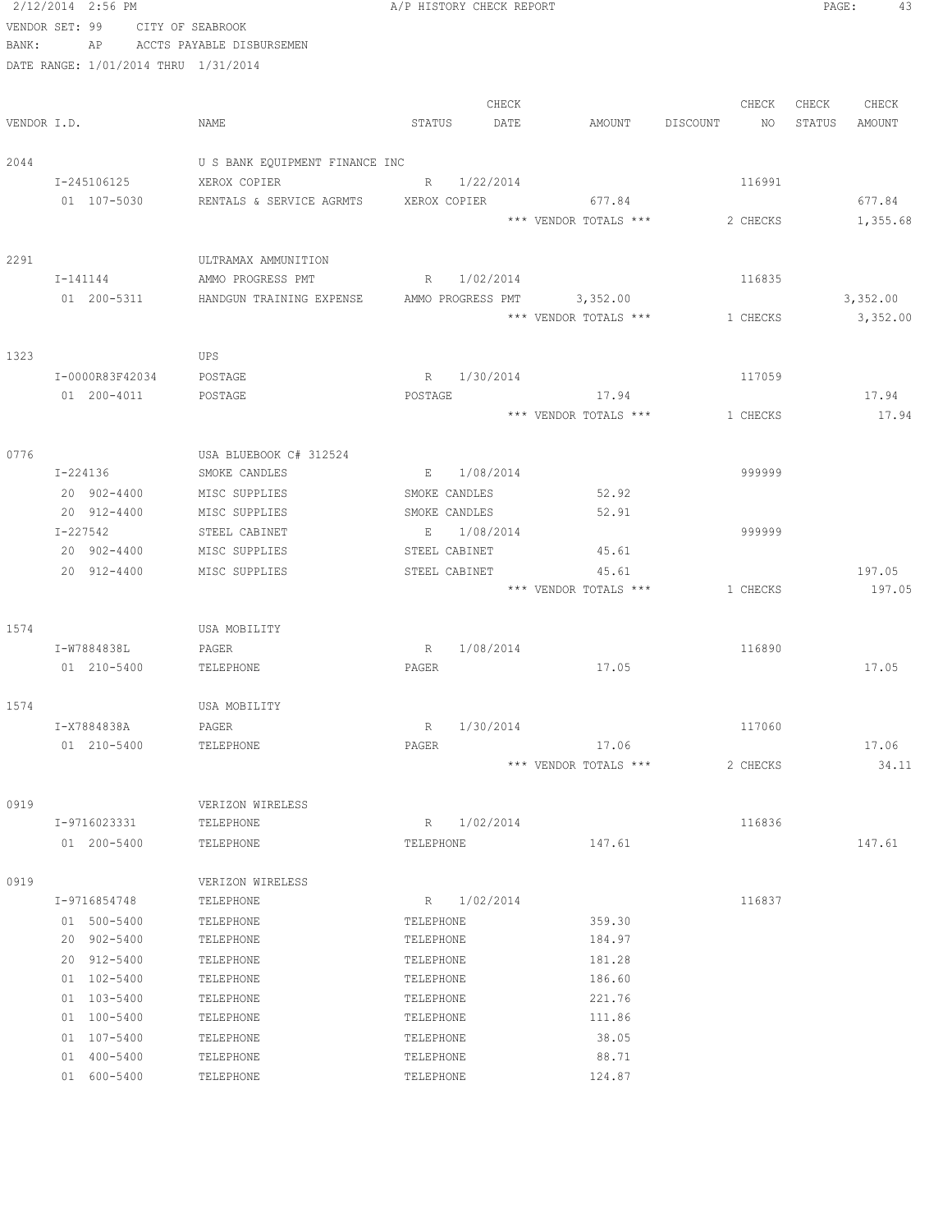|       | 2/12/2014 2:56 PM                    |                                                | A/P HISTORY CHECK REPORT |                       |                | PAGE:<br>43      |
|-------|--------------------------------------|------------------------------------------------|--------------------------|-----------------------|----------------|------------------|
|       | VENDOR SET: 99                       | CITY OF SEABROOK                               |                          |                       |                |                  |
| BANK: | AP                                   | ACCTS PAYABLE DISBURSEMEN                      |                          |                       |                |                  |
|       | DATE RANGE: 1/01/2014 THRU 1/31/2014 |                                                |                          |                       |                |                  |
|       |                                      |                                                |                          |                       |                |                  |
|       |                                      |                                                | CHECK                    |                       | CHECK          | CHECK<br>CHECK   |
|       | VENDOR I.D.                          | NAME                                           | STATUS<br>DATE           | AMOUNT                | DISCOUNT<br>NO | STATUS<br>AMOUNT |
|       |                                      |                                                |                          |                       |                |                  |
| 2044  | I-245106125                          | U S BANK EQUIPMENT FINANCE INC<br>XEROX COPIER | R 1/22/2014              |                       | 116991         |                  |
|       | 01 107-5030                          | RENTALS & SERVICE AGRMTS                       | XEROX COPIER             | 677.84                |                | 677.84           |
|       |                                      |                                                |                          | *** VENDOR TOTALS *** | 2 CHECKS       | 1,355.68         |
| 2291  |                                      | ULTRAMAX AMMUNITION                            |                          |                       |                |                  |
|       | I-141144                             | AMMO PROGRESS PMT                              | R 1/02/2014              |                       | 116835         |                  |
|       | 01 200-5311                          | HANDGUN TRAINING EXPENSE                       | AMMO PROGRESS PMT        | 3,352.00              |                | 3,352.00         |
|       |                                      |                                                |                          | *** VENDOR TOTALS *** | 1 CHECKS       | 3,352.00         |
| 1323  |                                      | UPS                                            |                          |                       |                |                  |
|       | I-0000R83F42034                      | POSTAGE                                        | $R_{\perp}$<br>1/30/2014 |                       | 117059         |                  |
|       | 01 200-4011                          | POSTAGE                                        | POSTAGE                  | 17.94                 |                | 17.94            |
|       |                                      |                                                |                          | *** VENDOR TOTALS *** | 1 CHECKS       | 17.94            |
|       |                                      |                                                |                          |                       |                |                  |
| 0776  |                                      | USA BLUEBOOK C# 312524                         |                          |                       |                |                  |
|       | I-224136                             | SMOKE CANDLES                                  | 1/08/2014<br>$E_{\perp}$ |                       | 999999         |                  |
|       | 20 902-4400                          | MISC SUPPLIES                                  | SMOKE CANDLES            | 52.92                 |                |                  |
|       | 20 912-4400                          | MISC SUPPLIES                                  | SMOKE CANDLES            | 52.91                 |                |                  |
|       | I-227542                             | STEEL CABINET                                  | E 1/08/2014              |                       | 999999         |                  |
|       | 20 902-4400                          | MISC SUPPLIES                                  | STEEL CABINET            | 45.61                 |                |                  |
|       | 20 912-4400                          | MISC SUPPLIES                                  | STEEL CABINET            | 45.61                 |                | 197.05           |
|       |                                      |                                                |                          | *** VENDOR TOTALS *** | 1 CHECKS       | 197.05           |
| 1574  |                                      | USA MOBILITY                                   |                          |                       |                |                  |
|       | I-W7884838L                          | PAGER                                          | 1/08/2014<br>R           |                       | 116890         |                  |
|       | 01 210-5400                          | TELEPHONE                                      | PAGER                    | 17.05                 |                | 17.05            |
| 1574  |                                      | USA MOBILITY                                   |                          |                       |                |                  |
|       | I-X7884838A                          | PAGER                                          | R<br>1/30/2014           |                       | 117060         |                  |
|       | 01 210-5400                          | TELEPHONE                                      | PAGER                    | 17.06                 |                | 17.06            |
|       |                                      |                                                |                          | *** VENDOR TOTALS *** | 2 CHECKS       | 34.11            |
|       |                                      |                                                |                          |                       |                |                  |
| 0919  |                                      | VERIZON WIRELESS                               |                          |                       |                |                  |
|       | I-9716023331                         | TELEPHONE                                      | R 1/02/2014              |                       | 116836         |                  |
|       | 01 200-5400                          | TELEPHONE                                      | TELEPHONE                | 147.61                |                | 147.61           |
| 0919  |                                      | VERIZON WIRELESS                               |                          |                       |                |                  |
|       | I-9716854748                         | TELEPHONE                                      | R 1/02/2014              |                       | 116837         |                  |
|       | 01 500-5400                          | TELEPHONE                                      | TELEPHONE                | 359.30                |                |                  |
|       | 20 902-5400                          | TELEPHONE                                      | TELEPHONE                | 184.97                |                |                  |
|       | 20 912-5400                          | TELEPHONE                                      | TELEPHONE                | 181.28                |                |                  |
|       | 01 102-5400                          | TELEPHONE                                      | TELEPHONE                | 186.60                |                |                  |
|       | 01 103-5400                          | TELEPHONE                                      | TELEPHONE                | 221.76                |                |                  |
|       | 01 100-5400                          | TELEPHONE                                      | TELEPHONE                | 111.86                |                |                  |
|       | 01 107-5400                          | TELEPHONE                                      | TELEPHONE                | 38.05                 |                |                  |
|       | 01 400-5400                          | TELEPHONE                                      | TELEPHONE                | 88.71                 |                |                  |
|       | 01 600-5400                          | TELEPHONE                                      | TELEPHONE                | 124.87                |                |                  |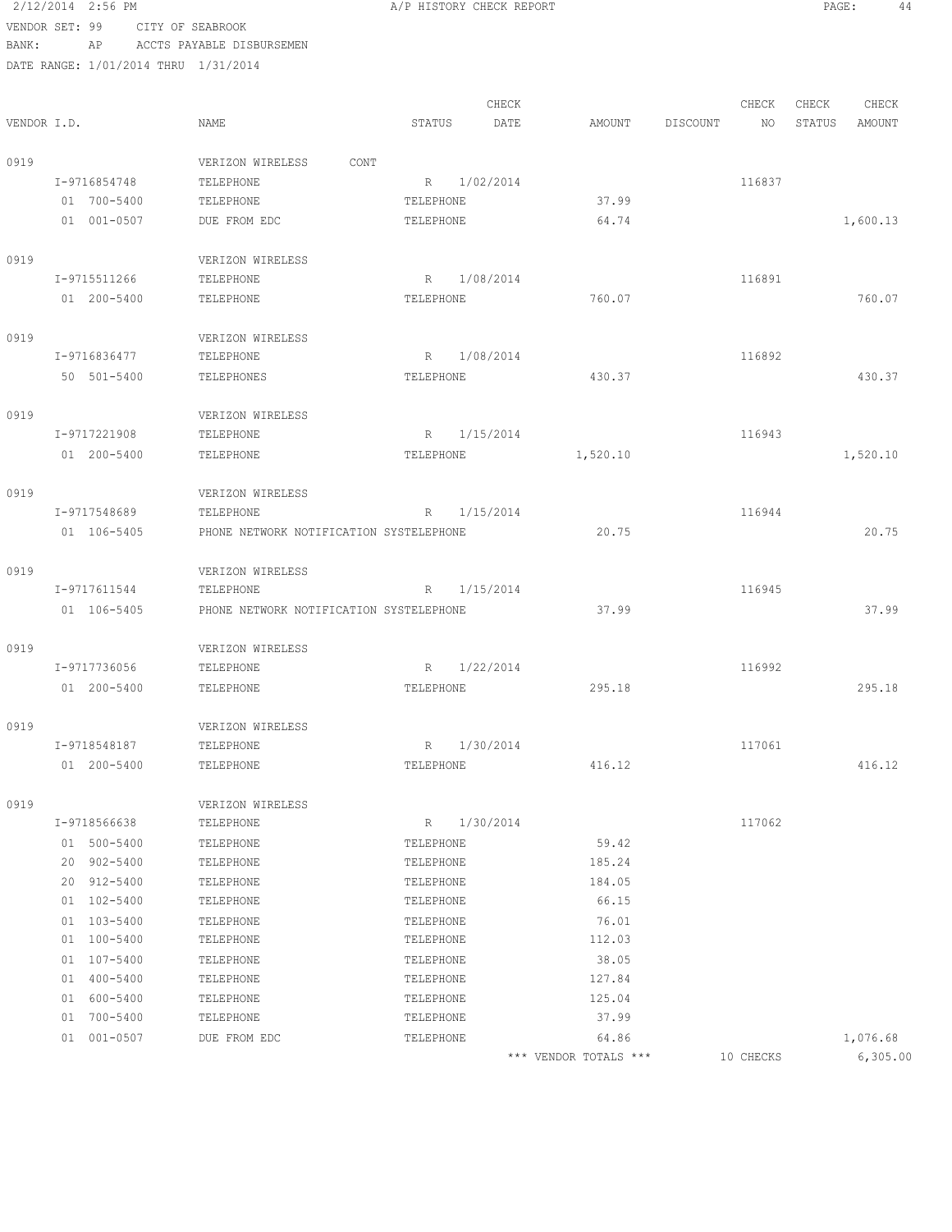# 2/12/2014 2:56 PM A/P HISTORY CHECK REPORT PAGE: 44 VENDOR SET: 99 CITY OF SEABROOK BANK: AP ACCTS PAYABLE DISBURSEMEN

DATE RANGE

|             | DATE RANGE: 1/01/2014 THRU 1/31/2014 |                                         |                 |           |          |          |        |        |          |
|-------------|--------------------------------------|-----------------------------------------|-----------------|-----------|----------|----------|--------|--------|----------|
|             |                                      |                                         |                 | CHECK     |          |          | CHECK  | CHECK  | CHECK    |
| VENDOR I.D. |                                      | NAME                                    | STATUS          | DATE      | AMOUNT   | DISCOUNT | NO     | STATUS | AMOUNT   |
| 0919        |                                      | VERIZON WIRELESS<br>CONT                |                 |           |          |          |        |        |          |
|             | I-9716854748                         | TELEPHONE                               | R 1/02/2014     |           |          |          | 116837 |        |          |
|             | 01 700-5400                          | TELEPHONE                               | TELEPHONE       |           | 37.99    |          |        |        |          |
|             | 01 001-0507                          | DUE FROM EDC                            | TELEPHONE       |           | 64.74    |          |        |        | 1,600.13 |
| 0919        |                                      | VERIZON WIRELESS                        |                 |           |          |          |        |        |          |
|             | I-9715511266                         | TELEPHONE                               | R 1/08/2014     |           |          |          | 116891 |        |          |
|             | 01 200-5400                          | TELEPHONE                               | TELEPHONE       |           | 760.07   |          |        |        | 760.07   |
| 0919        |                                      | VERIZON WIRELESS                        |                 |           |          |          |        |        |          |
|             | I-9716836477                         | TELEPHONE                               | R               | 1/08/2014 |          |          | 116892 |        |          |
|             | 50 501-5400                          | TELEPHONES                              | TELEPHONE       |           | 430.37   |          |        |        | 430.37   |
| 0919        |                                      | VERIZON WIRELESS                        |                 |           |          |          |        |        |          |
|             | I-9717221908                         | TELEPHONE                               | R               | 1/15/2014 |          |          | 116943 |        |          |
|             | 01 200-5400                          | TELEPHONE                               | TELEPHONE       |           | 1,520.10 |          |        |        | 1,520.10 |
| 0919        |                                      | VERIZON WIRELESS                        |                 |           |          |          |        |        |          |
|             | I-9717548689                         | TELEPHONE                               | $R_{\parallel}$ | 1/15/2014 |          |          | 116944 |        |          |
|             | 01 106-5405                          | PHONE NETWORK NOTIFICATION SYSTELEPHONE |                 |           | 20.75    |          |        |        | 20.75    |
| 0919        |                                      | VERIZON WIRELESS                        |                 |           |          |          |        |        |          |
|             | I-9717611544                         | TELEPHONE                               | R               | 1/15/2014 |          |          | 116945 |        |          |
|             | 01 106-5405                          | PHONE NETWORK NOTIFICATION SYSTELEPHONE |                 |           | 37.99    |          |        |        | 37.99    |
| 0919        |                                      | VERIZON WIRELESS                        |                 |           |          |          |        |        |          |
|             | I-9717736056                         | TELEPHONE                               | R 1/22/2014     |           |          |          | 116992 |        |          |
|             | 01 200-5400                          | TELEPHONE                               | TELEPHONE       |           | 295.18   |          |        |        | 295.18   |
| 0919        |                                      | VERIZON WIRELESS                        |                 |           |          |          |        |        |          |
|             | I-9718548187                         | TELEPHONE                               | R 1/30/2014     |           |          |          | 117061 |        |          |
|             | 01 200-5400                          | TELEPHONE                               | TELEPHONE       |           | 416.12   |          |        |        | 416.12   |
| 0919        |                                      | VERIZON WIRELESS                        |                 |           |          |          |        |        |          |
|             | I-9718566638                         | TELEPHONE                               | R               | 1/30/2014 |          |          | 117062 |        |          |
|             | 01 500-5400                          | TELEPHONE                               | TELEPHONE       |           | 59.42    |          |        |        |          |
|             | 20 902-5400                          | TELEPHONE                               | TELEPHONE       |           | 185.24   |          |        |        |          |
|             | 20 912-5400                          | TELEPHONE                               | TELEPHONE       |           | 184.05   |          |        |        |          |
|             | 01 102-5400                          | TELEPHONE                               | TELEPHONE       |           | 66.15    |          |        |        |          |
|             | 01 103-5400                          | TELEPHONE                               | TELEPHONE       |           | 76.01    |          |        |        |          |
|             | 01 100-5400                          | TELEPHONE                               | TELEPHONE       |           | 112.03   |          |        |        |          |

01 107-5400 TELEPHONE TELEPHONE TELEPHONE 38.05 01 400-5400 TELEPHONE TELEPHONE 127.84 01 600-5400 TELEPHONE TELEPHONE TELEPHONE 125.04 01 700-5400 TELEPHONE TELEPHONE 37.99

01 001-0507 DUE FROM EDC TELEPHONE 64.86 64.86 1,076.68 \*\*\* VENDOR TOTALS \*\*\* 10 CHECKS 6,305.00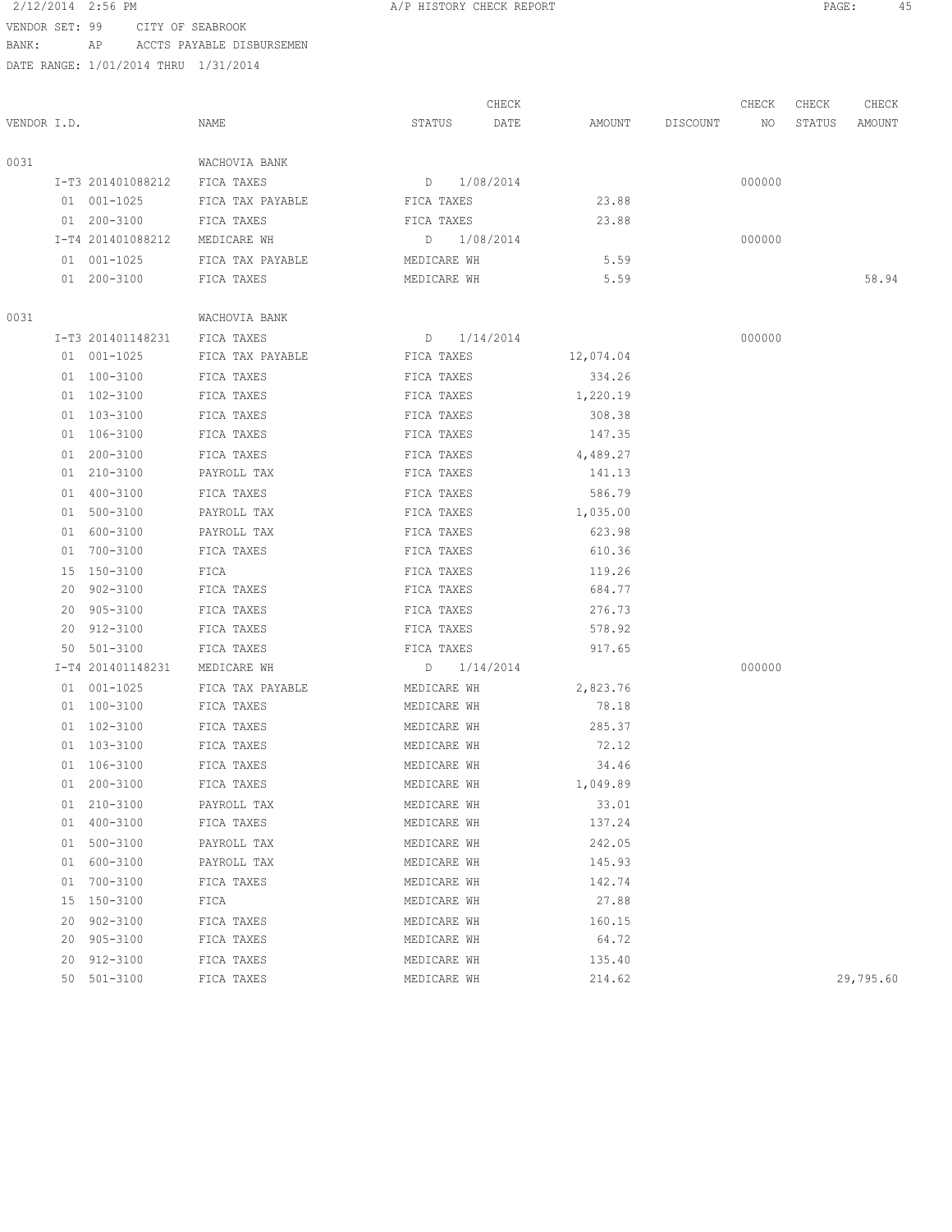#### 2/12/2014 2:56 PM A/P HISTORY CHECK REPORT PAGE: 45 VENDOR SET: 99 CITY OF SEABROOK

BANK: AP ACCTS PAYABLE DISBURSEMEN

DATE RANGE: 1/01/2014 THRU 1/31/2014

CHECK CHECK CHECK CHECK VENDOR I.D. NAME STATUS DATE AMOUNT DISCOUNT NO STATUS AMOUNT 0031 WACHOVIA BANK I-T3 201401088212 FICA TAXES D 1/08/2014 01 001-1025 FICA TAX PAYABLE FICA TAXES 23.88 01 200-3100 FICA TAXES FICA TAXES FICA TAXES 23.88 I-T4 201401088212 MEDICARE WH D 1/08/2014 000000 01 001-1025 FICA TAX PAYABLE MEDICARE WH 5.59 01 200-3100 FICA TAXES MEDICARE WH 5.59 58.94 0031 WACHOVIA BANK I-T3 201401148231 FICA TAXES D 1/14/2014 000000 01 001-1025 FICA TAX PAYABLE FICA TAXES 12,074.04 01 100-3100 FICA TAXES FICA TAXES 334.26 01 102-3100 FICA TAXES FICA TAXES FICA TAXES 1,220.19 01 103-3100 FICA TAXES FICA TAXES 308.38 01 106-3100 FICA TAXES FICA TAXES FICA TAXES 147.35 01 200-3100 FICA TAXES FICA TAXES 4,489.27 01 210-3100 PAYROLL TAX FICA TAXES 141.13 01 400-3100 FICA TAXES FICA TAXES FICA TAXES 586.79 01 500-3100 PAYROLL TAX FICA TAXES 1,035.00 01 600-3100 PAYROLL TAX FICA TAXES 623.98 01 700-3100 FICA TAXES FICA TAXES 610.36 15 150-3100 FICA FICA TAXES 119.26 20 902-3100 FICA TAXES FICA TAXES 684.77 20 905-3100 FICA TAXES FICA TAXES 276.73 20 912-3100 FICA TAXES FICA TAXES 578.92 50 501-3100 FICA TAXES FICA TAXES 917.65 I-T4 201401148231 MEDICARE WH D 1/14/2014 000000 01 001-1025 FICA TAX PAYABLE MEDICARE WH 2,823.76 01 100-3100 FICA TAXES MEDICARE WH 78.18 01 102-3100 FICA TAXES MEDICARE WH 285.37 01 103-3100 FICA TAXES MEDICARE WH 72.12 01 106-3100 FICA TAXES MEDICARE WH 34.46 01 200-3100 FICA TAXES MEDICARE WH 1,049.89 01 210-3100 PAYROLL TAX MEDICARE WH 33.01 01 400-3100 FICA TAXES MEDICARE WH 137.24 01 500-3100 PAYROLL TAX MEDICARE WH 242.05 01 600-3100 PAYROLL TAX MEDICARE WH 145.93 01 700-3100 FICA TAXES MEDICARE WH 142.74 15 150-3100 FICA MEDICARE WH 27.88 20 902-3100 FICA TAXES MEDICARE WH 160.15 20 905-3100 FICA TAXES MEDICARE WH 64.72 20 912-3100 FICA TAXES MEDICARE WH 135.40 50 501-3100 FICA TAXES MEDICARE WH 214.62 29,795.60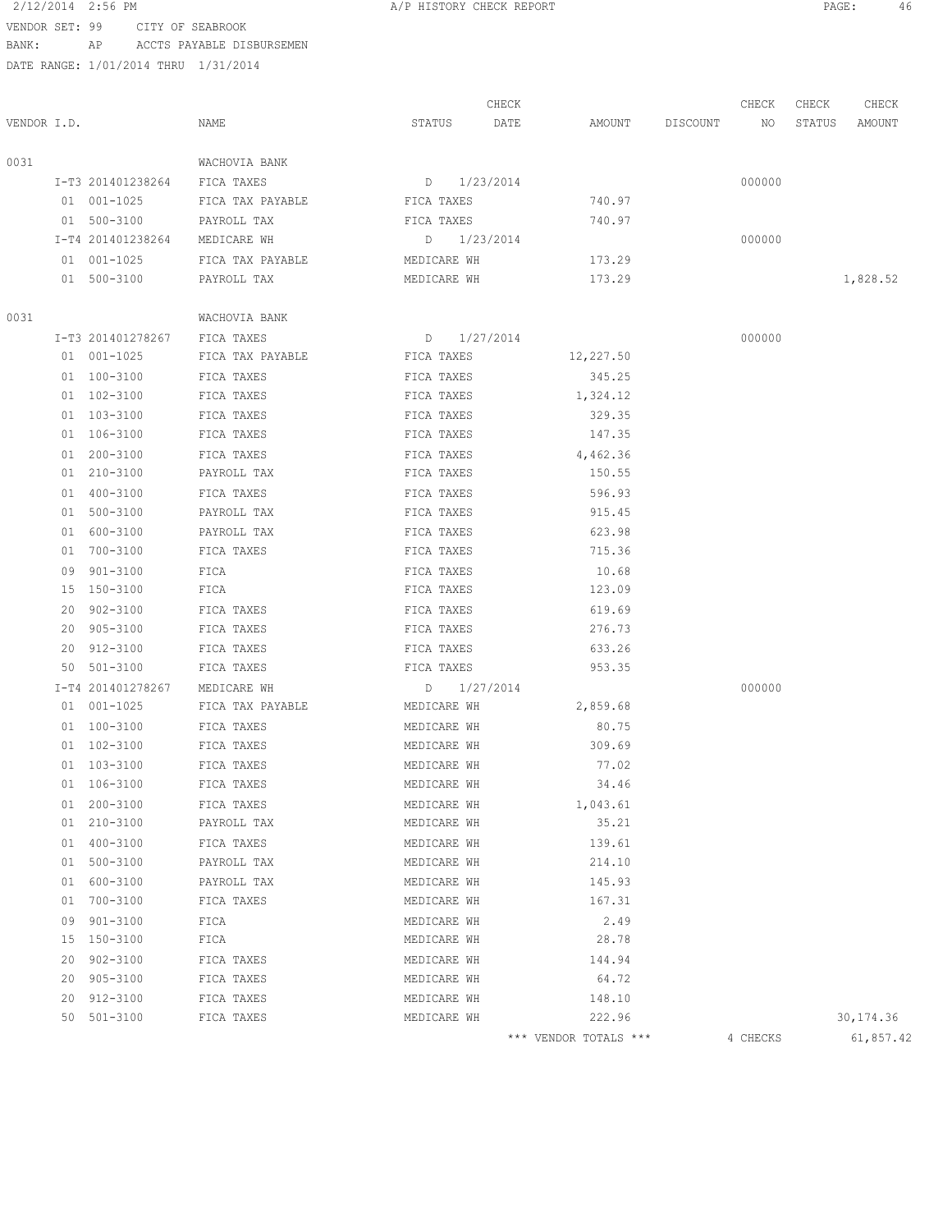# 2/12/2014 2:56 PM **A/P HISTORY CHECK REPORT PAGE:** 46

VENDOR SET: 99 CITY OF SEABROOK BANK: AP ACCTS PAYABLE DISBURSEMEN

|             |    |                   |                  |                 | CHECK |                       |          | CHECK    | CHECK  | CHECK      |
|-------------|----|-------------------|------------------|-----------------|-------|-----------------------|----------|----------|--------|------------|
| VENDOR I.D. |    |                   | NAME             | STATUS          | DATE  | AMOUNT                | DISCOUNT | NO       | STATUS | AMOUNT     |
| 0031        |    |                   | WACHOVIA BANK    |                 |       |                       |          |          |        |            |
|             |    | I-T3 201401238264 | FICA TAXES       | $D = 1/23/2014$ |       |                       |          | 000000   |        |            |
|             |    | 01 001-1025       | FICA TAX PAYABLE | FICA TAXES      |       | 740.97                |          |          |        |            |
|             |    | 01 500-3100       | PAYROLL TAX      | FICA TAXES      |       | 740.97                |          |          |        |            |
|             |    | I-T4 201401238264 | MEDICARE WH      | D 1/23/2014     |       |                       |          | 000000   |        |            |
|             |    | 01 001-1025       | FICA TAX PAYABLE | MEDICARE WH     |       | 173.29                |          |          |        |            |
|             |    | 01 500-3100       | PAYROLL TAX      | MEDICARE WH     |       | 173.29                |          |          |        | 1,828.52   |
| 0031        |    |                   | WACHOVIA BANK    |                 |       |                       |          |          |        |            |
|             |    | I-T3 201401278267 | FICA TAXES       | D 1/27/2014     |       |                       |          | 000000   |        |            |
|             |    | 01 001-1025       | FICA TAX PAYABLE | FICA TAXES      |       | 12,227.50             |          |          |        |            |
|             |    | 01 100-3100       | FICA TAXES       | FICA TAXES      |       | 345.25                |          |          |        |            |
|             |    | 01 102-3100       | FICA TAXES       | FICA TAXES      |       | 1,324.12              |          |          |        |            |
|             |    | 01 103-3100       | FICA TAXES       | FICA TAXES      |       | 329.35                |          |          |        |            |
|             |    | 01 106-3100       | FICA TAXES       | FICA TAXES      |       | 147.35                |          |          |        |            |
|             |    | 01 200-3100       | FICA TAXES       | FICA TAXES      |       | 4,462.36              |          |          |        |            |
|             |    | 01 210-3100       | PAYROLL TAX      | FICA TAXES      |       | 150.55                |          |          |        |            |
|             |    | 01 400-3100       | FICA TAXES       | FICA TAXES      |       | 596.93                |          |          |        |            |
|             |    | 01 500-3100       | PAYROLL TAX      | FICA TAXES      |       | 915.45                |          |          |        |            |
|             |    | 01 600-3100       | PAYROLL TAX      | FICA TAXES      |       | 623.98                |          |          |        |            |
|             |    | 01 700-3100       | FICA TAXES       | FICA TAXES      |       | 715.36                |          |          |        |            |
|             |    | 09 901-3100       | FICA             | FICA TAXES      |       | 10.68                 |          |          |        |            |
|             |    | 15 150-3100       | FICA             | FICA TAXES      |       | 123.09                |          |          |        |            |
|             |    | 20 902-3100       | FICA TAXES       | FICA TAXES      |       | 619.69                |          |          |        |            |
|             |    | 20 905-3100       | FICA TAXES       | FICA TAXES      |       | 276.73                |          |          |        |            |
|             |    | 20 912-3100       | FICA TAXES       | FICA TAXES      |       | 633.26                |          |          |        |            |
|             |    | 50 501-3100       | FICA TAXES       | FICA TAXES      |       | 953.35                |          |          |        |            |
|             |    | I-T4 201401278267 | MEDICARE WH      | D 1/27/2014     |       |                       |          | 000000   |        |            |
|             |    | 01 001-1025       | FICA TAX PAYABLE | MEDICARE WH     |       | 2,859.68              |          |          |        |            |
|             |    | 01 100-3100       | FICA TAXES       | MEDICARE WH     |       | 80.75                 |          |          |        |            |
|             |    | 01 102-3100       | FICA TAXES       | MEDICARE WH     |       | 309.69                |          |          |        |            |
|             |    | 01 103-3100       | FICA TAXES       | MEDICARE WH     |       | 77.02                 |          |          |        |            |
|             |    | 01 106-3100       | FICA TAXES       | MEDICARE WH     |       | 34.46                 |          |          |        |            |
|             |    | 01 200-3100       | FICA TAXES       | MEDICARE WH     |       | 1,043.61              |          |          |        |            |
|             |    | 01 210-3100       | PAYROLL TAX      | MEDICARE WH     |       | 35.21                 |          |          |        |            |
|             | 01 | 400-3100          | FICA TAXES       | MEDICARE WH     |       | 139.61                |          |          |        |            |
|             | 01 | 500-3100          | PAYROLL TAX      | MEDICARE WH     |       | 214.10                |          |          |        |            |
|             | 01 | 600-3100          | PAYROLL TAX      | MEDICARE WH     |       | 145.93                |          |          |        |            |
|             |    | 01 700-3100       | FICA TAXES       | MEDICARE WH     |       | 167.31                |          |          |        |            |
|             |    | 09 901-3100       | FICA             | MEDICARE WH     |       | 2.49                  |          |          |        |            |
|             |    | 15 150-3100       | FICA             | MEDICARE WH     |       | 28.78                 |          |          |        |            |
|             |    | 20 902-3100       | FICA TAXES       | MEDICARE WH     |       | 144.94                |          |          |        |            |
|             |    | 20 905-3100       | FICA TAXES       | MEDICARE WH     |       | 64.72                 |          |          |        |            |
|             | 20 | 912-3100          | FICA TAXES       | MEDICARE WH     |       | 148.10                |          |          |        |            |
|             |    | 50 501-3100       | FICA TAXES       | MEDICARE WH     |       | 222.96                |          |          |        | 30, 174.36 |
|             |    |                   |                  |                 |       | *** VENDOR TOTALS *** |          | 4 CHECKS |        | 61,857.42  |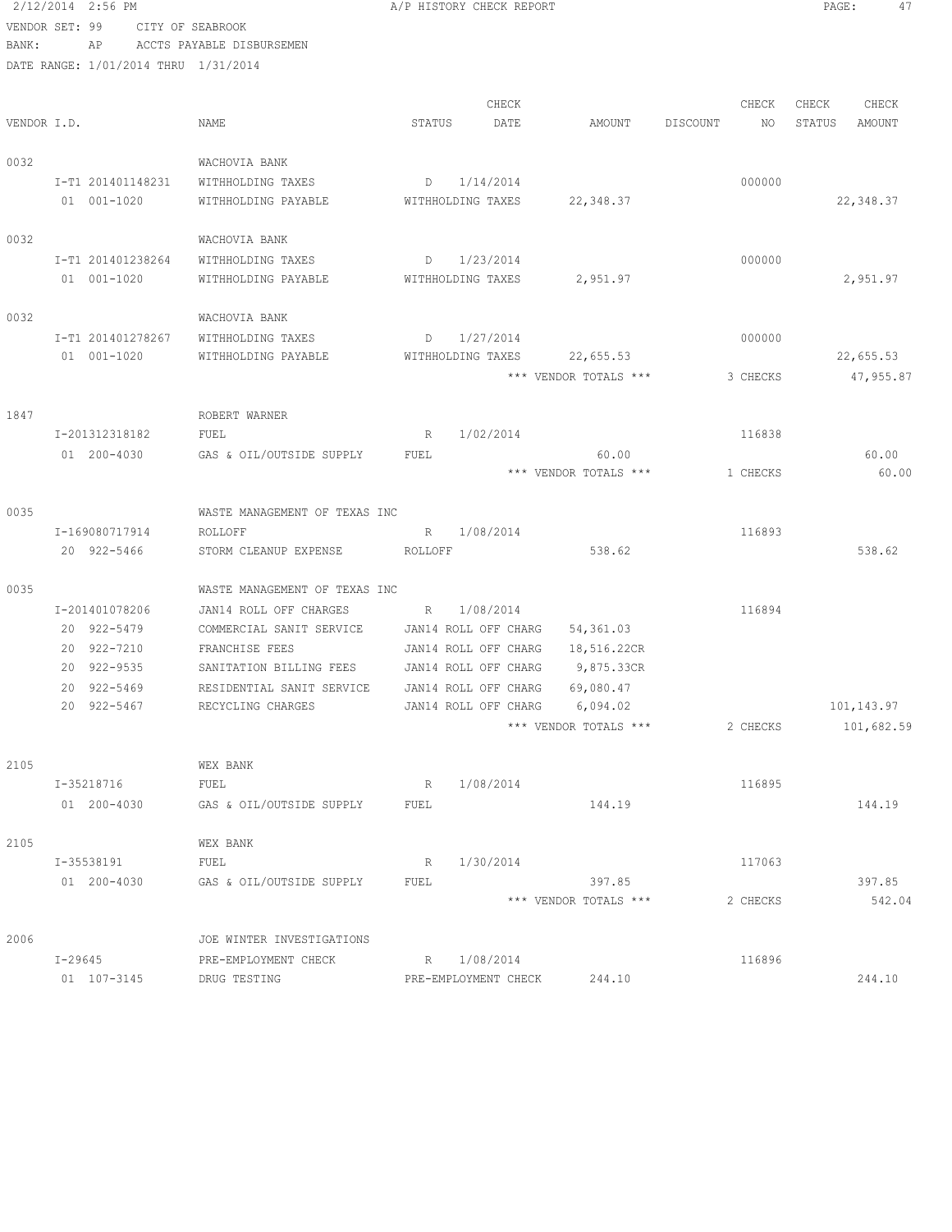2/12/2014 2:56 PM A/P HISTORY CHECK REPORT PAGE: 47 VENDOR SET: 99 CITY OF SEABROOK BANK: AP ACCTS PAYABLE DISBURSEMEN DATE RANGE: 1/01/2014 THRU 1/31/2014 CHECK CHECK CHECK CHECK VENDOR I.D. NAME STATUS DATE AMOUNT DISCOUNT NO STATUS AMOUNT 0032 WACHOVIA BANK I-T1 201401148231 WITHHOLDING TAXES D 1/14/2014 000000 01 001-1020 WITHHOLDING PAYABLE WITHHOLDING TAXES 22,348.37 22,348.37 0032 WACHOVIA BANK I-T1 201401238264 WITHHOLDING TAXES D 1/23/2014 000000 01 001-1020 WITHHOLDING PAYABLE WITHHOLDING TAXES 2,951.97 2,951.97 0032 WACHOVIA BANK I-T1 201401278267 WITHHOLDING TAXES D 1/27/2014 000000 01 001-1020 WITHHOLDING PAYABLE WITHHOLDING TAXES 22,655.53 22,655.53 \*\*\* VENDOR TOTALS \*\*\* 3 CHECKS 47,955.87 1847 ROBERT WARNER I-201312318182 FUEL R 1/02/2014 116838 01 200-4030 GAS & OIL/OUTSIDE SUPPLY FUEL 60.00 60.00 60.00 60.00 60.00 \*\*\* VENDOR TOTALS \*\*\* 1 CHECKS 60.00 0035 WASTE MANAGEMENT OF TEXAS INC I-169080717914 ROLLOFF R 1/08/2014 R 116893 20 922-5466 STORM CLEANUP EXPENSE ROLLOFF 538.62 538.62 0035 WASTE MANAGEMENT OF TEXAS INC I-201401078206 JAN14 ROLL OFF CHARGES R 1/08/2014 116894 20 922-5479 COMMERCIAL SANIT SERVICE JAN14 ROLL OFF CHARG 54,361.03 20 922-7210 FRANCHISE FEES JAN14 ROLL OFF CHARG 18,516.22CR<br>20 922-9535 SANITATION BILLING FEES JAN14 ROLL OFF CHARG 9,875.33CR 20 922-9535 SANITATION BILLING FEES JAN14 ROLL OFF CHARG 9,875.33CR 20 922-5469 RESIDENTIAL SANIT SERVICE JAN14 ROLL OFF CHARG 69,080.47 20 922-5467 RECYCLING CHARGES JAN14 ROLL OFF CHARG 6,094.02 101,143.97 \*\*\* VENDOR TOTALS \*\*\* 2 CHECKS 101,682.59 2105 WEX BANK I-35218716 FUEL R 1/08/2014 116895 01 200-4030 GAS & OIL/OUTSIDE SUPPLY FUEL 144.19 144.19 144.19 2105 WEX BANK I-35538191 FUEL R 1/30/2014 R 1/30 117063 01 200-4030 GAS & OIL/OUTSIDE SUPPLY FUEL 397.85 397.85 397.85 \*\*\* VENDOR TOTALS \*\*\* 2 CHECKS 542.04 2006 JOE WINTER INVESTIGATIONS I-29645 PRE-EMPLOYMENT CHECK R 1/08/2014 116896 01 107-3145 DRUG TESTING PRE-EMPLOYMENT CHECK 244.10 244.10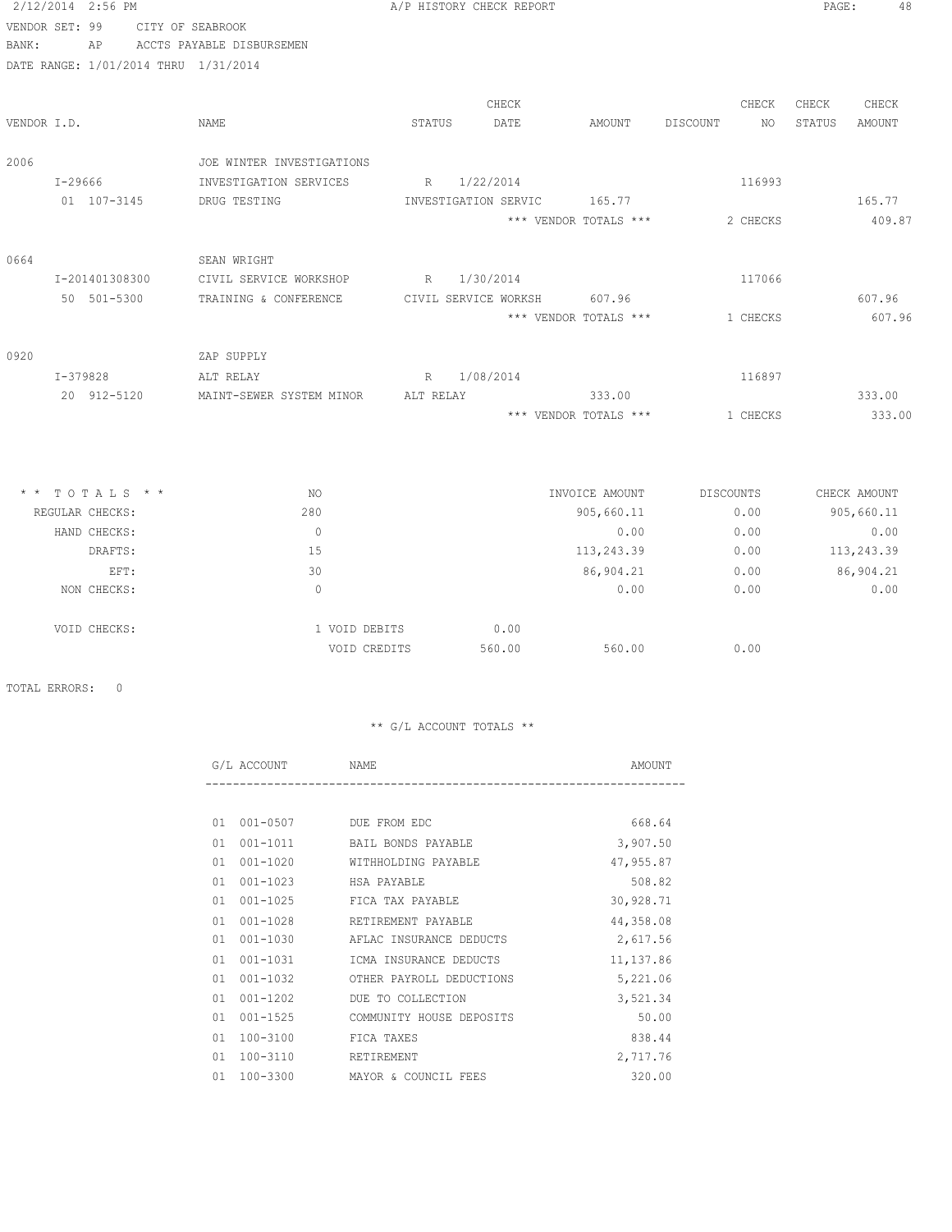| 2/12/2014 2:56 PM |                                      |                           |           | A/P HISTORY CHECK REPORT |                                                         |                  | PAGE:<br>48      |
|-------------------|--------------------------------------|---------------------------|-----------|--------------------------|---------------------------------------------------------|------------------|------------------|
| VENDOR SET: 99    |                                      | CITY OF SEABROOK          |           |                          |                                                         |                  |                  |
| BANK:             | ΑP                                   | ACCTS PAYABLE DISBURSEMEN |           |                          |                                                         |                  |                  |
|                   | DATE RANGE: 1/01/2014 THRU 1/31/2014 |                           |           |                          |                                                         |                  |                  |
|                   |                                      |                           |           | CHECK                    |                                                         | CHECK            | CHECK<br>CHECK   |
| VENDOR I.D.       |                                      | <b>NAME</b>               | STATUS    | DATE                     | AMOUNT                                                  | DISCOUNT<br>NO.  | STATUS<br>AMOUNT |
| 2006              |                                      | JOE WINTER INVESTIGATIONS |           |                          |                                                         |                  |                  |
| $I - 29666$       |                                      | INVESTIGATION SERVICES    | R         | 1/22/2014                |                                                         | 116993           |                  |
|                   | 01 107-3145                          | DRUG TESTING              |           | INVESTIGATION SERVIC     | 165.77                                                  |                  | 165.77           |
|                   |                                      |                           |           |                          | *** VENDOR TOTALS ***                                   | 2 CHECKS         | 409.87           |
| 0664              |                                      | SEAN WRIGHT               |           |                          |                                                         |                  |                  |
|                   | I-201401308300                       | CIVIL SERVICE WORKSHOP    | R         | 1/30/2014                |                                                         | 117066           |                  |
|                   | 50 501-5300                          | TRAINING & CONFERENCE     |           | CIVIL SERVICE WORKSH     | 607.96                                                  |                  | 607.96           |
|                   |                                      |                           |           |                          | *** VENDOR TOTALS ***                                   | 1 CHECKS         | 607.96           |
| 0920              |                                      | ZAP SUPPLY                |           |                          |                                                         |                  |                  |
|                   | $I-379828$                           | ALT RELAY                 | R         | 1/08/2014                |                                                         | 116897           |                  |
|                   | 20 912-5120                          | MAINT-SEWER SYSTEM MINOR  | ALT RELAY |                          | 333.00                                                  |                  | 333.00           |
|                   |                                      |                           |           |                          | $^{\star\star\star}$ VENDOR TOTALS $^{\star\star\star}$ | 1 CHECKS         | 333.00           |
|                   |                                      |                           |           |                          |                                                         |                  |                  |
|                   | $*$ * TOTALS * *                     | NO.                       |           |                          | INVOICE AMOUNT                                          | <b>DISCOUNTS</b> | CHECK AMOUNT     |
|                   | REGULAR CHECKS:                      | 280                       |           |                          | 905,660.11                                              | 0.00             | 905,660.11       |
|                   | HAND CHECKS:                         | $\circ$                   |           |                          | 0.00                                                    | 0.00             | 0.00             |
|                   | DRAFTS:                              | 15                        |           |                          | 113,243.39                                              | 0.00             | 113,243.39       |
|                   | EFT:                                 | 30                        |           |                          | 86,904.21                                               | 0.00             | 86,904.21        |
|                   | NON CHECKS:                          | $\circ$                   |           |                          | 0.00                                                    | 0.00             | 0.00             |
|                   | VOID CHECKS:                         | 1 VOID DEBITS             |           | 0.00                     |                                                         |                  |                  |
|                   |                                      | VOID CREDITS              |           | 560.00                   | 560.00                                                  | 0.00             |                  |

TOTAL ERRORS: 0

|    | G/L ACCOUNT           | NAME                     | AMOUNT    |
|----|-----------------------|--------------------------|-----------|
|    |                       |                          |           |
| 01 | 001-0507 DUE FROM EDC |                          | 668.64    |
| 01 | $001 - 1011$          | BAIL BONDS PAYABLE       | 3,907.50  |
| 01 | $001 - 1020$          | WITHHOLDING PAYABLE      | 47,955.87 |
| 01 | $001 - 1023$          | HSA PAYABLE              | 508.82    |
| 01 | $001 - 1025$          | FICA TAX PAYABLE         | 30,928.71 |
| 01 | $001 - 1028$          | RETIREMENT PAYABLE       | 44,358.08 |
| 01 | $001 - 1030$          | AFLAC INSURANCE DEDUCTS  | 2,617.56  |
| 01 | $001 - 1031$          | ICMA INSURANCE DEDUCTS   | 11,137.86 |
| 01 | $001 - 1032$          | OTHER PAYROLL DEDUCTIONS | 5,221.06  |
| 01 | $001 - 1202$          | DUE TO COLLECTION        | 3,521.34  |
| 01 | $001 - 1525$          | COMMUNITY HOUSE DEPOSITS | 50.00     |
| 01 | 100-3100              | FICA TAXES               | 838.44    |
| 01 | 100-3110              | RETIREMENT               | 2,717.76  |
| 01 | 100-3300              | MAYOR & COUNCIL FEES     | 320.00    |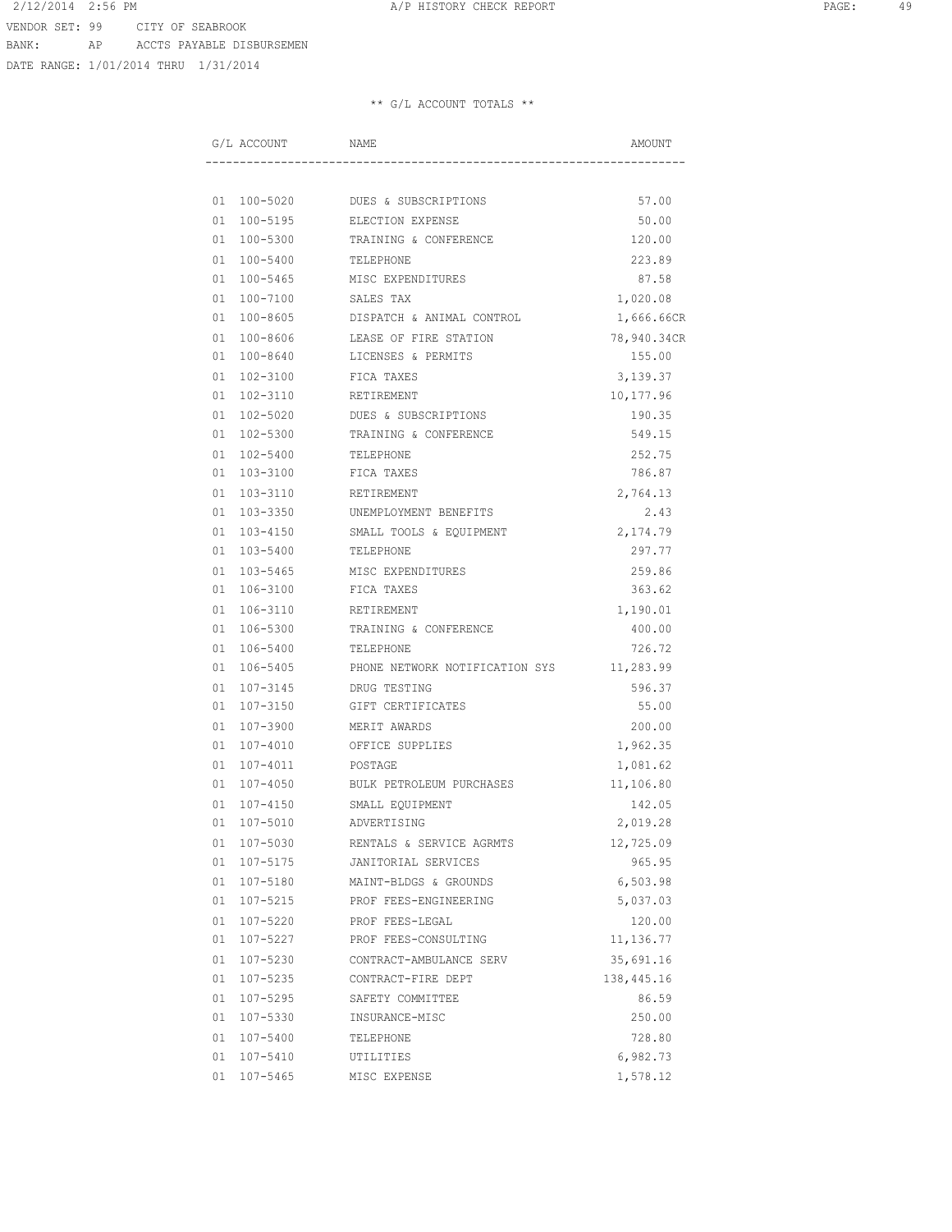DATE RANGE: 1/01/2014 THRU 1/31/2014

| G/L ACCOUNT    | NAME                           | AMOUNT      |
|----------------|--------------------------------|-------------|
|                |                                |             |
| 01 100-5020    | DUES & SUBSCRIPTIONS           | 57.00       |
| 01 100-5195    | ELECTION EXPENSE               | 50.00       |
| 01 100-5300    | TRAINING & CONFERENCE          | 120.00      |
| 01 100-5400    | TELEPHONE                      | 223.89      |
| 01 100-5465    | MISC EXPENDITURES              | 87.58       |
| 01 100-7100    | SALES TAX                      | 1,020.08    |
| 01 100-8605    | DISPATCH & ANIMAL CONTROL      | 1,666.66CR  |
| 01 100-8606    | LEASE OF FIRE STATION          | 78,940.34CR |
| 01 100-8640    | LICENSES & PERMITS             | 155.00      |
| 01 102-3100    | FICA TAXES                     | 3,139.37    |
| 01 102-3110    | RETIREMENT                     | 10,177.96   |
| 01 102-5020    | DUES & SUBSCRIPTIONS           | 190.35      |
| 01 102-5300    | TRAINING & CONFERENCE          | 549.15      |
| 01 102-5400    | TELEPHONE                      | 252.75      |
| 01 103-3100    | FICA TAXES                     | 786.87      |
| 01 103-3110    | RETIREMENT                     | 2,764.13    |
| 01 103-3350    | UNEMPLOYMENT BENEFITS          | 2.43        |
| 01 103-4150    | SMALL TOOLS & EQUIPMENT        | 2,174.79    |
| 01 103-5400    | TELEPHONE                      | 297.77      |
| 01 103-5465    | MISC EXPENDITURES              | 259.86      |
| 01 106-3100    | FICA TAXES                     | 363.62      |
| 01 106-3110    | RETIREMENT                     | 1,190.01    |
| 01 106-5300    | TRAINING & CONFERENCE          | 400.00      |
| 01 106-5400    | TELEPHONE                      | 726.72      |
| 01 106-5405    | PHONE NETWORK NOTIFICATION SYS | 11,283.99   |
| 01 107-3145    | DRUG TESTING                   | 596.37      |
| 01 107-3150    | GIFT CERTIFICATES              | 55.00       |
| 01 107-3900    | MERIT AWARDS                   | 200.00      |
| 01 107-4010    | OFFICE SUPPLIES                | 1,962.35    |
| 01 107-4011    | POSTAGE                        | 1,081.62    |
| 01 107-4050    | BULK PETROLEUM PURCHASES       | 11,106.80   |
| 107-4150<br>01 | SMALL EQUIPMENT                | 142.05      |
| 01 107-5010    | ADVERTISING                    | 2,019.28    |
| 01 107-5030    | RENTALS & SERVICE AGRMTS       | 12,725.09   |
| 01 107-5175    | JANITORIAL SERVICES            | 965.95      |
| 01 107-5180    | MAINT-BLDGS & GROUNDS          | 6,503.98    |
| 01 107-5215    | PROF FEES-ENGINEERING          | 5,037.03    |
| 01 107-5220    | PROF FEES-LEGAL                | 120.00      |
| 01 107-5227    | PROF FEES-CONSULTING           | 11, 136.77  |
| 01 107-5230    | CONTRACT-AMBULANCE SERV        | 35,691.16   |
| 01 107-5235    | CONTRACT-FIRE DEPT             | 138,445.16  |
| 01 107-5295    | SAFETY COMMITTEE               | 86.59       |
| 01 107-5330    | INSURANCE-MISC                 | 250.00      |
| 01 107-5400    | TELEPHONE                      | 728.80      |
| 01 107-5410    | UTILITIES                      | 6,982.73    |
| 01 107-5465    | MISC EXPENSE                   | 1,578.12    |
|                |                                |             |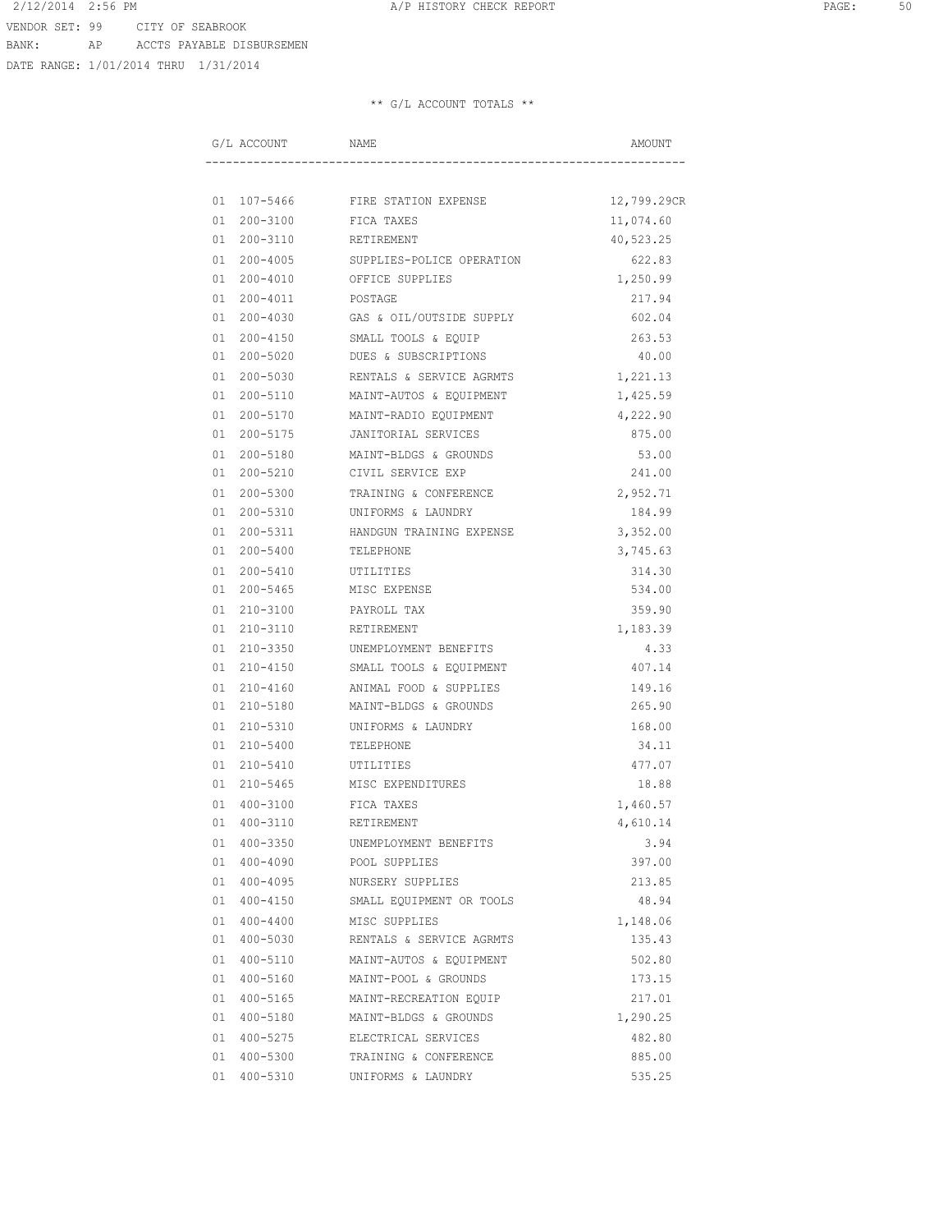DATE RANGE: 1/01/2014 THRU 1/31/2014

| G/L ACCOUNT |             | NAME                             | AMOUNT      |
|-------------|-------------|----------------------------------|-------------|
|             |             |                                  |             |
|             |             | 01 107-5466 FIRE STATION EXPENSE | 12,799.29CR |
| 01 200-3100 |             | FICA TAXES                       | 11,074.60   |
| 01 200-3110 |             | RETIREMENT                       | 40,523.25   |
| 01 200-4005 |             | SUPPLIES-POLICE OPERATION        | 622.83      |
| 01 200-4010 |             | OFFICE SUPPLIES                  | 1,250.99    |
| 01 200-4011 |             | POSTAGE                          | 217.94      |
| 01 200-4030 |             | GAS & OIL/OUTSIDE SUPPLY         | 602.04      |
| 01 200-4150 |             | SMALL TOOLS & EQUIP              | 263.53      |
| 01 200-5020 |             | DUES & SUBSCRIPTIONS             | 40.00       |
| 01 200-5030 |             | RENTALS & SERVICE AGRMTS         | 1,221.13    |
|             | 01 200-5110 | MAINT-AUTOS & EQUIPMENT          | 1,425.59    |
| 01 200-5170 |             | MAINT-RADIO EQUIPMENT            | 4,222.90    |
| 01 200-5175 |             | JANITORIAL SERVICES              | 875.00      |
| 01 200-5180 |             | MAINT-BLDGS & GROUNDS            | 53.00       |
| 01 200-5210 |             | CIVIL SERVICE EXP                | 241.00      |
| 01 200-5300 |             | TRAINING & CONFERENCE            | 2,952.71    |
| 01 200-5310 |             | UNIFORMS & LAUNDRY               | 184.99      |
| 01 200-5311 |             | HANDGUN TRAINING EXPENSE         | 3,352.00    |
| 01 200-5400 |             | TELEPHONE                        | 3,745.63    |
| 01 200-5410 |             | UTILITIES                        | 314.30      |
| 01 200-5465 |             | MISC EXPENSE                     | 534.00      |
| 01 210-3100 |             | PAYROLL TAX                      | 359.90      |
| 01 210-3110 |             | RETIREMENT                       | 1,183.39    |
| 01 210-3350 |             | UNEMPLOYMENT BENEFITS            | 4.33        |
| 01 210-4150 |             | SMALL TOOLS & EQUIPMENT          | 407.14      |
| 01 210-4160 |             | ANIMAL FOOD & SUPPLIES           | 149.16      |
| 01 210-5180 |             | MAINT-BLDGS & GROUNDS            | 265.90      |
| 01 210-5310 |             | UNIFORMS & LAUNDRY               | 168.00      |
| 01 210-5400 |             | TELEPHONE                        | 34.11       |
| 01 210-5410 |             | UTILITIES                        | 477.07      |
| 01 210-5465 |             | MISC EXPENDITURES                | 18.88       |
| 01 400-3100 |             | FICA TAXES                       | 1,460.57    |
| 01 400-3110 |             | RETIREMENT                       | 4,610.14    |
| 01 400-3350 |             | UNEMPLOYMENT BENEFITS            | 3.94        |
| 01 400-4090 |             | POOL SUPPLIES                    | 397.00      |
| 01 400-4095 |             | NURSERY SUPPLIES                 | 213.85      |
| 01 400-4150 |             | SMALL EQUIPMENT OR TOOLS         | 48.94       |
| 01 400-4400 |             | MISC SUPPLIES                    | 1,148.06    |
| 01 400-5030 |             | RENTALS & SERVICE AGRMTS         | 135.43      |
| 01 400-5110 |             | MAINT-AUTOS & EQUIPMENT          | 502.80      |
| 01 400-5160 |             | MAINT-POOL & GROUNDS             | 173.15      |
| 01 400-5165 |             | MAINT-RECREATION EQUIP           | 217.01      |
| 01 400-5180 |             | MAINT-BLDGS & GROUNDS            | 1,290.25    |
| 01 400-5275 |             | ELECTRICAL SERVICES              | 482.80      |
| 01 400-5300 |             | TRAINING & CONFERENCE            | 885.00      |
| 01 400-5310 |             | UNIFORMS & LAUNDRY               | 535.25      |
|             |             |                                  |             |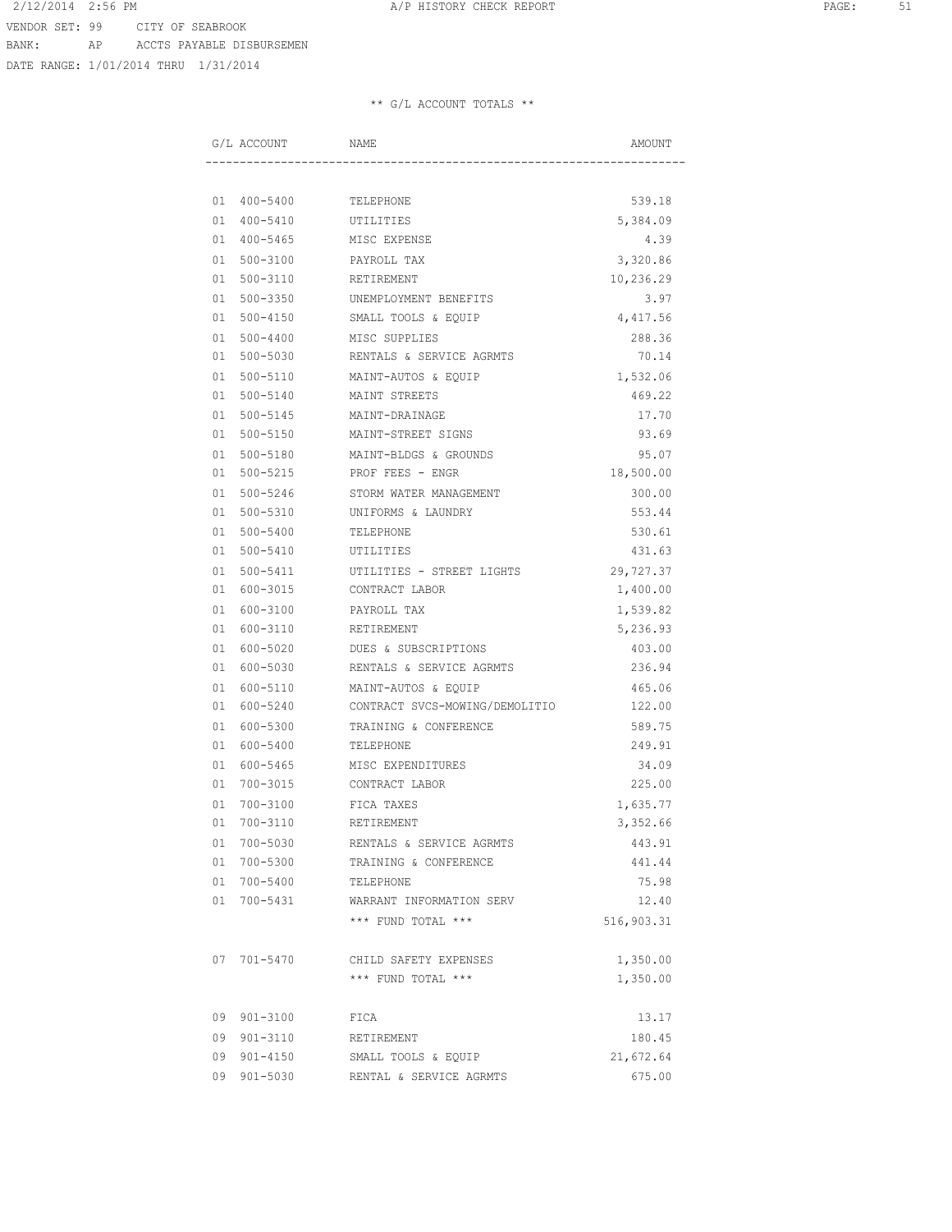DATE RANGE: 1/01/2014 THRU 1/31/2014

| G/L ACCOUNT |             | NAME                           | AMOUNT     |
|-------------|-------------|--------------------------------|------------|
|             |             |                                |            |
|             |             | 01  400-5400  TELEPHONE        | 539.18     |
|             |             | 01 400-5410 UTILITIES          | 5,384.09   |
|             |             | 01 400-5465 MISC EXPENSE       | 4.39       |
|             | 01 500-3100 | PAYROLL TAX                    | 3,320.86   |
|             | 01 500-3110 | RETIREMENT                     | 10,236.29  |
|             | 01 500-3350 | UNEMPLOYMENT BENEFITS          | 3.97       |
|             | 01 500-4150 | SMALL TOOLS & EQUIP            | 4,417.56   |
|             | 01 500-4400 | MISC SUPPLIES                  | 288.36     |
|             | 01 500-5030 | RENTALS & SERVICE AGRMTS       | 70.14      |
|             | 01 500-5110 | MAINT-AUTOS & EQUIP            | 1,532.06   |
|             | 01 500-5140 | MAINT STREETS                  | 469.22     |
|             | 01 500-5145 | MAINT-DRAINAGE                 | 17.70      |
|             | 01 500-5150 | MAINT-STREET SIGNS             | 93.69      |
| 01          |             | 500-5180 MAINT-BLDGS & GROUNDS | 95.07      |
|             |             | 01 500-5215 PROF FEES - ENGR   | 18,500.00  |
|             | 01 500-5246 | STORM WATER MANAGEMENT         | 300.00     |
|             | 01 500-5310 | UNIFORMS & LAUNDRY             | 553.44     |
|             | 01 500-5400 | TELEPHONE                      | 530.61     |
|             | 01 500-5410 | UTILITIES                      | 431.63     |
|             | 01 500-5411 | UTILITIES - STREET LIGHTS      | 29,727.37  |
|             | 01 600-3015 | CONTRACT LABOR                 | 1,400.00   |
| 01 600-3100 |             | PAYROLL TAX                    | 1,539.82   |
| 01 600-3110 |             | RETIREMENT                     | 5,236.93   |
| 01 600-5020 |             | DUES & SUBSCRIPTIONS           | 403.00     |
| 01 600-5030 |             | RENTALS & SERVICE AGRMTS       | 236.94     |
|             | 01 600-5110 | MAINT-AUTOS & EQUIP            | 465.06     |
|             | 01 600-5240 | CONTRACT SVCS-MOWING/DEMOLITIO | 122.00     |
| 01          | 600-5300    | TRAINING & CONFERENCE          | 589.75     |
|             | 01 600-5400 | TELEPHONE                      | 249.91     |
|             | 01 600-5465 | MISC EXPENDITURES              | 34.09      |
|             | 01 700-3015 | CONTRACT LABOR                 | 225.00     |
| 01          | 700-3100    | FICA TAXES                     | 1,635.77   |
| 01 700-3110 |             | RETIREMENT                     | 3,352.66   |
| 01 700-5030 |             | RENTALS & SERVICE AGRMTS       | 443.91     |
|             | 01 700-5300 | TRAINING & CONFERENCE          | 441.44     |
|             | 01 700-5400 | TELEPHONE                      | 75.98      |
|             | 01 700-5431 | WARRANT INFORMATION SERV       | 12.40      |
|             |             | *** FUND TOTAL ***             | 516,903.31 |
|             | 07 701-5470 | CHILD SAFETY EXPENSES          | 1,350.00   |
|             |             | *** FUND TOTAL ***             | 1,350.00   |
|             | 09 901-3100 | FICA                           | 13.17      |
|             | 09 901-3110 | RETIREMENT                     | 180.45     |
|             | 09 901-4150 | SMALL TOOLS & EQUIP            | 21,672.64  |
|             | 09 901-5030 | RENTAL & SERVICE AGRMTS        | 675.00     |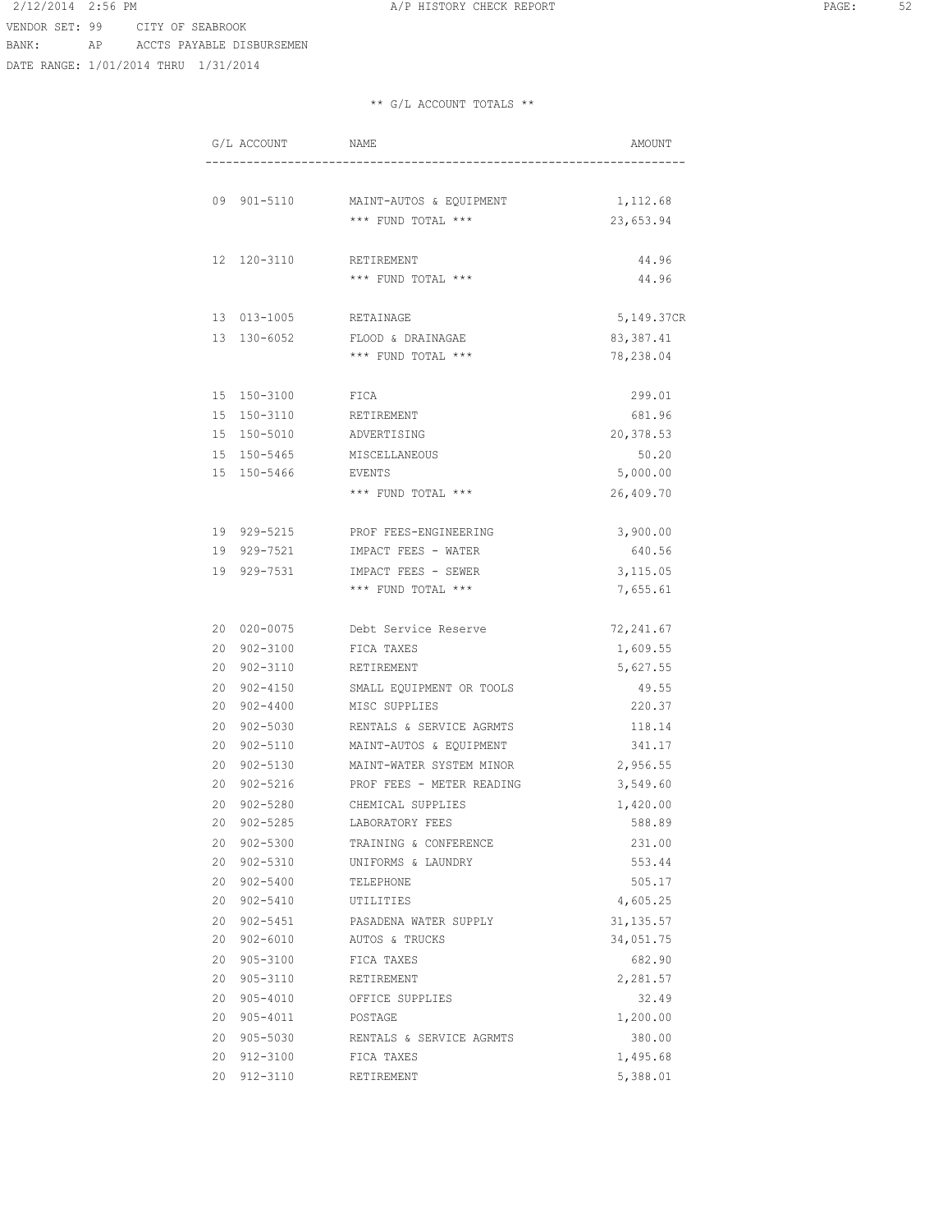VENDOR SET: 99 CITY OF SEABROOK

2/12/2014 2:56 PM **A/P HISTORY CHECK REPORT PAGE:** 52

BANK: AP ACCTS PAYABLE DISBURSEMEN

DATE RANGE: 1/01/2014 THRU 1/31/2014

|    | G/L ACCOUNT  | NAME                      | AMOUNT     |
|----|--------------|---------------------------|------------|
|    |              |                           |            |
|    | 09 901-5110  | MAINT-AUTOS & EQUIPMENT   | 1,112.68   |
|    |              | $***$ FUND TOTAL $***$    | 23,653.94  |
|    | 12 120-3110  | RETIREMENT                | 44.96      |
|    |              | *** FUND TOTAL ***        | 44.96      |
|    | 13 013-1005  | RETAINAGE                 | 5,149.37CR |
|    | 13 130-6052  | FLOOD & DRAINAGAE         | 83, 387.41 |
|    |              | *** FUND TOTAL ***        | 78,238.04  |
|    | 15 150-3100  | FICA                      | 299.01     |
|    | 15 150-3110  | RETIREMENT                | 681.96     |
|    | 15 150-5010  | ADVERTISING               | 20,378.53  |
|    | 15 150-5465  | MISCELLANEOUS             | 50.20      |
|    | 15 150-5466  | EVENTS                    | 5,000.00   |
|    |              | *** FUND TOTAL ***        | 26,409.70  |
|    | 19 929-5215  | PROF FEES-ENGINEERING     | 3,900.00   |
|    | 19 929-7521  | IMPACT FEES - WATER       | 640.56     |
|    | 19 929-7531  | IMPACT FEES - SEWER       | 3,115.05   |
|    |              | *** FUND TOTAL ***        | 7,655.61   |
|    | 20 020-0075  | Debt Service Reserve      | 72,241.67  |
|    | 20 902-3100  | FICA TAXES                | 1,609.55   |
|    | 20 902-3110  | RETIREMENT                | 5,627.55   |
| 20 | 902-4150     | SMALL EQUIPMENT OR TOOLS  | 49.55      |
| 20 | 902-4400     | MISC SUPPLIES             | 220.37     |
| 20 | 902-5030     | RENTALS & SERVICE AGRMTS  | 118.14     |
| 20 | 902-5110     | MAINT-AUTOS & EQUIPMENT   | 341.17     |
| 20 | $902 - 5130$ | MAINT-WATER SYSTEM MINOR  | 2,956.55   |
| 20 | $902 - 5216$ | PROF FEES - METER READING | 3,549.60   |
| 20 | 902-5280     | CHEMICAL SUPPLIES         | 1,420.00   |
|    | 20 902-5285  | LABORATORY FEES           | 588.89     |
|    | 20 902-5300  | TRAINING & CONFERENCE     | 231.00     |
|    | 20 902-5310  | UNIFORMS & LAUNDRY        | 553.44     |
|    | 20 902-5400  | TELEPHONE                 | 505.17     |
|    | 20 902-5410  | UTILITIES                 | 4,605.25   |
|    | 20 902-5451  | PASADENA WATER SUPPLY     | 31, 135.57 |
|    | 20 902-6010  | AUTOS & TRUCKS            | 34,051.75  |
|    | 20 905-3100  | FICA TAXES                | 682.90     |
|    | 20 905-3110  | RETIREMENT                | 2,281.57   |
|    | 20 905-4010  | OFFICE SUPPLIES           | 32.49      |
|    | 20 905-4011  | POSTAGE                   | 1,200.00   |
|    | 20 905-5030  | RENTALS & SERVICE AGRMTS  | 380.00     |
|    | 20 912-3100  | FICA TAXES                | 1,495.68   |
|    | 20 912-3110  | RETIREMENT                | 5,388.01   |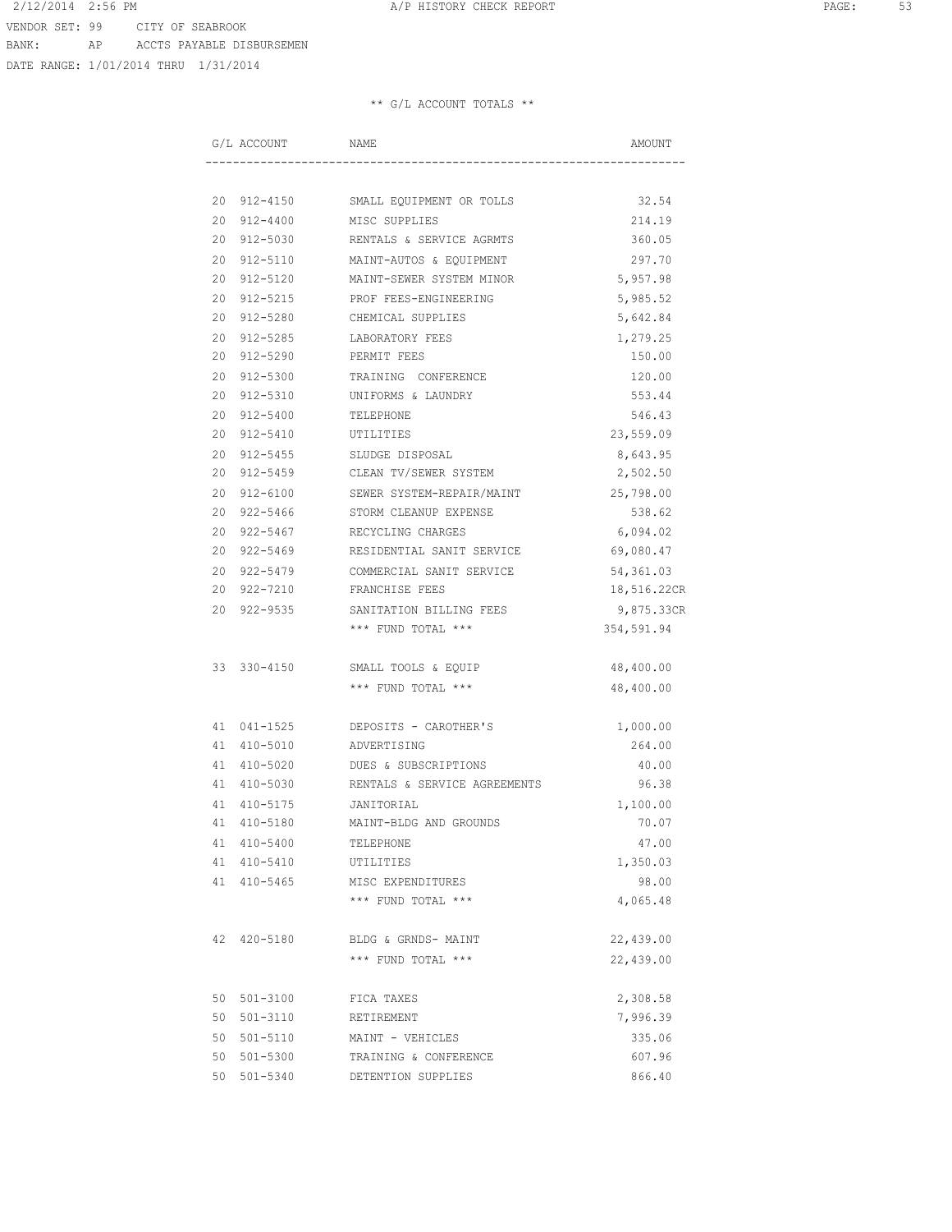DATE RANGE: 1/01/2014 THRU 1/31/2014

|  | G/L ACCOUNT | NAME                                            | AMOUNT      |
|--|-------------|-------------------------------------------------|-------------|
|  |             |                                                 |             |
|  |             | 20 912-4150 SMALL EQUIPMENT OR TOLLS            | 32.54       |
|  |             | 20 912-4400 MISC SUPPLIES                       | 214.19      |
|  |             | 20 912-5030 RENTALS & SERVICE AGRMTS            | 360.05      |
|  |             | 20 912-5110 MAINT-AUTOS & EQUIPMENT             | 297.70      |
|  |             | 20 912-5120 MAINT-SEWER SYSTEM MINOR            | 5,957.98    |
|  | 20 912-5215 | PROF FEES-ENGINEERING                           | 5,985.52    |
|  | 20 912-5280 | CHEMICAL SUPPLIES                               | 5,642.84    |
|  | 20 912-5285 | LABORATORY FEES                                 | 1,279.25    |
|  | 20 912-5290 | PERMIT FEES                                     | 150.00      |
|  | 20 912-5300 | TRAINING CONFERENCE                             | 120.00      |
|  | 20 912-5310 | UNIFORMS & LAUNDRY                              | 553.44      |
|  | 20 912-5400 | TELEPHONE                                       | 546.43      |
|  | 20 912-5410 | UTILITIES                                       | 23,559.09   |
|  |             | 20 912-5455 SLUDGE DISPOSAL                     | 8,643.95    |
|  |             | 20 912-5459 CLEAN TV/SEWER SYSTEM               | 2,502.50    |
|  |             | 20 912-6100 SEWER SYSTEM-REPAIR/MAINT 25,798.00 |             |
|  |             | 20 922-5466 STORM CLEANUP EXPENSE               | 538.62      |
|  | 20 922-5467 | RECYCLING CHARGES                               | 6,094.02    |
|  | 20 922-5469 | RESIDENTIAL SANIT SERVICE                       | 69,080.47   |
|  | 20 922-5479 | COMMERCIAL SANIT SERVICE                        | 54,361.03   |
|  | 20 922-7210 | FRANCHISE FEES                                  | 18,516.22CR |
|  | 20 922-9535 | SANITATION BILLING FEES                         | 9,875.33CR  |
|  |             | *** FUND TOTAL ***                              | 354,591.94  |
|  | 33 330-4150 | SMALL TOOLS & EQUIP                             | 48,400.00   |
|  |             | *** FUND TOTAL ***                              | 48,400.00   |
|  | 41 041-1525 | DEPOSITS - CAROTHER'S                           | 1,000.00    |
|  |             | 41 410-5010 ADVERTISING                         | 264.00      |
|  | 41 410-5020 | DUES & SUBSCRIPTIONS                            | 40.00       |
|  | 41 410-5030 | RENTALS & SERVICE AGREEMENTS                    | 96.38       |
|  | 41 410-5175 | JANITORIAL                                      | 1,100.00    |
|  | 41 410-5180 | MAINT-BLDG AND GROUNDS                          | 70.07       |
|  | 41 410-5400 | TELEPHONE                                       | 47.00       |
|  | 41 410-5410 | UTILITIES                                       | 1,350.03    |
|  | 41 410-5465 | MISC EXPENDITURES                               | 98.00       |
|  |             | *** FUND TOTAL ***                              | 4,065.48    |
|  | 42 420-5180 | BLDG & GRNDS- MAINT                             | 22,439.00   |
|  |             | *** FUND TOTAL ***                              | 22,439.00   |
|  | 50 501-3100 | FICA TAXES                                      | 2,308.58    |
|  | 50 501-3110 | RETIREMENT                                      | 7,996.39    |
|  | 50 501-5110 | MAINT - VEHICLES                                | 335.06      |
|  | 50 501-5300 | TRAINING & CONFERENCE                           | 607.96      |
|  | 50 501-5340 | DETENTION SUPPLIES                              | 866.40      |
|  |             |                                                 |             |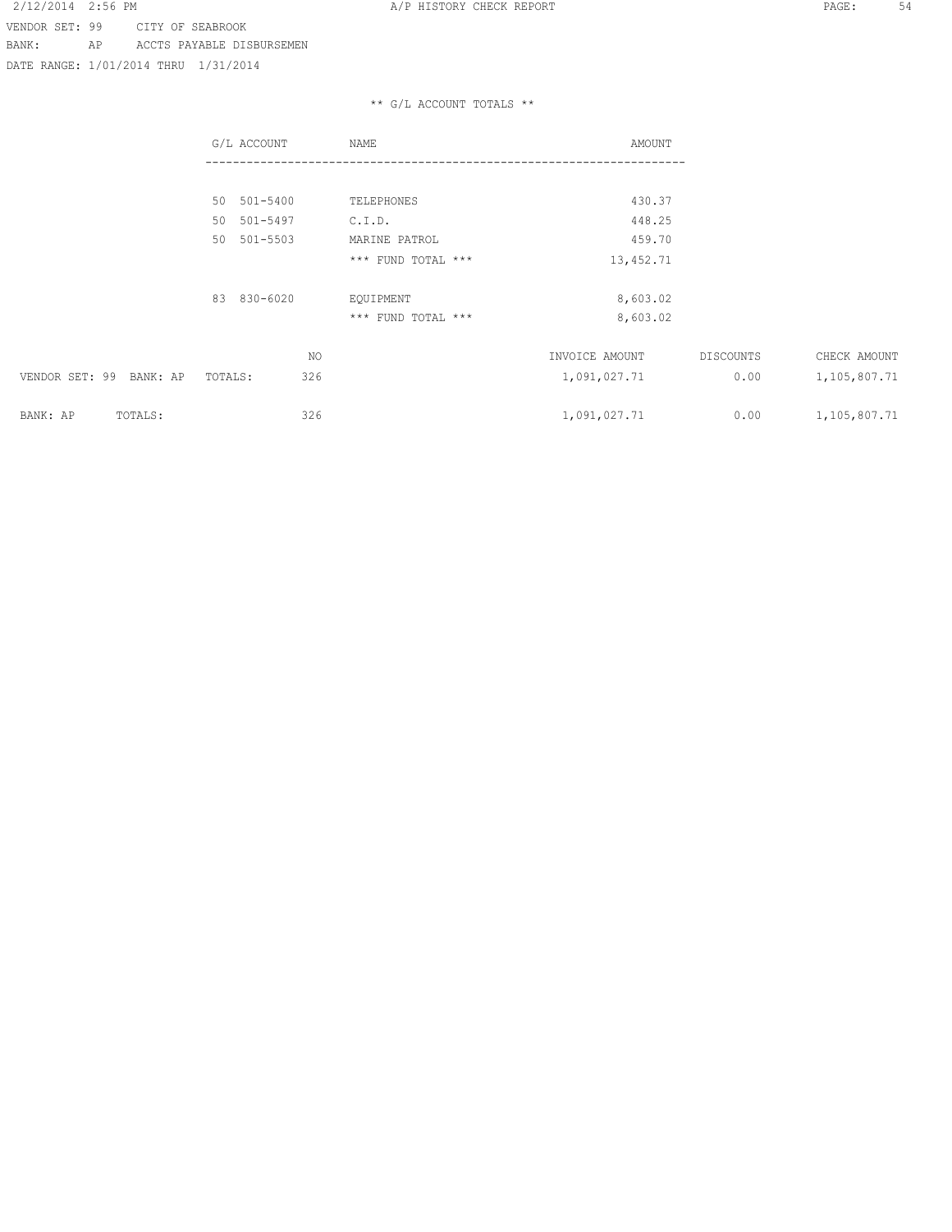DATE RANGE: 1/01/2014 THRU 1/31/2014

|                            | G/L ACCOUNT    | NAME               | AMOUNT         |           |              |
|----------------------------|----------------|--------------------|----------------|-----------|--------------|
|                            |                |                    |                |           |              |
|                            | 50 501-5400    | TELEPHONES         | 430.37         |           |              |
|                            | 50 501-5497    | C.I.D.             | 448.25         |           |              |
|                            | 50<br>501-5503 | MARINE PATROL      | 459.70         |           |              |
|                            |                | *** FUND TOTAL *** | 13,452.71      |           |              |
|                            | 83 830-6020    | EQUIPMENT          | 8,603.02       |           |              |
|                            |                | *** FUND TOTAL *** | 8,603.02       |           |              |
|                            | NO.            |                    | INVOICE AMOUNT | DISCOUNTS | CHECK AMOUNT |
| VENDOR SET: 99<br>BANK: AP | 326<br>TOTALS: |                    | 1,091,027.71   | 0.00      | 1,105,807.71 |
| BANK: AP<br>TOTALS:        | 326            |                    | 1,091,027.71   | 0.00      | 1,105,807.71 |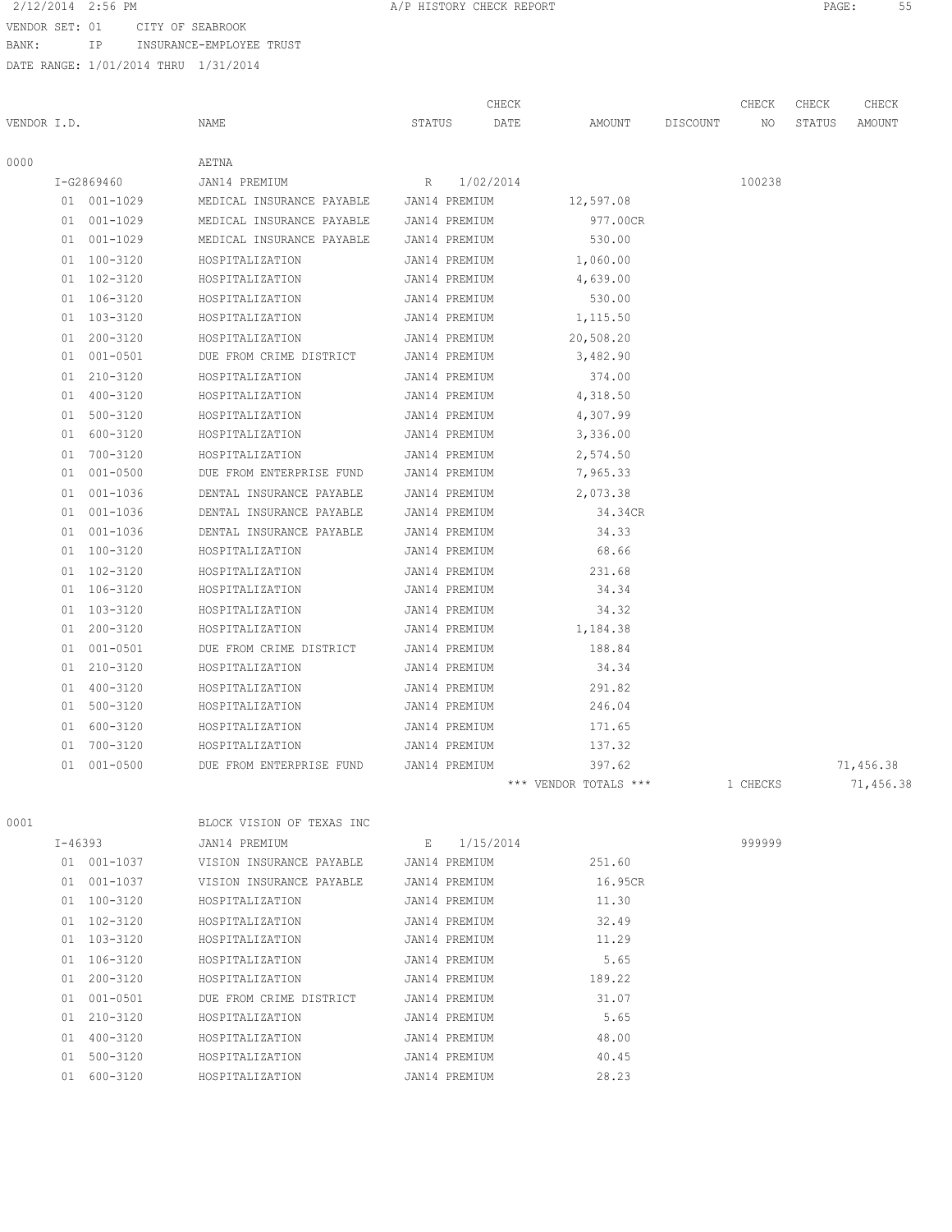VENDOR SET: 01 CITY OF SEABROOK

BANK: IP INSURANCE-EMPLOYEE TRUST

|             |             |             |                                         |               | CHECK     |                       |          | CHECK    | CHECK  | CHECK     |
|-------------|-------------|-------------|-----------------------------------------|---------------|-----------|-----------------------|----------|----------|--------|-----------|
| VENDOR I.D. |             |             | NAME                                    | STATUS        | DATE      | AMOUNT                | DISCOUNT | NO       | STATUS | AMOUNT    |
| 0000        |             |             | AETNA                                   |               |           |                       |          |          |        |           |
|             |             | I-G2869460  | JAN14 PREMIUM                           | R             | 1/02/2014 |                       |          | 100238   |        |           |
|             |             | 01 001-1029 | MEDICAL INSURANCE PAYABLE JAN14 PREMIUM |               |           | 12,597.08             |          |          |        |           |
|             |             | 01 001-1029 | MEDICAL INSURANCE PAYABLE JAN14 PREMIUM |               |           | 977.00CR              |          |          |        |           |
|             |             | 01 001-1029 | MEDICAL INSURANCE PAYABLE               | JAN14 PREMIUM |           | 530.00                |          |          |        |           |
|             |             | 01 100-3120 | HOSPITALIZATION                         | JAN14 PREMIUM |           | 1,060.00              |          |          |        |           |
|             |             | 01 102-3120 | HOSPITALIZATION                         | JAN14 PREMIUM |           | 4,639.00              |          |          |        |           |
|             |             | 01 106-3120 | HOSPITALIZATION                         | JAN14 PREMIUM |           | 530.00                |          |          |        |           |
|             |             | 01 103-3120 | HOSPITALIZATION                         | JAN14 PREMIUM |           | 1,115.50              |          |          |        |           |
|             |             | 01 200-3120 | HOSPITALIZATION                         | JAN14 PREMIUM |           | 20,508.20             |          |          |        |           |
|             |             | 01 001-0501 | DUE FROM CRIME DISTRICT                 | JAN14 PREMIUM |           | 3,482.90              |          |          |        |           |
|             |             | 01 210-3120 | HOSPITALIZATION                         | JAN14 PREMIUM |           | 374.00                |          |          |        |           |
|             |             | 01 400-3120 | HOSPITALIZATION                         | JAN14 PREMIUM |           | 4,318.50              |          |          |        |           |
|             | 01          | 500-3120    | HOSPITALIZATION                         | JAN14 PREMIUM |           | 4,307.99              |          |          |        |           |
|             | 01          | 600-3120    | HOSPITALIZATION                         | JAN14 PREMIUM |           | 3,336.00              |          |          |        |           |
|             |             | 01 700-3120 | HOSPITALIZATION                         | JAN14 PREMIUM |           | 2,574.50              |          |          |        |           |
|             |             | 01 001-0500 | DUE FROM ENTERPRISE FUND                | JAN14 PREMIUM |           | 7,965.33              |          |          |        |           |
|             |             | 01 001-1036 | DENTAL INSURANCE PAYABLE                | JAN14 PREMIUM |           | 2,073.38              |          |          |        |           |
|             |             | 01 001-1036 | DENTAL INSURANCE PAYABLE                | JAN14 PREMIUM |           | 34.34CR               |          |          |        |           |
|             |             | 01 001-1036 | DENTAL INSURANCE PAYABLE                | JAN14 PREMIUM |           | 34.33                 |          |          |        |           |
|             |             | 01 100-3120 | HOSPITALIZATION                         | JAN14 PREMIUM |           | 68.66                 |          |          |        |           |
|             |             | 01 102-3120 | HOSPITALIZATION                         | JAN14 PREMIUM |           | 231.68                |          |          |        |           |
|             |             | 01 106-3120 | HOSPITALIZATION                         | JAN14 PREMIUM |           | 34.34                 |          |          |        |           |
|             |             | 01 103-3120 | HOSPITALIZATION                         | JAN14 PREMIUM |           | 34.32                 |          |          |        |           |
|             |             | 01 200-3120 | HOSPITALIZATION                         | JAN14 PREMIUM |           | 1,184.38              |          |          |        |           |
|             | 01          | 001-0501    | DUE FROM CRIME DISTRICT                 | JAN14 PREMIUM |           | 188.84                |          |          |        |           |
|             |             | 01 210-3120 | HOSPITALIZATION                         | JAN14 PREMIUM |           | 34.34                 |          |          |        |           |
|             |             | 01 400-3120 | HOSPITALIZATION                         | JAN14 PREMIUM |           | 291.82                |          |          |        |           |
|             |             | 01 500-3120 | HOSPITALIZATION                         | JAN14 PREMIUM |           | 246.04                |          |          |        |           |
|             |             | 01 600-3120 | HOSPITALIZATION                         | JAN14 PREMIUM |           | 171.65                |          |          |        |           |
|             |             | 01 700-3120 | HOSPITALIZATION                         | JAN14 PREMIUM |           | 137.32                |          |          |        |           |
|             | 01          | 001-0500    | DUE FROM ENTERPRISE FUND                | JAN14 PREMIUM |           | 397.62                |          |          |        | 71,456.38 |
|             |             |             |                                         |               |           | *** VENDOR TOTALS *** |          | 1 CHECKS |        | 71,456.38 |
| 0001        |             |             | BLOCK VISION OF TEXAS INC               |               |           |                       |          |          |        |           |
|             | $I - 46393$ |             | JAN14 PREMIUM                           | E             | 1/15/2014 |                       |          | 999999   |        |           |
|             |             | 01 001-1037 | VISION INSURANCE PAYABLE                | JAN14 PREMIUM |           | 251.60                |          |          |        |           |
|             |             | 01 001-1037 | VISION INSURANCE PAYABLE                | JAN14 PREMIUM |           | 16.95CR               |          |          |        |           |
|             |             | 01 100-3120 | HOSPITALIZATION                         | JAN14 PREMIUM |           | 11.30                 |          |          |        |           |
|             |             | 01 102-3120 | HOSPITALIZATION                         | JAN14 PREMIUM |           | 32.49                 |          |          |        |           |
|             |             | 01 103-3120 | HOSPITALIZATION                         | JAN14 PREMIUM |           | 11.29                 |          |          |        |           |
|             |             | 01 106-3120 | HOSPITALIZATION                         | JAN14 PREMIUM |           | 5.65                  |          |          |        |           |
|             |             |             |                                         |               |           |                       |          |          |        |           |

|  | BLOCK VISION OF TEXAS INC                                                                                                                                                                             |  |                                                                                                                                                                                                                         |        |
|--|-------------------------------------------------------------------------------------------------------------------------------------------------------------------------------------------------------|--|-------------------------------------------------------------------------------------------------------------------------------------------------------------------------------------------------------------------------|--------|
|  | JAN14 PREMIUM                                                                                                                                                                                         |  |                                                                                                                                                                                                                         | 999999 |
|  | VISION INSURANCE PAYABLE                                                                                                                                                                              |  | 251.60                                                                                                                                                                                                                  |        |
|  | VISION INSURANCE PAYABLE                                                                                                                                                                              |  | 16.95CR                                                                                                                                                                                                                 |        |
|  | HOSPITALIZATION                                                                                                                                                                                       |  | 11.30                                                                                                                                                                                                                   |        |
|  | HOSPITALIZATION                                                                                                                                                                                       |  | 32.49                                                                                                                                                                                                                   |        |
|  | HOSPITALIZATION                                                                                                                                                                                       |  | 11.29                                                                                                                                                                                                                   |        |
|  | HOSPITALIZATION                                                                                                                                                                                       |  | 5.65                                                                                                                                                                                                                    |        |
|  | HOSPITALIZATION                                                                                                                                                                                       |  | 189.22                                                                                                                                                                                                                  |        |
|  | DUE FROM CRIME DISTRICT                                                                                                                                                                               |  | 31.07                                                                                                                                                                                                                   |        |
|  | HOSPITALIZATION                                                                                                                                                                                       |  | 5.65                                                                                                                                                                                                                    |        |
|  | HOSPITALIZATION                                                                                                                                                                                       |  | 48.00                                                                                                                                                                                                                   |        |
|  | HOSPITALIZATION                                                                                                                                                                                       |  | 40.45                                                                                                                                                                                                                   |        |
|  | HOSPITALIZATION                                                                                                                                                                                       |  | 28.23                                                                                                                                                                                                                   |        |
|  | I-46393<br>01 001-1037<br>01 001-1037<br>01 100-3120<br>01 102-3120<br>01 103-3120<br>$01 \quad 106 - 3120$<br>01 200-3120<br>01 001-0501<br>01 210-3120<br>01 400-3120<br>01 500-3120<br>01 600-3120 |  | E 1/15/2014<br>JAN14 PREMIUM<br>JAN14 PREMIUM<br>JAN14 PREMIUM<br>JAN14 PREMIUM<br>JAN14 PREMIUM<br>JAN14 PREMIUM<br>JAN14 PREMIUM<br>JAN14 PREMIUM<br>JAN14 PREMIUM<br>JAN14 PREMIUM<br>JAN14 PREMIUM<br>JAN14 PREMIUM |        |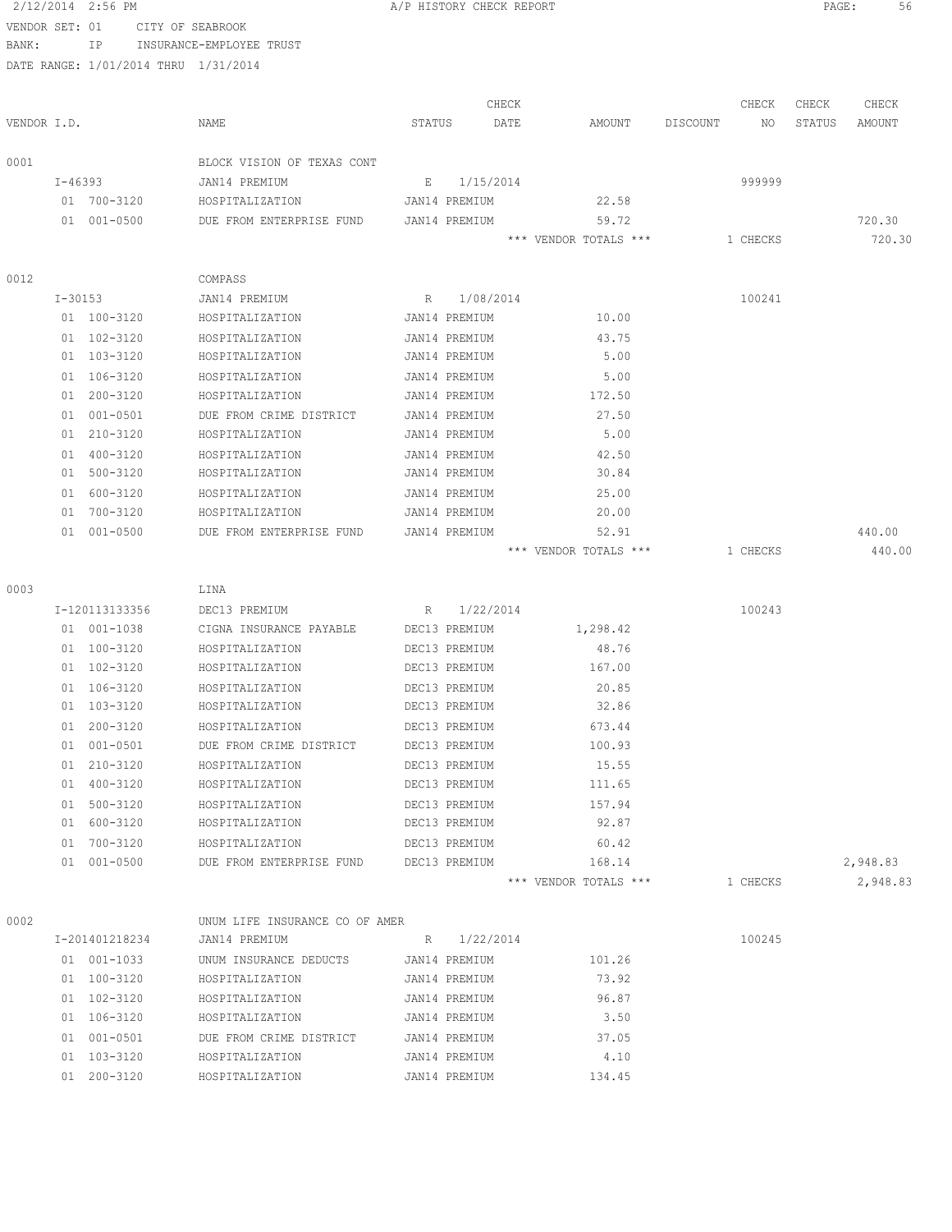|                | 2/12/2014 2:56 PM                    |                                    |        | A/P HISTORY CHECK REPORT       |      |                                |          |          | PAGE:  | 56               |
|----------------|--------------------------------------|------------------------------------|--------|--------------------------------|------|--------------------------------|----------|----------|--------|------------------|
| VENDOR SET: 01 |                                      | CITY OF SEABROOK                   |        |                                |      |                                |          |          |        |                  |
| BANK:          | ΙP                                   | INSURANCE-EMPLOYEE TRUST           |        |                                |      |                                |          |          |        |                  |
|                | DATE RANGE: 1/01/2014 THRU 1/31/2014 |                                    |        |                                |      |                                |          |          |        |                  |
|                |                                      |                                    |        |                                |      |                                |          |          |        |                  |
|                |                                      |                                    |        | CHECK                          |      |                                |          | CHECK    | CHECK  | CHECK            |
| VENDOR I.D.    |                                      | NAME                               | STATUS |                                | DATE | AMOUNT                         | DISCOUNT | NO       | STATUS | AMOUNT           |
| 0001           |                                      | BLOCK VISION OF TEXAS CONT         |        |                                |      |                                |          |          |        |                  |
|                | $I - 46393$                          | JAN14 PREMIUM                      | Е      | 1/15/2014                      |      |                                |          | 999999   |        |                  |
|                | 01 700-3120                          | HOSPITALIZATION                    |        | JAN14 PREMIUM                  |      | 22.58                          |          |          |        |                  |
|                | 01 001-0500                          | DUE FROM ENTERPRISE FUND           |        | JAN14 PREMIUM                  |      | 59.72                          |          |          |        | 720.30           |
|                |                                      |                                    |        |                                |      | *** VENDOR TOTALS ***          |          | 1 CHECKS |        | 720.30           |
|                |                                      |                                    |        |                                |      |                                |          |          |        |                  |
| 0012           |                                      | COMPASS                            |        |                                |      |                                |          |          |        |                  |
|                | I-30153                              | JAN14 PREMIUM                      | R      | 1/08/2014                      |      |                                |          | 100241   |        |                  |
|                | 01 100-3120                          | HOSPITALIZATION                    |        | JAN14 PREMIUM                  |      | 10.00                          |          |          |        |                  |
|                | 01 102-3120                          | HOSPITALIZATION                    |        | JAN14 PREMIUM                  |      | 43.75                          |          |          |        |                  |
|                | 01 103-3120                          | HOSPITALIZATION                    |        | JAN14 PREMIUM                  |      | 5.00                           |          |          |        |                  |
|                | 01 106-3120                          | HOSPITALIZATION                    |        | JAN14 PREMIUM                  |      | 5.00                           |          |          |        |                  |
|                | 01 200-3120                          | HOSPITALIZATION                    |        | JAN14 PREMIUM                  |      | 172.50                         |          |          |        |                  |
|                | 01 001-0501                          | DUE FROM CRIME DISTRICT            |        | JAN14 PREMIUM                  |      | 27.50                          |          |          |        |                  |
|                | 01 210-3120                          | HOSPITALIZATION                    |        | JAN14 PREMIUM                  |      | 5.00                           |          |          |        |                  |
|                | 01 400-3120                          | HOSPITALIZATION                    |        | JAN14 PREMIUM                  |      | 42.50                          |          |          |        |                  |
|                | 01 500-3120                          | HOSPITALIZATION                    |        | JAN14 PREMIUM                  |      | 30.84                          |          |          |        |                  |
|                | 01 600-3120<br>01 700-3120           | HOSPITALIZATION<br>HOSPITALIZATION |        | JAN14 PREMIUM<br>JAN14 PREMIUM |      | 25.00<br>20.00                 |          |          |        |                  |
|                |                                      |                                    |        |                                |      |                                |          |          |        |                  |
|                | 01 001-0500                          | DUE FROM ENTERPRISE FUND           |        | JAN14 PREMIUM                  |      | 52.91<br>*** VENDOR TOTALS *** |          | 1 CHECKS |        | 440.00<br>440.00 |
|                |                                      |                                    |        |                                |      |                                |          |          |        |                  |
| 0003           |                                      | LINA                               |        |                                |      |                                |          |          |        |                  |
|                | I-120113133356                       | DEC13 PREMIUM                      | R      | 1/22/2014                      |      |                                |          | 100243   |        |                  |
|                | 01 001-1038                          | CIGNA INSURANCE PAYABLE            |        | DEC13 PREMIUM                  |      | 1,298.42                       |          |          |        |                  |
|                | 01 100-3120                          | HOSPITALIZATION                    |        | DEC13 PREMIUM                  |      | 48.76                          |          |          |        |                  |
|                | 01 102-3120                          | HOSPITALIZATION                    |        | DEC13 PREMIUM                  |      | 167.00                         |          |          |        |                  |
|                | 01 106-3120                          | HOSPITALIZATION                    |        | DEC13 PREMIUM                  |      | 20.85                          |          |          |        |                  |
|                | 01 103-3120                          | HOSPITALIZATION                    |        | DEC13 PREMIUM                  |      | 32.86                          |          |          |        |                  |
|                | 01 200-3120                          | HOSPITALIZATION                    |        | DEC13 PREMIUM                  |      | 673.44                         |          |          |        |                  |
|                | 01 001-0501                          | DUE FROM CRIME DISTRICT            |        | DEC13 PREMIUM                  |      | 100.93                         |          |          |        |                  |
|                | 01 210-3120                          | HOSPITALIZATION                    |        | DEC13 PREMIUM                  |      | 15.55                          |          |          |        |                  |
|                | 01 400-3120                          | HOSPITALIZATION                    |        | DEC13 PREMIUM                  |      | 111.65                         |          |          |        |                  |
|                | 01 500-3120                          | HOSPITALIZATION                    |        | DEC13 PREMIUM                  |      | 157.94                         |          |          |        |                  |
|                | 01 600-3120                          | HOSPITALIZATION                    |        | DEC13 PREMIUM                  |      | 92.87                          |          |          |        |                  |
|                | 01 700-3120                          | HOSPITALIZATION                    |        | DEC13 PREMIUM                  |      | 60.42                          |          |          |        |                  |
|                | 01 001-0500                          | DUE FROM ENTERPRISE FUND           |        | DEC13 PREMIUM                  |      | 168.14                         |          |          |        | 2,948.83         |
|                |                                      |                                    |        |                                |      | *** VENDOR TOTALS ***          |          | 1 CHECKS |        | 2,948.83         |
| 0002           |                                      | UNUM LIFE INSURANCE CO OF AMER     |        |                                |      |                                |          |          |        |                  |
|                | I-201401218234                       | JAN14 PREMIUM                      | R      | 1/22/2014                      |      |                                |          | 100245   |        |                  |
|                | 01 001-1033                          | UNUM INSURANCE DEDUCTS             |        | JAN14 PREMIUM                  |      | 101.26                         |          |          |        |                  |
|                | 01 100-3120                          | HOSPITALIZATION                    |        | JAN14 PREMIUM                  |      | 73.92                          |          |          |        |                  |
|                | 01 102-3120                          | HOSPITALIZATION                    |        | JAN14 PREMIUM                  |      | 96.87                          |          |          |        |                  |
|                | 01 106-3120                          | HOSPITALIZATION                    |        | JAN14 PREMIUM                  |      | 3.50                           |          |          |        |                  |
|                | 01 001-0501                          | DUE FROM CRIME DISTRICT            |        | JAN14 PREMIUM                  |      | 37.05                          |          |          |        |                  |
|                | 01 103-3120                          | HOSPITALIZATION                    |        | JAN14 PREMIUM                  |      | 4.10                           |          |          |        |                  |
|                | 01 200-3120                          | HOSPITALIZATION                    |        | JAN14 PREMIUM                  |      | 134.45                         |          |          |        |                  |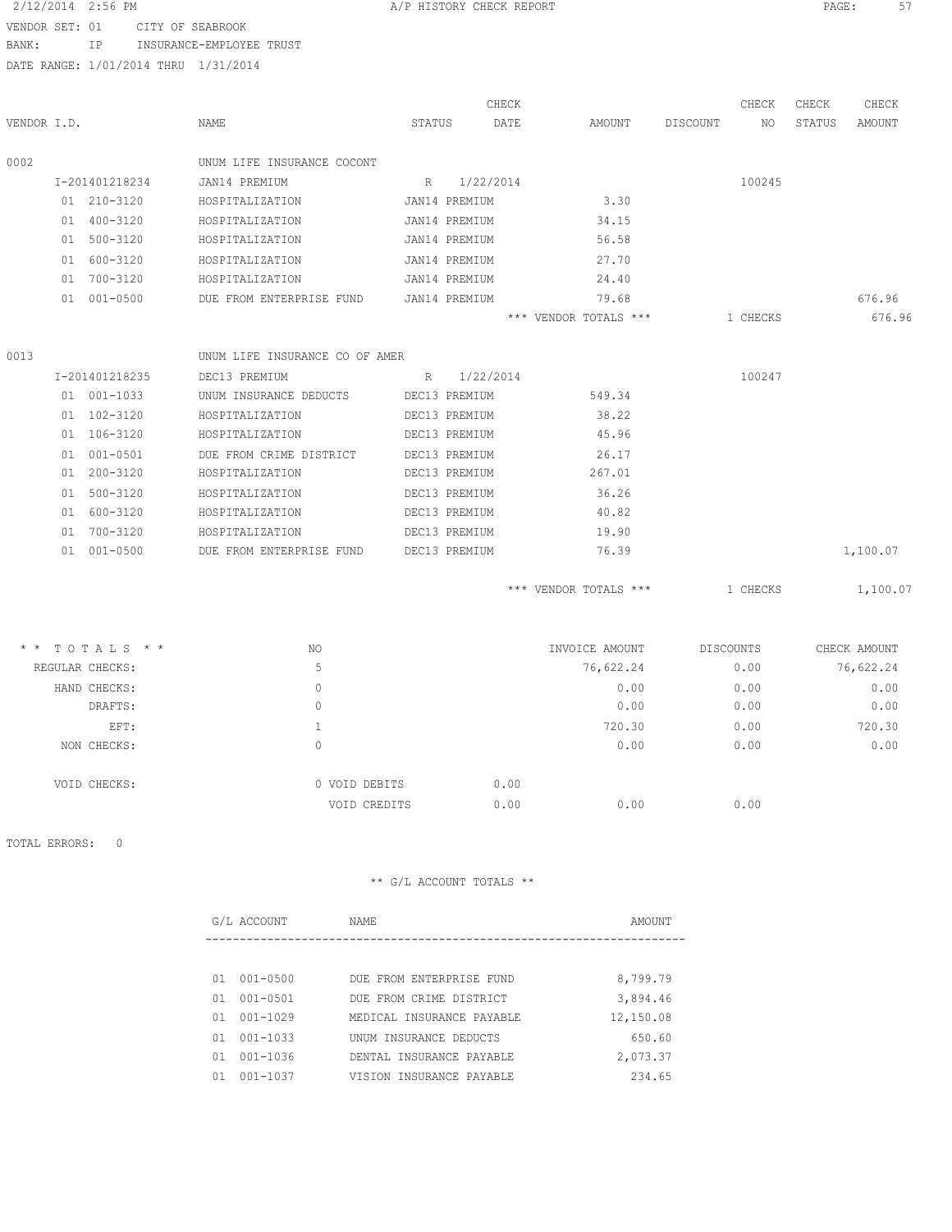#### 2/12/2014 2:56 PM **A/P HISTORY CHECK REPORT PAGE:** 57

VENDOR SET: 01 CITY OF SEABROOK

BANK: IP INSURANCE-EMPLOYEE TRUST

DATE RANGE: 1/01/2014 THRU 1/31/2014

|             |                                                                          |                                  |        |               | CHECK |                       |          | CHECK            | CHECK  | CHECK        |
|-------------|--------------------------------------------------------------------------|----------------------------------|--------|---------------|-------|-----------------------|----------|------------------|--------|--------------|
| VENDOR I.D. |                                                                          | NAME                             | STATUS |               | DATE  | AMOUNT                | DISCOUNT | NO               | STATUS | AMOUNT       |
| 0002        |                                                                          | UNUM LIFE INSURANCE COCONT       |        |               |       |                       |          |                  |        |              |
|             | I-201401218234                                                           | JAN14 PREMIUM                    |        | R 1/22/2014   |       |                       |          | 100245           |        |              |
|             | 01 210-3120                                                              | HOSPITALIZATION                  |        | JAN14 PREMIUM |       | 3.30                  |          |                  |        |              |
|             | 01 400-3120                                                              | HOSPITALIZATION                  |        | JAN14 PREMIUM |       | 34.15                 |          |                  |        |              |
|             | 01 500-3120                                                              | HOSPITALIZATION                  |        | JAN14 PREMIUM |       | 56.58                 |          |                  |        |              |
|             | 01 600-3120                                                              | HOSPITALIZATION                  |        | JAN14 PREMIUM |       | 27.70                 |          |                  |        |              |
|             | 01 700-3120                                                              | HOSPITALIZATION                  |        | JAN14 PREMIUM |       | 24.40                 |          |                  |        |              |
|             | 01 001-0500                                                              | DUE FROM ENTERPRISE FUND         |        | JAN14 PREMIUM |       | 79.68                 |          |                  |        | 676.96       |
|             |                                                                          |                                  |        |               |       | *** VENDOR TOTALS *** |          | 1 CHECKS         |        | 676.96       |
| 0013        |                                                                          | UNUM LIFE INSURANCE CO OF AMER   |        |               |       |                       |          |                  |        |              |
|             | I-201401218235                                                           | DEC13 PREMIUM<br>$R = 1/22/2014$ |        |               |       |                       |          | 100247           |        |              |
|             | 01 001-1033                                                              | UNUM INSURANCE DEDUCTS           |        | DEC13 PREMIUM |       | 549.34                |          |                  |        |              |
|             | 01 102-3120                                                              | HOSPITALIZATION                  |        | DEC13 PREMIUM |       | 38.22                 |          |                  |        |              |
|             | 01 106-3120                                                              | HOSPITALIZATION                  |        | DEC13 PREMIUM |       | 45.96                 |          |                  |        |              |
|             | 01 001-0501                                                              | DUE FROM CRIME DISTRICT          |        | DEC13 PREMIUM |       | 26.17                 |          |                  |        |              |
|             | 01 200-3120                                                              | HOSPITALIZATION                  |        | DEC13 PREMIUM |       | 267.01                |          |                  |        |              |
|             | 01 500-3120                                                              | HOSPITALIZATION                  |        | DEC13 PREMIUM |       | 36.26                 |          |                  |        |              |
|             | 01 600-3120                                                              | HOSPITALIZATION                  |        | DEC13 PREMIUM |       | 40.82                 |          |                  |        |              |
|             | 01 700-3120                                                              | HOSPITALIZATION                  |        | DEC13 PREMIUM |       | 19.90                 |          |                  |        |              |
|             | 01 001-0500                                                              | DUE FROM ENTERPRISE FUND         |        | DEC13 PREMIUM |       | 76.39                 |          |                  |        | 1,100.07     |
|             |                                                                          |                                  |        |               |       | *** VENDOR TOTALS *** |          | 1 CHECKS         |        | 1,100.07     |
|             | $\star$ $\star$ $\top$ $\cap$ $\top$ $\top$ $\top$ $\circ$ $\to$ $\star$ | $\lambda$ T $\cap$               |        |               |       | TNU/OTOP AMOUNT       |          | <b>DICCOUNTE</b> |        | CURCY AMOUNT |

| $*$ * TOTALS * * | NO. |               | INVOICE AMOUNT | DISCOUNTS | CHECK AMOUNT |
|------------------|-----|---------------|----------------|-----------|--------------|
| REGULAR CHECKS:  | 5   |               | 76,622.24      | 0.00      | 76,622.24    |
| HAND CHECKS:     | 0   |               | 0.00           | 0.00      | 0.00         |
| DRAFTS:          | 0   |               | 0.00           | 0.00      | 0.00         |
| EFT:             |     |               | 720.30         | 0.00      | 720.30       |
| NON CHECKS:      | 0   |               | 0.00           | 0.00      | 0.00         |
| VOID CHECKS:     |     | 0 VOID DEBITS | 0.00           |           |              |
|                  |     | VOID CREDITS  | 0.00<br>0.00   | 0.00      |              |
|                  |     |               |                |           |              |

TOTAL ERRORS: 0

|     | G/L ACCOUNT  | NAME                      | AMOUNT    |
|-----|--------------|---------------------------|-----------|
|     |              |                           |           |
| 01  | $001 - 0500$ | DUE FROM ENTERPRISE FUND  | 8,799.79  |
| 01  | $001 - 0501$ | DUE FROM CRIME DISTRICT   | 3,894.46  |
| O 1 | $001 - 1029$ | MEDICAL INSURANCE PAYABLE | 12,150.08 |
| 01  | $001 - 1033$ | UNUM INSURANCE DEDUCTS    | 650.60    |
| 01  | $001 - 1036$ | DENTAL INSURANCE PAYABLE  | 2,073.37  |
|     | $001 - 1037$ | VISION INSURANCE PAYABLE  | 234.65    |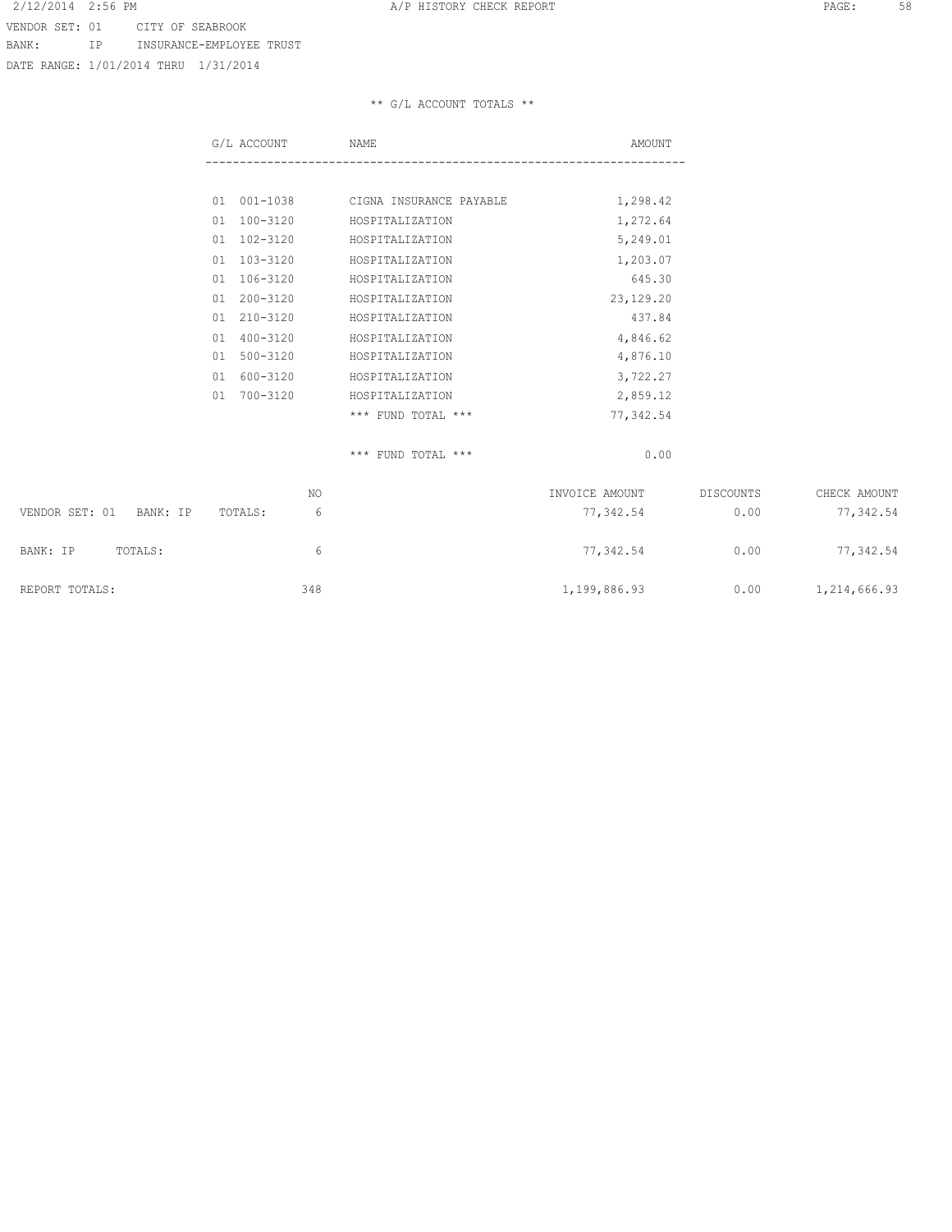VENDOR SET: 01 CITY OF SEABROOK BANK: IP INSURANCE-EMPLOYEE TRUST

DATE RANGE: 1/01/2014 THRU 1/31/2014

# \*\* G/L ACCOUNT TOTALS \*\*

| G/L ACCOUNT        | NAME                    | AMOUNT    |
|--------------------|-------------------------|-----------|
|                    |                         |           |
| $001 - 1038$<br>01 | CIGNA INSURANCE PAYABLE | 1,298.42  |
| 100-3120<br>01     | HOSPITALIZATION         | 1,272.64  |
| 102-3120<br>01     | HOSPITALIZATION         | 5,249.01  |
| 103-3120<br>01     | HOSPITALIZATION         | 1,203.07  |
| 106-3120<br>01     | HOSPITALIZATION         | 645.30    |
| $200 - 3120$<br>01 | HOSPITALIZATION         | 23,129.20 |
| 210-3120<br>01     | HOSPITALIZATION         | 437.84    |
| 01<br>400-3120     | HOSPITALIZATION         | 4,846.62  |
| $500 - 3120$<br>01 | HOSPITALIZATION         | 4,876.10  |
| 600-3120<br>01     | HOSPITALIZATION         | 3,722.27  |
| 700-3120<br>01     | HOSPITALIZATION         | 2,859.12  |
|                    | $***$<br>FUND TOTAL *** | 77,342.54 |

\*\*\* FUND TOTAL \*\*\* 0.00

|                            | NO.     | INVOICE AMOUNT | DISCOUNTS | CHECK AMOUNT |
|----------------------------|---------|----------------|-----------|--------------|
| VENDOR SET: 01<br>BANK: IP | TOTALS: | 77,342.54      | 0.00      | 77,342.54    |
| TOTALS:<br>BANK: IP        | 6       | 77,342.54      | 0.00      | 77,342.54    |
| REPORT TOTALS:             | 348     | 1,199,886.93   | 0.00      | 1,214,666.93 |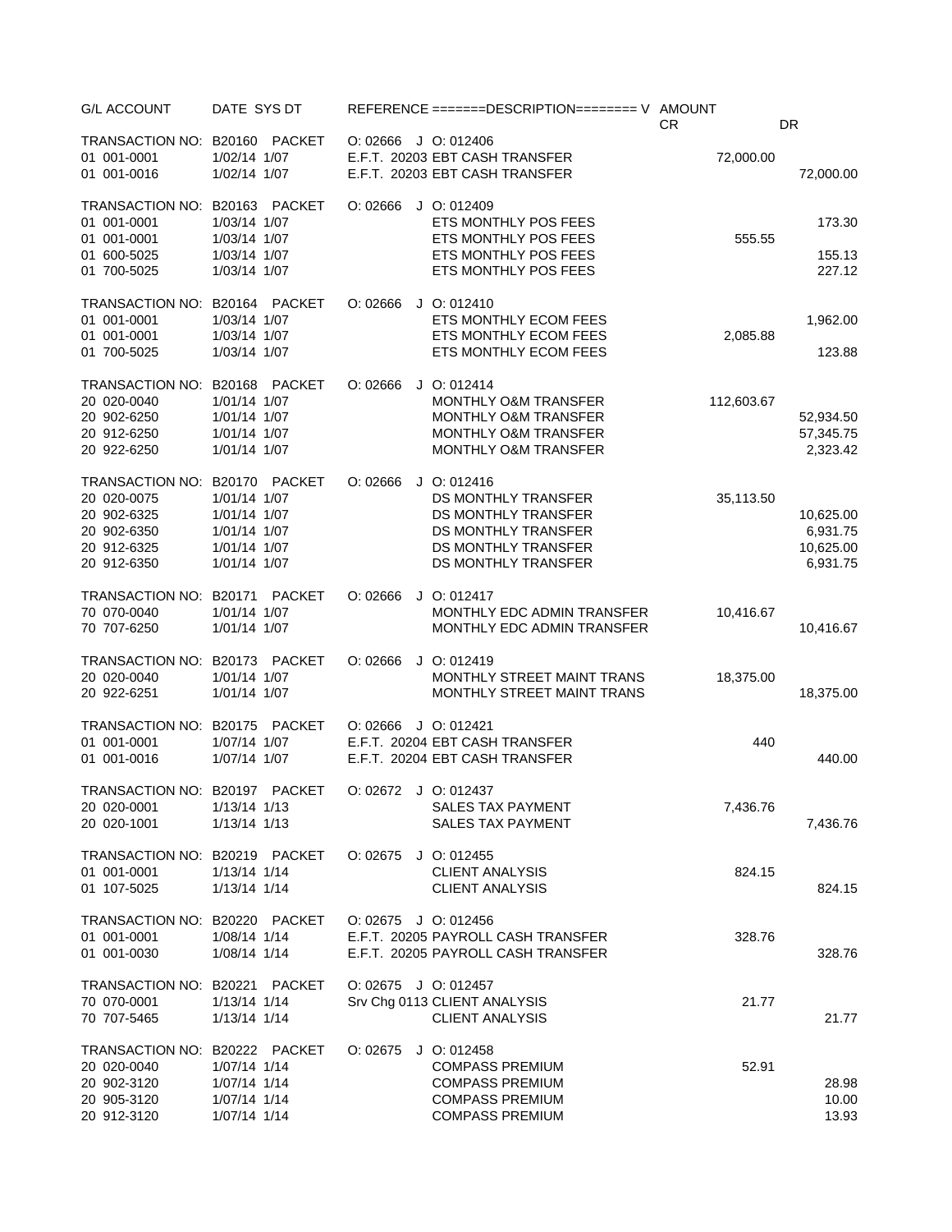| <b>G/L ACCOUNT</b>                                                                                | DATE SYS DT                                                                            | REFERENCE =======DESCRIPTION======== V AMOUNT                                                                                                | <b>CR</b>  | DR                                             |
|---------------------------------------------------------------------------------------------------|----------------------------------------------------------------------------------------|----------------------------------------------------------------------------------------------------------------------------------------------|------------|------------------------------------------------|
| TRANSACTION NO: B20160<br>01 001-0001<br>01 001-0016                                              | PACKET<br>1/02/14 1/07<br>1/02/14 1/07                                                 | O: 02666 J O: 012406<br>E.F.T. 20203 EBT CASH TRANSFER<br>E.F.T. 20203 EBT CASH TRANSFER                                                     | 72,000.00  | 72,000.00                                      |
| TRANSACTION NO: B20163<br>01 001-0001                                                             | PACKET<br>1/03/14 1/07                                                                 | O: 02666<br>$J$ O: 012409<br>ETS MONTHLY POS FEES                                                                                            |            | 173.30                                         |
| 01 001-0001<br>01 600-5025<br>01 700-5025                                                         | 1/03/14 1/07<br>1/03/14 1/07<br>1/03/14 1/07                                           | ETS MONTHLY POS FEES<br>ETS MONTHLY POS FEES<br>ETS MONTHLY POS FEES                                                                         | 555.55     | 155.13<br>227.12                               |
| TRANSACTION NO: B20164 PACKET<br>01 001-0001<br>01 001-0001<br>01 700-5025                        | 1/03/14 1/07<br>1/03/14 1/07<br>1/03/14 1/07                                           | $J$ O: 012410<br>O: 02666<br>ETS MONTHLY ECOM FEES<br>ETS MONTHLY ECOM FEES<br>ETS MONTHLY ECOM FEES                                         | 2,085.88   | 1,962.00<br>123.88                             |
| TRANSACTION NO: B20168 PACKET<br>20 020-0040<br>20 902-6250<br>20 912-6250<br>20 922-6250         | 1/01/14 1/07<br>1/01/14 1/07<br>1/01/14 1/07<br>1/01/14 1/07                           | O: 02666<br>$J$ O: 012414<br>MONTHLY O&M TRANSFER<br>MONTHLY O&M TRANSFER<br>MONTHLY O&M TRANSFER<br>MONTHLY O&M TRANSFER                    | 112,603.67 | 52,934.50<br>57,345.75<br>2,323.42             |
| TRANSACTION NO: B20170<br>20 020-0075<br>20 902-6325<br>20 902-6350<br>20 912-6325<br>20 912-6350 | PACKET<br>1/01/14 1/07<br>1/01/14 1/07<br>1/01/14 1/07<br>1/01/14 1/07<br>1/01/14 1/07 | O: 02666<br>$J$ O: 012416<br>DS MONTHLY TRANSFER<br>DS MONTHLY TRANSFER<br>DS MONTHLY TRANSFER<br>DS MONTHLY TRANSFER<br>DS MONTHLY TRANSFER | 35,113.50  | 10,625.00<br>6,931.75<br>10,625.00<br>6,931.75 |
| TRANSACTION NO: B20171<br>70 070-0040<br>70 707-6250                                              | PACKET<br>1/01/14 1/07<br>1/01/14 1/07                                                 | O: 02666<br>$J$ O: 012417<br>MONTHLY EDC ADMIN TRANSFER<br>MONTHLY EDC ADMIN TRANSFER                                                        | 10,416.67  | 10,416.67                                      |
| TRANSACTION NO: B20173<br>20 020-0040<br>20 922-6251                                              | PACKET<br>1/01/14 1/07<br>1/01/14 1/07                                                 | O: 02666<br>$J$ O: 012419<br>MONTHLY STREET MAINT TRANS<br>MONTHLY STREET MAINT TRANS                                                        | 18,375.00  | 18,375.00                                      |
| TRANSACTION NO: B20175<br>01 001-0001<br>01 001-0016                                              | PACKET<br>1/07/14 1/07<br>1/07/14 1/07                                                 | O: 02666<br>$J$ O: 012421<br>E.F.T. 20204 EBT CASH TRANSFER<br>E.F.T. 20204 EBT CASH TRANSFER                                                | 440        | 440.00                                         |
| TRANSACTION NO: B20197 PACKET<br>20 020-0001<br>20 020-1001                                       | 1/13/14 1/13<br>1/13/14 1/13                                                           | $O: 02672$ J O: 012437<br><b>SALES TAX PAYMENT</b><br>SALES TAX PAYMENT                                                                      | 7,436.76   | 7,436.76                                       |
| TRANSACTION NO: B20219 PACKET<br>01 001-0001<br>01 107-5025                                       | 1/13/14 1/14<br>1/13/14 1/14                                                           | O: 02675<br>$J$ O: 012455<br><b>CLIENT ANALYSIS</b><br><b>CLIENT ANALYSIS</b>                                                                | 824.15     | 824.15                                         |
| TRANSACTION NO: B20220 PACKET<br>01 001-0001<br>01 001-0030                                       | 1/08/14 1/14<br>1/08/14 1/14                                                           | $O: 02675$ J O: 012456<br>E.F.T. 20205 PAYROLL CASH TRANSFER<br>E.F.T. 20205 PAYROLL CASH TRANSFER                                           | 328.76     | 328.76                                         |
| TRANSACTION NO: B20221<br>70 070-0001<br>70 707-5465                                              | <b>PACKET</b><br>1/13/14 1/14<br>1/13/14 1/14                                          | O: 02675 J O: 012457<br>Srv Chg 0113 CLIENT ANALYSIS<br><b>CLIENT ANALYSIS</b>                                                               | 21.77      | 21.77                                          |
| TRANSACTION NO: B20222 PACKET<br>20 020-0040<br>20 902-3120<br>20 905-3120<br>20 912-3120         | 1/07/14 1/14<br>1/07/14 1/14<br>1/07/14 1/14<br>1/07/14 1/14                           | O: 02675<br>$J$ O: 012458<br><b>COMPASS PREMIUM</b><br><b>COMPASS PREMIUM</b><br><b>COMPASS PREMIUM</b><br><b>COMPASS PREMIUM</b>            | 52.91      | 28.98<br>10.00<br>13.93                        |